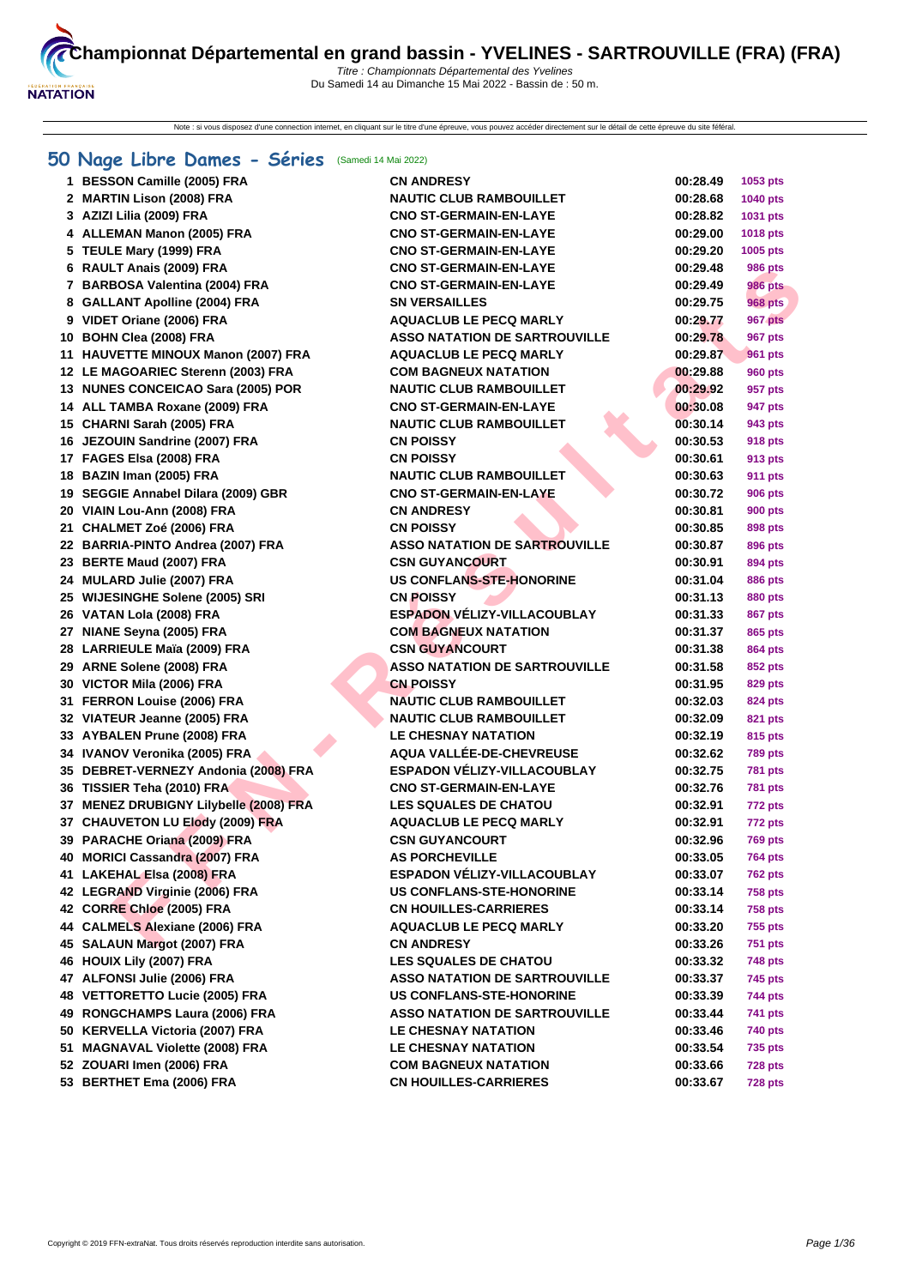Note : si vous disposez d'une connection internet, en cliquant sur le titre d'une épreuve, vous pouvez accéder directement sur le détail de cette épreuve du site féféral.

# **[50 Na](http://www.ffnatation.fr/webffn/index.php)ge Libre Dames - Séries** (Samedi 14 Mai 2022)

| 1 BESSON Camille (2005) FRA            | <b>CN ANDRESY</b>                    | 00:28.49 | 1053 pts       |
|----------------------------------------|--------------------------------------|----------|----------------|
| 2 MARTIN Lison (2008) FRA              | <b>NAUTIC CLUB RAMBOUILLET</b>       | 00:28.68 | 1040 pts       |
| 3 AZIZI Lilia (2009) FRA               | <b>CNO ST-GERMAIN-EN-LAYE</b>        | 00:28.82 | 1031 pts       |
| 4 ALLEMAN Manon (2005) FRA             | <b>CNO ST-GERMAIN-EN-LAYE</b>        | 00:29.00 | 1018 pts       |
| 5 TEULE Mary (1999) FRA                | <b>CNO ST-GERMAIN-EN-LAYE</b>        | 00:29.20 | 1005 pts       |
| 6 RAULT Anais (2009) FRA               | <b>CNO ST-GERMAIN-EN-LAYE</b>        | 00:29.48 | <b>986 pts</b> |
| 7 BARBOSA Valentina (2004) FRA         | <b>CNO ST-GERMAIN-EN-LAYE</b>        | 00:29.49 | 986 pts        |
| 8 GALLANT Apolline (2004) FRA          | <b>SN VERSAILLES</b>                 | 00:29.75 | <b>968 pts</b> |
| 9 VIDET Oriane (2006) FRA              | <b>AQUACLUB LE PECQ MARLY</b>        | 00:29.77 | <b>967 pts</b> |
| 10 BOHN Clea (2008) FRA                | <b>ASSO NATATION DE SARTROUVILLE</b> | 00:29.78 | <b>967 pts</b> |
| 11 HAUVETTE MINOUX Manon (2007) FRA    | <b>AQUACLUB LE PECQ MARLY</b>        | 00:29.87 | <b>961 pts</b> |
| 12 LE MAGOARIEC Sterenn (2003) FRA     | <b>COM BAGNEUX NATATION</b>          | 00:29.88 | <b>960 pts</b> |
| 13 NUNES CONCEICAO Sara (2005) POR     | <b>NAUTIC CLUB RAMBOUILLET</b>       | 00:29.92 | 957 pts        |
| 14 ALL TAMBA Roxane (2009) FRA         | <b>CNO ST-GERMAIN-EN-LAYE</b>        | 00:30.08 | 947 pts        |
| 15 CHARNI Sarah (2005) FRA             | <b>NAUTIC CLUB RAMBOUILLET</b>       | 00:30.14 | 943 pts        |
| 16 JEZOUIN Sandrine (2007) FRA         | <b>CN POISSY</b>                     | 00:30.53 | 918 pts        |
| 17 FAGES Elsa (2008) FRA               | <b>CN POISSY</b>                     | 00:30.61 | 913 pts        |
| 18 BAZIN Iman (2005) FRA               | <b>NAUTIC CLUB RAMBOUILLET</b>       | 00:30.63 | <b>911 pts</b> |
| 19 SEGGIE Annabel Dilara (2009) GBR    | <b>CNO ST-GERMAIN-EN-LAYE</b>        | 00:30.72 | <b>906 pts</b> |
| 20 VIAIN Lou-Ann (2008) FRA            | <b>CN ANDRESY</b>                    | 00:30.81 | <b>900 pts</b> |
| 21 CHALMET Zoé (2006) FRA              | <b>CN POISSY</b>                     | 00:30.85 | 898 pts        |
| 22 BARRIA-PINTO Andrea (2007) FRA      | <b>ASSO NATATION DE SARTROUVILLE</b> | 00:30.87 | 896 pts        |
| 23 BERTE Maud (2007) FRA               | <b>CSN GUYANCOURT</b>                | 00:30.91 | 894 pts        |
| 24 MULARD Julie (2007) FRA             | <b>US CONFLANS-STE-HONORINE</b>      | 00:31.04 | 886 pts        |
| 25 WIJESINGHE Solene (2005) SRI        | <b>CN POISSY</b>                     | 00:31.13 | 880 pts        |
| 26 VATAN Lola (2008) FRA               | <b>ESPADON VÉLIZY-VILLACOUBLAY</b>   | 00:31.33 | 867 pts        |
| 27 NIANE Seyna (2005) FRA              | <b>COM BAGNEUX NATATION</b>          | 00:31.37 | 865 pts        |
| 28 LARRIEULE Maïa (2009) FRA           | <b>CSN GUYANCOURT</b>                | 00:31.38 | 864 pts        |
| 29 ARNE Solene (2008) FRA              | <b>ASSO NATATION DE SARTROUVILLE</b> | 00:31.58 | 852 pts        |
| 30 VICTOR Mila (2006) FRA              | <b>CN POISSY</b>                     | 00:31.95 | 829 pts        |
| 31 FERRON Louise (2006) FRA            | <b>NAUTIC CLUB RAMBOUILLET</b>       | 00:32.03 | 824 pts        |
| 32 VIATEUR Jeanne (2005) FRA           | <b>NAUTIC CLUB RAMBOUILLET</b>       | 00:32.09 | 821 pts        |
| 33 AYBALEN Prune (2008) FRA            | <b>LE CHESNAY NATATION</b>           | 00:32.19 | 815 pts        |
| 34 IVANOV Veronika (2005) FRA          | AQUA VALLÉE-DE-CHEVREUSE             | 00:32.62 | <b>789 pts</b> |
| 35 DEBRET-VERNEZY Andonia (2008) FRA   | <b>ESPADON VÉLIZY-VILLACOUBLAY</b>   | 00:32.75 | <b>781 pts</b> |
| 36 TISSIER Teha (2010) FRA             | <b>CNO ST-GERMAIN-EN-LAYE</b>        | 00:32.76 | <b>781 pts</b> |
| 37 MENEZ DRUBIGNY Lilybelle (2008) FRA | <b>LES SQUALES DE CHATOU</b>         | 00:32.91 | <b>772 pts</b> |
| 37 CHAUVETON LU Elody (2009) FRA       | <b>AQUACLUB LE PECQ MARLY</b>        | 00:32.91 | 772 pts        |
| 39 PARACHE Oriana (2009) FRA           | <b>CSN GUYANCOURT</b>                | 00:32.96 | <b>769 pts</b> |
| 40 MORICI Cassandra (2007) FRA         | <b>AS PORCHEVILLE</b>                | 00:33.05 | <b>764 pts</b> |
| 41 LAKEHAL Elsa (2008) FRA             | <b>ESPADON VÉLIZY-VILLACOUBLAY</b>   | 00:33.07 | <b>762 pts</b> |
| 42 LEGRAND Virginie (2006) FRA         | <b>US CONFLANS-STE-HONORINE</b>      | 00:33.14 | <b>758 pts</b> |
| 42 CORRE Chloe (2005) FRA              | <b>CN HOUILLES-CARRIERES</b>         | 00:33.14 | <b>758 pts</b> |
| 44 CALMELS Alexiane (2006) FRA         | <b>AQUACLUB LE PECQ MARLY</b>        | 00:33.20 | 755 pts        |
| 45 SALAUN Margot (2007) FRA            | <b>CN ANDRESY</b>                    | 00:33.26 | 751 pts        |
| 46 HOUIX Lily (2007) FRA               | <b>LES SQUALES DE CHATOU</b>         | 00:33.32 | 748 pts        |
| 47 ALFONSI Julie (2006) FRA            | <b>ASSO NATATION DE SARTROUVILLE</b> | 00:33.37 | 745 pts        |
| 48 VETTORETTO Lucie (2005) FRA         | <b>US CONFLANS-STE-HONORINE</b>      | 00:33.39 | 744 pts        |
| 49 RONGCHAMPS Laura (2006) FRA         | <b>ASSO NATATION DE SARTROUVILLE</b> | 00:33.44 | 741 pts        |
| 50 KERVELLA Victoria (2007) FRA        | <b>LE CHESNAY NATATION</b>           | 00:33.46 | 740 pts        |
| 51 MAGNAVAL Violette (2008) FRA        | LE CHESNAY NATATION                  | 00:33.54 | <b>735 pts</b> |
| 52 ZOUARI Imen (2006) FRA              | <b>COM BAGNEUX NATATION</b>          | 00:33.66 | <b>728 pts</b> |
| 53 BERTHET Ema (2006) FRA              | <b>CN HOUILLES-CARRIERES</b>         | 00:33.67 | <b>728 pts</b> |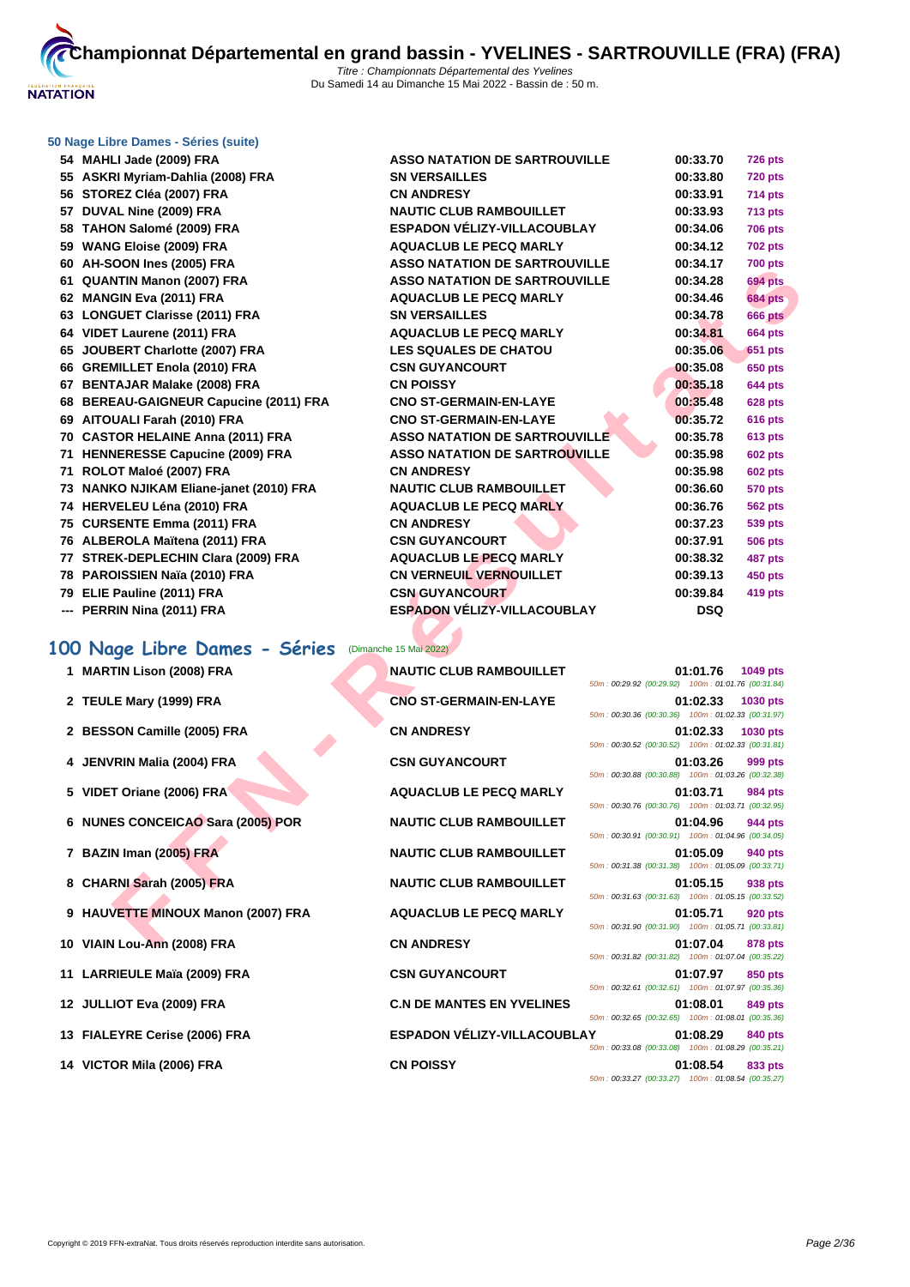

## **[50 Nage L](http://www.ffnatation.fr/webffn/index.php)ibre Dames - Séries (suite)**

| 54 MAHLI Jade (2009) FRA                | <b>ASSO NATATION DE SARTROUVILLE</b> | 00:33.70                                                       |            | <b>726 pts</b>  |
|-----------------------------------------|--------------------------------------|----------------------------------------------------------------|------------|-----------------|
| 55 ASKRI Myriam-Dahlia (2008) FRA       | <b>SN VERSAILLES</b>                 | 00:33.80                                                       |            | <b>720 pts</b>  |
| 56 STOREZ Cléa (2007) FRA               | <b>CN ANDRESY</b>                    | 00:33.91                                                       |            | <b>714 pts</b>  |
| 57 DUVAL Nine (2009) FRA                | <b>NAUTIC CLUB RAMBOUILLET</b>       | 00:33.93                                                       |            | 713 pts         |
| 58 TAHON Salomé (2009) FRA              | ESPADON VÉLIZY-VILLACOUBLAY          | 00:34.06                                                       |            | <b>706 pts</b>  |
| 59 WANG Eloise (2009) FRA               | <b>AQUACLUB LE PECQ MARLY</b>        | 00:34.12                                                       |            | <b>702 pts</b>  |
| 60 AH-SOON Ines (2005) FRA              | <b>ASSO NATATION DE SARTROUVILLE</b> | 00:34.17                                                       |            | <b>700 pts</b>  |
| 61 QUANTIN Manon (2007) FRA             | <b>ASSO NATATION DE SARTROUVILLE</b> | 00:34.28                                                       |            | <b>694 pts</b>  |
| 62 MANGIN Eva (2011) FRA                | <b>AQUACLUB LE PECQ MARLY</b>        | 00:34.46                                                       |            | <b>684 pts</b>  |
| 63 LONGUET Clarisse (2011) FRA          | <b>SN VERSAILLES</b>                 | 00:34.78                                                       |            | <b>666 pts</b>  |
| 64 VIDET Laurene (2011) FRA             | <b>AQUACLUB LE PECQ MARLY</b>        | 00:34.81                                                       |            | <b>664 pts</b>  |
| 65 JOUBERT Charlotte (2007) FRA         | <b>LES SQUALES DE CHATOU</b>         | 00:35.06                                                       |            | <b>651 pts</b>  |
| 66 GREMILLET Enola (2010) FRA           | <b>CSN GUYANCOURT</b>                | 00:35.08                                                       |            | 650 pts         |
| 67 BENTAJAR Malake (2008) FRA           | <b>CN POISSY</b>                     | 00:35.18                                                       |            | <b>644 pts</b>  |
| 68 BEREAU-GAIGNEUR Capucine (2011) FRA  | <b>CNO ST-GERMAIN-EN-LAYE</b>        | 00:35.48                                                       |            | <b>628 pts</b>  |
| 69 AITOUALI Farah (2010) FRA            | <b>CNO ST-GERMAIN-EN-LAYE</b>        | 00:35.72                                                       |            | <b>616 pts</b>  |
| 70 CASTOR HELAINE Anna (2011) FRA       | <b>ASSO NATATION DE SARTROUVILLE</b> | 00:35.78                                                       |            | <b>613 pts</b>  |
| 71 HENNERESSE Capucine (2009) FRA       | <b>ASSO NATATION DE SARTROUVILLE</b> | 00:35.98                                                       |            | <b>602 pts</b>  |
| 71 ROLOT Maloé (2007) FRA               | <b>CN ANDRESY</b>                    | 00:35.98                                                       |            | <b>602 pts</b>  |
| 73 NANKO NJIKAM Eliane-janet (2010) FRA | <b>NAUTIC CLUB RAMBOUILLET</b>       | 00:36.60                                                       |            | <b>570 pts</b>  |
| 74 HERVELEU Léna (2010) FRA             | <b>AQUACLUB LE PECQ MARLY</b>        | 00:36.76                                                       |            | <b>562 pts</b>  |
| 75 CURSENTE Emma (2011) FRA             | <b>CN ANDRESY</b>                    | 00:37.23                                                       |            | 539 pts         |
| 76 ALBEROLA Maïtena (2011) FRA          | <b>CSN GUYANCOURT</b>                | 00:37.91                                                       |            | <b>506 pts</b>  |
| 77 STREK-DEPLECHIN Clara (2009) FRA     | <b>AQUACLUB LE PECQ MARLY</b>        | 00:38.32                                                       |            | 487 pts         |
| 78 PAROISSIEN Naïa (2010) FRA           | <b>CN VERNEUIL VERNOUILLET</b>       | 00:39.13                                                       |            | <b>450 pts</b>  |
| 79 ELIE Pauline (2011) FRA              | <b>CSN GUYANCOURT</b>                | 00:39.84                                                       |            | 419 pts         |
| --- PERRIN Nina (2011) FRA              | <b>ESPADON VÉLIZY-VILLACOUBLAY</b>   |                                                                | <b>DSQ</b> |                 |
|                                         |                                      |                                                                |            |                 |
| 00 Nage Libre Dames - Séries            | (Dimanche 15 Mai 2022)               |                                                                |            |                 |
| 1 MARTIN Lison (2008) FRA               | <b>NAUTIC CLUB RAMBOUILLET</b>       | 01:01.76                                                       |            | <b>1049 pts</b> |
|                                         |                                      | 50m: 00:29.92 (00:29.92) 100m: 01:01.76 (00:31.84)             |            |                 |
| 2 TEULE Mary (1999) FRA                 | <b>CNO ST-GERMAIN-EN-LAYE</b>        | 01:02.33                                                       |            | 1030 pts        |
|                                         |                                      | 50m: 00:30.36 (00:30.36) 100m: 01:02.33 (00:31.97)             |            |                 |
| 2 BESSON Camille (2005) FRA             | <b>CN ANDRESY</b>                    | 01:02.33                                                       |            | <b>1030 pts</b> |
|                                         |                                      | 50m: 00:30.52 (00:30.52) 100m: 01:02.33 (00:31.81)             |            |                 |
| 4 JENVRIN Malia (2004) FRA              | <b>CSN GUYANCOURT</b>                | 01:03.26<br>50m: 00:30.88 (00:30.88) 100m: 01:03.26 (00:32.38) |            | 999 pts         |
| 5 VIDET Oriane (2006) FRA               | <b>AQUACLUB LE PECQ MARLY</b>        | 01:03.71                                                       |            | 984 pts         |
|                                         |                                      | 50m: 00:30.76 (00:30.76) 100m: 01:03.71 (00:32.95)             |            |                 |
| 6 NUNES CONCEICAO Sara (2005) POR       | <b>NAUTIC CLUB RAMBOUILLET</b>       | 01:04.96                                                       |            | 944 pts         |
|                                         |                                      | 50m: 00:30.91 (00:30.91) 100m: 01:04.96 (00:34.05)             |            |                 |
| 7 BAZIN Iman (2005) FRA                 | <b>NAUTIC CLUB RAMBOUILLET</b>       | 01:05.09                                                       |            | 940 pts         |
|                                         |                                      | 50m: 00:31.38 (00:31.38) 100m: 01:05.09 (00:33.71)             |            |                 |
| 8 CHARNI Sarah (2005) FRA               | <b>NAUTIC CLUB RAMBOUILLET</b>       | 01:05.15                                                       |            | 938 pts         |
| 9 HAUVETTE MINOUX Manon (2007) FRA      | <b>AQUACLUB LE PECQ MARLY</b>        | 50m: 00:31.63 (00:31.63) 100m: 01:05.15 (00:33.52)<br>01:05.71 |            |                 |
|                                         |                                      | 50m: 00:31.90 (00:31.90) 100m: 01:05.71 (00:33.81)             |            | <b>920 pts</b>  |
| 10 VIAIN Lou-Ann (2008) FRA             | <b>CN ANDRESY</b>                    | 01:07.04                                                       |            | <b>878 pts</b>  |

# **100 Nage Libre Dames - Séries** (Dimanche 15 Mai 2022)

| 1 MARTIN Lison (2008) FRA |  |  |
|---------------------------|--|--|
|                           |  |  |

- 
- **BESSON Camille (2005) FRA CN ANDRESY**
- **JENVRIN Malia (2004) FRA CSN GUYANCOURT**
- 
- **NUNES CONCEICAO Sara (2005) POR NAUTIC CLUB RAMBOUILLET 01:04.96 944 pts**
- 
- 
- **HAUVETTE MINOUX Manon (2007) FRA AQUACLUB LE PECQ MARLY**
- **VIAIN Lou-Ann (2008) FRA CN ANDRESY**
- **LARRIEULE Maïa (2009) FRA CSN GUYANCOURT 01:07.97 850 pts**
- 
- 
- **VICTOR Mila (2006) FRA CN POISSY 01:08.54 833 pts**

 **MARTIN Lison (2008) FRA NAUTIC CLUB RAMBOUILLET 01:01.76 1049 pts TEULE Mary (1999) FRA CNO ST-GERMAIN-EN-LAYE VIDET Oriane (2006) FRA AQUACLUB LE PECQ MARLY BAZIN Iman (2005) FRA NAUTIC CLUB RAMBOUILLET CHARNI Sarah (2005) FRA NAUTIC CLUB RAMBOUILLET JULLIOT Eva (2009) FRA C.N DE MANTES EN YVELINES 01:08.01 849 pts FIALEYRE Cerise (2006) FRA ESPADON VÉLIZY-VILLACOUBLA** 

|    |  | 01:01.76 1049 pts                                                      |  |
|----|--|------------------------------------------------------------------------|--|
|    |  | 50m: 00:29.92 (00:29.92) 100m: 01:01.76 (00:31.84)                     |  |
|    |  | 01:02.33 1030 pts                                                      |  |
|    |  | 50m: 00:30.36 (00:30.36) 100m: 01:02.33 (00:31.97)                     |  |
|    |  | 01:02.33 1030 pts                                                      |  |
|    |  | 50m: 00:30.52 (00:30.52) 100m: 01:02.33 (00:31.81)                     |  |
|    |  | 01:03.26 999 pts<br>50m: 00:30.88 (00:30.88) 100m: 01:03.26 (00:32.38) |  |
|    |  | 01:03.71 984 pts                                                       |  |
|    |  | 50m: 00:30.76 (00:30.76) 100m: 01:03.71 (00:32.95)                     |  |
|    |  | 01:04.96 944 pts                                                       |  |
|    |  | 50m: 00:30.91 (00:30.91) 100m: 01:04.96 (00:34.05)                     |  |
|    |  | $01:05.09$ 940 pts                                                     |  |
|    |  | 50m: 00:31.38 (00:31.38) 100m: 01:05.09 (00:33.71)                     |  |
|    |  | 01:05.15 938 pts                                                       |  |
|    |  | 50m: 00:31.63 (00:31.63) 100m: 01:05.15 (00:33.52)                     |  |
|    |  | 01:05.71 920 pts                                                       |  |
|    |  | 50m: 00:31.90 (00:31.90) 100m: 01:05.71 (00:33.81)                     |  |
|    |  | 01:07.04 878 pts                                                       |  |
|    |  | 50m: 00:31.82 (00:31.82) 100m: 01:07.04 (00:35.22)                     |  |
|    |  | 01:07.97 850 pts                                                       |  |
|    |  | 50m: 00:32.61 (00:32.61) 100m: 01:07.97 (00:35.36)                     |  |
|    |  | 01:08.01 849 pts                                                       |  |
|    |  | 50m: 00:32.65 (00:32.65) 100m: 01:08.01 (00:35.36)                     |  |
| ΔY |  | 01:08.29 840 pts                                                       |  |
|    |  | 50m: 00:33.08 (00:33.08) 100m: 01:08.29 (00:35.21)                     |  |
|    |  | 01:08.54 833 pts                                                       |  |
|    |  | 50m: 00:33.27 (00:33.27) 100m: 01:08.54 (00:35.27)                     |  |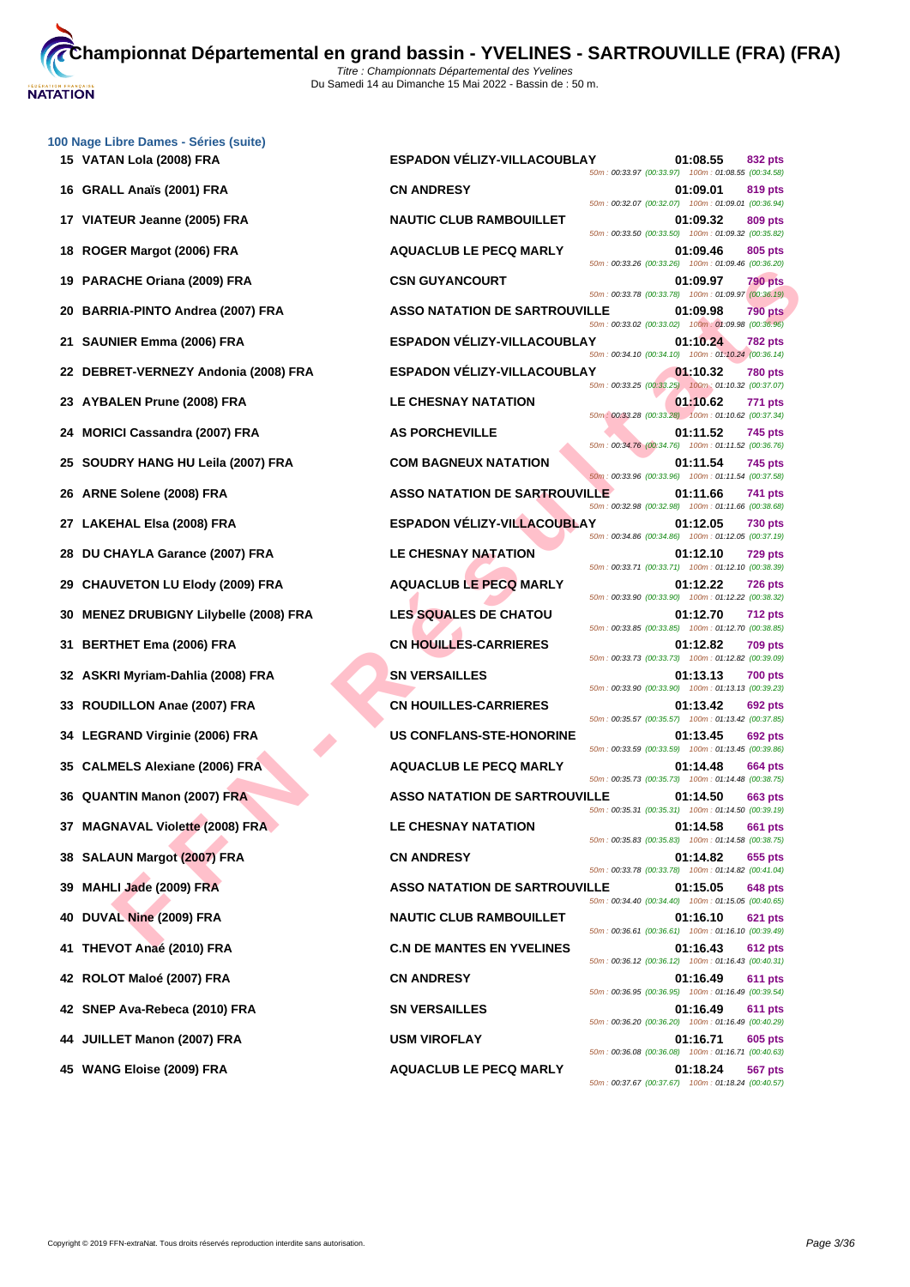

|    | 100 Nage Libre Dames - Séries (suite)<br>15 VATAN Lola (2008) FRA | <b>ESPADON VÉLIZY-VILLACOUBLAY</b>   | 01:08.55                                                                                                             | 832 pts        |
|----|-------------------------------------------------------------------|--------------------------------------|----------------------------------------------------------------------------------------------------------------------|----------------|
|    | 16 GRALL Anaïs (2001) FRA                                         | <b>CN ANDRESY</b>                    | 50m: 00:33.97 (00:33.97) 100m: 01:08.55 (00:34.58)<br>01:09.01                                                       | 819 pts        |
|    | 17 VIATEUR Jeanne (2005) FRA                                      | <b>NAUTIC CLUB RAMBOUILLET</b>       | 50m: 00:32.07 (00:32.07) 100m: 01:09.01 (00:36.94)<br>01:09.32                                                       | 809 pts        |
|    | 18 ROGER Margot (2006) FRA                                        | <b>AQUACLUB LE PECQ MARLY</b>        | 50m: 00:33.50 (00:33.50) 100m: 01:09.32 (00:35.82)<br>01:09.46                                                       | 805 pts        |
|    | 19 PARACHE Oriana (2009) FRA                                      | <b>CSN GUYANCOURT</b>                | 50m: 00:33.26 (00:33.26) 100m: 01:09.46 (00:36.20)<br>01:09.97<br>50m: 00:33.78 (00:33.78) 100m: 01:09.97 (00:36.19) | 790 pts        |
|    | 20 BARRIA-PINTO Andrea (2007) FRA                                 | <b>ASSO NATATION DE SARTROUVILLE</b> | 01:09.98<br>50m: 00:33.02 (00:33.02) 100m: 01:09.98 (00:36.96)                                                       | <b>790 pts</b> |
|    | 21 SAUNIER Emma (2006) FRA                                        | ESPADON VÉLIZY-VILLACOUBLAY          | 01:10.24<br>50m: 00:34.10 (00:34.10) 100m: 01:10.24 (00:36.14)                                                       | <b>782 pts</b> |
|    | 22 DEBRET-VERNEZY Andonia (2008) FRA                              | ESPADON VÉLIZY-VILLACOUBLAY          | 01:10.32<br>50m: 00:33.25 (00:33.25) 100m: 01:10.32 (00:37.07)                                                       | <b>780 pts</b> |
|    | 23 AYBALEN Prune (2008) FRA                                       | <b>LE CHESNAY NATATION</b>           | 01:10.62<br>50m: 00:33.28 (00:33.28) 100m: 01:10.62 (00:37.34)                                                       | 771 pts        |
|    | 24 MORICI Cassandra (2007) FRA                                    | <b>AS PORCHEVILLE</b>                | 01:11.52<br>50m: 00:34.76 (00:34.76) 100m: 01:11.52 (00:36.76)                                                       | 745 pts        |
|    | 25 SOUDRY HANG HU Leila (2007) FRA                                | <b>COM BAGNEUX NATATION</b>          | 01:11.54<br>50m: 00:33.96 (00:33.96) 100m: 01:11.54 (00:37.58)                                                       | 745 pts        |
|    | 26 ARNE Solene (2008) FRA                                         | <b>ASSO NATATION DE SARTROUVILLE</b> | 01:11.66<br>50m: 00:32.98 (00:32.98) 100m: 01:11.66 (00:38.68)                                                       | 741 pts        |
|    | 27 LAKEHAL Elsa (2008) FRA                                        | <b>ESPADON VÉLIZY-VILLACOUBLAY</b>   | 01:12.05<br>50m: 00:34.86 (00:34.86) 100m: 01:12.05 (00:37.19)                                                       | <b>730 pts</b> |
| 28 | DU CHAYLA Garance (2007) FRA                                      | LE CHESNAY NATATION                  | 01:12.10<br>50m: 00:33.71 (00:33.71) 100m: 01:12.10 (00:38.39)                                                       | 729 pts        |
| 29 | <b>CHAUVETON LU Elody (2009) FRA</b>                              | <b>AQUACLUB LE PECQ MARLY</b>        | 01:12.22<br>50m: 00:33.90 (00:33.90) 100m: 01:12.22 (00:38.32)                                                       | <b>726 pts</b> |
|    | 30 MENEZ DRUBIGNY Lilybelle (2008) FRA                            | <b>LES SQUALES DE CHATOU</b>         | 01:12.70<br>50m: 00:33.85 (00:33.85) 100m: 01:12.70 (00:38.85)                                                       | <b>712 pts</b> |
|    | 31 BERTHET Ema (2006) FRA                                         | <b>CN HOUILLES-CARRIERES</b>         | 01:12.82<br>50m: 00:33.73 (00:33.73) 100m: 01:12.82 (00:39.09)                                                       | <b>709 pts</b> |
|    | 32 ASKRI Myriam-Dahlia (2008) FRA                                 | <b>SN VERSAILLES</b>                 | 01:13.13<br>50m: 00:33.90 (00:33.90) 100m: 01:13.13 (00:39.23)                                                       | <b>700 pts</b> |
|    | 33 ROUDILLON Anae (2007) FRA                                      | <b>CN HOUILLES-CARRIERES</b>         | 01:13.42<br>50m: 00:35.57 (00:35.57) 100m: 01:13.42 (00:37.85)                                                       | 692 pts        |
|    | 34 LEGRAND Virginie (2006) FRA                                    | <b>US CONFLANS-STE-HONORINE</b>      | 01:13.45<br>50m: 00:33.59 (00:33.59) 100m: 01:13.45 (00:39.86)                                                       | 692 pts        |
|    | 35 CALMELS Alexiane (2006) FRA                                    | <b>AQUACLUB LE PECQ MARLY</b>        | 01:14.48<br>50m: 00:35.73 (00:35.73) 100m: 01:14.48 (00:38.75)                                                       | 664 pts        |
|    | 36 QUANTIN Manon (2007) FRA                                       | <b>ASSO NATATION DE SARTROUVILLE</b> | 01:14.50<br>50m: 00:35.31 (00:35.31) 100m: 01:14.50 (00:39.19)                                                       | 663 pts        |
|    | 37 MAGNAVAL Violette (2008) FRA                                   | LE CHESNAY NATATION                  | 01:14.58<br>50m: 00:35.83 (00:35.83) 100m: 01:14.58 (00:38.75)                                                       | 661 pts        |
|    | 38 SALAUN Margot (2007) FRA                                       | <b>CN ANDRESY</b>                    | 01:14.82<br>50m: 00:33.78 (00:33.78) 100m: 01:14.82 (00:41.04)                                                       | 655 pts        |
|    | 39 MAHLI Jade (2009) FRA                                          | <b>ASSO NATATION DE SARTROUVILLE</b> | 01:15.05<br>50m: 00:34.40 (00:34.40) 100m: 01:15.05 (00:40.65)                                                       | 648 pts        |
|    | 40 DUVAL Nine (2009) FRA                                          | <b>NAUTIC CLUB RAMBOUILLET</b>       | 01:16.10<br>50m: 00:36.61 (00:36.61) 100m: 01:16.10 (00:39.49)                                                       | 621 pts        |
|    | 41 THEVOT Anaé (2010) FRA                                         | <b>C.N DE MANTES EN YVELINES</b>     | 01:16.43<br>50m: 00:36.12 (00:36.12) 100m: 01:16.43 (00:40.31)                                                       | 612 pts        |
|    | 42 ROLOT Maloé (2007) FRA                                         | <b>CN ANDRESY</b>                    | 01:16.49<br>50m: 00:36.95 (00:36.95) 100m: 01:16.49 (00:39.54)                                                       | <b>611 pts</b> |
|    | 42 SNEP Ava-Rebeca (2010) FRA                                     | <b>SN VERSAILLES</b>                 | 01:16.49<br>50m: 00:36.20 (00:36.20) 100m: 01:16.49 (00:40.29)                                                       | 611 pts        |
|    | 44 JUILLET Manon (2007) FRA                                       | <b>USM VIROFLAY</b>                  | 01:16.71<br>50m: 00:36.08 (00:36.08) 100m: 01:16.71 (00:40.63)                                                       | 605 pts        |
|    | 45 WANG Eloise (2009) FRA                                         | <b>AQUACLUB LE PECQ MARLY</b>        | 01:18.24<br>50m: 00:37.67 (00:37.67) 100m: 01:18.24 (00:40.57)                                                       | 567 pts        |
|    |                                                                   |                                      |                                                                                                                      |                |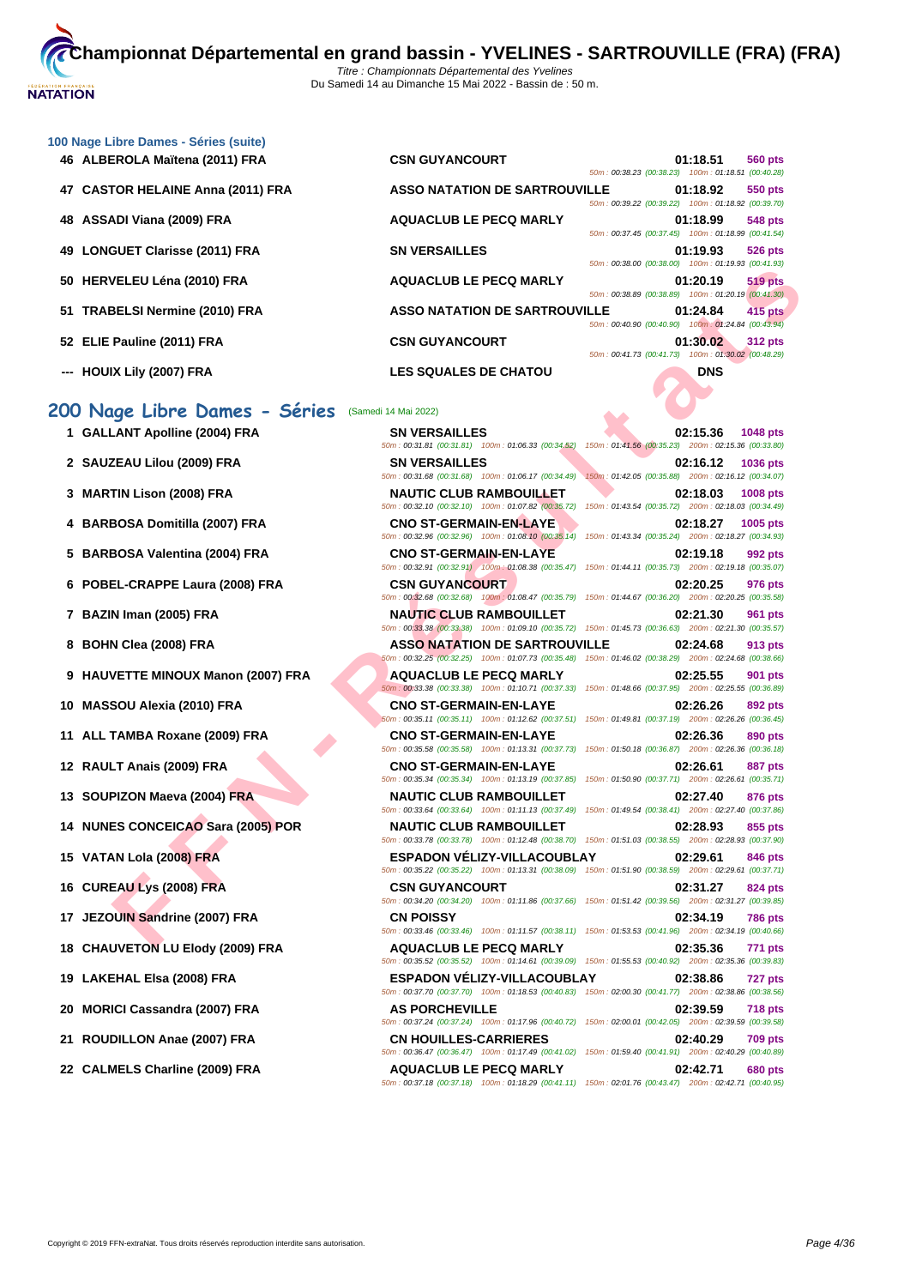| 100 Nage Libre Dames - Séries (suite) |                                      |                                                    |          |                |
|---------------------------------------|--------------------------------------|----------------------------------------------------|----------|----------------|
| 46 ALBEROLA Maïtena (2011) FRA        | <b>CSN GUYANCOURT</b>                |                                                    | 01:18.51 | <b>560 pts</b> |
|                                       |                                      | 50m: 00:38.23 (00:38.23) 100m: 01:18.51 (00:40.28) |          |                |
| 47 CASTOR HELAINE Anna (2011) FRA     | <b>ASSO NATATION DE SARTROUVILLE</b> | 50m: 00:39.22 (00:39.22) 100m: 01:18.92 (00:39.70) | 01:18.92 | 550 pts        |
| 48 ASSADI Viana (2009) FRA            | <b>AQUACLUB LE PECQ MARLY</b>        |                                                    | 01:18.99 | <b>548 pts</b> |
|                                       |                                      | 50m: 00:37.45 (00:37.45) 100m: 01:18.99 (00:41.54) |          |                |
| 49 LONGUET Clarisse (2011) FRA        | <b>SN VERSAILLES</b>                 |                                                    | 01:19.93 | <b>526 pts</b> |
|                                       |                                      | 50m: 00:38.00 (00:38.00) 100m: 01:19.93 (00:41.93) |          |                |
| 50 HERVELEU Léna (2010) FRA           | <b>AQUACLUB LE PECQ MARLY</b>        |                                                    | 01:20.19 | <b>519 pts</b> |
|                                       |                                      | 50m: 00:38.89 (00:38.89) 100m: 01:20.19 (00:41.30) |          |                |
| 51 TRABELSI Nermine (2010) FRA        | <b>ASSO NATATION DE SARTROUVILLE</b> |                                                    | 01:24.84 | <b>415 pts</b> |
|                                       |                                      | 50m: 00:40.90 (00:40.90) 100m: 01:24.84 (00:43.94) |          |                |
| 52 ELIE Pauline (2011) FRA            | <b>CSN GUYANCOURT</b>                |                                                    | 01:30.02 | <b>312 pts</b> |
|                                       |                                      | 50m: 00:41.73 (00:41.73) 100m: 01:30.02 (00:48.29) |          |                |

# 200 Nage Libre Dames - Séries **(Samedi**

- 
- 
- 
- 
- 
- 
- 
- 
- **9 HAUVETTE MINOUX Manon (2007) FRA AQUACLUB LE PECQ MARLY 02:25.55 901 pts**
- 
- 
- 
- 
- **14 NUNES CONCEICAO Sara (2005) POR NAUTIC CLUB RAMBOUILLET 02:28.93 855 pts**
- 
- 
- 
- 
- 
- 
- 
- 

|                                    |                                                                                          | JUIII. UU.JU.UU (UU.JU.UU)<br>$100111.01.15.50$ $100.41.50$                                                                              |
|------------------------------------|------------------------------------------------------------------------------------------|------------------------------------------------------------------------------------------------------------------------------------------|
| 50 HERVELEU Léna (2010) FRA        | <b>AQUACLUB LE PECQ MARLY</b>                                                            | 01:20.19<br>519 pts<br>50m: 00:38.89 (00:38.89) 100m: 01:20.19 (00:41.30)                                                                |
| 51 TRABELSI Nermine (2010) FRA     | <b>ASSO NATATION DE SARTROUVILLE</b>                                                     | <b>415 pts</b><br>01:24.84<br>50m: 00:40.90 (00:40.90) 100m: 01:24.84 (00:43.94)                                                         |
| 52 ELIE Pauline (2011) FRA         | <b>CSN GUYANCOURT</b>                                                                    | 01:30.02<br><b>312 pts</b><br>50m: 00:41.73 (00:41.73) 100m: 01:30.02 (00:48.29)                                                         |
| --- HOUIX Lily (2007) FRA          | <b>LES SQUALES DE CHATOU</b>                                                             | <b>DNS</b>                                                                                                                               |
| 00 Nage Libre Dames - Séries       | (Samedi 14 Mai 2022)                                                                     |                                                                                                                                          |
| 1 GALLANT Apolline (2004) FRA      | <b>SN VERSAILLES</b><br>50m: 00:31.81 (00:31.81) 100m: 01:06.33 (00:34.52)               | 02:15.36<br>1048 pts<br>150m: 01:41.56 (00:35.23) 200m: 02:15.36 (00:33.80)                                                              |
| 2 SAUZEAU Lilou (2009) FRA         | <b>SN VERSAILLES</b><br>50m: 00:31.68 (00:31.68) 100m: 01:06.17 (00:34.49)               | 02:16.12<br>1036 pts<br>150m: 01:42.05 (00:35.88) 200m: 02:16.12 (00:34.07)                                                              |
| 3 MARTIN Lison (2008) FRA          | <b>NAUTIC CLUB RAMBOUILLET</b><br>50m: 00:32.10 (00:32.10) 100m: 01:07.82 (00:35.72)     | 02:18.03<br>1008 pts<br>150m: 01:43.54 (00:35.72) 200m: 02:18.03 (00:34.49)                                                              |
| 4 BARBOSA Domitilla (2007) FRA     | <b>CNO ST-GERMAIN-EN-LAYE</b><br>50m: 00:32.96 (00:32.96) 100m: 01:08.10 (00:35.14)      | 1005 pts<br>02:18.27<br>150m: 01:43.34 (00:35.24) 200m: 02:18.27 (00:34.93)                                                              |
| 5 BARBOSA Valentina (2004) FRA     | <b>CNO ST-GERMAIN-EN-LAYE</b>                                                            | 02:19.18<br>992 pts<br>50m : 00:32.91 (00:32.91) 100m : 01:08.38 (00:35.47) 150m : 01:44.11 (00:35.73) 200m : 02:19.18 (00:35.07)        |
| 6 POBEL-CRAPPE Laura (2008) FRA    | <b>CSN GUYANCOURT</b>                                                                    | 02:20.25<br>976 pts<br>150m: 01:44.67 (00:36.20) 200m: 02:20.25 (00:35.58)                                                               |
| 7 BAZIN Iman (2005) FRA            | 50m: 00:32.68 (00:32.68) 100m: 01:08.47 (00:35.79)<br><b>NAUTIC CLUB RAMBOUILLET</b>     | 02:21.30<br>961 pts                                                                                                                      |
| 8 BOHN Clea (2008) FRA             | <b>ASSO NATATION DE SARTROUVILLE</b>                                                     | 50m: 00:33.38 (00:33.38) 100m: 01:09.10 (00:35.72) 150m: 01:45.73 (00:36.63) 200m: 02:21.30 (00:35.57)<br>02:24.68<br>913 pts            |
| 9 HAUVETTE MINOUX Manon (2007) FRA | <b>AQUACLUB LE PECQ MARLY</b>                                                            | 50m: 00:32.25 (00:32.25) 100m: 01:07.73 (00:35.48) 150m: 01:46.02 (00:38.29) 200m: 02:24.68 (00:38.66)<br>02:25.55<br>901 pts            |
| 10 MASSOU Alexia (2010) FRA        | <b>CNO ST-GERMAIN-EN-LAYE</b>                                                            | 50m : 00:33.38 (00:33.38) 100m : 01:10.71 (00:37.33) 150m : 01:48.66 (00:37.95) 200m : 02:25.55 (00:36.89)<br>02:26.26<br>892 pts        |
| 11 ALL TAMBA Roxane (2009) FRA     | <b>CNO ST-GERMAIN-EN-LAYE</b>                                                            | 60m: 00:35.11 (00:35.11) 100m: 01:12.62 (00:37.51) 150m: 01:49.81 (00:37.19) 200m: 02:26.26 (00:36.45)<br>02:26.36<br>890 pts            |
| 12 RAULT Anais (2009) FRA          | <b>CNO ST-GERMAIN-EN-LAYE</b>                                                            | 50m : 00:35.58 (00:35.58) 100m : 01:13.31 (00:37.73) 150m : 01:50.18 (00:36.87) 200m : 02:26.36 (00:36.18)<br>02:26.61<br>887 pts        |
| 13 SOUPIZON Maeva (2004) FRA       | <b>NAUTIC CLUB RAMBOUILLET</b>                                                           | 50m: 00:35.34 (00:35.34) 100m: 01:13.19 (00:37.85) 150m: 01:50.90 (00:37.71) 200m: 02:26.61 (00:35.71)<br>02:27.40<br>876 pts            |
| 14 NUNES CONCEICAO Sara (2005) POR | 50m: 00:33.64 (00:33.64) 100m: 01:11.13 (00:37.49)<br><b>NAUTIC CLUB RAMBOUILLET</b>     | 150m: 01:49.54 (00:38.41) 200m: 02:27.40 (00:37.86)<br>02:28.93<br>855 pts                                                               |
| 15 VATAN Lola (2008) FRA           | <b>ESPADON VELIZY-VILLACOUBLAY</b>                                                       | 50m : 00:33.78 (00:33.78) 100m : 01:12.48 (00:38.70) 150m : 01:51.03 (00:38.55) 200m : 02:28.93 (00:37.90)<br>02:29.61<br>846 pts        |
| 16 CUREAU Lys (2008) FRA           | <b>CSN GUYANCOURT</b>                                                                    | 50m: 00:35.22 (00:35.22) 100m: 01:13.31 (00:38.09) 150m: 01:51.90 (00:38.59) 200m: 02:29.61 (00:37.71)<br>02:31.27<br>824 pts            |
| 17 JEZOUIN Sandrine (2007) FRA     | <b>CN POISSY</b>                                                                         | 50m: 00:34.20 (00:34.20) 100m: 01:11.86 (00:37.66) 150m: 01:51.42 (00:39.56) 200m: 02:31.27 (00:39.85)<br>02:34.19<br><b>786 pts</b>     |
| 18 CHAUVETON LU Elody (2009) FRA   | <b>AQUACLUB LE PECQ MARLY</b>                                                            | 50m : 00:33.46 (00:33.46) 100m : 01:11.57 (00:38.11) 150m : 01:53.53 (00:41.96) 200m : 02:34.19 (00:40.66)<br>02:35.36<br><b>771 pts</b> |
| 19 LAKEHAL Elsa (2008) FRA         | 50m: 00:35.52 (00:35.52) 100m: 01:14.61 (00:39.09)<br><b>ESPADON VELIZY-VILLACOUBLAY</b> | 150m: 01:55.53 (00:40.92) 200m: 02:35.36 (00:39.83)<br>02:38.86<br><b>727 pts</b>                                                        |
| 20 MORICI Cassandra (2007) FRA     | <b>AS PORCHEVILLE</b>                                                                    | 50m : 00:37.70 (00:37.70) 100m : 01:18.53 (00:40.83) 150m : 02:00.30 (00:41.77) 200m : 02:38.86 (00:38.56)<br>02:39.59<br><b>718 pts</b> |
|                                    |                                                                                          | 50m : 00:37.24 (00:37.24) 100m : 01:17.96 (00:40.72) 150m : 02:00.01 (00:42.05) 200m : 02:39.59 (00:39.58)                               |
| 21 ROUDILLON Anae (2007) FRA       | <b>CN HOUILLES-CARRIERES</b>                                                             | 02:40.29<br><b>709 pts</b><br>50m: 00:36.47 (00:36.47) 100m: 01:17.49 (00:41.02) 150m: 01:59.40 (00:41.91) 200m: 02:40.29 (00:40.89)     |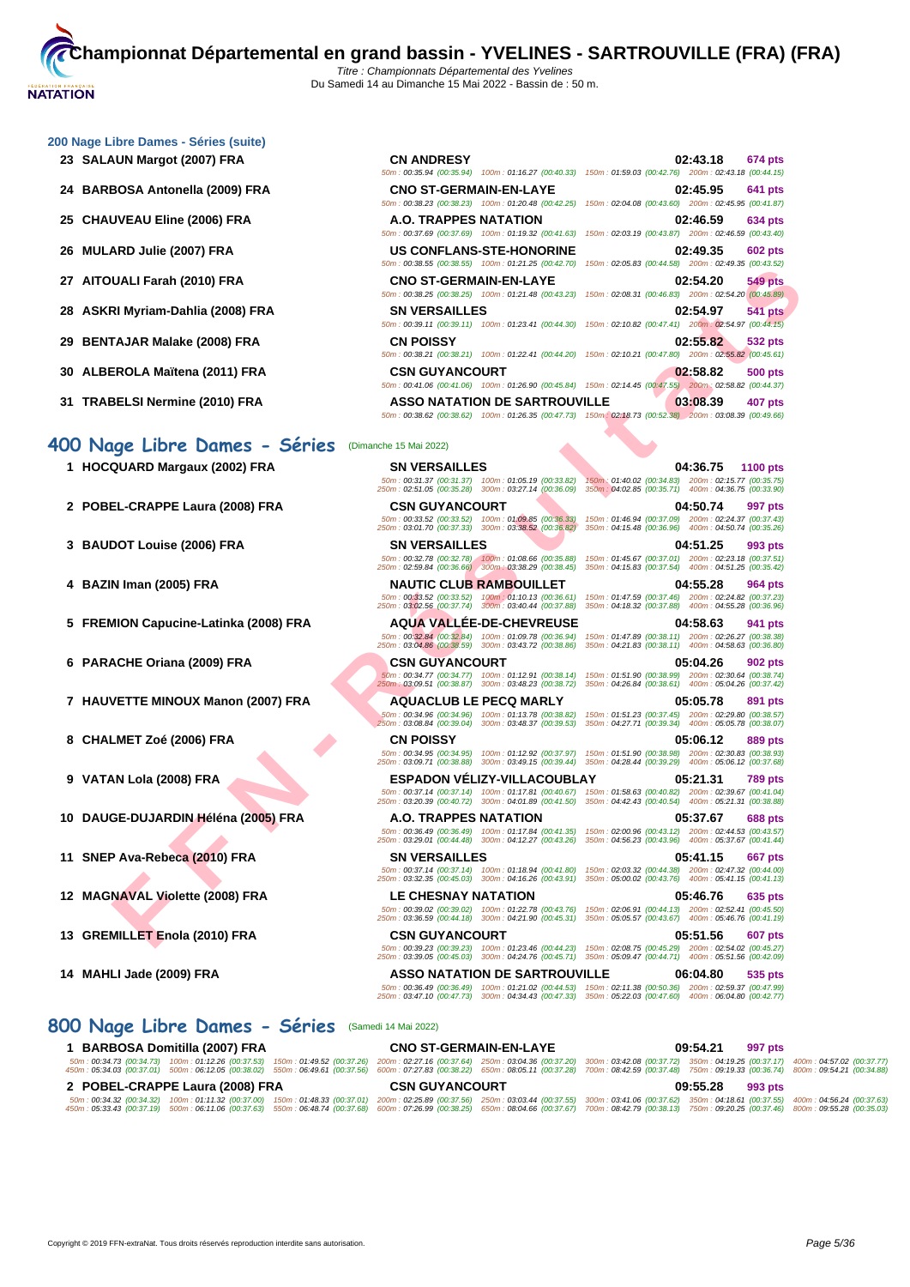#### **[200 Nage](http://www.ffnatation.fr/webffn/index.php) Libre Dames - Séries (suite)**

- **23 SALAUN Margot (2007) FRA**
- **24 BARBOSA Antonella (2009) FRA**
- **25 CHAUVEAU Eline (2006) FRA A.O. TRAPPES NATATION 02:46.59 634 pts**

**26 MULARD Julie (2007) FRA US CONFLANS-STE-HONORINE 02:49.35 602 pts**

- **27 AITOUALI Farah (2010) FRA**
- **28 ASKRI Myriam-Dahlia (2008) FRA**
- **29 BENTAJAR Malake (2008) FRA**
- **30 ALBEROLA Maïtena (2011) FRA**
- **31 TRABELSI Nermine (2010) FRA**

# **400 Nage Libre Dames - Séries** (Dimanche 15 Mai 2022)

- 
- 
- 
- 
- 
- 
- 
- 
- 
- 
- 
- 
- 
- 

**800 Nage Libre Dames - Séries** (Samedi 14 Mai 2022)

| <b>CN ANDRESY</b>             |                                                                                                        | 02:43.18 674 pts |                |
|-------------------------------|--------------------------------------------------------------------------------------------------------|------------------|----------------|
|                               | 50m: 00:35.94 (00:35.94) 100m: 01:16.27 (00:40.33) 150m: 01:59.03 (00:42.76) 200m: 02:43.18 (00:44.15) |                  |                |
| <b>CNO ST-GERMAIN-EN-LAYE</b> |                                                                                                        | 02:45.95 641 pts |                |
|                               | 50m: 00:38.23 (00:38.23) 100m: 01:20.48 (00:42.25) 150m: 02:04.08 (00:43.60) 200m: 02:45.95 (00:41.87) |                  |                |
| A.O. TRAPPES NATATION         |                                                                                                        | 02:46.59         | 634 pts        |
|                               | 50m: 00:37.69 (00:37.69) 100m: 01:19.32 (00:41.63) 150m: 02:03.19 (00:43.87) 200m: 02:46.59 (00:43.40) |                  |                |
|                               | US CONFLANS-STE-HONORINE                                                                               | 02:49.35         | <b>602 pts</b> |
|                               | 50m: 00:38.55 (00:38.55) 100m: 01:21.25 (00:42.70) 150m: 02:05.83 (00:44.58) 200m: 02:49.35 (00:43.52) |                  |                |
| <b>CNO ST-GERMAIN-EN-LAYE</b> |                                                                                                        | 02:54.20         | 549 pts        |
|                               | 50m: 00:38.25 (00:38.25) 100m: 01:21.48 (00:43.23) 150m: 02:08.31 (00:46.83) 200m: 02:54.20 (00:45.89) |                  |                |
| <b>SN VERSAILLES</b>          |                                                                                                        | 02:54.97 541 pts |                |
|                               | 50m: 00:39.11 (00:39.11) 100m: 01:23.41 (00:44.30) 150m: 02:10.82 (00:47.41) 200m: 02:54.97 (00:44.15) |                  |                |
| <b>CN POISSY</b>              |                                                                                                        | 02.55.82         | 532 pts        |
|                               | 50m: 00:38.21 (00:38.21) 100m: 01:22.41 (00:44.20) 150m: 02:10.21 (00:47.80) 200m: 02:55.82 (00:45.61) |                  |                |
| <b>CSN GUYANCOURT</b>         |                                                                                                        | 02:58.82         | <b>500 pts</b> |
|                               | 50m: 00:41.06 (00:41.06) 100m: 01:26.90 (00:45.84) 150m: 02:14.45 (00:47.55) 200m: 02:58.82 (00:44.37) |                  |                |
|                               | ASSO NATATION DE SARTROUVILLE                                                                          | 03:08.39         | 407 pts        |
|                               | 50m: 00:38.62 (00:38.62) 100m: 01:26.35 (00:47.73) 150m: 02:18.73 (00:52.38) 200m: 03:08.39 (00:49.66) |                  |                |

# UALI Farsh (201) FRA - COLOR TORE RANGER (COLOR TORE RANGER COLOR TORE RANGER COLOR TORE STATES (201) FRA - COLOR TORE STATES (201) FRA - COLOR TORE STATES (201) FRA - COLOR TORE STATES (201) FRA - COLOR TORE STATES (201) **1 HOCQUARD Margaux (2002) FRA SN VERSAILLES 04:36.75 1100 pts** 50m : 00:31.37 (00:31.37) 100m : 01:05.19 (00:33.82) 150m : 01:40.02 (00:34.83) 200m : 02:15.77 (00:35.75) 250m : 02:51.05 (00:35.28) 300m : 03:27.14 (00:36.09) 350m : 04:02.85 (00:35.71) 400m : 04:36.75 (00:33.90) **2 POBEL-CRAPPE Laura (2008) FRA CSN GUYANCOURT 04:50.74 997 pts** 50m : 00:33.52 (00:33.52) 100m : 01:09.85 (00:36.33) 150m : 01:46.94 (00:37.09) 200m : 02:24.37 (00:37.43) 250m : 03:01.70 (00:37.33) 300m : 03:38.52 (00:36.82) 350m : 04:15.48 (00:36.96) 400m : 04:50.74 (00:35.26) **3 BAUDOT Louise (2006) FRA SN VERSAILLES 04:51.25 993 pts** 50m : 00:32.78 (00:32.78) 100m : 01:08.66 (00:35.88) 150m : 01:45.67 (00:37.01) 200m : 02:23.18 (00:37.51) 250m : 02:59.84 (00:36.66) 300m : 03:38.29 (00:38.45) 350m : 04:15.83 (00:37.54) 400m : 04:51.25 (00:35.42) **4 BAZIN Iman (2005) FRA NAUTIC CLUB RAMBOUILLET 04:55.28 964 pts** 50m : 00:33.52 (00:33.52) 100m : 01:10.13 (00:36.61) 150m : 01:47.59 (00:37.46) 200m : 02:24.82 (00:37.23) 250m : 03:02.56 (00:37.74) 300m : 03:40.44 (00:37.88) 350m : 04:18.32 (00:37.88) 400m : 04:55.28 (00:36.96) **5 FREMION Capucine-Latinka (2008) FRA AQUA VALLÉE-DE-CHEVREUSE 04:58.63 941 pts**<br>
50m : 00:32.84 (00:32.84 (00:32.84 (00:32.84 (00:32.84 (00:32.84 (00:32.84 (00:32.84 (00:38.9) 100m : 01:03.93) 150m : 01:47.89 (00 50m : 00:32.84 (00:32.84) 100m : 01:09.78 (00:36.94) 150m : 01:47.89 (00:38.11) 200m : 02:26.27 (00:38.38) 250m : 03:04.86 (00:38.59) 300m : 03:43.72 (00:38.86) 350m : 04:21.83 (00:38.11) 400m : 04:58.63 (00:36.80) **6 PARACHE Oriana (2009) FRA CSN GUYANCOURT 05:04.26 902 pts** 50m : 00:34.77 (00:34.77) 100m : 01:12.91 (00:38.14) 150m : 01:51.90 (00:38.99) 200m : 02:30.64 (00:38.74) 250m : 03:09.51 (00:38.87) 300m : 03:48.23 (00:38.72) 350m : 04:26.84 (00:38.61) 400m : 05:04.26 (00:37.42) **7 HAUVETTE MINOUX Manon (2007) FRA AQUACLUB LE PECQ MARLY 05:05.78 891 pts** 50m : 00:34.96 (00:34.96) 100m : 01:13.78 (00:38.82) 150m : 01:51.23 (00:37.45) 200m : 02:29.80 (00:38.57) 250m : 03:08.84 (00:39.04) 300m : 03:48.37 (00:39.53) 350m : 04:27.71 (00:39.34) 400m : 05:05.78 (00:38.07) **8 CHALMET Zoé (2006) FRA CN POISSY 05:06.12 889 pts** 50m : 00:34.95 (00:34.95) 100m : 01:12.92 (00:37.97) 150m : 01:51.90 (00:38.98) 200m : 02:30.83 (00:38.93) 250m : 03:09.71 (00:38.88) 300m : 03:49.15 (00:39.44) 350m : 04:28.44 (00:39.29) 400m : 05:06.12 (00:37.68) **9 VATAN Lola (2008) FRA ESPADON VÉLIZY-VILLACOUBLAY 05:21.31 789 pts** 50m : 00:37.14 (00:37.14) 100m : 01:17.81 (00:40.67) 150m : 01:58.63 (00:40.82) 200m : 02:39.67 (00:41.04) 250m : 03:20.39 (00:40.72) 300m : 04:01.89 (00:41.50) 350m : 04:42.43 (00:40.54) 400m : 05:21.31 (00:38.88) **10 DAUGE-DUJARDIN Héléna (2005) FRA A.O. TRAPPES NATATION 05:37.67 688 pts** 50m : 00:36.49 (00:36.49) 100m : 01:17.84 (00:41.35) 150m : 02:00.96 (00:43.12) 200m : 02:44.53 (00:43.57) 250m : 03:29.01 (00:44.48) 300m : 04:12.27 (00:43.26) 350m : 04:56.23 (00:43.96) 400m : 05:37.67 (00:41.44) **11 SNEP Ava-Rebeca (2010) FRA SN VERSAILLES 05:41.15 667 pts** 50m : 00:37.14 (00:37.14) 100m : 01:18.94 (00:41.80) 150m : 02:03.32 (00:44.38) 200m : 02:47.32 (00:44.00) 250m : 03:32.35 (00:45.03) 300m : 04:16.26 (00:43.91) 350m : 05:00.02 (00:43.76) 400m : 05:41.15 (00:41.13) **12 MAGNAVAL Violette (2008) FRA LE CHESNAY NATATION 05:46.76 635 pts** 50m : 00:39.02 (00:39.02) 100m : 01:22.78 (00:43.76) 150m : 02:06.91 (00:44.13) 200m : 02:52.41 (00:45.50) 250m : 03:36.59 (00:44.18) 300m : 04:21.90 (00:45.31) 350m : 05:05.57 (00:43.67) 400m : 05:46.76 (00:41.19) **13 GREMILLET Enola (2010) FRA CSN GUYANCOURT 05:51.56 607 pts** 50m : 00:39.23 (00:39.23) 100m : 01:23.46 (00:44.23) 150m : 02:08.75 (00:45.29) 200m : 02:54.02 (00:45.27) 250m : 03:39.05 (00:45.03) 300m : 04:24.76 (00:45.71) 350m : 05:09.47 (00:44.71) 400m : 05:51.56 (00:42.09) **14 MAHLI Jade (2009) FRA ASSO NATATION DE SARTROUVILLE 06:04.80 535 pts** 50m : 00:36.49 (00:36.49) 100m : 01:21.02 (00:44.53) 150m : 02:11.38 (00:50.36) 200m : 02:59.37 (00:47.99) 250m : 03:47.10 (00:47.73) 300m : 04:34.43 (00:47.33) 350m : 05:22.03 (00:47.60) 400m : 06:04.80 (00:42.77)

**1 BARBOSA Domitilla (2007) FRA CNO ST-GERMAIN-EN-LAYE 09:54.21 997 pts** .50m : 00:34.73 (00:34.73) 100m : 01:12.26 (00:36.53) 150m : 01:49.52 (00:37.26) 200m : 02:27.16 (00:37.29) 500m : 08:40.8 (00:37.20) 300m : 03:42.08 (00:37.72) 300m : 03:42.89 (00:37.72) 300m : 03:42.89 (00:37.28) 700m : **2 POBEL-CRAPPE Laura (2008) FRA CSN GUYANCOURT 09:55.28 993 pts**

.50m : 00:34.32 (00:34.32) 100m : 01:11.32 (00:37.63) 350m : 01:48.33 (00:37.01) 200m : 02:25.59 (00:37.67) 36:00 : 05:37.65 (00:37.65) 300m : 03:41.06 (00:37.69) 500m : 06:11.06 (00:37.63) 550m : 04:279 (00:37.69 (00:37.6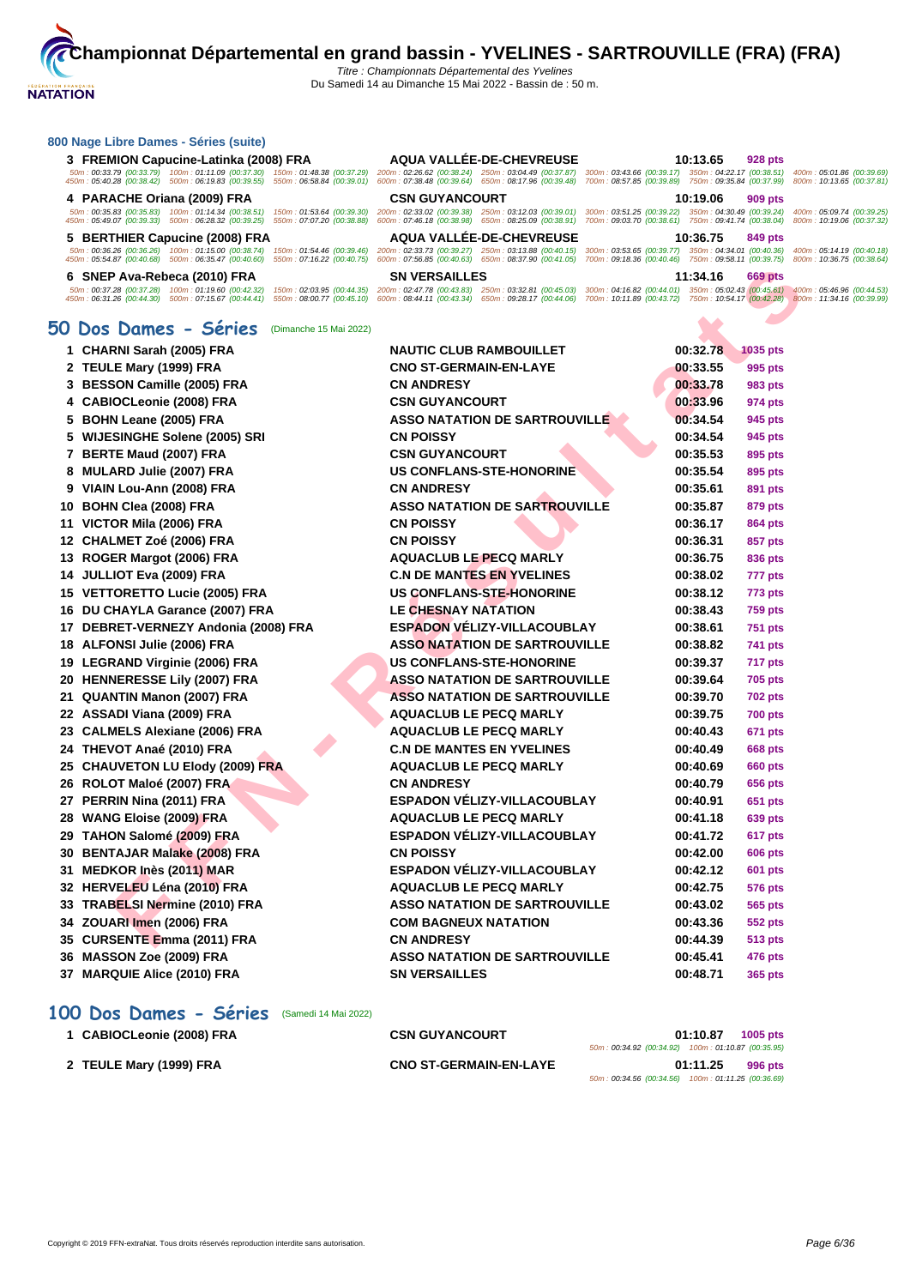

# **[800 Nage](http://www.ffnatation.fr/webffn/index.php) Libre Dames - Séries (suite)**

| 3 FREMION Capucine-Latinka (2008) FRA                                                                                                                                                                                                                                            |                       | <b>AQUA VALLÉE-DE-CHEVREUSE</b>                                               | 10:13.65<br>928 pts |                                                                                                                                                                                                                    |
|----------------------------------------------------------------------------------------------------------------------------------------------------------------------------------------------------------------------------------------------------------------------------------|-----------------------|-------------------------------------------------------------------------------|---------------------|--------------------------------------------------------------------------------------------------------------------------------------------------------------------------------------------------------------------|
| 50m: 00:33.79 (00:33.79) 100m: 01:11.09 (00:37.30) 150m: 01:48.38 (00:37.29)<br>450m: 05:40.28 (00:38.42) 500m: 06:19.83 (00:39.55) 550m: 06:58.84 (00:39.01)                                                                                                                    |                       | 200m: 02:26.62 (00:38.24) 250m: 03:04.49 (00:37.87)                           |                     | 300m: 03:43.66 (00:39.17) 350m: 04:22.17 (00:38.51) 400m: 05:01.86 (00:39.69)<br>600m: 07:38.48 (00:39.64) 650m: 08:17.96 (00:39.48) 700m: 08:57.85 (00:39.89) 750m: 09:35.84 (00:37.99) 800m: 10:13.65 (00:37.81) |
| 4 PARACHE Oriana (2009) FRA                                                                                                                                                                                                                                                      | <b>CSN GUYANCOURT</b> |                                                                               | 10:19.06<br>909 pts |                                                                                                                                                                                                                    |
| 50m; 00:35.83 (00:35.83) 100m; 01:14.34 (00:38.51) 150m; 01:53.64 (00:39.30)<br>450m: 05:49.07 (00:39.33) 500m: 06:28.32 (00:39.25) 550m: 07:07.20 (00:38.88)                                                                                                                    |                       | 200m: 02:33.02 (00:39.38) 250m: 03:12.03 (00:39.01) 300m: 03:51.25 (00:39.22) |                     | 350m: 04:30.49 (00:39.24) 400m: 05:09.74 (00:39.25)<br>600m: 07:46.18 (00:38.98) 650m: 08:25.09 (00:38.91) 700m: 09:03.70 (00:38.61) 750m: 09:41.74 (00:38.04) 800m: 10:19.06 (00:37.32)                           |
| 5 BERTHIER Capucine (2008) FRA                                                                                                                                                                                                                                                   |                       | <b>AQUA VALLÉE-DE-CHEVREUSE</b>                                               | 10:36.75<br>849 pts |                                                                                                                                                                                                                    |
| 50m: 00:36.26 (00:36.26) 100m: 01:15.00 (00:38.74) 150m: 01:54.46 (00:39.46)<br>450m; 05:54.87 (00:40.68) 500m; 06:35.47 (00:40.60) 550m; 07:16.22 (00:40.75)                                                                                                                    |                       | 600m: 07:56.85 (00:40.63) 650m: 08:37.90 (00:41.05)                           |                     | 200m: 02:33.73 (00:39.27) 250m: 03:13.88 (00:40.15) 300m: 03:53.65 (00:39.77) 350m: 04:34.01 (00:40.36) 400m: 05:14.19 (00:40.18)<br>700m: 09:18.36 (00:40.46) 750m: 09:58.11 (00:39.75) 800m: 10:36.75 (00:38.64) |
| 6 SNEP Ava-Rebeca (2010) FRA                                                                                                                                                                                                                                                     | <b>SN VERSAILLES</b>  |                                                                               | 11:34.16<br>669 pts |                                                                                                                                                                                                                    |
| 50m: 00:37.28 (00:37.28) 100m: 01:19.60 (00:42.32) 150m: 02:03.95 (00:44.35) 200m: 02:47.78 (00:44.38) 250m: 03:32.81 (00:45.03) 300m: 04:16.82 (00:44.01) 350m: 05:02.43 (00:45.61) 400m: 05:46.96 (00:44.53) 600:44.53)<br>450m: 06:31.26 (00:44.30) 500m: 07:15.67 (00:44.41) |                       |                                                                               |                     | 550m: 08:00.77 (00:45.10) 600m: 08:44.11 (00:43.34) 650m: 09:28.17 (00:44.06) 700m: 10:11.89 (00:43.72) 750m: 10:54.17 (00:42.28) 800m: 11:34.16 (00:39.99)                                                        |

# **50 Dos Dames - Séries** (Dimanche 15 Mai 2022)

| 6 SNEP Ava-Rebeca (2010) FRA                                                                                                                                                                                                                                                             | <b>SN VERSAILLES</b>                                                             | 11:34.16                  | <b>669 pts</b>  |
|------------------------------------------------------------------------------------------------------------------------------------------------------------------------------------------------------------------------------------------------------------------------------------------|----------------------------------------------------------------------------------|---------------------------|-----------------|
| 50m : 00:37.28 (00:37.28) 100m : 01:19.60 (00:42.32) 150m : 02:03.95 (00:44.35) 200m : 02:47.78 (00:43.83) 250m : 03:32.81 (00:45.03) 300m : 04:16.82 (00:44.01) 350m : 05:02.43 (00:45.61) 400m : 0<br>450m: 06:31.26 (00:44.30) 500m: 07:15.67 (00:44.41)<br>550m: 08:00.77 (00:45.10) | 600m: 08:44.11 (00:43.34) 650m: 09:28.17 (00:44.06)<br>700m: 10:11.89 (00:43.72) | 750m: 10:54.17 (00:42.28) | 800m:           |
|                                                                                                                                                                                                                                                                                          |                                                                                  |                           |                 |
| 0 Dos Dames - Séries<br>(Dimanche 15 Mai 2022)                                                                                                                                                                                                                                           |                                                                                  |                           |                 |
| 1 CHARNI Sarah (2005) FRA                                                                                                                                                                                                                                                                | <b>NAUTIC CLUB RAMBOUILLET</b>                                                   | 00:32.78                  | <b>1035 pts</b> |
| 2 TEULE Mary (1999) FRA                                                                                                                                                                                                                                                                  | <b>CNO ST-GERMAIN-EN-LAYE</b>                                                    | 00:33.55                  | 995 pts         |
| 3 BESSON Camille (2005) FRA                                                                                                                                                                                                                                                              | <b>CN ANDRESY</b>                                                                | 00:33.78                  | 983 pts         |
| 4 CABIOCLeonie (2008) FRA                                                                                                                                                                                                                                                                | <b>CSN GUYANCOURT</b>                                                            | 00:33.96                  | 974 pts         |
| 5 BOHN Leane (2005) FRA                                                                                                                                                                                                                                                                  | <b>ASSO NATATION DE SARTROUVILLE</b>                                             | 00:34.54                  | 945 pts         |
| 5 WIJESINGHE Solene (2005) SRI                                                                                                                                                                                                                                                           | <b>CN POISSY</b>                                                                 | 00:34.54                  | 945 pts         |
| 7 BERTE Maud (2007) FRA                                                                                                                                                                                                                                                                  | <b>CSN GUYANCOURT</b>                                                            | 00:35.53                  | 895 pts         |
| 8 MULARD Julie (2007) FRA                                                                                                                                                                                                                                                                | <b>US CONFLANS-STE-HONORINE</b>                                                  | 00:35.54                  | 895 pts         |
| 9 VIAIN Lou-Ann (2008) FRA                                                                                                                                                                                                                                                               | <b>CN ANDRESY</b>                                                                | 00:35.61                  | 891 pts         |
| 10 BOHN Clea (2008) FRA                                                                                                                                                                                                                                                                  | <b>ASSO NATATION DE SARTROUVILLE</b>                                             | 00:35.87                  | 879 pts         |
| 11 VICTOR Mila (2006) FRA                                                                                                                                                                                                                                                                | <b>CN POISSY</b>                                                                 | 00:36.17                  | <b>864 pts</b>  |
| 12 CHALMET Zoé (2006) FRA                                                                                                                                                                                                                                                                | <b>CN POISSY</b>                                                                 | 00:36.31                  | 857 pts         |
| 13 ROGER Margot (2006) FRA                                                                                                                                                                                                                                                               | <b>AQUACLUB LE PECQ MARLY</b>                                                    | 00:36.75                  | 836 pts         |
| 14 JULLIOT Eva (2009) FRA                                                                                                                                                                                                                                                                | <b>C.N DE MANTES EN YVELINES</b>                                                 | 00:38.02                  | 777 pts         |
| 15 VETTORETTO Lucie (2005) FRA                                                                                                                                                                                                                                                           | <b>US CONFLANS-STE-HONORINE</b>                                                  | 00:38.12                  | <b>773 pts</b>  |
| 16 DU CHAYLA Garance (2007) FRA                                                                                                                                                                                                                                                          | <b>LE CHESNAY NATATION</b>                                                       | 00:38.43                  | <b>759 pts</b>  |
| 17 DEBRET-VERNEZY Andonia (2008) FRA                                                                                                                                                                                                                                                     | <b>ESPADON VÉLIZY-VILLACOUBLAY</b>                                               | 00:38.61                  | <b>751 pts</b>  |
| 18 ALFONSI Julie (2006) FRA                                                                                                                                                                                                                                                              | <b>ASSO NATATION DE SARTROUVILLE</b>                                             | 00:38.82                  | 741 pts         |
| 19 LEGRAND Virginie (2006) FRA                                                                                                                                                                                                                                                           | <b>US CONFLANS-STE-HONORINE</b>                                                  | 00:39.37                  | 717 pts         |
| 20 HENNERESSE Lily (2007) FRA                                                                                                                                                                                                                                                            | <b>ASSO NATATION DE SARTROUVILLE</b>                                             | 00:39.64                  | <b>705 pts</b>  |
| 21 QUANTIN Manon (2007) FRA                                                                                                                                                                                                                                                              | <b>ASSO NATATION DE SARTROUVILLE</b>                                             | 00:39.70                  | <b>702 pts</b>  |
| 22 ASSADI Viana (2009) FRA                                                                                                                                                                                                                                                               | <b>AQUACLUB LE PECQ MARLY</b>                                                    | 00:39.75                  | <b>700 pts</b>  |
| 23 CALMELS Alexiane (2006) FRA                                                                                                                                                                                                                                                           | <b>AQUACLUB LE PECQ MARLY</b>                                                    | 00:40.43                  | <b>671 pts</b>  |
| 24 THEVOT Anaé (2010) FRA                                                                                                                                                                                                                                                                | <b>C.N DE MANTES EN YVELINES</b>                                                 | 00:40.49                  | 668 pts         |
| 25 CHAUVETON LU Elody (2009) FRA                                                                                                                                                                                                                                                         | <b>AQUACLUB LE PECQ MARLY</b>                                                    | 00:40.69                  | <b>660 pts</b>  |
| 26 ROLOT Maloé (2007) FRA                                                                                                                                                                                                                                                                | <b>CN ANDRESY</b>                                                                | 00:40.79                  | 656 pts         |
| 27 PERRIN Nina (2011) FRA                                                                                                                                                                                                                                                                | <b>ESPADON VÉLIZY-VILLACOUBLAY</b>                                               | 00:40.91                  | 651 pts         |
| 28 WANG Eloise (2009) FRA                                                                                                                                                                                                                                                                | <b>AQUACLUB LE PECQ MARLY</b>                                                    | 00:41.18                  | 639 pts         |
| 29 TAHON Salomé (2009) FRA                                                                                                                                                                                                                                                               | ESPADON VÉLIZY-VILLACOUBLAY                                                      | 00:41.72                  | 617 pts         |
| 30 BENTAJAR Malake (2008) FRA                                                                                                                                                                                                                                                            | <b>CN POISSY</b>                                                                 | 00:42.00                  | <b>606 pts</b>  |
| 31 MEDKOR Inès (2011) MAR                                                                                                                                                                                                                                                                | <b>ESPADON VÉLIZY-VILLACOUBLAY</b>                                               | 00:42.12                  | <b>601 pts</b>  |
| 32 HERVELEU Léna (2010) FRA                                                                                                                                                                                                                                                              | <b>AQUACLUB LE PECQ MARLY</b>                                                    | 00:42.75                  | 576 pts         |
| 33 TRABELSI Nermine (2010) FRA                                                                                                                                                                                                                                                           | <b>ASSO NATATION DE SARTROUVILLE</b>                                             | 00:43.02                  | 565 pts         |
| 34 ZOUARI Imen (2006) FRA                                                                                                                                                                                                                                                                | <b>COM BAGNEUX NATATION</b>                                                      | 00:43.36                  | 552 pts         |
| 35 CURSENTE Emma (2011) FRA                                                                                                                                                                                                                                                              | <b>CN ANDRESY</b>                                                                | 00:44.39                  | <b>513 pts</b>  |
| 36 MASSON Zoe (2009) FRA                                                                                                                                                                                                                                                                 | <b>ASSO NATATION DE SARTROUVILLE</b>                                             | 00:45.41                  | 476 pts         |
| 37 MARQUIE Alice (2010) FRA                                                                                                                                                                                                                                                              | <b>SN VERSAILLES</b>                                                             | 00:48.71                  | 365 pts         |
|                                                                                                                                                                                                                                                                                          |                                                                                  |                           |                 |

# **100 Dos Dames - Séries** (Samedi 14 Mai 2022)

| 1 CABIOCLeonie (2008) FRA | <b>CSN GUYANCOURT</b>         | 01:10.87<br>1005 pts                               |  |
|---------------------------|-------------------------------|----------------------------------------------------|--|
|                           |                               | 50m: 00:34.92 (00:34.92) 100m: 01:10.87 (00:35.95) |  |
| 2 TEULE Mary (1999) FRA   | <b>CNO ST-GERMAIN-EN-LAYE</b> | 01:11.25<br>996 pts                                |  |
|                           |                               | 50m: 00:34.56 (00:34.56) 100m: 01:11.25 (00:36.69) |  |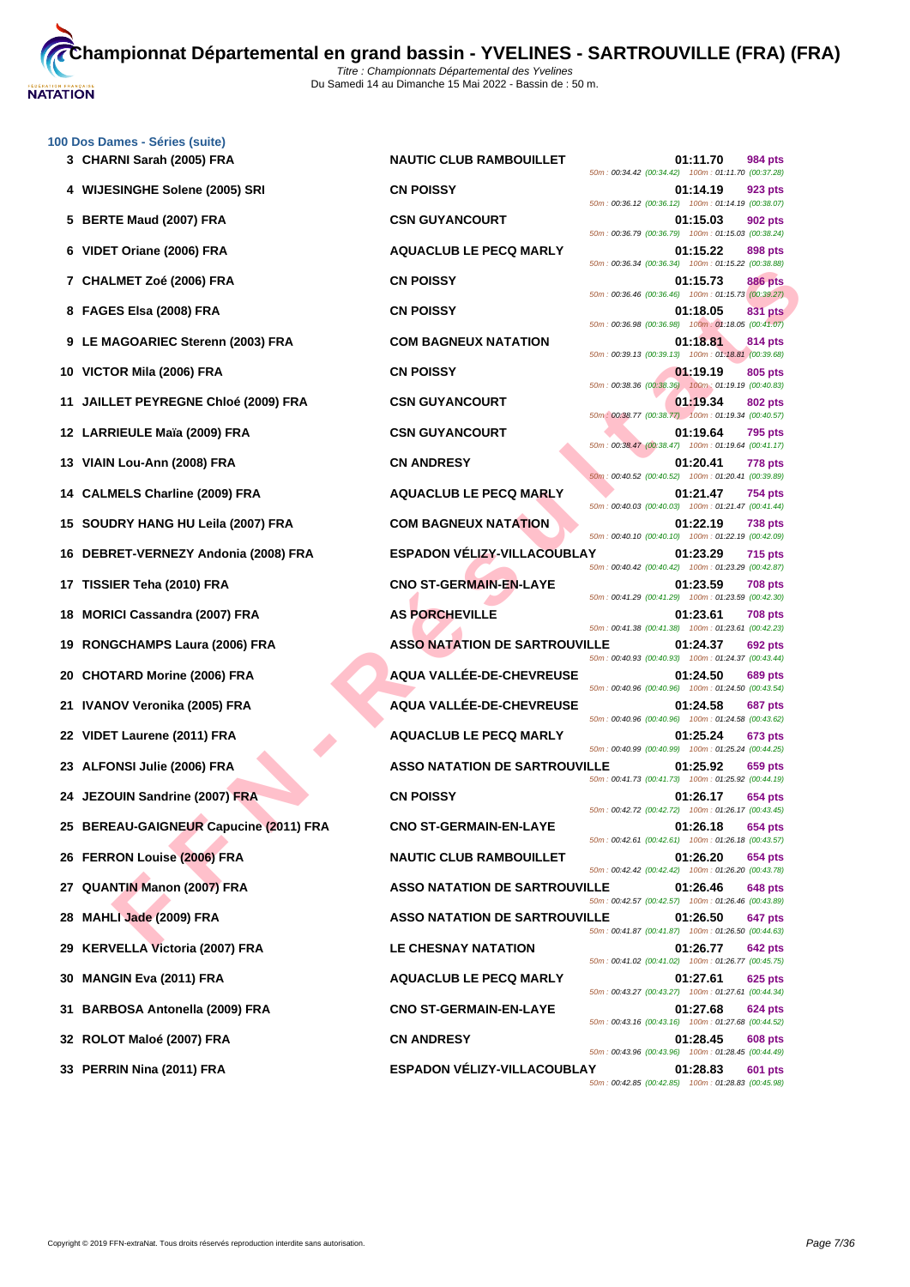

**[100 Dos D](http://www.ffnatation.fr/webffn/index.php)ames - Séries (suite)**

|     | 3 CHARNI Sarah (2005) FRA              | <b>NAUTIC CLUB RAMBOUILLET</b>       | 50m: 00:34.42 (00:34.42) 100m: 01:11.70 (00:37.28) | 01:11.70 | 984 pts        |
|-----|----------------------------------------|--------------------------------------|----------------------------------------------------|----------|----------------|
|     | <b>WIJESINGHE Solene (2005) SRI</b>    | <b>CN POISSY</b>                     | 50m: 00:36.12 (00:36.12) 100m: 01:14.19 (00:38.07) | 01:14.19 | 923 pts        |
|     | 5 BERTE Maud (2007) FRA                | <b>CSN GUYANCOURT</b>                | 50m: 00:36.79 (00:36.79) 100m: 01:15.03 (00:38.24) | 01:15.03 | 902 pts        |
|     | 6 VIDET Oriane (2006) FRA              | <b>AQUACLUB LE PECQ MARLY</b>        | 50m: 00:36.34 (00:36.34) 100m: 01:15.22 (00:38.88) | 01:15.22 | 898 pts        |
|     | 7 CHALMET Zoé (2006) FRA               | <b>CN POISSY</b>                     | 50m: 00:36.46 (00:36.46) 100m: 01:15.73 (00:39.27) | 01:15.73 | <b>886 pts</b> |
|     | 8 FAGES Elsa (2008) FRA                | <b>CN POISSY</b>                     | 50m: 00:36.98 (00:36.98) 100m: 01:18.05 (00:41.07) | 01:18.05 | 831 pts        |
|     | 9 LE MAGOARIEC Sterenn (2003) FRA      | <b>COM BAGNEUX NATATION</b>          | 50m: 00:39.13 (00:39.13) 100m: 01:18.81 (00:39.68) | 01:18.81 | 814 pts        |
|     | 10 VICTOR Mila (2006) FRA              | <b>CN POISSY</b>                     | 50m: 00:38.36 (00:38.36) 100m: 01:19.19 (00:40.83) | 01:19.19 | 805 pts        |
|     | 11 JAILLET PEYREGNE Chloé (2009) FRA   | <b>CSN GUYANCOURT</b>                | 50m: 00:38.77 (00:38.77) 100m: 01:19.34 (00:40.57) | 01:19.34 | 802 pts        |
|     | 12 LARRIEULE Maïa (2009) FRA           | <b>CSN GUYANCOURT</b>                | 50m: 00:38.47 (00:38.47) 100m: 01:19.64 (00:41.17) | 01:19.64 | 795 pts        |
|     | 13 VIAIN Lou-Ann (2008) FRA            | <b>CN ANDRESY</b>                    | 50m: 00:40.52 (00:40.52) 100m: 01:20.41 (00:39.89) | 01:20.41 | <b>778 pts</b> |
|     | 14 CALMELS Charline (2009) FRA         | <b>AQUACLUB LE PECQ MARLY</b>        | 50m: 00:40.03 (00:40.03) 100m: 01:21.47 (00:41.44) | 01:21.47 | 754 pts        |
|     | 15 SOUDRY HANG HU Leila (2007) FRA     | <b>COM BAGNEUX NATATION</b>          | 50m: 00:40.10 (00:40.10) 100m: 01:22.19 (00:42.09) | 01:22.19 | <b>738 pts</b> |
|     | 16 DEBRET-VERNEZY Andonia (2008) FRA   | <b>ESPADON VÉLIZY-VILLACOUBLAY</b>   | 50m: 00:40.42 (00:40.42) 100m: 01:23.29 (00:42.87) | 01:23.29 | <b>715 pts</b> |
|     | 17 TISSIER Teha (2010) FRA             | <b>CNO ST-GERMAIN-EN-LAYE</b>        | 50m: 00:41.29 (00:41.29) 100m: 01:23.59 (00:42.30) | 01:23.59 | 708 pts        |
|     | 18 MORICI Cassandra (2007) FRA         | <b>AS PORCHEVILLE</b>                | 50m: 00:41.38 (00:41.38) 100m: 01:23.61 (00:42.23) | 01:23.61 | <b>708 pts</b> |
|     | 19 RONGCHAMPS Laura (2006) FRA         | <b>ASSO NATATION DE SARTROUVILLE</b> | 50m: 00:40.93 (00:40.93) 100m: 01:24.37 (00:43.44) | 01:24.37 | 692 pts        |
|     | 20 CHOTARD Morine (2006) FRA           | AQUA VALLÉE-DE-CHEVREUSE             | 50m: 00:40.96 (00:40.96) 100m: 01:24.50 (00:43.54) | 01:24.50 | 689 pts        |
|     | 21 IVANOV Veronika (2005) FRA          | AQUA VALLÉE-DE-CHEVREUSE             | 50m: 00:40.96 (00:40.96) 100m: 01:24.58 (00:43.62) | 01:24.58 | 687 pts        |
|     | 22 VIDET Laurene (2011) FRA            | <b>AQUACLUB LE PECQ MARLY</b>        | 50m: 00:40.99 (00:40.99) 100m: 01:25.24 (00:44.25) | 01:25.24 | 673 pts        |
|     | 23 ALFONSI Julie (2006) FRA            | <b>ASSO NATATION DE SARTROUVILLE</b> | 50m: 00:41.73 (00:41.73) 100m: 01:25.92 (00:44.19) | 01:25.92 | <b>659 pts</b> |
|     | 24 JEZOUIN Sandrine (2007) FRA         | <b>CN POISSY</b>                     | 50m: 00:42.72 (00:42.72) 100m: 01:26.17 (00:43.45) | 01:26.17 | <b>654 pts</b> |
|     | 25 BEREAU-GAIGNEUR Capucine (2011) FRA | <b>CNO ST-GERMAIN-EN-LAYE</b>        | 50m: 00:42.61 (00:42.61) 100m: 01:26.18 (00:43.57) | 01:26.18 | 654 pts        |
|     | 26 FERRON Louise (2006) FRA            | <b>NAUTIC CLUB RAMBOUILLET</b>       | 50m: 00:42.42 (00:42.42) 100m: 01:26.20 (00:43.78) | 01:26.20 | 654 pts        |
|     | 27 QUANTIN Manon (2007) FRA            | <b>ASSO NATATION DE SARTROUVILLE</b> | 50m: 00:42.57 (00:42.57) 100m: 01:26.46 (00:43.89) | 01:26.46 | 648 pts        |
|     | 28 MAHLI Jade (2009) FRA               | <b>ASSO NATATION DE SARTROUVILLE</b> | 50m: 00:41.87 (00:41.87) 100m: 01:26.50 (00:44.63) | 01:26.50 | 647 pts        |
| 29  | <b>KERVELLA Victoria (2007) FRA</b>    | LE CHESNAY NATATION                  | 50m: 00:41.02 (00:41.02) 100m: 01:26.77 (00:45.75) | 01:26.77 | 642 pts        |
| 30. | <b>MANGIN Eva (2011) FRA</b>           | <b>AQUACLUB LE PECQ MARLY</b>        | 50m: 00:43.27 (00:43.27) 100m: 01:27.61 (00:44.34) | 01:27.61 | 625 pts        |
| 31  | <b>BARBOSA Antonella (2009) FRA</b>    | <b>CNO ST-GERMAIN-EN-LAYE</b>        | 50m: 00:43.16 (00:43.16) 100m: 01:27.68 (00:44.52) | 01:27.68 | 624 pts        |
|     | 32 ROLOT Maloé (2007) FRA              | <b>CN ANDRESY</b>                    | 50m: 00:43.96 (00:43.96) 100m: 01:28.45 (00:44.49) | 01:28.45 | 608 pts        |
|     | 33 PERRIN Nina (2011) FRA              | ESPADON VÉLIZY-VILLACOUBLAY          |                                                    | 01:28.83 | 601 pts        |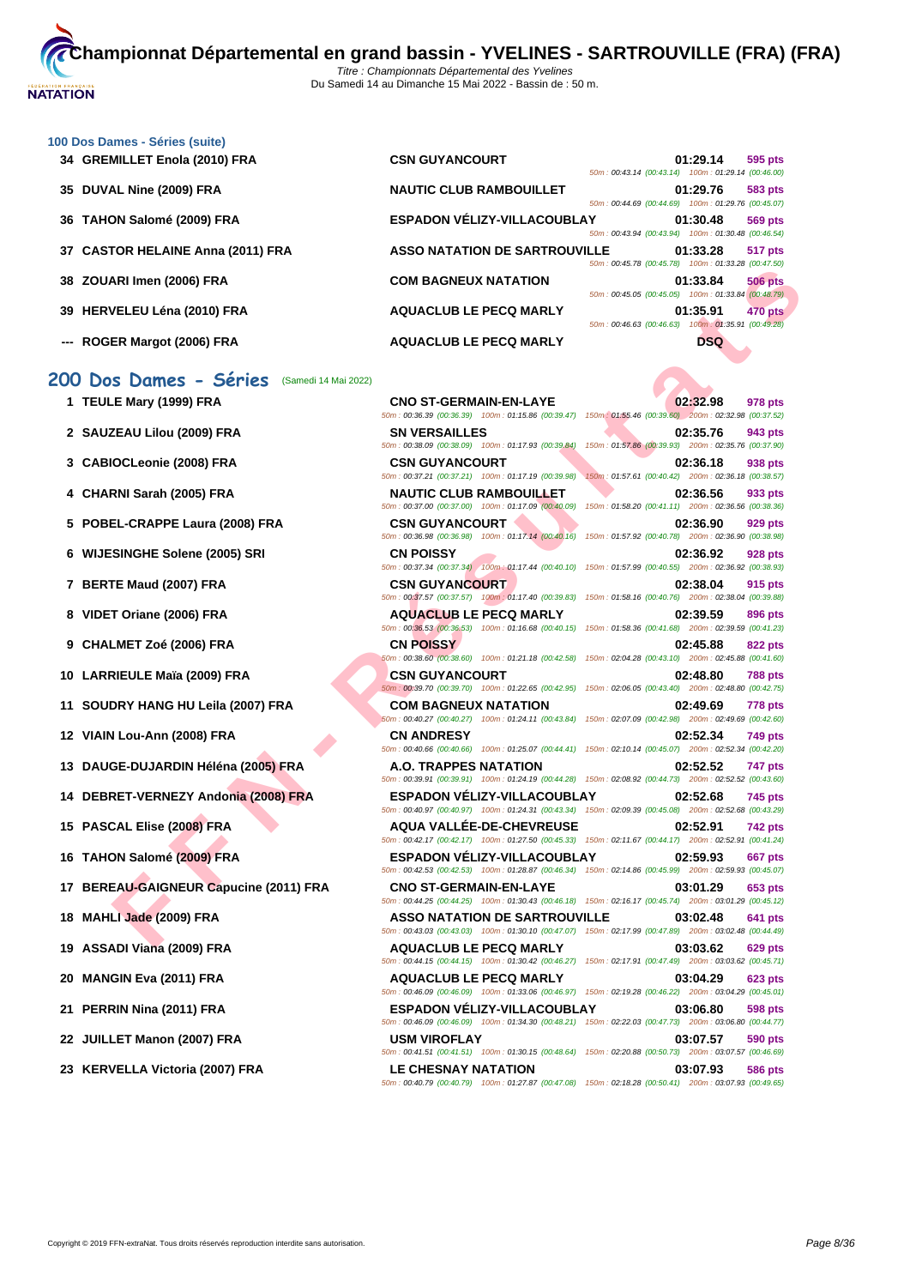|  |  |  | 100 Dos Dames - Séries (suite) |  |  |
|--|--|--|--------------------------------|--|--|
|--|--|--|--------------------------------|--|--|

- **34 GREMILLET Enola (2010) FRA C**S
- **35 DUVAL Nine (2009) FRA NAUTIC CLUB RAMBOUILLET N**
- **36 TAHON Salomé (2009) FRA ESPADON VELIX**
- **37 CASTOR HELAINE Anna (2011) FRA ASSAURATE**
- **38 ZOUARI Imen (2006) FRA C**
- **39 HERVELEU Léna (2010) FRA AQUACLUB LE PECQ MARLY 01:35.91 470 pts**
- **--- ROGER Margot (2006) FRA AQUACLUB LE PECQ MARLY DSQ**

|  |  |  |  |  | 200 Dos Dames - Séries (Samedi 14 Mai 2022) |
|--|--|--|--|--|---------------------------------------------|
|--|--|--|--|--|---------------------------------------------|

- **1 TEULE Mary (1999) FRA**
- **2 SAUZEAU Lilou (2009) FRA**
- **3** CABIOCLeonie (2008) FRA
- **4 CHARNI Sarah (2005) FRA NAUTIC CLUB RAMBOUILLET 02:36.56 933 pts**
- **5** POBEL-CRAPPE Laura (2008) FRA
- **6** WIJESINGHE Solene (2005) SRI
- **7 BERTE Maud (2007) FRA**
- **8 VIDET Oriane (2006) FRA**
- **9 CHALMET Zoé (2006) FRA CN POISSY 02:45.88 822 pts**
- **10 LARRIEULE Maïa (2009) FRA**
- **11 SOUDRY HANG HU Leila (2007) FRA**
- **12 VIAIN Lou-Ann (2008) FRA**
- **13** DAUGE-DUJARDIN Héléna (2005) FRA
- **14 DEBRET-VERNEZY Andonia (2008) FRA**
- **15 PASCAL Elise (2008) FRA**
- **16 TAHON Salomé (2009) FRA**
- **17 BEREAU-GAIGNEUR Capucine (2011) FRA**

**18 MAHLI Jade (2009) FRA** 

- **19 ASSADI Viana (2009) FRA**
- **20 MANGIN Eva (2011) FRA**
- **21 PERRIN Nina (2011) FRA**
- **22 JUILLET Manon (2007) FRA**
- **23 KERVELLA Victoria (2007) FRA**

| <b>SN GUYANCOURT</b>                               | 01:29.14 | 595 pts        |
|----------------------------------------------------|----------|----------------|
| 50m: 00:43.14 (00:43.14) 100m: 01:29.14 (00:46.00) |          |                |
| <b>AUTIC CLUB RAMBOUILLET</b>                      | 01:29.76 | 583 pts        |
| 50m: 00:44.69 (00:44.69) 100m: 01:29.76 (00:45.07) |          |                |
| SPADON VÉLIZY-VILLACOUBLAY                         | 01:30.48 | <b>569 pts</b> |
| 50m: 00:43.94 (00:43.94) 100m: 01:30.48 (00:46.54) |          |                |
| <b>SSO NATATION DE SARTROUVILLE</b>                | 01:33.28 | <b>517 pts</b> |
| 50m: 00:45.78 (00:45.78) 100m: 01:33.28 (00:47.50) |          |                |
| <b>OM BAGNEUX NATATION</b>                         | 01:33.84 | <b>506 pts</b> |
| 50m: 00:45.05 (00:45.05) 100m: 01:33.84 (00:48.79) |          |                |
| <b>QUACLUB LE PECQ MARLY</b>                       | 01:35.91 | <b>470 pts</b> |
| 50m: 00:46.63 (00:46.63) 100m: 01:35.91 (00:49.28) |          |                |
| <b>QUACLUB LE PECQ MARLY</b>                       | DSQ      |                |

|                                          |                                                                                                                                                                                                                                                             | $0.40.40.70$ (00.40.70) T00111. 01.00.20 (00.47.00)                                                                               |
|------------------------------------------|-------------------------------------------------------------------------------------------------------------------------------------------------------------------------------------------------------------------------------------------------------------|-----------------------------------------------------------------------------------------------------------------------------------|
| ARI Imen (2006) FRA                      | <b>COM BAGNEUX NATATION</b>                                                                                                                                                                                                                                 | 01:33.84<br><b>506 pts</b><br>50m: 00:45.05 (00:45.05) 100m: 01:33.84 (00:48.79)                                                  |
| VELEU Léna (2010) FRA                    | <b>AQUACLUB LE PECQ MARLY</b>                                                                                                                                                                                                                               | 01:35.91<br><b>470 pts</b><br>50m: 00:46.63 (00:46.63) 100m: 01:35.91 (00:49.28)                                                  |
| ER Margot (2006) FRA                     | <b>AQUACLUB LE PECQ MARLY</b>                                                                                                                                                                                                                               | <b>DSQ</b>                                                                                                                        |
| s Dames - Séries<br>(Samedi 14 Mai 2022) |                                                                                                                                                                                                                                                             |                                                                                                                                   |
| <b>.E Mary (1999) FRA</b>                | <b>CNO ST-GERMAIN-EN-LAYE</b>                                                                                                                                                                                                                               | 02:32.98<br>978 pts                                                                                                               |
| ZEAU Lilou (2009) FRA                    | <b>SN VERSAILLES</b>                                                                                                                                                                                                                                        | 50m: 00:36.39 (00:36.39) 100m: 01:15.86 (00:39.47) 150m: 01:55.46 (00:39.60) 200m: 02:32.98 (00:37.52)<br>02:35.76<br>943 pts     |
|                                          | 50m: 00:38.09 (00:38.09) 100m: 01:17.93 (00:39.84)                                                                                                                                                                                                          | 150m: 01:57.86 (00:39.93) 200m: 02:35.76 (00:37.90)                                                                               |
| IOCLeonie (2008) FRA                     | <b>CSN GUYANCOURT</b><br>50m: 00:37.21 (00:37.21) 100m: 01:17.19 (00:39.98)                                                                                                                                                                                 | 02:36.18<br>938 pts<br>150m: 01:57.61 (00:40.42) 200m: 02:36.18 (00:38.57)                                                        |
| RNI Sarah (2005) FRA                     | <b>NAUTIC CLUB RAMBOUILLET</b><br>50m : 00:37.00 (00:37.00) 100m : 01:17.09 (00:40.09) 150m : 01:58.20 (00:41.11) 200m : 02:36.56 (00:38.36)                                                                                                                | 02:36.56<br>933 pts                                                                                                               |
| EL-CRAPPE Laura (2008) FRA               | <b>CSN GUYANCOURT</b>                                                                                                                                                                                                                                       | 02:36.90<br>929 pts                                                                                                               |
|                                          | 50m : 00:36.98 (00:36.98) 100m : 01:17.14 (00:40.16) 150m : 01:57.92 (00:40.78) 200m : 02:36.90 (00:38.98)                                                                                                                                                  |                                                                                                                                   |
| :SINGHE Solene (2005) SRI                | <b>CN POISSY</b>                                                                                                                                                                                                                                            | 02:36.92<br>928 pts<br>50m : 00:37.34 (00:37.34) 100m : 01:17.44 (00:40.10) 150m : 01:57.99 (00:40.55) 200m : 02:36.92 (00:38.93) |
| <b>TE Maud (2007) FRA</b>                | <b>CSN GUYANCOURT</b><br>50m: 00:37.57 (00:37.57) 100m: 01:17.40 (00:39.83) 150m: 01:58.16 (00:40.76) 200m: 02:38.04 (00:39.88)                                                                                                                             | 02:38.04<br>915 pts                                                                                                               |
| T Oriane (2006) FRA                      | <b>AQUACLUB LE PECQ MARLY</b><br>50m : 00:36.53 (00:36.53) 100m : 01:16.68 (00:40.15) 150m : 01:58.36 (00:41.68) 200m : 02:39.59 (00:41.23)                                                                                                                 | 02:39.59<br>896 pts                                                                                                               |
| LMET Zoé (2006) FRA                      | <b>CN POISSY</b>                                                                                                                                                                                                                                            | 02:45.88<br>822 pts                                                                                                               |
| RIEULE Maïa (2009) FRA                   | 50m : 00:38.60 (00:38.60) 100m : 01:21.18 (00:42.58) 150m : 02:04.28 (00:43.10) 200m : 02:45.88 (00:41.60)<br><b>CSN GUYANCOURT</b><br>50m : 00:39.70 (00:39.70) 100m : 01:22.65 (00:42.95) 150m : 02:06.05 (00:43.40) 200m : 02:48.80 (00:42.75)           | 02:48.80<br><b>788 pts</b>                                                                                                        |
| DRY HANG HU Leila (2007) FRA             | <b>COM BAGNEUX NATATION</b>                                                                                                                                                                                                                                 | 02:49.69<br><b>778 pts</b>                                                                                                        |
|                                          | 50m: 00:40.27 (00:40.27) 100m: 01:24.11 (00:43.84) 150m: 02:07.09 (00:42.98) 200m: 02:49.69 (00:42.60)                                                                                                                                                      |                                                                                                                                   |
| <b>\ Lou-Ann (2008) FRA</b>              | <b>CN ANDRESY</b><br>50m : 00:40.66 (00:40.66) 100m : 01:25.07 (00:44.41) 150m : 02:10.14 (00:45.07) 200m : 02:52.34 (00:42.20)                                                                                                                             | 02:52.34<br>749 pts                                                                                                               |
| GE-DUJARDIN Héléna (2005) FRA            | A.O. TRAPPES NATATION<br>50m: 00:39.91 (00:39.91) 100m: 01:24.19 (00:44.28) 150m: 02:08.92 (00:44.73) 200m: 02:52.52 (00:43.60)                                                                                                                             | 02:52.52<br>747 pts                                                                                                               |
| RET-VERNEZY Andonia (2008) FRA           | <b>ESPADON VELIZY-VILLACOUBLAY</b>                                                                                                                                                                                                                          | 02:52.68<br>745 pts                                                                                                               |
| CAL Elise (2008) FRA                     | 50m : 00:40.97 (00:40.97) 100m : 01:24.31 (00:43.34) 150m : 02:09.39 (00:45.08) 200m : 02:52.68 (00:43.29)<br><b>AQUA VALLEE-DE-CHEVREUSE</b><br>50m : 00:42.17 (00:42.17) 100m : 01:27.50 (00:45.33) 150m : 02:11.67 (00:44.17) 200m : 02:52.91 (00:41.24) | 02:52.91<br>742 pts                                                                                                               |
| ON Salomé (2009) FRA                     | <b>ESPADON VÉLIZY-VILLACOUBLAY</b><br>50m : 00:42.53 (00:42.53) 100m : 01:28.87 (00:46.34) 150m : 02:14.86 (00:45.99) 200m : 02:59.93 (00:45.07)                                                                                                            | 02:59.93<br><b>667 pts</b>                                                                                                        |
| EAU-GAIGNEUR Capucine (2011) FRA         | <b>CNO ST-GERMAIN-EN-LAYE</b><br>50m : 00:44.25 (00:44.25) 100m : 01:30.43 (00:46.18) 150m : 02:16.17 (00:45.74) 200m : 03:01.29 (00:45.12)                                                                                                                 | 03:01.29<br>653 pts                                                                                                               |
| LI Jade (2009) FRA                       | <b>ASSO NATATION DE SARTROUVILLE</b><br>50m: 00:43.03 (00:43.03) 100m: 01:30.10 (00:47.07) 150m: 02:17.99 (00:47.89) 200m: 03:02.48 (00:44.49)                                                                                                              | 03:02.48<br>641 pts                                                                                                               |
| ADI Viana (2009) FRA                     | <b>AQUACLUB LE PECQ MARLY</b><br>50m: 00:44.15 (00:44.15) 100m: 01:30.42 (00:46.27) 150m: 02:17.91 (00:47.49) 200m: 03:03.62 (00:45.71)                                                                                                                     | 03:03.62<br>629 pts                                                                                                               |
| <b>GIN Eva (2011) FRA</b>                | <b>AQUACLUB LE PECQ MARLY</b><br>50m : 00:46.09 (00:46.09) 100m : 01:33.06 (00:46.97) 150m : 02:19.28 (00:46.22) 200m : 03:04.29 (00:45.01)                                                                                                                 | 03:04.29<br>623 pts                                                                                                               |
| RIN Nina (2011) FRA                      | <b>ESPADON VELIZY-VILLACOUBLAY</b><br>50m: 00:46.09 (00:46.09) 100m: 01:34.30 (00:48.21) 150m: 02:22.03 (00:47.73) 200m: 03:06.80 (00:44.77)                                                                                                                | 03:06.80<br>598 pts                                                                                                               |
| LET Manon (2007) FRA                     | <b>USM VIROFLAY</b><br>50m : 00:41.51 (00:41.51) 100m : 01:30.15 (00:48.64) 150m : 02:20.88 (00:50.73) 200m : 03:07.57 (00:46.69)                                                                                                                           | 03:07.57<br>590 pts                                                                                                               |
| VELLA Victoria (2007) FRA                | <b>LE CHESNAY NATATION</b>                                                                                                                                                                                                                                  | 03:07.93<br>586 pts<br>50m; 00:40.79 (00:40.79) 100m; 01:27.87 (00:47.08) 150m; 02:18.28 (00:50.41) 200m; 03:07.93 (00:49.65)     |
|                                          |                                                                                                                                                                                                                                                             |                                                                                                                                   |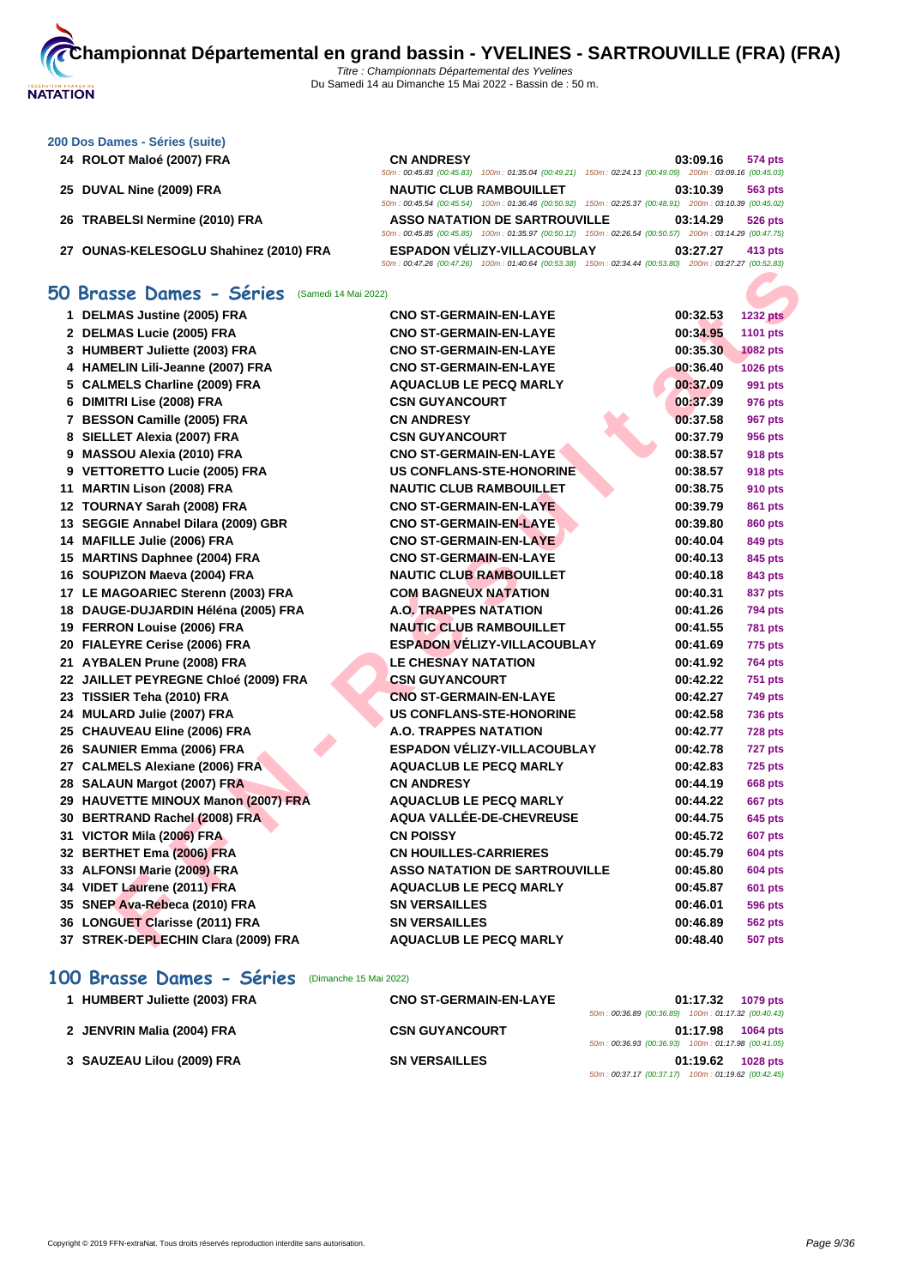# **[200 Dos D](http://www.ffnatation.fr/webffn/index.php)ames - Séries (suite)**

- **24 ROLOT Maloé (2007) FRA**
- **25 DUVAL Nine (2009) FRA**
- **TRABELSI Nermine (2010) FRA**
- **OUNAS-KELESOGLU Shahinez (2010) FRA**

| <b>CN ANDRESY</b> |                                                                                                        | 03:09.16 | 574 pts        |
|-------------------|--------------------------------------------------------------------------------------------------------|----------|----------------|
|                   | 50m: 00:45.83 (00:45.83) 100m: 01:35.04 (00:49.21) 150m: 02:24.13 (00:49.09) 200m: 03:09.16 (00:45.03) |          |                |
|                   | <b>NAUTIC CLUB RAMBOUILLET</b>                                                                         | 03:10.39 | 563 pts        |
|                   | 50m: 00:45.54 (00:45.54) 100m: 01:36.46 (00:50.92) 150m: 02:25.37 (00:48.91) 200m: 03:10.39 (00:45.02) |          |                |
|                   | <b>ASSO NATATION DE SARTROUVILLE</b>                                                                   | 03:14.29 | <b>526 pts</b> |
|                   | 50m: 00:45.85 (00:45.85) 100m: 01:35.97 (00:50.12) 150m: 02:26.54 (00:50.57) 200m: 03:14.29 (00:47.75) |          |                |
|                   | ESPADON VÉLIZY-VILLACOUBLAY                                                                            | 03:27.27 | 413 pts        |
|                   | 50m: 00:47.26 (00:47.26) 100m: 01:40.64 (00:53.38) 150m: 02:34.44 (00:53.80) 200m: 03:27.27 (00:52.83) |          |                |

# **50 Brasse Dames - Séries** (Samedi 14 Mai 2022)

|                                                  | $10011. 01.40.04 100.00.007 10011. 02.04.44 100.00.007$ |          |                 |
|--------------------------------------------------|---------------------------------------------------------|----------|-----------------|
| i0 Brasse Dames - Séries<br>(Samedi 14 Mai 2022) |                                                         |          |                 |
| 1 DELMAS Justine (2005) FRA                      | <b>CNO ST-GERMAIN-EN-LAYE</b>                           | 00:32.53 | <b>1232 pts</b> |
| 2 DELMAS Lucie (2005) FRA                        | <b>CNO ST-GERMAIN-EN-LAYE</b>                           | 00:34.95 | 1101 pts        |
| 3 HUMBERT Juliette (2003) FRA                    | <b>CNO ST-GERMAIN-EN-LAYE</b>                           | 00:35.30 | <b>1082 pts</b> |
| 4 HAMELIN Lili-Jeanne (2007) FRA                 | <b>CNO ST-GERMAIN-EN-LAYE</b>                           | 00:36.40 | 1026 pts        |
| 5 CALMELS Charline (2009) FRA                    | <b>AQUACLUB LE PECQ MARLY</b>                           | 00:37.09 | 991 pts         |
| 6 DIMITRI Lise (2008) FRA                        | <b>CSN GUYANCOURT</b>                                   | 00:37.39 | 976 pts         |
| 7 BESSON Camille (2005) FRA                      | <b>CN ANDRESY</b>                                       | 00:37.58 | 967 pts         |
| 8 SIELLET Alexia (2007) FRA                      | <b>CSN GUYANCOURT</b>                                   | 00:37.79 | 956 pts         |
| 9 MASSOU Alexia (2010) FRA                       | <b>CNO ST-GERMAIN-EN-LAYE</b>                           | 00:38.57 | <b>918 pts</b>  |
| 9 VETTORETTO Lucie (2005) FRA                    | <b>US CONFLANS-STE-HONORINE</b>                         | 00:38.57 | <b>918 pts</b>  |
| 11 MARTIN Lison (2008) FRA                       | <b>NAUTIC CLUB RAMBOUILLET</b>                          | 00:38.75 | 910 pts         |
| 12 TOURNAY Sarah (2008) FRA                      | <b>CNO ST-GERMAIN-EN-LAYE</b>                           | 00:39.79 | 861 pts         |
| 13 SEGGIE Annabel Dilara (2009) GBR              | <b>CNO ST-GERMAIN-EN-LAYE</b>                           | 00:39.80 | <b>860 pts</b>  |
| 14 MAFILLE Julie (2006) FRA                      | <b>CNO ST-GERMAIN-EN-LAYE</b>                           | 00:40.04 | 849 pts         |
| 15 MARTINS Daphnee (2004) FRA                    | <b>CNO ST-GERMAIN-EN-LAYE</b>                           | 00:40.13 | 845 pts         |
| 16 SOUPIZON Maeva (2004) FRA                     | <b>NAUTIC CLUB RAMBOUILLET</b>                          | 00:40.18 | 843 pts         |
| 17 LE MAGOARIEC Sterenn (2003) FRA               | <b>COM BAGNEUX NATATION</b>                             | 00:40.31 | 837 pts         |
| 18 DAUGE-DUJARDIN Héléna (2005) FRA              | <b>A.O. TRAPPES NATATION</b>                            | 00:41.26 | <b>794 pts</b>  |
| 19 FERRON Louise (2006) FRA                      | <b>NAUTIC CLUB RAMBOUILLET</b>                          | 00:41.55 | <b>781 pts</b>  |
| 20 FIALEYRE Cerise (2006) FRA                    | <b>ESPADON VÉLIZY-VILLACOUBLAY</b>                      | 00:41.69 | <b>775 pts</b>  |
| 21 AYBALEN Prune (2008) FRA                      | <b>LE CHESNAY NATATION</b>                              | 00:41.92 | <b>764 pts</b>  |
| 22 JAILLET PEYREGNE Chloé (2009) FRA             | <b>CSN GUYANCOURT</b>                                   | 00:42.22 | <b>751 pts</b>  |
| 23 TISSIER Teha (2010) FRA                       | <b>CNO ST-GERMAIN-EN-LAYE</b>                           | 00:42.27 | <b>749 pts</b>  |
| 24 MULARD Julie (2007) FRA                       | <b>US CONFLANS-STE-HONORINE</b>                         | 00:42.58 | <b>736 pts</b>  |
| 25 CHAUVEAU Eline (2006) FRA                     | <b>A.O. TRAPPES NATATION</b>                            | 00:42.77 | <b>728 pts</b>  |
| 26 SAUNIER Emma (2006) FRA                       | <b>ESPADON VÉLIZY-VILLACOUBLAY</b>                      | 00:42.78 | 727 pts         |
| 27 CALMELS Alexiane (2006) FRA                   | <b>AQUACLUB LE PECQ MARLY</b>                           | 00:42.83 | <b>725 pts</b>  |
| 28 SALAUN Margot (2007) FRA                      | <b>CN ANDRESY</b>                                       | 00:44.19 | <b>668 pts</b>  |
| 29 HAUVETTE MINOUX Manon (2007) FRA              | <b>AQUACLUB LE PECQ MARLY</b>                           | 00:44.22 | <b>667 pts</b>  |
| 30 BERTRAND Rachel (2008) FRA                    | <b>AQUA VALLÉE-DE-CHEVREUSE</b>                         | 00:44.75 | <b>645 pts</b>  |
| 31 VICTOR Mila (2006) FRA                        | <b>CN POISSY</b>                                        | 00:45.72 | <b>607 pts</b>  |
| 32 BERTHET Ema (2006) FRA                        | <b>CN HOUILLES-CARRIERES</b>                            | 00:45.79 | 604 pts         |
| 33 ALFONSI Marie (2009) FRA                      | <b>ASSO NATATION DE SARTROUVILLE</b>                    | 00:45.80 | <b>604 pts</b>  |
| 34 VIDET Laurene (2011) FRA                      | <b>AQUACLUB LE PECQ MARLY</b>                           | 00:45.87 | <b>601 pts</b>  |
| 35 SNEP Ava-Rebeca (2010) FRA                    | <b>SN VERSAILLES</b>                                    | 00:46.01 | <b>596 pts</b>  |
| 36 LONGUET Clarisse (2011) FRA                   | <b>SN VERSAILLES</b>                                    | 00:46.89 | <b>562 pts</b>  |
| 37 STREK-DEPLECHIN Clara (2009) FRA              | <b>AQUACLUB LE PECQ MARLY</b>                           | 00:48.40 | 507 pts         |

# **100 Brasse Dames - Séries** (Dimanche 15 Mai 2022)

| 1 HUMBERT Juliette (2003) FRA | <b>CNO ST-GERMAIN-EN-LAYE</b> | 01:17.32<br>1079 pts                               |
|-------------------------------|-------------------------------|----------------------------------------------------|
|                               |                               | 50m: 00:36.89 (00:36.89) 100m: 01:17.32 (00:40.43) |
| 2 JENVRIN Malia (2004) FRA    | <b>CSN GUYANCOURT</b>         | 01:17.98<br><b>1064 pts</b>                        |
|                               |                               | 50m: 00:36.93 (00:36.93) 100m: 01:17.98 (00:41.05) |
| 3 SAUZEAU Lilou (2009) FRA    | <b>SN VERSAILLES</b>          | 01:19.62<br><b>1028 pts</b>                        |
|                               |                               | 50m: 00:37.17 (00:37.17) 100m: 01:19.62 (00:42.45) |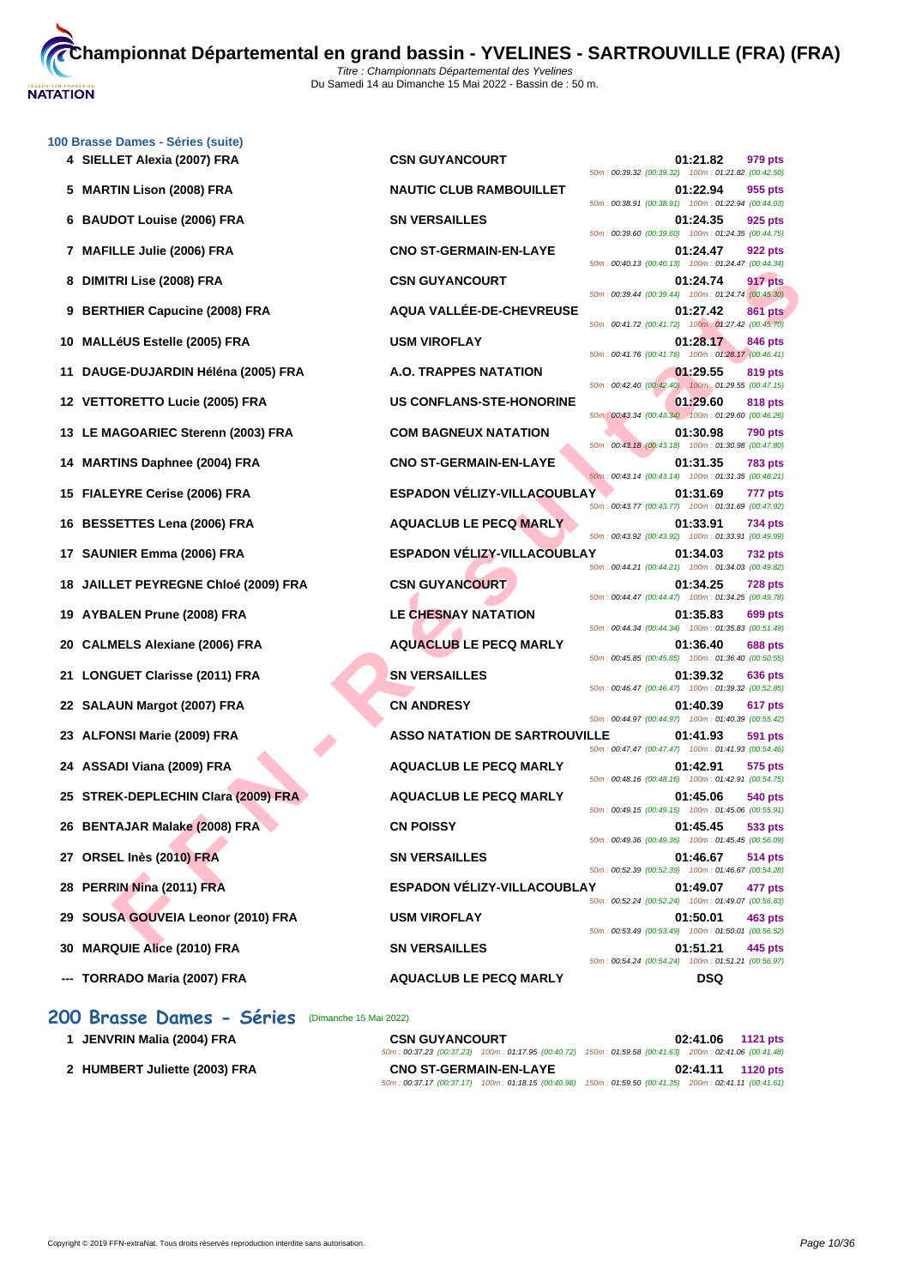

| 100 Brasse Dames - Séries (suite)<br>4 SIELLET Alexia (2007) FRA | <b>CSN GUYANCOURT</b>                | 01:21.82<br>979 pts                                                                                                                    |
|------------------------------------------------------------------|--------------------------------------|----------------------------------------------------------------------------------------------------------------------------------------|
| <b>MARTIN Lison (2008) FRA</b><br>5                              | <b>NAUTIC CLUB RAMBOUILLET</b>       | 50m: 00:39.32 (00:39.32) 100m: 01:21.82 (00:42.50)<br>01:22.94<br>955 pts                                                              |
| <b>BAUDOT Louise (2006) FRA</b><br>6                             | <b>SN VERSAILLES</b>                 | 50m: 00:38.91 (00:38.91) 100m: 01:22.94 (00:44.03)<br>01:24.35<br>925 pts                                                              |
| 7 MAFILLE Julie (2006) FRA                                       | <b>CNO ST-GERMAIN-EN-LAYE</b>        | 50m: 00:39.60 (00:39.60) 100m: 01:24.35 (00:44.75)<br>01:24.47<br>922 pts                                                              |
| <b>DIMITRI Lise (2008) FRA</b><br>8                              | <b>CSN GUYANCOURT</b>                | 50m: 00:40.13 (00:40.13) 100m: 01:24.47 (00:44.34)<br>917 pts<br>01:24.74                                                              |
| <b>BERTHIER Capucine (2008) FRA</b><br>9                         | AQUA VALLÉE-DE-CHEVREUSE             | 50m: 00:39.44 (00:39.44) 100m: 01:24.74 (00:45.30)<br><b>861 pts</b><br>01:27.42<br>50m: 00:41.72 (00:41.72) 100m: 01:27.42 (00:45.70) |
| 10 MALLéUS Estelle (2005) FRA                                    | <b>USM VIROFLAY</b>                  | 01:28.17<br>846 pts                                                                                                                    |
| DAUGE-DUJARDIN Héléna (2005) FRA<br>11                           | A.O. TRAPPES NATATION                | 50m: 00:41.76 (00:41.76) 100m: 01:28.17 (00:46.41)<br>01:29.55<br>819 pts                                                              |
| 12 VETTORETTO Lucie (2005) FRA                                   | <b>US CONFLANS-STE-HONORINE</b>      | 50m: 00:42.40 (00:42.40) 100m: 01:29.55 (00:47.15)<br>01:29.60<br>818 pts                                                              |
| 13 LE MAGOARIEC Sterenn (2003) FRA                               | <b>COM BAGNEUX NATATION</b>          | 50m: 00:43.34 (00:43.34) 100m: 01:29.60 (00:46.26)<br>01:30.98<br><b>790 pts</b>                                                       |
| 14 MARTINS Daphnee (2004) FRA                                    | <b>CNO ST-GERMAIN-EN-LAYE</b>        | 50m: 00:43.18 (00:43.18) 100m: 01:30.98 (00:47.80)<br>01:31.35<br><b>783 pts</b>                                                       |
| 15 FIALEYRE Cerise (2006) FRA                                    | ESPADON VÉLIZY-VILLACOUBLAY          | 50m: 00:43.14 (00:43.14) 100m: 01:31.35 (00:48.21)<br>01:31.69<br>777 pts                                                              |
| 16 BESSETTES Lena (2006) FRA                                     | <b>AQUACLUB LE PECQ MARLY</b>        | 50m: 00:43.77 (00:43.77) 100m: 01:31.69 (00:47.92)<br>01:33.91<br>734 pts                                                              |
| 17 SAUNIER Emma (2006) FRA                                       | <b>ESPADON VÉLIZY-VILLACOUBLAY</b>   | 50m: 00:43.92 (00:43.92) 100m: 01:33.91 (00:49.99)<br>01:34.03<br><b>732 pts</b>                                                       |
| JAILLET PEYREGNE Chloé (2009) FRA<br>18                          | <b>CSN GUYANCOURT</b>                | 50m: 00:44.21 (00:44.21) 100m: 01:34.03 (00:49.82)<br>01:34.25<br><b>728 pts</b>                                                       |
| 19 AYBALEN Prune (2008) FRA                                      | <b>LE CHESNAY NATATION</b>           | 50m: 00:44.47 (00:44.47) 100m: 01:34.25 (00:49.78)<br>01:35.83<br>699 pts                                                              |
| 20 CALMELS Alexiane (2006) FRA                                   | <b>AQUACLUB LE PECQ MARLY</b>        | 50m: 00:44.34 (00:44.34) 100m: 01:35.83 (00:51.49)<br>01:36.40<br><b>688 pts</b>                                                       |
| <b>LONGUET Clarisse (2011) FRA</b><br>21                         | <b>SN VERSAILLES</b>                 | 50m: 00:45.85 (00:45.85) 100m: 01:36.40 (00:50.55)<br>01:39.32<br>636 pts                                                              |
| 22 SALAUN Margot (2007) FRA                                      | <b>CN ANDRESY</b>                    | 50m: 00:46.47 (00:46.47) 100m: 01:39.32 (00:52.85)<br>01:40.39<br>617 pts                                                              |
| 23 ALFONSI Marie (2009) FRA                                      | <b>ASSO NATATION DE SARTROUVILLE</b> | 50m: 00:44.97 (00:44.97) 100m: 01:40.39 (00:55.42)<br>01:41.93<br>591 pts                                                              |
| 24 ASSADI Viana (2009) FRA                                       | <b>AQUACLUB LE PECQ MARLY</b>        | 50m: 00:47.47 (00:47.47) 100m: 01:41.93 (00:54.46)<br>01:42.91<br>575 pts                                                              |
| 25 STREK-DEPLECHIN Clara (2009) FRA                              | <b>AQUACLUB LE PECQ MARLY</b>        | 50m: 00:48.16 (00:48.16) 100m: 01:42.91 (00:54.75)<br>01:45.06<br>540 pts                                                              |
| 26 BENTAJAR Malake (2008) FRA                                    | <b>CN POISSY</b>                     | 50m: 00:49.15 (00:49.15) 100m: 01:45.06 (00:55.91)<br>01:45.45<br>533 pts                                                              |
| 27 ORSEL Inès (2010) FRA                                         | <b>SN VERSAILLES</b>                 | 50m: 00:49.36 (00:49.36) 100m: 01:45.45 (00:56.09)<br>01:46.67<br>514 pts                                                              |
| 28 PERRIN Nina (2011) FRA                                        | ESPADON VÉLIZY-VILLACOUBLAY          | 50m: 00:52.39 (00:52.39) 100m: 01:46.67 (00:54.28)<br>01:49.07<br>477 pts                                                              |
| SOUSA GOUVEIA Leonor (2010) FRA<br>29                            | <b>USM VIROFLAY</b>                  | 50m: 00:52.24 (00:52.24) 100m: 01:49.07 (00:56.83)<br>01:50.01<br>463 pts                                                              |
| 30 MARQUIE Alice (2010) FRA                                      | <b>SN VERSAILLES</b>                 | 50m: 00:53.49 (00:53.49) 100m: 01:50.01 (00:56.52)<br>01:51.21<br>445 pts                                                              |
| --- TORRADO Maria (2007) FRA                                     | <b>AQUACLUB LE PECQ MARLY</b>        | 50m: 00:54.24 (00:54.24) 100m: 01:51.21 (00:56.97)<br>DSQ                                                                              |

# **200 Brasse Dames - Séries** (Dimanche 15 Mai 2022)

| JENVRIN Malia (2004) FRA      | <b>CSN GUYANCOURT</b>         | 02:41.06<br>1121 pts                                                                                   |
|-------------------------------|-------------------------------|--------------------------------------------------------------------------------------------------------|
|                               |                               | 50m: 00:37.23 (00:37.23) 100m: 01:17.95 (00:40.72) 150m: 01:59.58 (00:41.63) 200m: 02:41.06 (00:41.48) |
| 2 HUMBERT Juliette (2003) FRA | <b>CNO ST-GERMAIN-EN-LAYE</b> | 02:41.11 1120 pts                                                                                      |
|                               |                               | 50m: 00:37.17 (00:37.17) 100m: 01:18.15 (00:40.98) 150m: 01:59.50 (00:41.35) 200m: 02:41.11 (00:41.61) |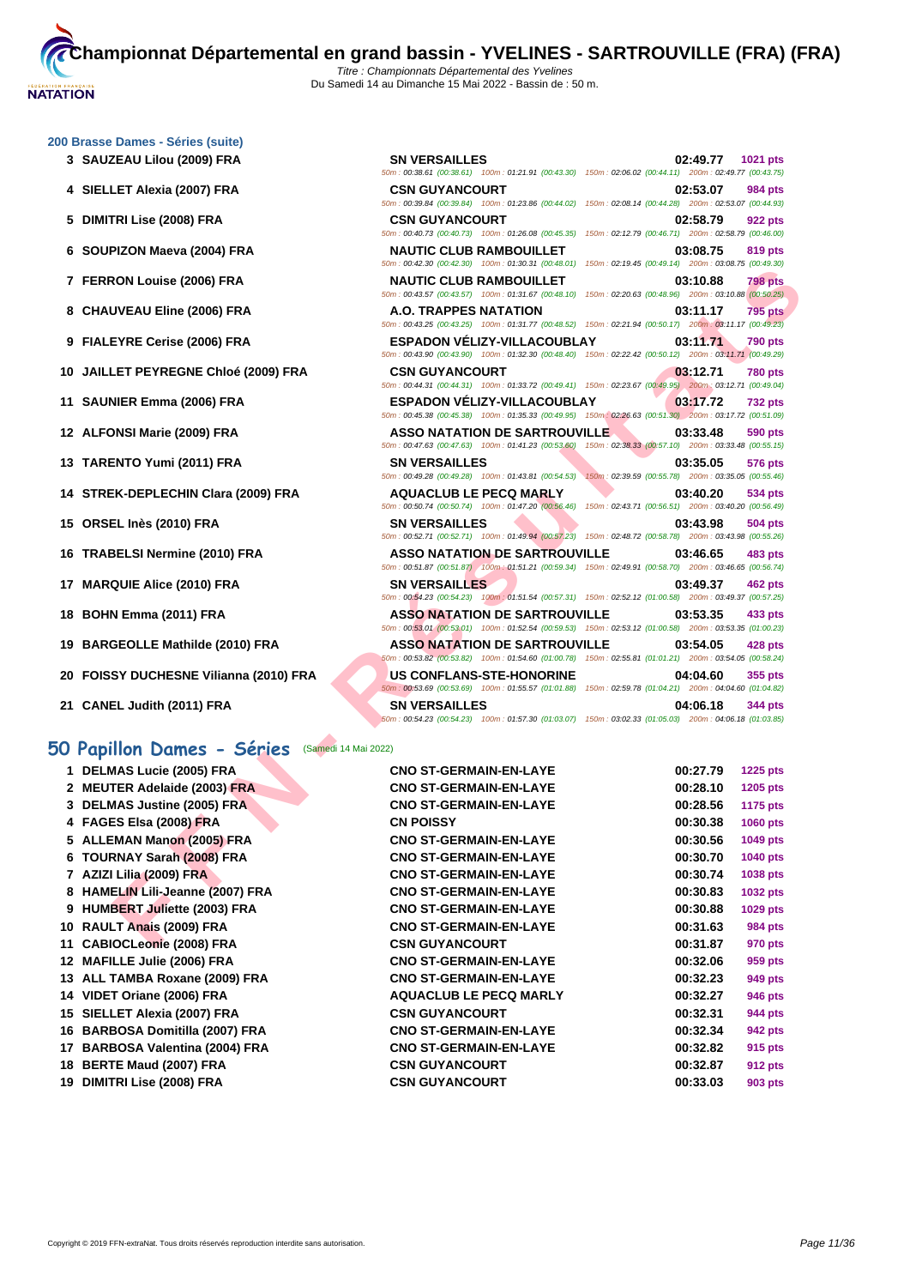# **[200 Brass](http://www.ffnatation.fr/webffn/index.php)e Dames - Séries (suite)**

- **3 SAUZEAU Lilou (2009) FRA SN VERSAILLES 02:49.77 1021 pts**
- **4 SIELLET Alexia (2007) FRA**
- **5 DIMITRI Lise (2008) FRA**
- **6 SOUPIZON Maeva (2004) FRA**
- **7 FERRON Louise (2006) FRA**
- **8 CHAUVEAU Eline (2006) FRA**
- **9 FIALEYRE Cerise (2006) FRA**
- **10** JAILLET PEYREGNE Chloé (2009) FRA
- **11 SAUNIER Emma (2006) FRA**
- **12 ALFONSI Marie (2009) FRA**
- **13 TARENTO Yumi (2011) FRA**
- **14 STREK-DEPLECHIN Clara (2009) FRA**
- **15 ORSEL Inès (2010) FRA**
- **16 TRABELSI Nermine (2010) FRA**
- **17 MARQUIE Alice (2010) FRA**
- **18 BOHN Emma (2011) FRA**
- **19 BARGEOLLE Mathilde (2010) FRA**
- **20 FOISSY DUCHESNE Vilianna (2010) FRA**
- **21 CANEL Judith (2011) FRA SN VERSAILLES 04:06.18 344 pts**

# **50 Papillon Dames - Séries** (Samedi 14 Mai 2022)

| 1 DELMAS Lucie (2005) FRA        | <b>CNO ST-GERMAIN-EN-LAYE</b> | 00:27.79 | <b>1225 pts</b> |
|----------------------------------|-------------------------------|----------|-----------------|
| 2 MEUTER Adelaide (2003) FRA     | <b>CNO ST-GERMAIN-EN-LAYE</b> | 00:28.10 | 1205 pts        |
| 3 DELMAS Justine (2005) FRA      | <b>CNO ST-GERMAIN-EN-LAYE</b> | 00:28.56 | 1175 pts        |
| 4 FAGES Elsa (2008) FRA          | <b>CN POISSY</b>              | 00:30.38 | <b>1060 pts</b> |
| 5 ALLEMAN Manon (2005) FRA       | <b>CNO ST-GERMAIN-EN-LAYE</b> | 00:30.56 | 1049 pts        |
| 6 TOURNAY Sarah (2008) FRA       | <b>CNO ST-GERMAIN-EN-LAYE</b> | 00:30.70 | 1040 pts        |
| 7 AZIZI Lilia (2009) FRA         | <b>CNO ST-GERMAIN-EN-LAYE</b> | 00:30.74 | <b>1038 pts</b> |
| 8 HAMELIN Lili-Jeanne (2007) FRA | <b>CNO ST-GERMAIN-EN-LAYE</b> | 00:30.83 | 1032 pts        |
| 9 HUMBERT Juliette (2003) FRA    | <b>CNO ST-GERMAIN-EN-LAYE</b> | 00:30.88 | 1029 pts        |
| 10 RAULT Anais (2009) FRA        | <b>CNO ST-GERMAIN-EN-LAYE</b> | 00:31.63 | <b>984 pts</b>  |
| 11 CABIOCLeonie (2008) FRA       | <b>CSN GUYANCOURT</b>         | 00:31.87 | 970 pts         |
| 12 MAFILLE Julie (2006) FRA      | <b>CNO ST-GERMAIN-EN-LAYE</b> | 00:32.06 | 959 pts         |
| 13 ALL TAMBA Roxane (2009) FRA   | <b>CNO ST-GERMAIN-EN-LAYE</b> | 00:32.23 | 949 pts         |
| 14 VIDET Oriane (2006) FRA       | <b>AQUACLUB LE PECQ MARLY</b> | 00:32.27 | <b>946 pts</b>  |
| 15 SIELLET Alexia (2007) FRA     | <b>CSN GUYANCOURT</b>         | 00:32.31 | 944 pts         |
| 16 BARBOSA Domitilla (2007) FRA  | <b>CNO ST-GERMAIN-EN-LAYE</b> | 00:32.34 | 942 pts         |
| 17 BARBOSA Valentina (2004) FRA  | <b>CNO ST-GERMAIN-EN-LAYE</b> | 00:32.82 | 915 pts         |
| 18 BERTE Maud (2007) FRA         | <b>CSN GUYANCOURT</b>         | 00:32.87 | <b>912 pts</b>  |
| 19 DIMITRI Lise (2008) FRA       | <b>CSN GUYANCOURT</b>         | 00:33.03 | <b>903 pts</b>  |

|                                              | 50m: 00:38.61 (00:38.61) 100m: 01:21.91 (00:43.30) 150m: 02:06.02 (00:44.11) 200m: 02:49.77 (00:43.75)                                             |                            |
|----------------------------------------------|----------------------------------------------------------------------------------------------------------------------------------------------------|----------------------------|
| LET Alexia (2007) FRA                        | <b>CSN GUYANCOURT</b><br>50m : 00:39.84 (00:39.84) 100m : 01:23.86 (00:44.02) 150m : 02:08.14 (00:44.28) 200m : 02:53.07 (00:44.93)                | 02:53.07<br>984 pts        |
| TRI Lise (2008) FRA                          | <b>CSN GUYANCOURT</b>                                                                                                                              | 02:58.79<br>922 pts        |
|                                              | 50m : 00:40.73 (00:40.73) 100m : 01:26.08 (00:45.35) 150m : 02:12.79 (00:46.71) 200m : 02:58.79 (00:46.00)                                         |                            |
| PIZON Maeva (2004) FRA                       | <b>NAUTIC CLUB RAMBOUILLET</b><br>50m: 00:42.30 (00:42.30) 100m: 01:30.31 (00:48.01) 150m: 02:19.45 (00:49.14) 200m: 03:08.75 (00:49.30)           | 03:08.75<br>819 pts        |
| २ON Louise (2006) FRA                        | <b>NAUTIC CLUB RAMBOUILLET</b>                                                                                                                     | 03:10.88<br><b>798 pts</b> |
|                                              | 50m : 00:43.57 (00:43.57) 100m : 01:31.67 (00:48.10) 150m : 02:20.63 (00:48.96) 200m : 03:10.88 (00:50.25)                                         |                            |
| UVEAU Eline (2006) FRA                       | A.O. TRAPPES NATATION<br>50m: 00:43.25 (00:43.25) 100m: 01:31.77 (00:48.52) 150m: 02:21.94 (00:50.17) 200m: 03:11.17 (00:49.23)                    | <b>795 pts</b><br>03:11.17 |
| EYRE Cerise (2006) FRA                       | <b>ESPADON VÉLIZY-VILLACOUBLAY</b><br>50m: 00:43.90 (00:43.90) 100m: 01:32.30 (00:48.40) 150m: 02:22.42 (00:50.12) 200m: 03:11.71 (00:49.29)       | 03:11.71<br><b>790 pts</b> |
| LET PEYREGNE Chloé (2009) FRA                | <b>CSN GUYANCOURT</b>                                                                                                                              | 03:12.71<br><b>780 pts</b> |
|                                              | 50m : 00:44.31 (00:44.31) 100m : 01:33.72 (00:49.41) 150m : 02:23.67 (00:49.95) 200m : 03:12.71 (00:49.04)                                         |                            |
| NIER Emma (2006) FRA                         | <b>ESPADON VELIZY-VILLACOUBLAY</b><br>50m : 00:45.38 (00:45.38) 100m : 01:35.33 (00:49.95) 150m : 02:26.63 (00:51.30) 200m : 03:17.72 (00:51.09)   | 03:17.72<br><b>732 pts</b> |
| <b>DNSI Marie (2009) FRA</b>                 | <b>ASSO NATATION DE SARTROUVILLE</b>                                                                                                               | 03:33.48<br>590 pts        |
|                                              | 50m : 00:47.63 (00:47.63) 100m : 01:41.23 (00:53.60) 150m : 02:38.33 (00:57.10) 200m : 03:33.48 (00:55.15)                                         |                            |
| ENTO Yumi (2011) FRA                         | <b>SN VERSAILLES</b><br>50m : 00:49.28 (00:49.28) 100m : 01:43.81 (00:54.53) 150m : 02:39.59 (00:55.78) 200m : 03:35.05 (00:55.46)                 | 03:35.05<br>576 pts        |
| EK-DEPLECHIN Clara (2009) FRA                | <b>AQUACLUB LE PECQ MARLY</b>                                                                                                                      | 03:40.20<br>534 pts        |
|                                              | 50m : 00:50.74 (00:50.74) 100m : 01:47.20 (00:56.46) 150m : 02:43.71 (00:56.51) 200m : 03:40.20 (00:56.49)                                         |                            |
| EL Inès (2010) FRA                           | <b>SN VERSAILLES</b>                                                                                                                               | 03:43.98<br>504 pts        |
|                                              | 50m: 00:52.71 (00:52.71) 100m: 01:49.94 (00:57.23) 150m: 02:48.72 (00:58.78) 200m: 03:43.98 (00:55.26)                                             |                            |
| <b>BELSI Nermine (2010) FRA</b>              | <b>ASSO NATATION DE SARTROUVILLE</b><br>50m : 00:51.87 (00:51.87) 100m : 01:51.21 (00:59.34) 150m : 02:49.91 (00:58.70) 200m : 03:46.65 (00:56.74) | 03:46.65<br><b>483 pts</b> |
| QUIE Alice (2010) FRA                        | <b>SN VERSAILLES</b>                                                                                                                               | 03:49.37<br>462 pts        |
|                                              | 50m: 00:54.23 (00:54.23) 100m: 01:51.54 (00:57.31) 150m: 02:52.12 (01:00.58) 200m: 03:49.37 (00:57.25)                                             |                            |
| N Emma (2011) FRA                            | <b>ASSO NATATION DE SARTROUVILLE</b>                                                                                                               | 03:53.35<br>433 pts        |
|                                              | 50m: 00:53.01 (00:53.01) 100m: 01:52.54 (00:59.53) 150m: 02:53.12 (01:00.58) 200m: 03:53.35 (01:00.23)                                             |                            |
| GEOLLE Mathilde (2010) FRA                   | <b>ASSO NATATION DE SARTROUVILLE</b><br>50m: 00:53.82 (00:53.82) 100m: 01:54.60 (01:00.78) 150m: 02:55.81 (01:01.21) 200m: 03:54.05 (00:58.24)     | 03:54.05<br>428 pts        |
| SY DUCHESNE Vilianna (2010) FRA              | <b>US CONFLANS-STE-HONORINE</b>                                                                                                                    | 04:04.60<br>355 pts        |
|                                              | 50m: 00:53.69 (00:53.69) 100m: 01:55.57 (01:01.88) 150m: 02:59.78 (01:04.21) 200m: 04:04.60 (01:04.82)                                             |                            |
| EL Judith (2011) FRA                         | <b>SN VERSAILLES</b>                                                                                                                               | 04:06.18<br>344 pts        |
|                                              | 50m: 00:54.23 (00:54.23) 100m: 01:57.30 (01:03.07) 150m: 03:02.33 (01:05.03) 200m: 04:06.18 (01:03.85)                                             |                            |
| illon Dames - Séries<br>(Samedi 14 Mai 2022) |                                                                                                                                                    |                            |
| <b>MAS Lucie (2005) FRA</b>                  | <b>CNO ST-GERMAIN-EN-LAYE</b>                                                                                                                      | 00:27.79<br>1225 pts       |
| TER Adelaide (2003) FRA                      | <b>CNO ST-GERMAIN-EN-LAYE</b>                                                                                                                      | 00:28.10<br>1205 pts       |
| <b>MAS Justine (2005) FRA</b>                | <b>CNO ST-GERMAIN-EN-LAYE</b>                                                                                                                      | 00:28.56<br>1175 pts       |
| ES Elsa (2008) FRA                           | <b>CN POISSY</b>                                                                                                                                   | 00:30.38<br>1060 pts       |
| EMAN Manon (2005) FRA                        | <b>CNO ST-GERMAIN-EN-LAYE</b>                                                                                                                      | 00:30.56<br>1049 pts       |
| RNAY Sarah (2008) FRA                        | <b>CNO ST-GERMAIN-EN-LAYE</b>                                                                                                                      | 00:30.70<br>1040 pts       |
| I Lilia (2009) FRA                           | <b>CNO ST-GERMAIN-EN-LAYE</b>                                                                                                                      | 00:30.74<br>1038 pts       |
| ELIN Lili-Jeanne (2007) FRA                  | <b>CNO ST-GERMAIN-EN-LAYE</b>                                                                                                                      | 00:30.83<br>1032 pts       |
| BERT Juliette (2003) FRA                     | <b>CNO ST-GERMAIN-EN-LAYE</b>                                                                                                                      | 00:30.88<br>1029 pts       |
| LT Anais (2009) FRA                          | <b>CNO ST-GERMAIN-EN-LAYE</b>                                                                                                                      | 00:31.63<br><b>984 pts</b> |
| IOCLeonie (2008) FRA                         | <b>CSN GUYANCOURT</b>                                                                                                                              | 00:31.87<br>970 pts        |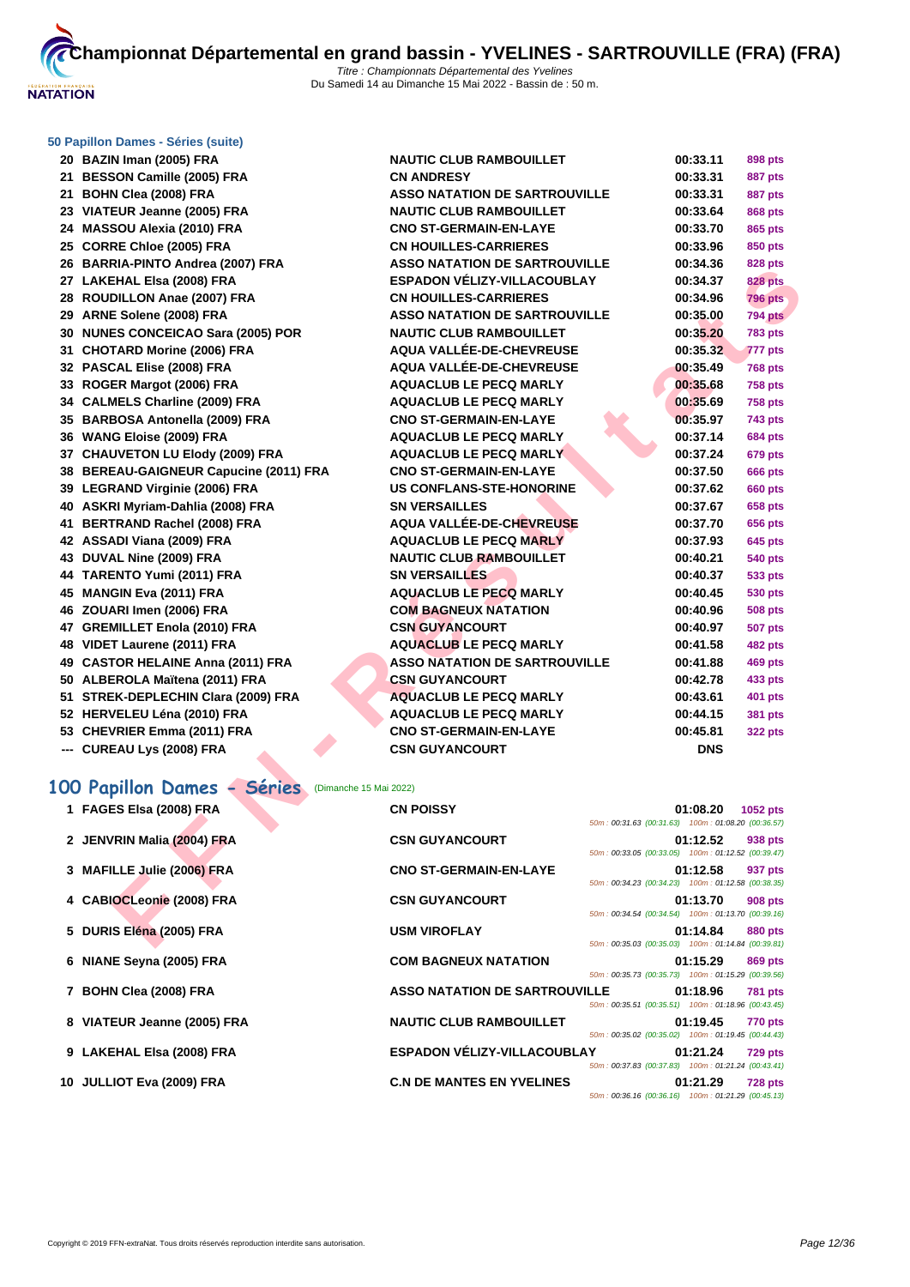

| 50 Papillon Dames - Séries (suite)                    |                                      |                                                    |            |                |
|-------------------------------------------------------|--------------------------------------|----------------------------------------------------|------------|----------------|
| 20 BAZIN Iman (2005) FRA                              | <b>NAUTIC CLUB RAMBOUILLET</b>       |                                                    | 00:33.11   | 898 pts        |
| 21 BESSON Camille (2005) FRA                          | <b>CN ANDRESY</b>                    |                                                    | 00:33.31   | 887 pts        |
| 21 BOHN Clea (2008) FRA                               | <b>ASSO NATATION DE SARTROUVILLE</b> |                                                    | 00:33.31   | <b>887 pts</b> |
| 23 VIATEUR Jeanne (2005) FRA                          | <b>NAUTIC CLUB RAMBOUILLET</b>       |                                                    | 00:33.64   | <b>868 pts</b> |
| 24 MASSOU Alexia (2010) FRA                           | <b>CNO ST-GERMAIN-EN-LAYE</b>        |                                                    | 00:33.70   | 865 pts        |
| 25 CORRE Chloe (2005) FRA                             | <b>CN HOUILLES-CARRIERES</b>         |                                                    | 00:33.96   | 850 pts        |
| 26 BARRIA-PINTO Andrea (2007) FRA                     | <b>ASSO NATATION DE SARTROUVILLE</b> |                                                    | 00:34.36   | 828 pts        |
| 27 LAKEHAL Elsa (2008) FRA                            | <b>ESPADON VÉLIZY-VILLACOUBLAY</b>   |                                                    | 00:34.37   | <b>828 pts</b> |
| 28 ROUDILLON Anae (2007) FRA                          | <b>CN HOUILLES-CARRIERES</b>         |                                                    | 00:34.96   | <b>796 pts</b> |
| 29 ARNE Solene (2008) FRA                             | <b>ASSO NATATION DE SARTROUVILLE</b> |                                                    | 00:35.00   | <b>794 pts</b> |
| 30 NUNES CONCEICAO Sara (2005) POR                    | <b>NAUTIC CLUB RAMBOUILLET</b>       |                                                    | 00:35.20   | <b>783 pts</b> |
| 31 CHOTARD Morine (2006) FRA                          | AQUA VALLÉE-DE-CHEVREUSE             |                                                    | 00:35.32   | 777 pts        |
| 32 PASCAL Elise (2008) FRA                            | AQUA VALLÉE-DE-CHEVREUSE             |                                                    | 00:35.49   | <b>768 pts</b> |
| 33 ROGER Margot (2006) FRA                            | <b>AQUACLUB LE PECQ MARLY</b>        |                                                    | 00:35.68   | <b>758 pts</b> |
| 34 CALMELS Charline (2009) FRA                        | <b>AQUACLUB LE PECQ MARLY</b>        |                                                    | 00:35.69   | <b>758 pts</b> |
| 35 BARBOSA Antonella (2009) FRA                       | <b>CNO ST-GERMAIN-EN-LAYE</b>        |                                                    | 00:35.97   | 743 pts        |
| 36 WANG Eloise (2009) FRA                             | <b>AQUACLUB LE PECQ MARLY</b>        |                                                    | 00:37.14   | <b>684 pts</b> |
| 37 CHAUVETON LU Elody (2009) FRA                      | <b>AQUACLUB LE PECQ MARLY</b>        |                                                    | 00:37.24   | 679 pts        |
| 38 BEREAU-GAIGNEUR Capucine (2011) FRA                | <b>CNO ST-GERMAIN-EN-LAYE</b>        |                                                    | 00:37.50   | <b>666 pts</b> |
| 39 LEGRAND Virginie (2006) FRA                        | <b>US CONFLANS-STE-HONORINE</b>      |                                                    | 00:37.62   | <b>660 pts</b> |
| 40 ASKRI Myriam-Dahlia (2008) FRA                     | <b>SN VERSAILLES</b>                 |                                                    | 00:37.67   | <b>658 pts</b> |
| 41 BERTRAND Rachel (2008) FRA                         | <b>AQUA VALLÉE-DE-CHEVREUSE</b>      |                                                    | 00:37.70   | <b>656 pts</b> |
| 42 ASSADI Viana (2009) FRA                            | <b>AQUACLUB LE PECQ MARLY</b>        |                                                    | 00:37.93   | <b>645 pts</b> |
| 43 DUVAL Nine (2009) FRA                              | <b>NAUTIC CLUB RAMBOUILLET</b>       |                                                    | 00:40.21   | <b>540 pts</b> |
| 44 TARENTO Yumi (2011) FRA                            | <b>SN VERSAILLES</b>                 |                                                    | 00:40.37   | 533 pts        |
| 45 MANGIN Eva (2011) FRA                              | <b>AQUACLUB LE PECQ MARLY</b>        |                                                    | 00:40.45   | 530 pts        |
| 46 ZOUARI Imen (2006) FRA                             | <b>COM BAGNEUX NATATION</b>          |                                                    | 00:40.96   | 508 pts        |
| 47 GREMILLET Enola (2010) FRA                         | <b>CSN GUYANCOURT</b>                |                                                    | 00:40.97   | <b>507 pts</b> |
| 48 VIDET Laurene (2011) FRA                           | <b>AQUACLUB LE PECQ MARLY</b>        |                                                    | 00:41.58   | <b>482 pts</b> |
| 49 CASTOR HELAINE Anna (2011) FRA                     | <b>ASSO NATATION DE SARTROUVILLE</b> |                                                    | 00:41.88   | 469 pts        |
| 50 ALBEROLA Maïtena (2011) FRA                        | <b>CSN GUYANCOURT</b>                |                                                    | 00:42.78   | 433 pts        |
| 51 STREK-DEPLECHIN Clara (2009) FRA                   | <b>AQUACLUB LE PECQ MARLY</b>        |                                                    | 00:43.61   | <b>401 pts</b> |
| 52 HERVELEU Léna (2010) FRA                           | <b>AQUACLUB LE PECQ MARLY</b>        |                                                    | 00:44.15   | 381 pts        |
| 53 CHEVRIER Emma (2011) FRA                           | <b>CNO ST-GERMAIN-EN-LAYE</b>        |                                                    | 00:45.81   | <b>322 pts</b> |
| --- CUREAU Lys (2008) FRA                             | <b>CSN GUYANCOURT</b>                |                                                    | <b>DNS</b> |                |
|                                                       |                                      |                                                    |            |                |
| 100 Papillon Dames - Séries<br>(Dimanche 15 Mai 2022) |                                      |                                                    |            |                |
| 1 FAGES Elsa (2008) FRA                               | <b>CN POISSY</b>                     |                                                    | 01:08.20   | 1052 pts       |
|                                                       |                                      | 50m: 00:31.63 (00:31.63) 100m: 01:08.20 (00:36.57) |            |                |
| 2 JENVRIN Malia (2004) FRA                            | <b>CSN GUYANCOURT</b>                | 50m: 00:33.05 (00:33.05) 100m: 01:12.52 (00:39.47) | 01:12.52   | 938 pts        |
| 3 MAFILLE Julie (2006) FRA                            | <b>CNO ST-GERMAIN-EN-LAYE</b>        |                                                    | 01:12.58   | 937 pts        |
|                                                       |                                      | 50m: 00:34.23 (00:34.23) 100m: 01:12.58 (00:38.35) |            |                |
| 4 CABIOCLeonie (2008) FRA                             | <b>CSN GUYANCOURT</b>                | 50m: 00:34.54 (00:34.54) 100m: 01:13.70 (00:39.16) | 01:13.70   | 908 pts        |
| 5 DURIS Eléna (2005) FRA                              | <b>USM VIROFLAY</b>                  |                                                    | 01:14.84   | 880 pts        |
|                                                       |                                      | 50m: 00:35.03 (00:35.03) 100m: 01:14.84 (00:39.81) |            |                |

# **100 Papillon Dames - Séries** (Dimanche 15 Mai 2022)

| 1 FAGES Elsa (2008) FRA     | <b>CN POISSY</b>                     |                                                    | 01:08.20 | 1052 pts       |
|-----------------------------|--------------------------------------|----------------------------------------------------|----------|----------------|
|                             |                                      | 50m: 00:31.63 (00:31.63) 100m: 01:08.20 (00:36.57) |          |                |
| 2 JENVRIN Malia (2004) FRA  | <b>CSN GUYANCOURT</b>                |                                                    | 01:12.52 | 938 pts        |
|                             |                                      | 50m: 00:33.05 (00:33.05) 100m: 01:12.52 (00:39.47) |          |                |
| 3 MAFILLE Julie (2006) FRA  | <b>CNO ST-GERMAIN-EN-LAYE</b>        |                                                    | 01:12.58 | 937 pts        |
|                             |                                      | 50m: 00:34.23 (00:34.23) 100m: 01:12.58 (00:38.35) |          |                |
| 4 CABIOCLeonie (2008) FRA   | <b>CSN GUYANCOURT</b>                |                                                    | 01:13.70 | 908 pts        |
|                             |                                      | 50m: 00:34.54 (00:34.54) 100m: 01:13.70 (00:39.16) |          |                |
|                             |                                      |                                                    |          |                |
| 5 DURIS Eléna (2005) FRA    | <b>USM VIROFLAY</b>                  | 50m: 00:35.03 (00:35.03) 100m: 01:14.84 (00:39.81) | 01:14.84 | 880 pts        |
|                             |                                      |                                                    |          |                |
| 6 NIANE Seyna (2005) FRA    | <b>COM BAGNEUX NATATION</b>          |                                                    | 01:15.29 | 869 pts        |
|                             |                                      | 50m: 00:35.73 (00:35.73) 100m: 01:15.29 (00:39.56) |          |                |
| 7 BOHN Clea (2008) FRA      | <b>ASSO NATATION DE SARTROUVILLE</b> |                                                    | 01:18.96 | <b>781 pts</b> |
|                             |                                      | 50m: 00:35.51 (00:35.51) 100m: 01:18.96 (00:43.45) |          |                |
| 8 VIATEUR Jeanne (2005) FRA | <b>NAUTIC CLUB RAMBOUILLET</b>       |                                                    | 01:19.45 | <b>770 pts</b> |
|                             |                                      | 50m: 00:35.02 (00:35.02) 100m: 01:19.45 (00:44.43) |          |                |
| 9 LAKEHAL Elsa (2008) FRA   | <b>ESPADON VÉLIZY-VILLACOUBLAY</b>   |                                                    | 01:21.24 | <b>729 pts</b> |
|                             |                                      | 50m: 00:37.83 (00:37.83) 100m: 01:21.24 (00:43.41) |          |                |
| 10 JULLIOT Eva (2009) FRA   | <b>C.N DE MANTES EN YVELINES</b>     |                                                    | 01:21.29 | <b>728 pts</b> |
|                             |                                      | 50m: 00:36.16 (00:36.16) 100m: 01:21.29 (00:45.13) |          |                |
|                             |                                      |                                                    |          |                |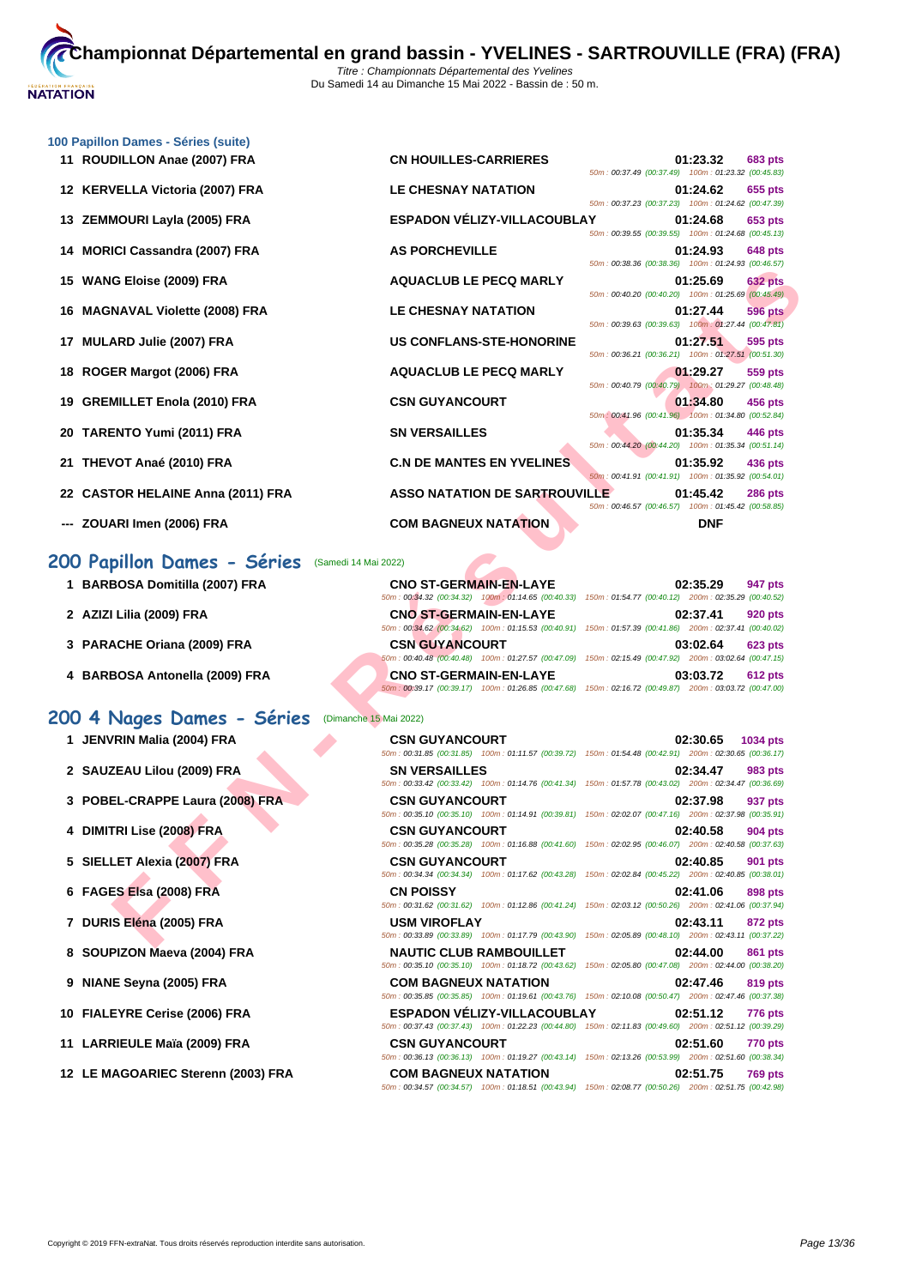

**[100 Papil](http://www.ffnatation.fr/webffn/index.php)lon Dames - Séries (suite)**

| <u>ivu i apliluli Daliles - Jelies (Suite)</u>                                       |                                                                                                                                                                                                                                                  |                |
|--------------------------------------------------------------------------------------|--------------------------------------------------------------------------------------------------------------------------------------------------------------------------------------------------------------------------------------------------|----------------|
| 11 ROUDILLON Anae (2007) FRA                                                         | <b>CN HOUILLES-CARRIERES</b><br>01:23.32<br>50m: 00:37.49 (00:37.49) 100m: 01:23.32 (00:45.83)                                                                                                                                                   | 683 pts        |
| 12 KERVELLA Victoria (2007) FRA                                                      | <b>LE CHESNAY NATATION</b><br>01:24.62<br>50m: 00:37.23 (00:37.23) 100m: 01:24.62 (00:47.39)                                                                                                                                                     | 655 pts        |
| 13 ZEMMOURI Layla (2005) FRA                                                         | ESPADON VÉLIZY-VILLACOUBLAY<br>01:24.68<br>50m: 00:39.55 (00:39.55) 100m: 01:24.68 (00:45.13)                                                                                                                                                    | 653 pts        |
| 14 MORICI Cassandra (2007) FRA                                                       | <b>AS PORCHEVILLE</b><br>01:24.93<br>50m: 00:38.36 (00:38.36) 100m: 01:24.93 (00:46.57)                                                                                                                                                          | 648 pts        |
| 15 WANG Eloise (2009) FRA                                                            | <b>AQUACLUB LE PECQ MARLY</b><br>01:25.69                                                                                                                                                                                                        | <b>632 pts</b> |
| 16 MAGNAVAL Violette (2008) FRA                                                      | 50m: 00:40.20 (00:40.20) 100m: 01:25.69 (00:45.49)<br><b>LE CHESNAY NATATION</b><br>01:27.44                                                                                                                                                     | <b>596 pts</b> |
| 17 MULARD Julie (2007) FRA                                                           | 50m : 00:39.63 (00:39.63) 100m : 01:27.44 (00:47.81)<br><b>US CONFLANS-STE-HONORINE</b><br>01:27.51                                                                                                                                              | 595 pts        |
| 18 ROGER Margot (2006) FRA                                                           | 50m: 00:36.21 (00:36.21) 100m: 01:27.51 (00:51.30)<br><b>AQUACLUB LE PECQ MARLY</b><br>01:29.27                                                                                                                                                  | 559 pts        |
| 19 GREMILLET Enola (2010) FRA                                                        | 50m: 00:40.79 (00:40.79) 100m: 01:29.27 (00:48.48)<br><b>CSN GUYANCOURT</b><br>01:34.80                                                                                                                                                          | 456 pts        |
| 20 TARENTO Yumi (2011) FRA                                                           | 50m: 00:41.96 (00:41.96) 100m: 01:34.80 (00:52.84)<br><b>SN VERSAILLES</b><br>01:35.34                                                                                                                                                           | 446 pts        |
| 21 THEVOT Anaé (2010) FRA                                                            | 50m: 00:44.20 (00:44.20) 100m: 01:35.34 (00:51.14)<br><b>C.N DE MANTES EN YVELINES</b><br>01:35.92                                                                                                                                               | 436 pts        |
| 22 CASTOR HELAINE Anna (2011) FRA                                                    | 50m: 00:41.91 (00:41.91) 100m: 01:35.92 (00:54.01)<br><b>ASSO NATATION DE SARTROUVILLE</b><br>01:45.42                                                                                                                                           | <b>286 pts</b> |
| --- ZOUARI Imen (2006) FRA                                                           | 50m: 00:46.57 (00:46.57) 100m: 01:45.42 (00:58.85)<br><b>COM BAGNEUX NATATION</b><br><b>DNF</b>                                                                                                                                                  |                |
|                                                                                      |                                                                                                                                                                                                                                                  |                |
|                                                                                      |                                                                                                                                                                                                                                                  |                |
|                                                                                      | (Samedi 14 Mai 2022)                                                                                                                                                                                                                             |                |
| 1 BARBOSA Domitilla (2007) FRA                                                       | <b>CNO ST-GERMAIN-EN-LAYE</b><br>02:35.29<br>50m: 00:34.32 (00:34.32) 100m: 01:14.65 (00:40.33) 150m: 01:54.77 (00:40.12) 200m: 02:35.29 (00:40.52)                                                                                              | 947 pts        |
| 2 AZIZI Lilia (2009) FRA                                                             | <b>CNO ST-GERMAIN-EN-LAYE</b><br>02:37.41                                                                                                                                                                                                        | <b>920 pts</b> |
| 3 PARACHE Oriana (2009) FRA                                                          | 50m : 00:34.62 (00:34.62) 100m : 01:15.53 (00:40.91) 150m : 01:57.39 (00:41.86) 200m : 02:37.41 (00:40.02)<br><b>CSN GUYANCOURT</b><br>03:02.64                                                                                                  | 623 pts        |
| 4 BARBOSA Antonella (2009) FRA                                                       | 50m: 00:40.48 (00:40.48) 100m: 01:27.57 (00:47.09) 150m: 02:15.49 (00:47.92) 200m: 03:02.64 (00:47.15)<br><b>CNO ST-GERMAIN-EN-LAYE</b><br>03:03.72                                                                                              | 612 pts        |
|                                                                                      | 50m: 00:39.17 (00:39.17) 100m: 01:26.85 (00:47.68) 150m: 02:16.72 (00:49.87) 200m: 03:03.72 (00:47.00)                                                                                                                                           |                |
|                                                                                      | (Dimanche 15 Mai 2022)                                                                                                                                                                                                                           |                |
| 1 JENVRIN Malia (2004) FRA                                                           | <b>CSN GUYANCOURT</b><br>02:30.65<br>1034 pts<br>50m: 00:31.85 (00:31.85) 100m: 01:11.57 (00:39.72) 150m: 01:54.48 (00:42.91) 200m: 02:30.65 (00:36.17)                                                                                          |                |
| 2 SAUZEAU Lilou (2009) FRA                                                           | <b>SN VERSAILLES</b><br>02:34.47<br>50m: 00:33.42 (00:33.42) 100m: 01:14.76 (00:41.34) 150m: 01:57.78 (00:43.02) 200m: 02:34.47 (00:36.69)                                                                                                       | 983 pts        |
| 3 POBEL-CRAPPE Laura (2008) FRA                                                      | <b>CSN GUYANCOURT</b><br>02:37.98                                                                                                                                                                                                                | 937 pts        |
| 4 DIMITRI Lise (2008) FRA                                                            | 50m: 00:35.10 (00:35.10) 100m: 01:14.91 (00:39.81) 150m: 02:02.07 (00:47.16) 200m: 02:37.98 (00:35.91)<br><b>CSN GUYANCOURT</b><br>02:40.58<br><b>904 pts</b>                                                                                    |                |
| 5 SIELLET Alexia (2007) FRA                                                          | 50m : 00:35.28 (00:35.28) 100m : 01:16.88 (00:41.60) 150m : 02:02.95 (00:46.07) 200m : 02:40.58 (00:37.63)<br><b>CSN GUYANCOURT</b><br>02:40.85                                                                                                  | <b>901 pts</b> |
| 200 Papillon Dames - Séries<br>200 4 Nages Dames - Séries<br>6 FAGES Elsa (2008) FRA | 50m: 00:34.34 (00:34.34) 100m: 01:17.62 (00:43.28) 150m: 02:02.84 (00:45.22) 200m: 02:40.85 (00:38.01)<br><b>CN POISSY</b><br>02:41.06                                                                                                           | 898 pts        |
| 7 DURIS Eléna (2005) FRA                                                             | 50m: 00:31.62 (00:31.62) 100m: 01:12.86 (00:41.24) 150m: 02:03.12 (00:50.26) 200m: 02:41.06 (00:37.94)<br>USM VIROFLAY<br>02:43.11<br>50m : 00:33.89 (00:33.89) 100m : 01:17.79 (00:43.90) 150m : 02:05.89 (00:48.10) 200m : 02:43.11 (00:37.22) | 872 pts        |

# **200 Papillon Dames - Séries** (Samedi 14 Mai 2022)

- 
- 
- 
- 

# 200 4 Nages Dames - Séries

- 
- **2 SAUZEAU Lilou (2009) FRA**
- **3 POBEL-CRAPPE Laura (2008) FRA**
- **4 DIMITRI Lise (2008) FRA**
- **5 SIELLET Alexia (2007) FRA**

- **7 DURIS Eléna (2005) FRA USM VIROFLAY 02:43.11 872 pts**
- **8 SOUPIZON Maeva (2004) FRA**
- **9 NIANE Seyna (2005) FRA**
- **10 FIALEYRE Cerise (2006) FRA**
- **11 LARRIEULE Maïa (2009) FRA**
- **12 LE MAGOARIEC Sterenn (2003) FRA**

| (Dimanche 15 Mai 2022) |  |  |
|------------------------|--|--|
|                        |  |  |

| 1 JENVRIN Malia (2004) FRA        | <b>CSN GUYANCOURT</b><br>50m: 00:31.85 (00:31.85) 100m: 01:11.57 (00:39.72) 150m: 01:54.48 (00:42.91) 200m: 02:30.65 (00:36.17)          | 02:30.65<br>1034 pts       |
|-----------------------------------|------------------------------------------------------------------------------------------------------------------------------------------|----------------------------|
| 2 SAUZEAU Lilou (2009) FRA        | <b>SN VERSAILLES</b><br>50m: 00:33.42 (00:33.42) 100m: 01:14.76 (00:41.34) 150m: 01:57.78 (00:43.02) 200m: 02:34.47 (00:36.69)           | 02:34.47<br><b>983 pts</b> |
| 3 POBEL-CRAPPE Laura (2008) FRA   | <b>CSN GUYANCOURT</b><br>50m: 00:35.10 (00:35.10) 100m: 01:14.91 (00:39.81) 150m: 02:02.07 (00:47.16) 200m: 02:37.98 (00:35.91)          | 02:37.98<br>937 pts        |
| 4 DIMITRI Lise (2008) FRA         | <b>CSN GUYANCOURT</b><br>50m: 00:35.28 (00:35.28) 100m: 01:16.88 (00:41.60) 150m: 02:02.95 (00:46.07) 200m: 02:40.58 (00:37.63)          | 02:40.58<br><b>904 pts</b> |
| 5 SIELLET Alexia (2007) FRA       | <b>CSN GUYANCOURT</b><br>50m: 00:34.34 (00:34.34) 100m: 01:17.62 (00:43.28) 150m: 02:02.84 (00:45.22) 200m: 02:40.85 (00:38.01)          | 02:40.85<br><b>901 pts</b> |
| 6 FAGES Elsa (2008) FRA           | <b>CN POISSY</b><br>50m : 00:31.62 (00:31.62) 100m : 01:12.86 (00:41.24) 150m : 02:03.12 (00:50.26) 200m : 02:41.06 (00:37.94)           | 02:41.06<br>898 pts        |
| 7 DURIS Eléna (2005) FRA          | <b>USM VIROFLAY</b><br>50m: 00:33.89 (00:33.89) 100m: 01:17.79 (00:43.90) 150m: 02:05.89 (00:48.10) 200m: 02:43.11 (00:37.22)            | 02:43.11<br>872 pts        |
| 8 SOUPIZON Maeva (2004) FRA       | <b>NAUTIC CLUB RAMBOUILLET</b><br>50m: 00:35.10 (00:35.10) 100m: 01:18.72 (00:43.62) 150m: 02:05.80 (00:47.08) 200m: 02:44.00 (00:38.20) | 02:44.00<br><b>861 pts</b> |
| 9 NIANE Seyna (2005) FRA          | <b>COM BAGNEUX NATATION</b><br>50m: 00:35.85 (00:35.85) 100m: 01:19.61 (00:43.76) 150m: 02:10.08 (00:50.47) 200m: 02:47.46 (00:37.38)    | 02:47.46<br>819 pts        |
| 0 FIALEYRE Cerise (2006) FRA      | ESPADON VÉLIZY-VILLACOUBLAY<br>50m: 00:37.43 (00:37.43) 100m: 01:22.23 (00:44.80) 150m: 02:11.83 (00:49.60) 200m: 02:51.12 (00:39.29)    | 02:51.12<br>776 pts        |
| 1 LARRIEULE Maïa (2009) FRA       | <b>CSN GUYANCOURT</b><br>50m: 00:36.13 (00:36.13) 100m: 01:19.27 (00:43.14) 150m: 02:13.26 (00:53.99) 200m: 02:51.60 (00:38.34)          | 02:51.60<br><b>770 pts</b> |
| 2 LE MAGOARIEC Sterenn (2003) FRA | <b>COM BAGNEUX NATATION</b>                                                                                                              | 02:51.75<br><b>769 pts</b> |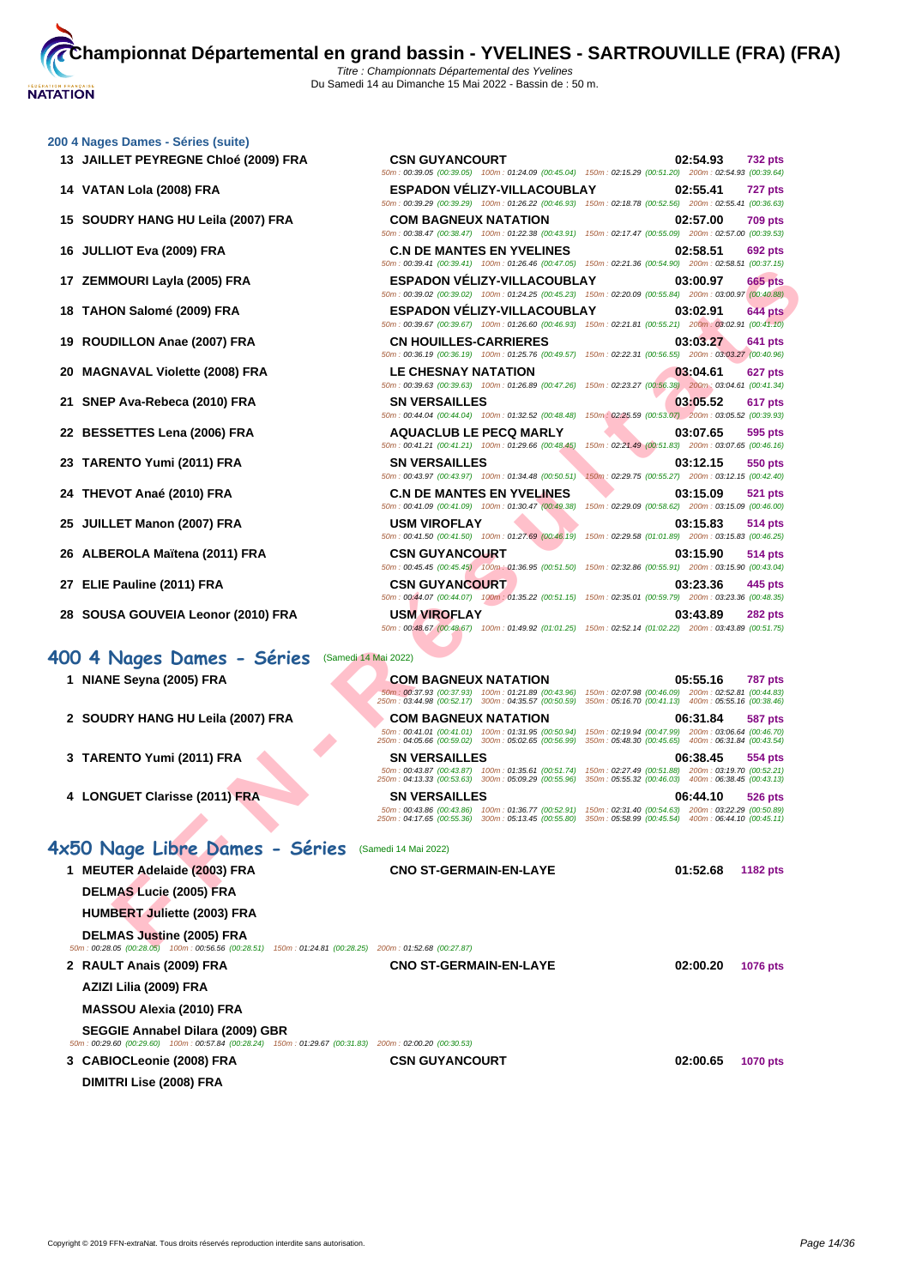**[200 4 Nag](http://www.ffnatation.fr/webffn/index.php)es Dames - Séries (suite)**

| 13 JAILLET PEYREGNE Chloé (2009) FRA                                                                                                           | <b>CSN GUYANCOURT</b><br>50m: 00:39.05 (00:39.05) 100m: 01:24.09 (00:45.04) 150m: 02:15.29 (00:51.20) 200m: 02:54.93 (00:39.64)                                                                                   | 02:54.93<br>732 pts                                                               |
|------------------------------------------------------------------------------------------------------------------------------------------------|-------------------------------------------------------------------------------------------------------------------------------------------------------------------------------------------------------------------|-----------------------------------------------------------------------------------|
| 14 VATAN Lola (2008) FRA                                                                                                                       | <b>ESPADON VELIZY-VILLACOUBLAY</b><br>50m : 00:39.29 (00:39.29) 100m : 01:26.22 (00:46.93) 150m : 02:18.78 (00:52.56) 200m : 02:55.41 (00:36.63)                                                                  | 02:55.41<br>727 pts                                                               |
| 15 SOUDRY HANG HU Leila (2007) FRA                                                                                                             | <b>COM BAGNEUX NATATION</b><br>50m: 00:38.47 (00:38.47) 100m: 01:22.38 (00:43.91) 150m: 02:17.47 (00:55.09) 200m: 02:57.00 (00:39.53)                                                                             | 02:57.00<br>709 pts                                                               |
| 16 JULLIOT Eva (2009) FRA                                                                                                                      | <b>C.N DE MANTES EN YVELINES</b><br>50m: 00:39.41 (00:39.41) 100m: 01:26.46 (00:47.05)                                                                                                                            | 02:58.51<br>692 pts<br>150m: 02:21.36 (00:54.90) 200m: 02:58.51 (00:37.15)        |
| 17 ZEMMOURI Layla (2005) FRA                                                                                                                   | <b>ESPADON VELIZY-VILLACOUBLAY</b><br>50m : 00:39.02 (00:39.02) 100m : 01:24.25 (00:45.23) 150m : 02:20.09 (00:55.84) 200m : 03:00.97 (00:40.88)                                                                  | <b>665 pts</b><br>03:00.97                                                        |
| 18 TAHON Salomé (2009) FRA                                                                                                                     | <b>ESPADON VELIZY-VILLACOUBLAY</b><br>50m: 00:39.67 (00:39.67) 100m: 01:26.60 (00:46.93) 150m: 02:21.81 (00:55.21) 200m: 03:02.91 (00:41.10)                                                                      | 644 pts<br>03:02.91                                                               |
| 19 ROUDILLON Anae (2007) FRA                                                                                                                   | <b>CN HOUILLES-CARRIERES</b><br>50m: 00:36.19 (00:36.19) 100m: 01:25.76 (00:49.57)                                                                                                                                | 03:03.27<br>641 pts<br>150m: 02:22.31 (00:56.55) 200m: 03:03.27 (00:40.96)        |
| <b>MAGNAVAL Violette (2008) FRA</b><br>20                                                                                                      | <b>LE CHESNAY NATATION</b><br>50m: 00:39.63 (00:39.63) 100m: 01:26.89 (00:47.26)                                                                                                                                  | 03:04.61<br>627 pts<br>150m: 02:23.27 (00:56.38) 200m: 03:04.61 (00:41.34)        |
| SNEP Ava-Rebeca (2010) FRA<br>21                                                                                                               | <b>SN VERSAILLES</b><br>50m: 00:44.04 (00:44.04) 100m: 01:32.52 (00:48.48)                                                                                                                                        | 03:05.52<br>617 pts<br>150m: 02:25.59 (00:53.07) 200m: 03:05.52 (00:39.93)        |
| 22 BESSETTES Lena (2006) FRA                                                                                                                   | <b>AQUACLUB LE PECQ MARLY</b><br>50m: 00:41.21 (00:41.21) 100m: 01:29.66 (00:48.45)                                                                                                                               | 03:07.65<br>595 pts<br>150m: 02:21.49 (00:51.83) 200m: 03:07.65 (00:46.16)        |
| 23 TARENTO Yumi (2011) FRA                                                                                                                     | <b>SN VERSAILLES</b><br>50m: 00:43.97 (00:43.97) 100m: 01:34.48 (00:50.51)                                                                                                                                        | 03:12.15<br>550 pts<br>150m: 02:29.75 (00:55.27) 200m: 03:12.15 (00:42.40)        |
| 24 THEVOT Anaé (2010) FRA                                                                                                                      | <b>C.N DE MANTES EN YVELINES</b><br>50m: 00:41.09 (00:41.09) 100m: 01:30.47 (00:49.38)                                                                                                                            | 03:15.09<br>521 pts<br>150m: 02:29.09 (00:58.62) 200m: 03:15.09 (00:46.00)        |
| 25 JUILLET Manon (2007) FRA                                                                                                                    | <b>USM VIROFLAY</b><br>50m: 00:41.50 (00:41.50) 100m: 01:27.69 (00:46.19)                                                                                                                                         | 03:15.83<br><b>514 pts</b><br>150m: 02:29.58 (01:01.89) 200m: 03:15.83 (00:46.25) |
| 26 ALBEROLA Maïtena (2011) FRA                                                                                                                 | <b>CSN GUYANCOURT</b><br>50m: 00:45.45 (00:45.45) 100m: 01:36.95 (00:51.50)                                                                                                                                       | 03:15.90<br>514 pts<br>150m: 02:32.86 (00:55.91) 200m: 03:15.90 (00:43.04)        |
| 27 ELIE Pauline (2011) FRA                                                                                                                     | <b>CSN GUYANCOURT</b><br>50m : 00:44.07 (00:44.07) 100m : 01:35.22 (00:51.15) 150m : 02:35.01 (00:59.79) 200m : 03:23.36 (00:48.35)                                                                               | 03:23.36<br>445 pts                                                               |
| 28 SOUSA GOUVEIA Leonor (2010) FRA                                                                                                             | <b>USM VIROFLAY</b><br>50m: 00:48.67 (00:48.67) 100m: 01:49.92 (01:01.25) 150m: 02:52.14 (01:02.22) 200m: 03:43.89 (00:51.75)                                                                                     | 03:43.89<br><b>282 pts</b>                                                        |
| 400 4 Nages Dames - Séries                                                                                                                     | (Samedi 14 Mai 2022)                                                                                                                                                                                              |                                                                                   |
| 1 NIANE Seyna (2005) FRA                                                                                                                       | <b>COM BAGNEUX NATATION</b><br>50m: 00:37.93 (00:37.93) 100m: 01:21.89 (00:43.96)                                                                                                                                 | 05:55.16<br><b>787 pts</b><br>150m: 02:07.98 (00:46.09) 200m: 02:52.81 (00:44.83) |
| 2 SOUDRY HANG HU Leila (2007) FRA                                                                                                              | 250m: 03:44.98 (00:52.17) 300m: 04:35.57 (00:50.59)<br><b>COM BAGNEUX NATATION</b>                                                                                                                                | 350m: 05:16.70 (00:41.13) 400m: 05:55.16 (00:38.46)<br>06:31.84<br>587 pts        |
|                                                                                                                                                | 50m: 00:41.01 (00:41.01) 100m: 01:31.95 (00:50.94)                                                                                                                                                                | 150m: 02:19.94 (00:47.99) 200m: 03:06.64 (00:46.70)                               |
| 3 TARENTO Yumi (2011) FRA                                                                                                                      | 250m: 04:05.66 (00:59.02) 300m: 05:02.65 (00:56.99)<br><b>SN VERSAILLES</b>                                                                                                                                       | 350m: 05:48.30 (00:45.65) 400m: 06:31.84 (00:43.54)<br>06:38.45<br>554 pts        |
|                                                                                                                                                | 50m: 00:43.87 (00:43.87) 100m: 01:35.61 (00:51.74) 150m: 02:27.49 (00:51.88) 200m: 03:19.70 (00:52.21)                                                                                                            |                                                                                   |
| 4 LONGUET Clarisse (2011) FRA                                                                                                                  | 250m: 04:13.33 (00:53.63) 300m: 05:09.29 (00:55.96) 350m: 05:55.32 (00:46.03) 400m: 06:38.45 (00:43.13)<br><b>SN VERSAILLES</b>                                                                                   | 06:44.10<br><b>526 pts</b>                                                        |
|                                                                                                                                                | 50m: 00:43.86 (00:43.86) 100m: 01:36.77 (00:52.91) 150m: 02:31.40 (00:54.63) 200m: 03:22.29 (00:50.89)<br>250m: 04:17.65 (00:55.36) 300m: 05:13.45 (00:55.80) 350m: 05:58.99 (00:45.54) 400m: 06:44.10 (00:45.11) |                                                                                   |
| 4x50 Nage Libre Dames - Séries                                                                                                                 | (Samedi 14 Mai 2022)                                                                                                                                                                                              |                                                                                   |
| 1 MEUTER Adelaide (2003) FRA                                                                                                                   | <b>CNO ST-GERMAIN-EN-LAYE</b>                                                                                                                                                                                     | 01:52.68<br><b>1182 pts</b>                                                       |
| DELMAS Lucie (2005) FRA                                                                                                                        |                                                                                                                                                                                                                   |                                                                                   |
| <b>HUMBERT Juliette (2003) FRA</b>                                                                                                             |                                                                                                                                                                                                                   |                                                                                   |
| DELMAS Justine (2005) FRA                                                                                                                      |                                                                                                                                                                                                                   |                                                                                   |
| 50m : 00:28.05 (00:28.05) 100m : 00:56.56 (00:28.51) 150m : 01:24.81 (00:28.25) 200m : 01:52.68 (00:27.87)<br>2 RAULT Anais (2009) FRA         | <b>CNO ST-GERMAIN-EN-LAYE</b>                                                                                                                                                                                     | 02:00.20<br><b>1076 pts</b>                                                       |
|                                                                                                                                                |                                                                                                                                                                                                                   |                                                                                   |
| AZIZI Lilia (2009) FRA                                                                                                                         |                                                                                                                                                                                                                   |                                                                                   |
| <b>MASSOU Alexia (2010) FRA</b>                                                                                                                |                                                                                                                                                                                                                   |                                                                                   |
| SEGGIE Annabel Dilara (2009) GBR<br>50m : 00:29.60 (00:29.60) 100m : 00:57.84 (00:28.24) 150m : 01:29.67 (00:31.83) 200m : 02:00.20 (00:30.53) |                                                                                                                                                                                                                   |                                                                                   |
| 3 CABIOCLeonie (2008) FRA                                                                                                                      | <b>CSN GUYANCOURT</b>                                                                                                                                                                                             | 02:00.65<br><b>1070 pts</b>                                                       |
| DIMITRI Lise (2008) FRA                                                                                                                        |                                                                                                                                                                                                                   |                                                                                   |
|                                                                                                                                                |                                                                                                                                                                                                                   |                                                                                   |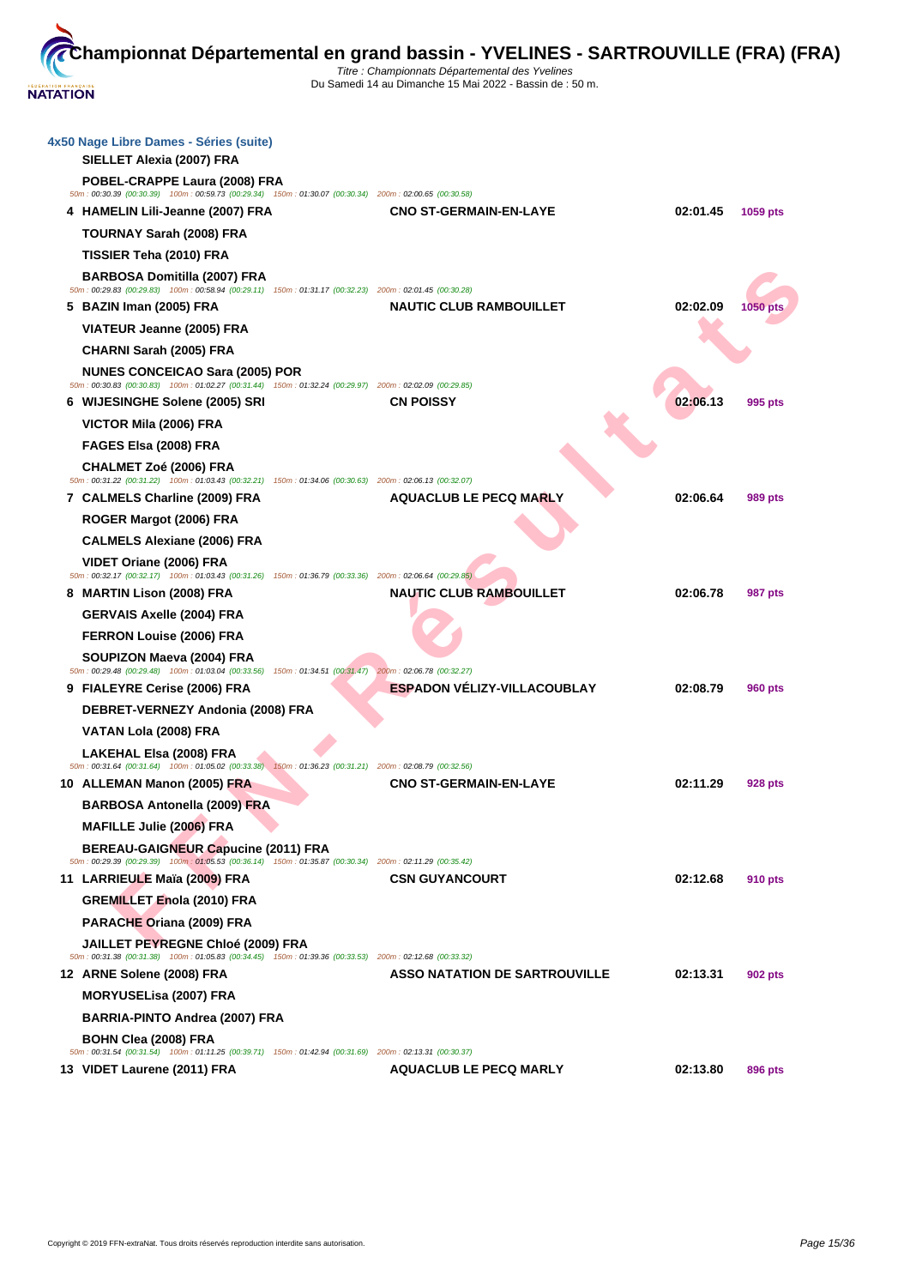| 4x50 Nage Libre Dames - Séries (suite)<br>SIELLET Alexia (2007) FRA                                                                                  |                                      |          |                 |
|------------------------------------------------------------------------------------------------------------------------------------------------------|--------------------------------------|----------|-----------------|
| POBEL-CRAPPE Laura (2008) FRA<br>50m : 00:30.39 (00:30.39) 100m : 00:59.73 (00:29.34) 150m : 01:30.07 (00:30.34) 200m : 02:00.65 (00:30.58)          |                                      |          |                 |
| 4 HAMELIN Lili-Jeanne (2007) FRA                                                                                                                     | <b>CNO ST-GERMAIN-EN-LAYE</b>        | 02:01.45 | 1059 pts        |
| TOURNAY Sarah (2008) FRA                                                                                                                             |                                      |          |                 |
| TISSIER Teha (2010) FRA                                                                                                                              |                                      |          |                 |
| <b>BARBOSA Domitilla (2007) FRA</b>                                                                                                                  |                                      |          |                 |
| 50m: 00:29.83 (00:29.83) 100m: 00:58.94 (00:29.11) 150m: 01:31.17 (00:32.23) 200m: 02:01.45 (00:30.28)                                               |                                      |          |                 |
| 5 BAZIN Iman (2005) FRA                                                                                                                              | <b>NAUTIC CLUB RAMBOUILLET</b>       | 02:02.09 | <b>1050 pts</b> |
| VIATEUR Jeanne (2005) FRA                                                                                                                            |                                      |          |                 |
| CHARNI Sarah (2005) FRA                                                                                                                              |                                      |          |                 |
| <b>NUNES CONCEICAO Sara (2005) POR</b><br>50m: 00:30.83 (00:30.83) 100m: 01:02.27 (00:31.44) 150m: 01:32.24 (00:29.97) 200m: 02:02.09 (00:29.85)     |                                      |          |                 |
| 6 WIJESINGHE Solene (2005) SRI                                                                                                                       | <b>CN POISSY</b>                     | 02:06.13 | 995 pts         |
| VICTOR Mila (2006) FRA                                                                                                                               |                                      |          |                 |
| FAGES Elsa (2008) FRA                                                                                                                                |                                      |          |                 |
| <b>CHALMET Zoé (2006) FRA</b><br>50m : 00:31.22 (00:31.22) 100m : 01:03.43 (00:32.21) 150m : 01:34.06 (00:30.63) 200m : 02:06.13 (00:32.07)          |                                      |          |                 |
| 7 CALMELS Charline (2009) FRA                                                                                                                        | <b>AQUACLUB LE PECQ MARLY</b>        | 02:06.64 | 989 pts         |
| ROGER Margot (2006) FRA                                                                                                                              |                                      |          |                 |
| <b>CALMELS Alexiane (2006) FRA</b>                                                                                                                   |                                      |          |                 |
| VIDET Oriane (2006) FRA<br>50m: 00:32.17 (00:32.17) 100m: 01:03.43 (00:31.26) 150m: 01:36.79 (00:33.36) 200m: 02:06.64 (00:29.85)                    |                                      |          |                 |
| 8 MARTIN Lison (2008) FRA                                                                                                                            | <b>NAUTIC CLUB RAMBOUILLET</b>       | 02:06.78 | 987 pts         |
| <b>GERVAIS Axelle (2004) FRA</b>                                                                                                                     |                                      |          |                 |
| <b>FERRON Louise (2006) FRA</b>                                                                                                                      |                                      |          |                 |
| SOUPIZON Maeva (2004) FRA<br>50m : 00:29.48 (00:29.48) 100m : 01:03.04 (00:33.56) 150m : 01:34.51 (00:31.47) 200m : 02:06.78 (00:32.27)              |                                      |          |                 |
| 9 FIALEYRE Cerise (2006) FRA                                                                                                                         | <b>ESPADON VELIZY-VILLACOUBLAY</b>   | 02:08.79 | 960 pts         |
| DEBRET-VERNEZY Andonia (2008) FRA                                                                                                                    |                                      |          |                 |
| VATAN Lola (2008) FRA                                                                                                                                |                                      |          |                 |
| LAKEHAL Elsa (2008) FRA                                                                                                                              |                                      |          |                 |
| 50m: 00:31.64 (00:31.64) 100m: 01:05.02 (00:33.38) 150m: 01:36.23 (00:31.21) 200m: 02:08.79 (00:32.56)                                               |                                      |          |                 |
| 10 ALLEMAN Manon (2005) FRA                                                                                                                          | <b>CNO ST-GERMAIN-EN-LAYE</b>        | 02:11.29 | <b>928 pts</b>  |
| <b>BARBOSA Antonella (2009) FRA</b>                                                                                                                  |                                      |          |                 |
| MAFILLE Julie (2006) FRA                                                                                                                             |                                      |          |                 |
| <b>BEREAU-GAIGNEUR Capucine (2011) FRA</b><br>50m: 00:29.39 (00:29.39) 100m: 01:05.53 (00:36.14) 150m: 01:35.87 (00:30.34) 200m: 02:11.29 (00:35.42) |                                      |          |                 |
| 11 LARRIEULE Maïa (2009) FRA                                                                                                                         | <b>CSN GUYANCOURT</b>                | 02:12.68 | 910 pts         |
| <b>GREMILLET Enola (2010) FRA</b>                                                                                                                    |                                      |          |                 |
| PARACHE Oriana (2009) FRA                                                                                                                            |                                      |          |                 |
| <b>JAILLET PEYREGNE Chloé (2009) FRA</b><br>50m: 00:31.38 (00:31.38) 100m: 01:05.83 (00:34.45) 150m: 01:39.36 (00:33.53) 200m: 02:12.68 (00:33.32)   |                                      |          |                 |
| 12 ARNE Solene (2008) FRA                                                                                                                            | <b>ASSO NATATION DE SARTROUVILLE</b> | 02:13.31 | 902 pts         |
| <b>MORYUSELisa (2007) FRA</b>                                                                                                                        |                                      |          |                 |
| BARRIA-PINTO Andrea (2007) FRA                                                                                                                       |                                      |          |                 |
| BOHN Clea (2008) FRA                                                                                                                                 |                                      |          |                 |
| 50m: 00:31.54 (00:31.54) 100m: 01:11.25 (00:39.71) 150m: 01:42.94 (00:31.69) 200m: 02:13.31 (00:30.37)                                               |                                      |          |                 |
| 13 VIDET Laurene (2011) FRA                                                                                                                          | <b>AQUACLUB LE PECQ MARLY</b>        | 02:13.80 | 896 pts         |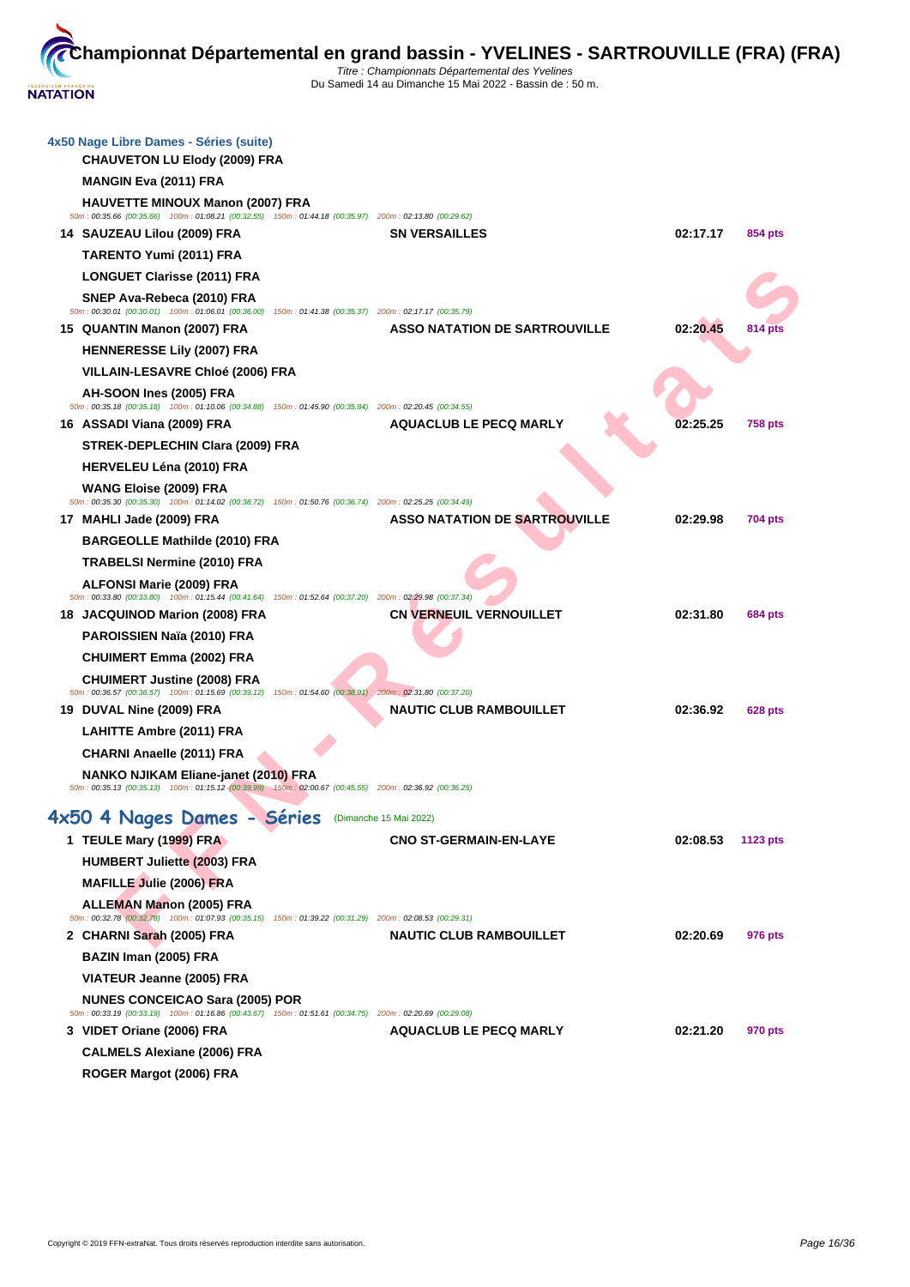| 4x50 Nage Libre Dames - Séries (suite)<br><b>CHAUVETON LU Elody (2009) FRA</b>                                                                            |                                      |          |                |
|-----------------------------------------------------------------------------------------------------------------------------------------------------------|--------------------------------------|----------|----------------|
| <b>MANGIN Eva (2011) FRA</b>                                                                                                                              |                                      |          |                |
| <b>HAUVETTE MINOUX Manon (2007) FRA</b><br>50m: 00:35.66 (00:35.66) 100m: 01:08.21 (00:32.55) 150m: 01:44.18 (00:35.97) 200m: 02:13.80 (00:29.62)         |                                      |          |                |
| 14 SAUZEAU Lilou (2009) FRA                                                                                                                               | <b>SN VERSAILLES</b>                 | 02:17.17 | 854 pts        |
| TARENTO Yumi (2011) FRA                                                                                                                                   |                                      |          |                |
| <b>LONGUET Clarisse (2011) FRA</b>                                                                                                                        |                                      |          |                |
| SNEP Ava-Rebeca (2010) FRA<br>50m: 00:30.01 (00:30.01) 100m: 01:06.01 (00:36.00) 150m: 01:41.38 (00:35.37) 200m: 02:17.17 (00:35.79)                      |                                      |          |                |
| 15 QUANTIN Manon (2007) FRA                                                                                                                               | <b>ASSO NATATION DE SARTROUVILLE</b> | 02:20.45 | 814 pts        |
| <b>HENNERESSE Lily (2007) FRA</b>                                                                                                                         |                                      |          |                |
| VILLAIN-LESAVRE Chloé (2006) FRA                                                                                                                          |                                      |          |                |
| AH-SOON Ines (2005) FRA<br>50m : 00:35.18 (00:35.18) 100m : 01:10.06 (00:34.88) 150m : 01:45.90 (00:35.84) 200m : 02:20.45 (00:34.55)                     |                                      |          |                |
| 16 ASSADI Viana (2009) FRA                                                                                                                                | <b>AQUACLUB LE PECQ MARLY</b>        | 02:25.25 | <b>758 pts</b> |
| STREK-DEPLECHIN Clara (2009) FRA                                                                                                                          |                                      |          |                |
| <b>HERVELEU Léna (2010) FRA</b>                                                                                                                           |                                      |          |                |
| <b>WANG Eloise (2009) FRA</b><br>50m: 00:35.30 (00:35.30) 100m: 01:14.02 (00:38.72) 150m: 01:50.76 (00:36.74) 200m: 02:25.25 (00:34.49)                   |                                      |          |                |
| 17 MAHLI Jade (2009) FRA                                                                                                                                  | <b>ASSO NATATION DE SARTROUVILLE</b> | 02:29.98 | 704 pts        |
| <b>BARGEOLLE Mathilde (2010) FRA</b>                                                                                                                      |                                      |          |                |
| <b>TRABELSI Nermine (2010) FRA</b>                                                                                                                        |                                      |          |                |
| ALFONSI Marie (2009) FRA<br>50m : 00:33.80 (00:33.80) 100m : 01:15.44 (00:41.64) 150m : 01:52.64 (00:37.20) 200m : 02:29.98 (00:37.34)                    |                                      |          |                |
| 18 JACQUINOD Marion (2008) FRA                                                                                                                            | <b>CN VERNEUIL VERNOUILLET</b>       | 02:31.80 | 684 pts        |
| <b>PAROISSIEN Naïa (2010) FRA</b>                                                                                                                         |                                      |          |                |
| <b>CHUIMERT Emma (2002) FRA</b>                                                                                                                           |                                      |          |                |
| <b>CHUIMERT Justine (2008) FRA</b><br>50m: 00:36.57 (00:36.57) 100m: 01:15.69 (00:39.12) 150m: 01:54.60 (00:38.91) 200m: 02:31.80 (00:37.20)              |                                      |          |                |
| 19 DUVAL Nine (2009) FRA                                                                                                                                  | <b>NAUTIC CLUB RAMBOUILLET</b>       | 02:36.92 | <b>628 pts</b> |
| <b>LAHITTE Ambre (2011) FRA</b>                                                                                                                           |                                      |          |                |
| <b>CHARNI Anaelle (2011) FRA</b>                                                                                                                          |                                      |          |                |
| <b>NANKO NJIKAM Eliane-janet (2010) FRA</b><br>50m : 00:35.13 (00:35.13) 100m : 01:15.12 (00:39.99) 150m : 02:00.67 (00:45.55) 200m : 02:36.92 (00:36.25) |                                      |          |                |
| 4x50 4 Nages Dames - Séries (Dimanche 15 Mai 2022)                                                                                                        |                                      |          |                |
| 1 TEULE Mary (1999) FRA                                                                                                                                   | <b>CNO ST-GERMAIN-EN-LAYE</b>        | 02:08.53 | 1123 pts       |
| <b>HUMBERT Juliette (2003) FRA</b>                                                                                                                        |                                      |          |                |
| MAFILLE Julie (2006) FRA                                                                                                                                  |                                      |          |                |
| <b>ALLEMAN Manon (2005) FRA</b><br>50m : 00:32.78 (00:32.78) 100m : 01:07.93 (00:35.15) 150m : 01:39.22 (00:31.29) 200m : 02:08.53 (00:29.31)             |                                      |          |                |
| 2 CHARNI Sarah (2005) FRA                                                                                                                                 | <b>NAUTIC CLUB RAMBOUILLET</b>       | 02:20.69 | 976 pts        |
| BAZIN Iman (2005) FRA                                                                                                                                     |                                      |          |                |
| VIATEUR Jeanne (2005) FRA                                                                                                                                 |                                      |          |                |
| <b>NUNES CONCEICAO Sara (2005) POR</b><br>50m: 00:33.19 (00:33.19) 100m: 01:16.86 (00:43.67) 150m: 01:51.61 (00:34.75) 200m: 02:20.69 (00:29.08)          |                                      |          |                |
| 3 VIDET Oriane (2006) FRA                                                                                                                                 | <b>AQUACLUB LE PECQ MARLY</b>        | 02:21.20 | 970 pts        |
| <b>CALMELS Alexiane (2006) FRA</b>                                                                                                                        |                                      |          |                |
| ROGER Margot (2006) FRA                                                                                                                                   |                                      |          |                |
|                                                                                                                                                           |                                      |          |                |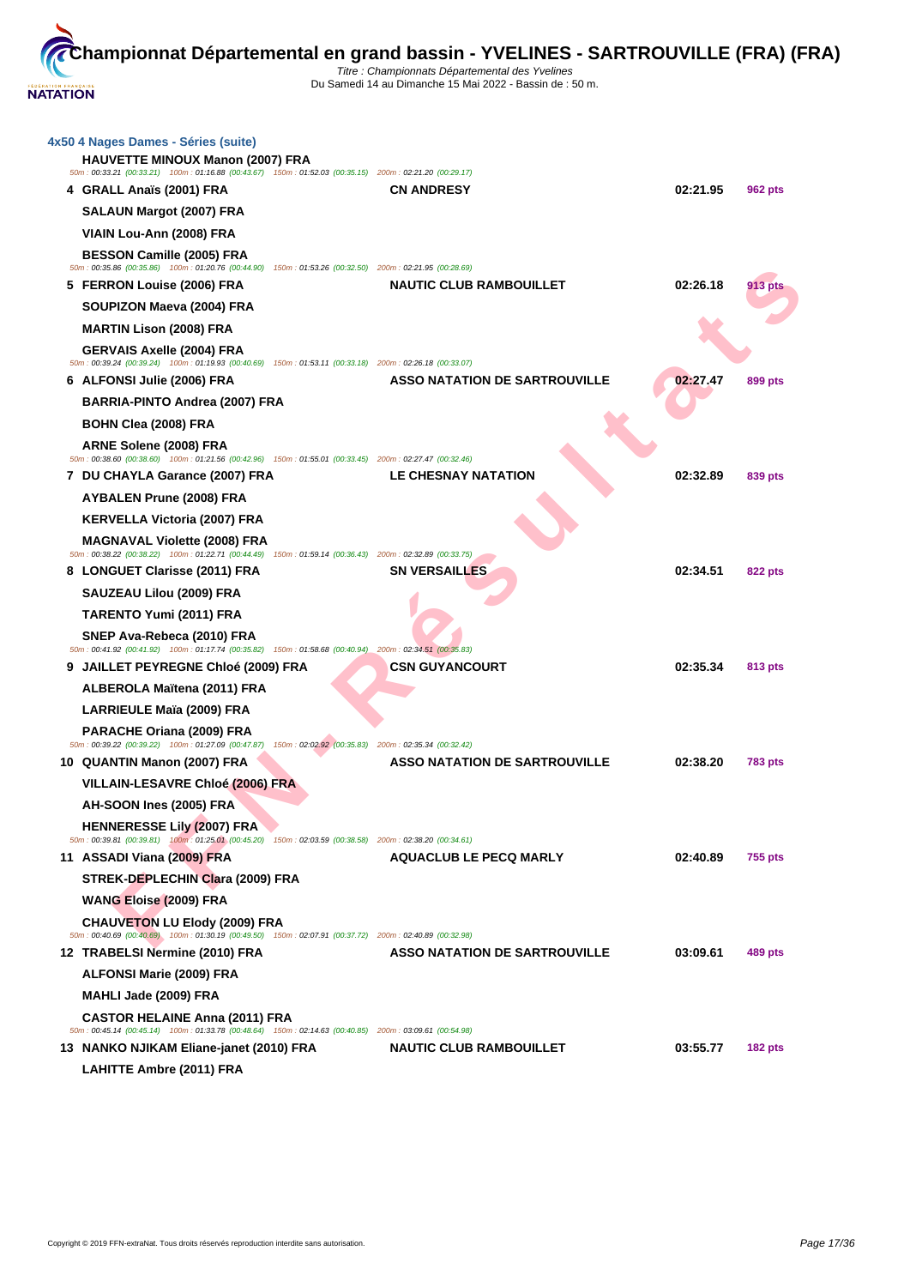| 4x50 4 Nages Dames - Séries (suite)<br><b>HAUVETTE MINOUX Manon (2007) FRA</b>                                                                      |                                      |          |                |
|-----------------------------------------------------------------------------------------------------------------------------------------------------|--------------------------------------|----------|----------------|
| 50m : 00:33.21 (00:33.21) 100m : 01:16.88 (00:43.67) 150m : 01:52.03 (00:35.15) 200m : 02:21.20 (00:29.17)<br>4 GRALL Anaïs (2001) FRA              | <b>CN ANDRESY</b>                    | 02:21.95 | 962 pts        |
| SALAUN Margot (2007) FRA                                                                                                                            |                                      |          |                |
| VIAIN Lou-Ann (2008) FRA                                                                                                                            |                                      |          |                |
| BESSON Camille (2005) FRA                                                                                                                           |                                      |          |                |
| 50m : 00:35.86 (00:35.86) 100m : 01:20.76 (00:44.90) 150m : 01:53.26 (00:32.50) 200m : 02:21.95 (00:28.69)                                          |                                      |          |                |
| 5  FERRON Louise (2006) FRA                                                                                                                         | <b>NAUTIC CLUB RAMBOUILLET</b>       | 02:26.18 | 913 pts        |
| SOUPIZON Maeva (2004) FRA                                                                                                                           |                                      |          |                |
| <b>MARTIN Lison (2008) FRA</b>                                                                                                                      |                                      |          |                |
| <b>GERVAIS Axelle (2004) FRA</b><br>50m : 00:39.24 (00:39.24) 100m : 01:19.93 (00:40.69) 150m : 01:53.11 (00:33.18) 200m : 02:26.18 (00:33.07)      |                                      |          |                |
| 6 ALFONSI Julie (2006) FRA                                                                                                                          | <b>ASSO NATATION DE SARTROUVILLE</b> | 02:27.47 | <b>899 pts</b> |
| BARRIA-PINTO Andrea (2007) FRA                                                                                                                      |                                      |          |                |
| BOHN Clea (2008) FRA                                                                                                                                |                                      |          |                |
| ARNE Solene (2008) FRA                                                                                                                              |                                      |          |                |
| 50m : 00:38.60 (00:38.60) 100m : 01:21.56 (00:42.96) 150m : 01:55.01 (00:33.45) 200m : 02:27.47 (00:32.46)<br>7 DU CHAYLA Garance (2007) FRA        | <b>LE CHESNAY NATATION</b>           | 02:32.89 | 839 pts        |
| AYBALEN Prune (2008) FRA                                                                                                                            |                                      |          |                |
| <b>KERVELLA Victoria (2007) FRA</b>                                                                                                                 |                                      |          |                |
| <b>MAGNAVAL Violette (2008) FRA</b>                                                                                                                 |                                      |          |                |
| 50m : 00:38.22 (00:38.22) 100m : 01:22.71 (00:44.49) 150m : 01:59.14 (00:36.43) 200m : 02:32.89 (00:33.75)<br>8 LONGUET Clarisse (2011) FRA         | <b>SN VERSAILLES</b>                 | 02:34.51 | 822 pts        |
| SAUZEAU Lilou (2009) FRA                                                                                                                            |                                      |          |                |
| TARENTO Yumi (2011) FRA                                                                                                                             |                                      |          |                |
| SNEP Ava-Rebeca (2010) FRA                                                                                                                          |                                      |          |                |
| 50m : 00:41.92 (00:41.92) 100m : 01:17.74 (00:35.82) 150m : 01:58.68 (00:40.94) 200m : 02:34.51 (00:35.83)                                          |                                      |          |                |
| 9 JAILLET PEYREGNE Chloé (2009) FRA                                                                                                                 | <b>CSN GUYANCOURT</b>                | 02:35.34 | 813 pts        |
| ALBEROLA Maïtena (2011) FRA                                                                                                                         |                                      |          |                |
| <b>LARRIEULE Maïa (2009) FRA</b>                                                                                                                    |                                      |          |                |
| PARACHE Oriana (2009) FRA<br>50m : 00:39.22 (00:39.22) 100m : 01:27.09 (00:47.87) 150m : 02:02.92 (00:35.83) 200m : 02:35.34 (00:32.42)             |                                      |          |                |
| 10 QUANTIN Manon (2007) FRA                                                                                                                         | <b>ASSO NATATION DE SARTROUVILLE</b> | 02:38.20 | <b>783 pts</b> |
| <b>VILLAIN-LESAVRE Chloé (2006) FRA</b>                                                                                                             |                                      |          |                |
| AH-SOON Ines (2005) FRA                                                                                                                             |                                      |          |                |
| <b>HENNERESSE Lily (2007) FRA</b><br>50m : 00:39.81 (00:39.81) 100m : 01:25.01 (00:45.20) 150m : 02:03.59 (00:38.58) 200m : 02:38.20 (00:34.61)     |                                      |          |                |
| 11 ASSADI Viana (2009) FRA                                                                                                                          | <b>AQUACLUB LE PECQ MARLY</b>        | 02:40.89 | 755 pts        |
| STREK-DEPLECHIN Clara (2009) FRA                                                                                                                    |                                      |          |                |
| <b>WANG Eloise (2009) FRA</b>                                                                                                                       |                                      |          |                |
| <b>CHAUVETON LU Elody (2009) FRA</b><br>50m: 00:40.69 (00:40.69) 100m: 01:30.19 (00:49.50) 150m: 02:07.91 (00:37.72) 200m: 02:40.89 (00:32.98)      |                                      |          |                |
| 12 TRABELSI Nermine (2010) FRA                                                                                                                      | ASSO NATATION DE SARTROUVILLE        | 03:09.61 | 489 pts        |
| <b>ALFONSI Marie (2009) FRA</b>                                                                                                                     |                                      |          |                |
| MAHLI Jade (2009) FRA                                                                                                                               |                                      |          |                |
| <b>CASTOR HELAINE Anna (2011) FRA</b><br>50m : 00:45.14 (00:45.14) 100m : 01:33.78 (00:48.64) 150m : 02:14.63 (00:40.85) 200m : 03:09.61 (00:54.98) |                                      |          |                |
| 13 NANKO NJIKAM Eliane-janet (2010) FRA                                                                                                             | <b>NAUTIC CLUB RAMBOUILLET</b>       | 03:55.77 | $182$ pts      |
| <b>LAHITTE Ambre (2011) FRA</b>                                                                                                                     |                                      |          |                |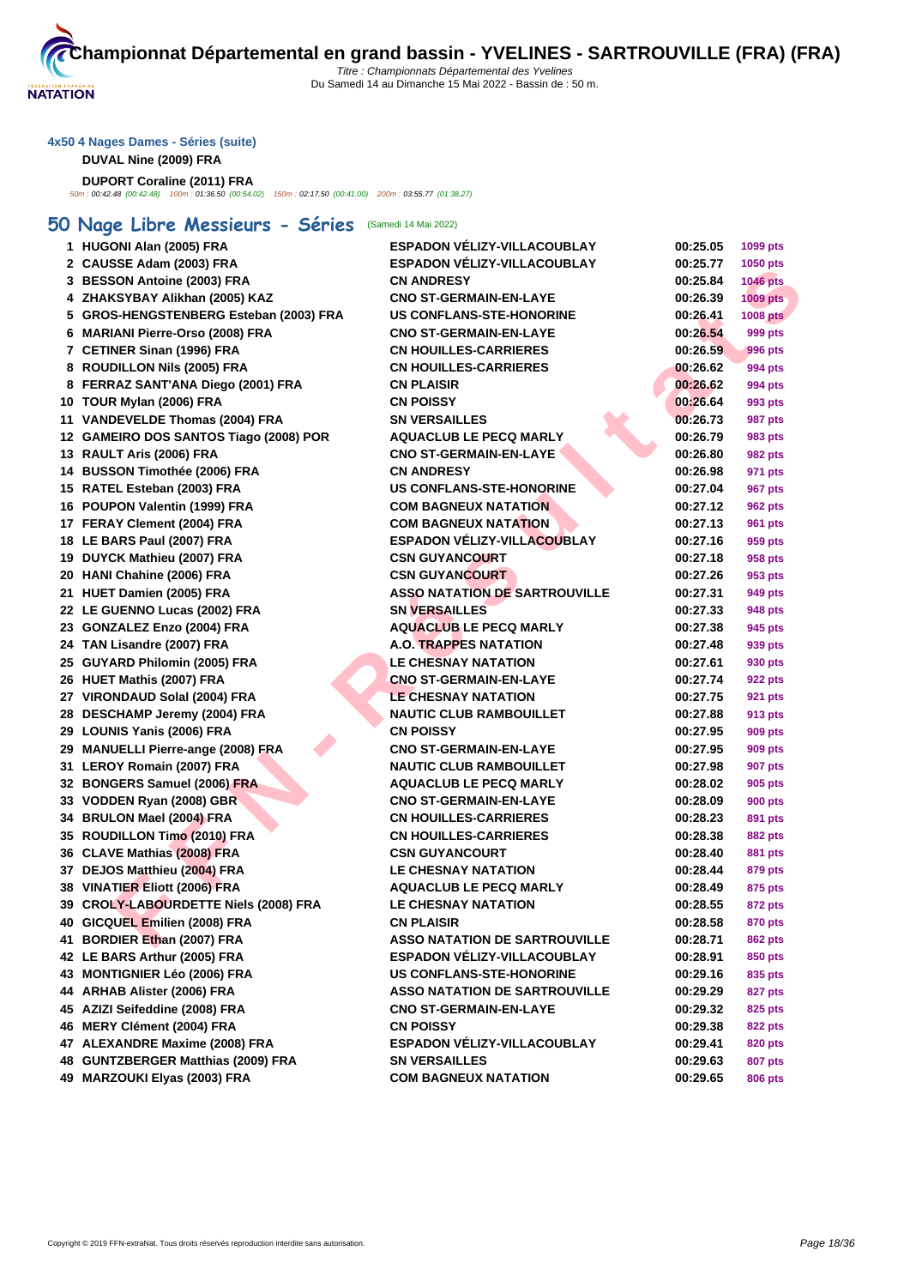

# **[4x50 4 Na](http://www.ffnatation.fr/webffn/index.php)ges Dames - Séries (suite)**

# **DUVAL Nine (2009) FRA**

**DUPORT Coraline (2011) FRA**<br>50m : 00:42.48 (00:42.48) 100m : 01:36.50 (00:54.02) 150m : 02:17.50 (00:41.00) 200m : 03:55.77 (01:38.27)

# **50 Nage Libre Messieurs - Séries** (Samedi 14 Mai 2022)

| 1 HUGONI Alan (2005) FRA               | ESPADON VÉLIZY-VILLACOUBLAY          | 00:25.05 | 1099 pts        |
|----------------------------------------|--------------------------------------|----------|-----------------|
| 2 CAUSSE Adam (2003) FRA               | ESPADON VÉLIZY-VILLACOUBLAY          | 00:25.77 | 1050 pts        |
| 3 BESSON Antoine (2003) FRA            | <b>CN ANDRESY</b>                    | 00:25.84 | <b>1046 pts</b> |
| 4 ZHAKSYBAY Alikhan (2005) KAZ         | <b>CNO ST-GERMAIN-EN-LAYE</b>        | 00:26.39 | $1009$ pts      |
| 5 GROS-HENGSTENBERG Esteban (2003) FRA | <b>US CONFLANS-STE-HONORINE</b>      | 00:26.41 | <b>1008 pts</b> |
| 6 MARIANI Pierre-Orso (2008) FRA       | <b>CNO ST-GERMAIN-EN-LAYE</b>        | 00:26.54 | 999 pts         |
| 7 CETINER Sinan (1996) FRA             | <b>CN HOUILLES-CARRIERES</b>         | 00:26.59 | <b>996 pts</b>  |
| 8 ROUDILLON Nils (2005) FRA            | <b>CN HOUILLES-CARRIERES</b>         | 00:26.62 | 994 pts         |
| 8 FERRAZ SANT'ANA Diego (2001) FRA     | <b>CN PLAISIR</b>                    | 00:26.62 | 994 pts         |
| 10 TOUR Mylan (2006) FRA               | <b>CN POISSY</b>                     | 00:26.64 | 993 pts         |
| 11 VANDEVELDE Thomas (2004) FRA        | <b>SN VERSAILLES</b>                 | 00:26.73 | 987 pts         |
| 12 GAMEIRO DOS SANTOS Tiago (2008) POR | <b>AQUACLUB LE PECQ MARLY</b>        | 00:26.79 | 983 pts         |
| 13 RAULT Aris (2006) FRA               | <b>CNO ST-GERMAIN-EN-LAYE</b>        | 00:26.80 | <b>982 pts</b>  |
| 14 BUSSON Timothée (2006) FRA          | <b>CN ANDRESY</b>                    | 00:26.98 | 971 pts         |
| 15 RATEL Esteban (2003) FRA            | <b>US CONFLANS-STE-HONORINE</b>      | 00:27.04 | 967 pts         |
| 16 POUPON Valentin (1999) FRA          | <b>COM BAGNEUX NATATION</b>          | 00:27.12 | <b>962 pts</b>  |
| 17 FERAY Clement (2004) FRA            | <b>COM BAGNEUX NATATION</b>          | 00:27.13 | 961 pts         |
| 18 LE BARS Paul (2007) FRA             | <b>ESPADON VÉLIZY-VILLACOUBLAY</b>   | 00:27.16 | 959 pts         |
| 19 DUYCK Mathieu (2007) FRA            | <b>CSN GUYANCOURT</b>                | 00:27.18 | 958 pts         |
| 20 HANI Chahine (2006) FRA             | <b>CSN GUYANCOURT</b>                | 00:27.26 | 953 pts         |
| 21 HUET Damien (2005) FRA              | <b>ASSO NATATION DE SARTROUVILLE</b> | 00:27.31 | 949 pts         |
| 22 LE GUENNO Lucas (2002) FRA          | <b>SN VERSAILLES</b>                 | 00:27.33 | 948 pts         |
| 23 GONZALEZ Enzo (2004) FRA            | <b>AQUACLUB LE PECQ MARLY</b>        | 00:27.38 | 945 pts         |
| 24 TAN Lisandre (2007) FRA             | <b>A.O. TRAPPES NATATION</b>         | 00:27.48 | 939 pts         |
| 25 GUYARD Philomin (2005) FRA          | <b>LE CHESNAY NATATION</b>           | 00:27.61 | 930 pts         |
| 26 HUET Mathis (2007) FRA              | <b>CNO ST-GERMAIN-EN-LAYE</b>        | 00:27.74 | 922 pts         |
| 27 VIRONDAUD Solal (2004) FRA          | <b>LE CHESNAY NATATION</b>           | 00:27.75 | 921 pts         |
| 28 DESCHAMP Jeremy (2004) FRA          | <b>NAUTIC CLUB RAMBOUILLET</b>       | 00:27.88 | 913 pts         |
| 29 LOUNIS Yanis (2006) FRA             | <b>CN POISSY</b>                     | 00:27.95 | 909 pts         |
| 29 MANUELLI Pierre-ange (2008) FRA     | <b>CNO ST-GERMAIN-EN-LAYE</b>        | 00:27.95 | 909 pts         |
| 31 LEROY Romain (2007) FRA             | <b>NAUTIC CLUB RAMBOUILLET</b>       | 00:27.98 | 907 pts         |
| 32 BONGERS Samuel (2006) FRA           | <b>AQUACLUB LE PECQ MARLY</b>        | 00:28.02 | 905 pts         |
| 33 VODDEN Ryan (2008) GBR              | <b>CNO ST-GERMAIN-EN-LAYE</b>        | 00:28.09 | <b>900 pts</b>  |
| 34 BRULON Mael (2004) FRA              | <b>CN HOUILLES-CARRIERES</b>         | 00:28.23 | 891 pts         |
| 35 ROUDILLON Timo (2010) FRA           | <b>CN HOUILLES-CARRIERES</b>         | 00:28.38 | 882 pts         |
| 36 CLAVE Mathias (2008) FRA            | <b>CSN GUYANCOURT</b>                | 00:28.40 | 881 pts         |
| 37 DEJOS Matthieu (2004) FRA           | <b>LE CHESNAY NATATION</b>           | 00:28.44 | 879 pts         |
| 38 VINATIER Eliott (2006) FRA          | <b>AQUACLUB LE PECQ MARLY</b>        | 00:28.49 | 875 pts         |
| 39 CROLY-LABOURDETTE Niels (2008) FRA  | <b>LE CHESNAY NATATION</b>           | 00:28.55 | 872 pts         |
| 40 GICQUEL Emilien (2008) FRA          | CN PLAISIR                           | 00:28.58 | <b>870 pts</b>  |
| 41 BORDIER Ethan (2007) FRA            | <b>ASSO NATATION DE SARTROUVILLE</b> | 00:28.71 | <b>862 pts</b>  |
| 42 LE BARS Arthur (2005) FRA           | <b>ESPADON VELIZY-VILLACOUBLAY</b>   | 00:28.91 | 850 pts         |
| 43 MONTIGNIER Léo (2006) FRA           | <b>US CONFLANS-STE-HONORINE</b>      | 00:29.16 | 835 pts         |
| 44 ARHAB Alister (2006) FRA            | <b>ASSO NATATION DE SARTROUVILLE</b> | 00:29.29 | 827 pts         |
| 45 AZIZI Seifeddine (2008) FRA         | <b>CNO ST-GERMAIN-EN-LAYE</b>        | 00:29.32 | 825 pts         |
| 46 MERY Clément (2004) FRA             | <b>CN POISSY</b>                     | 00:29.38 | 822 pts         |
| 47 ALEXANDRE Maxime (2008) FRA         | <b>ESPADON VÉLIZY-VILLACOUBLAY</b>   | 00:29.41 | 820 pts         |
| 48 GUNTZBERGER Matthias (2009) FRA     | <b>SN VERSAILLES</b>                 | 00:29.63 | <b>807 pts</b>  |
| 49 MARZOUKI Elyas (2003) FRA           | <b>COM BAGNEUX NATATION</b>          | 00:29.65 | 806 pts         |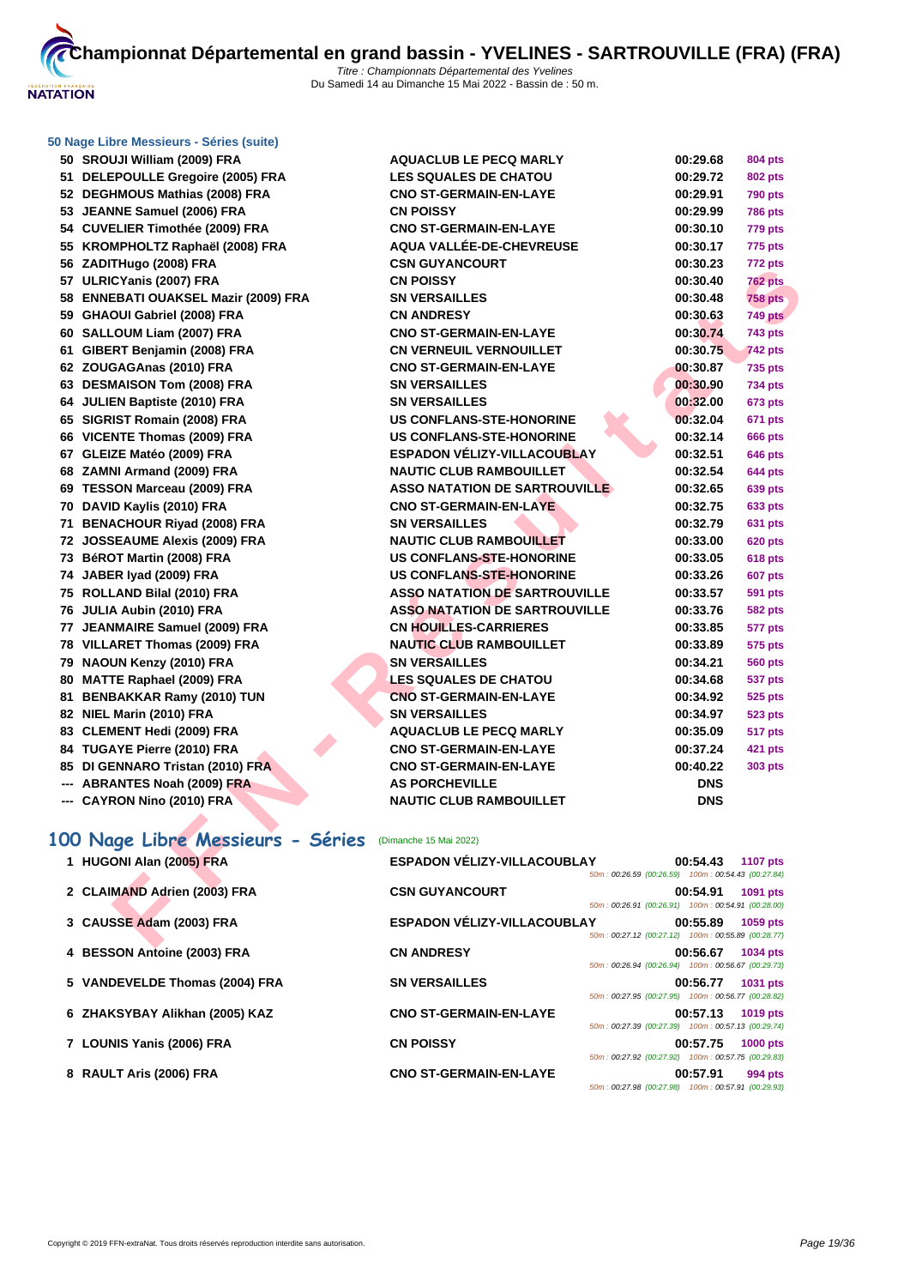

#### **[50 Nage L](http://www.ffnatation.fr/webffn/index.php)ibre Messieurs - Séries (suite)**

| 50 SROUJI William (2009) FRA<br><b>AQUACLUB LE PECQ MARLY</b>        | 00:29.68                                                       | 804 pts         |
|----------------------------------------------------------------------|----------------------------------------------------------------|-----------------|
| 51 DELEPOULLE Gregoire (2005) FRA<br><b>LES SQUALES DE CHATOU</b>    | 00:29.72                                                       | 802 pts         |
| 52 DEGHMOUS Mathias (2008) FRA<br><b>CNO ST-GERMAIN-EN-LAYE</b>      | 00:29.91                                                       | <b>790 pts</b>  |
| 53 JEANNE Samuel (2006) FRA<br><b>CN POISSY</b>                      | 00:29.99                                                       | <b>786 pts</b>  |
| 54 CUVELIER Timothée (2009) FRA<br><b>CNO ST-GERMAIN-EN-LAYE</b>     | 00:30.10                                                       | 779 pts         |
| <b>AQUA VALLÉE-DE-CHEVREUSE</b><br>55 KROMPHOLTZ Raphaël (2008) FRA  | 00:30.17                                                       | <b>775 pts</b>  |
| 56 ZADITHugo (2008) FRA<br><b>CSN GUYANCOURT</b>                     | 00:30.23                                                       | 772 pts         |
| 57 ULRICYanis (2007) FRA<br><b>CN POISSY</b>                         | 00:30.40                                                       | <b>762 pts</b>  |
| 58 ENNEBATI OUAKSEL Mazir (2009) FRA<br><b>SN VERSAILLES</b>         | 00:30.48                                                       | <b>758 pts</b>  |
| 59 GHAOUI Gabriel (2008) FRA<br><b>CN ANDRESY</b>                    | 00:30.63                                                       | 749 pts         |
| <b>CNO ST-GERMAIN-EN-LAYE</b><br>60 SALLOUM Liam (2007) FRA          | 00:30.74                                                       | <b>743 pts</b>  |
| 61 GIBERT Benjamin (2008) FRA<br><b>CN VERNEUIL VERNOUILLET</b>      | 00:30.75                                                       | <b>742 pts</b>  |
| 62 ZOUGAGAnas (2010) FRA<br><b>CNO ST-GERMAIN-EN-LAYE</b>            | 00:30.87                                                       | <b>735 pts</b>  |
| 63 DESMAISON Tom (2008) FRA<br><b>SN VERSAILLES</b>                  | 00:30.90                                                       | <b>734 pts</b>  |
| 64 JULIEN Baptiste (2010) FRA<br><b>SN VERSAILLES</b>                | 00:32.00                                                       | <b>673 pts</b>  |
| 65 SIGRIST Romain (2008) FRA<br><b>US CONFLANS-STE-HONORINE</b>      | 00:32.04                                                       | 671 pts         |
| 66 VICENTE Thomas (2009) FRA<br><b>US CONFLANS-STE-HONORINE</b>      | 00:32.14                                                       | 666 pts         |
| <b>ESPADON VÉLIZY-VILLACOUBLAY</b><br>67 GLEIZE Matéo (2009) FRA     | 00:32.51                                                       | 646 pts         |
| 68 ZAMNI Armand (2009) FRA<br><b>NAUTIC CLUB RAMBOUILLET</b>         | 00:32.54                                                       | 644 pts         |
| 69 TESSON Marceau (2009) FRA<br><b>ASSO NATATION DE SARTROUVILLE</b> | 00:32.65                                                       | 639 pts         |
| 70 DAVID Kaylis (2010) FRA<br><b>CNO ST-GERMAIN-EN-LAYE</b>          | 00:32.75                                                       | 633 pts         |
| 71 BENACHOUR Riyad (2008) FRA<br><b>SN VERSAILLES</b>                | 00:32.79                                                       | <b>631 pts</b>  |
| 72 JOSSEAUME Alexis (2009) FRA<br><b>NAUTIC CLUB RAMBOUILLET</b>     | 00:33.00                                                       | <b>620 pts</b>  |
| 73 BéROT Martin (2008) FRA<br><b>US CONFLANS-STE-HONORINE</b>        | 00:33.05                                                       | <b>618 pts</b>  |
| 74 JABER Iyad (2009) FRA<br><b>US CONFLANS-STE-HONORINE</b>          | 00:33.26                                                       | <b>607 pts</b>  |
| 75 ROLLAND Bilal (2010) FRA<br><b>ASSO NATATION DE SARTROUVILLE</b>  | 00:33.57                                                       | <b>591 pts</b>  |
| 76 JULIA Aubin (2010) FRA<br><b>ASSO NATATION DE SARTROUVILLE</b>    | 00:33.76                                                       | 582 pts         |
| 77 JEANMAIRE Samuel (2009) FRA<br><b>CN HOUILLES-CARRIERES</b>       | 00:33.85                                                       | 577 pts         |
| 78 VILLARET Thomas (2009) FRA<br><b>NAUTIC CLUB RAMBOUILLET</b>      | 00:33.89                                                       | 575 pts         |
| 79 NAOUN Kenzy (2010) FRA<br><b>SN VERSAILLES</b>                    | 00:34.21                                                       | <b>560 pts</b>  |
| 80 MATTE Raphael (2009) FRA<br><b>LES SQUALES DE CHATOU</b>          | 00:34.68                                                       | <b>537 pts</b>  |
| 81 BENBAKKAR Ramy (2010) TUN<br><b>CNO ST-GERMAIN-EN-LAYE</b>        | 00:34.92                                                       | 525 pts         |
| 82 NIEL Marin (2010) FRA<br><b>SN VERSAILLES</b>                     | 00:34.97                                                       | <b>523 pts</b>  |
| 83 CLEMENT Hedi (2009) FRA<br><b>AQUACLUB LE PECQ MARLY</b>          | 00:35.09                                                       | 517 pts         |
| 84 TUGAYE Pierre (2010) FRA<br><b>CNO ST-GERMAIN-EN-LAYE</b>         | 00:37.24                                                       | <b>421 pts</b>  |
| 85 DI GENNARO Tristan (2010) FRA<br><b>CNO ST-GERMAIN-EN-LAYE</b>    | 00:40.22                                                       | 303 pts         |
| --- ABRANTES Noah (2009) FRA<br><b>AS PORCHEVILLE</b>                | <b>DNS</b>                                                     |                 |
| --- CAYRON Nino (2010) FRA<br><b>NAUTIC CLUB RAMBOUILLET</b>         | <b>DNS</b>                                                     |                 |
|                                                                      |                                                                |                 |
| 100 Nage Libre Messieurs - Séries<br>(Dimanche 15 Mai 2022)          |                                                                |                 |
| ESPADON VÉLIZY-VILLACOUBLAY                                          |                                                                |                 |
| 1 HUGONI Alan (2005) FRA                                             | 00:54.43<br>50m: 00:26.59 (00:26.59) 100m: 00:54.43 (00:27.84) | <b>1107 pts</b> |
| 2 CLAIMAND Adrien (2003) FRA<br><b>CSN GUYANCOURT</b>                | 00:54.91                                                       | 1091 pts        |
|                                                                      | 50m: 00:26.91 (00:26.91) 100m: 00:54.91 (00:28.00)             |                 |
| ESPADON VÉLIZY-VILLACOUBLAY<br>3 CAUSSE Adam (2003) FRA              | 00:55.89                                                       | 1059 pts        |
|                                                                      | 50m: 00:27.12 (00:27.12) 100m: 00:55.89 (00:28.77)             |                 |

# **100 Nage Libre Messieurs - Séries** (Dimanche 15 Mai 2022)

| 1 HUGONI Alan (2005) FRA       | <b>ESPADON VÉLIZY-VILLACOUBLAY</b> |                                                    | 00:54.43 | 1107 pts        |
|--------------------------------|------------------------------------|----------------------------------------------------|----------|-----------------|
|                                |                                    | 50m: 00:26.59 (00:26.59) 100m: 00:54.43 (00:27.84) |          |                 |
| 2 CLAIMAND Adrien (2003) FRA   | <b>CSN GUYANCOURT</b>              |                                                    | 00:54.91 | 1091 pts        |
|                                |                                    | 50m: 00:26.91 (00:26.91) 100m: 00:54.91 (00:28.00) |          |                 |
| 3 CAUSSE Adam (2003) FRA       | <b>ESPADON VÉLIZY-VILLACOUBLAY</b> |                                                    | 00:55.89 | 1059 pts        |
|                                |                                    | 50m: 00:27.12 (00:27.12) 100m: 00:55.89 (00:28.77) |          |                 |
| 4 BESSON Antoine (2003) FRA    | <b>CN ANDRESY</b>                  |                                                    | 00:56.67 | 1034 pts        |
|                                |                                    | 50m: 00:26.94 (00:26.94) 100m: 00:56.67 (00:29.73) |          |                 |
| 5 VANDEVELDE Thomas (2004) FRA | <b>SN VERSAILLES</b>               |                                                    | 00:56.77 | 1031 pts        |
|                                |                                    | 50m: 00:27.95 (00:27.95) 100m: 00:56.77 (00:28.82) |          |                 |
| 6 ZHAKSYBAY Alikhan (2005) KAZ | <b>CNO ST-GERMAIN-EN-LAYE</b>      |                                                    | 00:57.13 | 1019 pts        |
|                                |                                    | 50m: 00:27.39 (00:27.39) 100m: 00:57.13 (00:29.74) |          |                 |
| 7 LOUNIS Yanis (2006) FRA      | <b>CN POISSY</b>                   |                                                    | 00:57.75 | <b>1000 pts</b> |
|                                |                                    | 50m: 00:27.92 (00:27.92) 100m: 00:57.75 (00:29.83) |          |                 |
| 8 RAULT Aris (2006) FRA        | <b>CNO ST-GERMAIN-EN-LAYE</b>      |                                                    | 00:57.91 | 994 pts         |
|                                |                                    | 50m: 00:27.98 (00:27.98) 100m: 00:57.91 (00:29.93) |          |                 |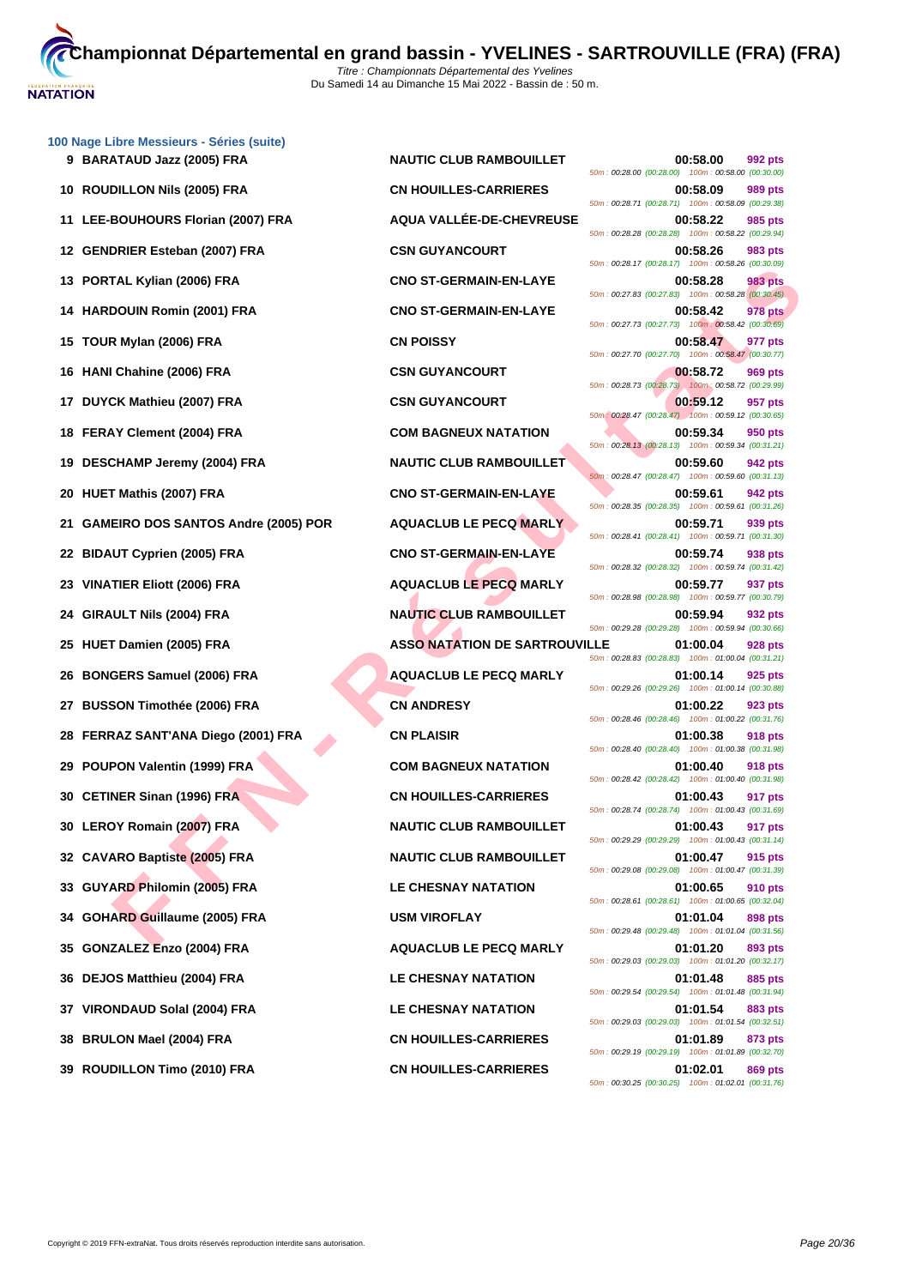

|    | 100 Nage Libre Messieurs - Séries (suite)<br>9 BARATAUD Jazz (2005) FRA | <b>NAUTIC CLUB RAMBOUILLET</b>       | 00:58.00<br>992 pts                                                              |
|----|-------------------------------------------------------------------------|--------------------------------------|----------------------------------------------------------------------------------|
|    |                                                                         |                                      | 50m: 00:28.00 (00:28.00) 100m: 00:58.00 (00:30.00)                               |
|    | 10 ROUDILLON Nils (2005) FRA                                            | <b>CN HOUILLES-CARRIERES</b>         | 00:58.09<br>989 pts<br>50m: 00:28.71 (00:28.71) 100m: 00:58.09 (00:29.38)        |
| 11 | LEE-BOUHOURS Florian (2007) FRA                                         | AQUA VALLÉE-DE-CHEVREUSE             | 00:58.22<br>985 pts<br>50m: 00:28.28 (00:28.28) 100m: 00:58.22 (00:29.94)        |
|    | 12 GENDRIER Esteban (2007) FRA                                          | <b>CSN GUYANCOURT</b>                | 00:58.26<br>983 pts<br>50m: 00:28.17 (00:28.17) 100m: 00:58.26 (00:30.09)        |
| 13 | PORTAL Kylian (2006) FRA                                                | <b>CNO ST-GERMAIN-EN-LAYE</b>        | 00:58.28<br>983 pts<br>50m: 00:27.83 (00:27.83) 100m: 00:58.28 (00:30.45)        |
| 14 | <b>HARDOUIN Romin (2001) FRA</b>                                        | <b>CNO ST-GERMAIN-EN-LAYE</b>        | 00:58.42<br>978 pts<br>50m: 00:27.73 (00:27.73) 100m: 00:58.42 (00:30.69)        |
| 15 | TOUR Mylan (2006) FRA                                                   | <b>CN POISSY</b>                     | 00:58.47<br>977 pts<br>50m: 00:27.70 (00:27.70) 100m: 00:58.47 (00:30.77)        |
| 16 | HANI Chahine (2006) FRA                                                 | <b>CSN GUYANCOURT</b>                | 00:58.72<br>969 pts<br>50m: 00:28.73 (00:28.73) 100m: 00:58.72 (00:29.99)        |
| 17 | DUYCK Mathieu (2007) FRA                                                | <b>CSN GUYANCOURT</b>                | 00:59.12<br>957 pts<br>50m: 00:28.47 (00:28.47) 100m: 00:59.12 (00:30.65)        |
|    | 18 FERAY Clement (2004) FRA                                             | <b>COM BAGNEUX NATATION</b>          | 00:59.34<br>950 pts<br>50m: 00:28.13 (00:28.13) 100m: 00:59.34 (00:31.21)        |
| 19 | DESCHAMP Jeremy (2004) FRA                                              | <b>NAUTIC CLUB RAMBOUILLET</b>       | 00:59.60<br>942 pts<br>50m: 00:28.47 (00:28.47) 100m: 00:59.60 (00:31.13)        |
| 20 | HUET Mathis (2007) FRA                                                  | <b>CNO ST-GERMAIN-EN-LAYE</b>        | 00:59.61<br>942 pts<br>50m: 00:28.35 (00:28.35) 100m: 00:59.61 (00:31.26)        |
| 21 | <b>GAMEIRO DOS SANTOS Andre (2005) POR</b>                              | <b>AQUACLUB LE PECQ MARLY</b>        | 00:59.71<br>939 pts<br>50m: 00:28.41 (00:28.41) 100m: 00:59.71 (00:31.30)        |
|    | 22 BIDAUT Cyprien (2005) FRA                                            | <b>CNO ST-GERMAIN-EN-LAYE</b>        | 00:59.74<br>938 pts<br>50m: 00:28.32 (00:28.32) 100m: 00:59.74 (00:31.42)        |
| 23 | <b>VINATIER Eliott (2006) FRA</b>                                       | <b>AQUACLUB LE PECQ MARLY</b>        | 00:59.77<br>937 pts<br>50m: 00:28.98 (00:28.98) 100m: 00:59.77 (00:30.79)        |
| 24 | GIRAULT Nils (2004) FRA                                                 | <b>NAUTIC CLUB RAMBOUILLET</b>       | 00:59.94<br>932 pts<br>50m: 00:29.28 (00:29.28) 100m: 00:59.94 (00:30.66)        |
|    | 25 HUET Damien (2005) FRA                                               | <b>ASSO NATATION DE SARTROUVILLE</b> | 01:00.04<br>928 pts<br>50m: 00:28.83 (00:28.83) 100m: 01:00.04 (00:31.21)        |
| 26 | <b>BONGERS Samuel (2006) FRA</b>                                        | <b>AQUACLUB LE PECQ MARLY</b>        | 01:00.14<br>925 pts<br>50m: 00:29.26 (00:29.26) 100m: 01:00.14 (00:30.88)        |
| 27 | <b>BUSSON Timothée (2006) FRA</b>                                       | <b>CN ANDRESY</b>                    | 01:00.22<br>923 pts<br>50m: 00:28.46 (00:28.46) 100m: 01:00.22 (00:31.76)        |
| 28 | FERRAZ SANT'ANA Diego (2001) FRA                                        | <b>CN PLAISIR</b>                    | 01:00.38<br><b>918 pts</b><br>50m: 00:28.40 (00:28.40) 100m: 01:00.38 (00:31.98) |
| 29 | POUPON Valentin (1999) FRA                                              | <b>COM BAGNEUX NATATION</b>          | 01:00.40<br>918 pts                                                              |
|    | 30 CETINER Sinan (1996) FRA                                             | <b>CN HOUILLES-CARRIERES</b>         | 50m: 00:28.42 (00:28.42) 100m: 01:00.40 (00:31.98)<br>01:00.43<br>917 pts        |
|    | 30 LEROY Romain (2007) FRA                                              | <b>NAUTIC CLUB RAMBOUILLET</b>       | 50m: 00:28.74 (00:28.74) 100m: 01:00.43 (00:31.69)<br>917 pts<br>01:00.43        |
|    | 32 CAVARO Baptiste (2005) FRA                                           | <b>NAUTIC CLUB RAMBOUILLET</b>       | 50m: 00:29.29 (00:29.29) 100m: 01:00.43 (00:31.14)<br>01:00.47<br>915 pts        |
| 33 | GUYARD Philomin (2005) FRA                                              | <b>LE CHESNAY NATATION</b>           | 50m: 00:29.08 (00:29.08) 100m: 01:00.47 (00:31.39)<br>01:00.65<br>910 pts        |
| 34 | GOHARD Guillaume (2005) FRA                                             | <b>USM VIROFLAY</b>                  | 50m: 00:28.61 (00:28.61) 100m: 01:00.65 (00:32.04)<br>01:01.04<br>898 pts        |
| 35 | <b>GONZALEZ Enzo (2004) FRA</b>                                         | <b>AQUACLUB LE PECQ MARLY</b>        | 50m: 00:29.48 (00:29.48) 100m: 01:01.04 (00:31.56)<br>01:01.20<br>893 pts        |
| 36 | <b>DEJOS Matthieu (2004) FRA</b>                                        | LE CHESNAY NATATION                  | 50m: 00:29.03 (00:29.03) 100m: 01:01.20 (00:32.17)<br>01:01.48<br>885 pts        |
| 37 | VIRONDAUD Solal (2004) FRA                                              | <b>LE CHESNAY NATATION</b>           | 50m: 00:29.54 (00:29.54) 100m: 01:01.48 (00:31.94)<br>01:01.54<br>883 pts        |
|    | 38 BRULON Mael (2004) FRA                                               | <b>CN HOUILLES-CARRIERES</b>         | 50m: 00:29.03 (00:29.03) 100m: 01:01.54 (00:32.51)<br>01:01.89<br>873 pts        |
|    | 39 ROUDILLON Timo (2010) FRA                                            | <b>CN HOUILLES-CARRIERES</b>         | 50m: 00:29.19 (00:29.19) 100m: 01:01.89 (00:32.70)<br>01:02.01<br>869 pts        |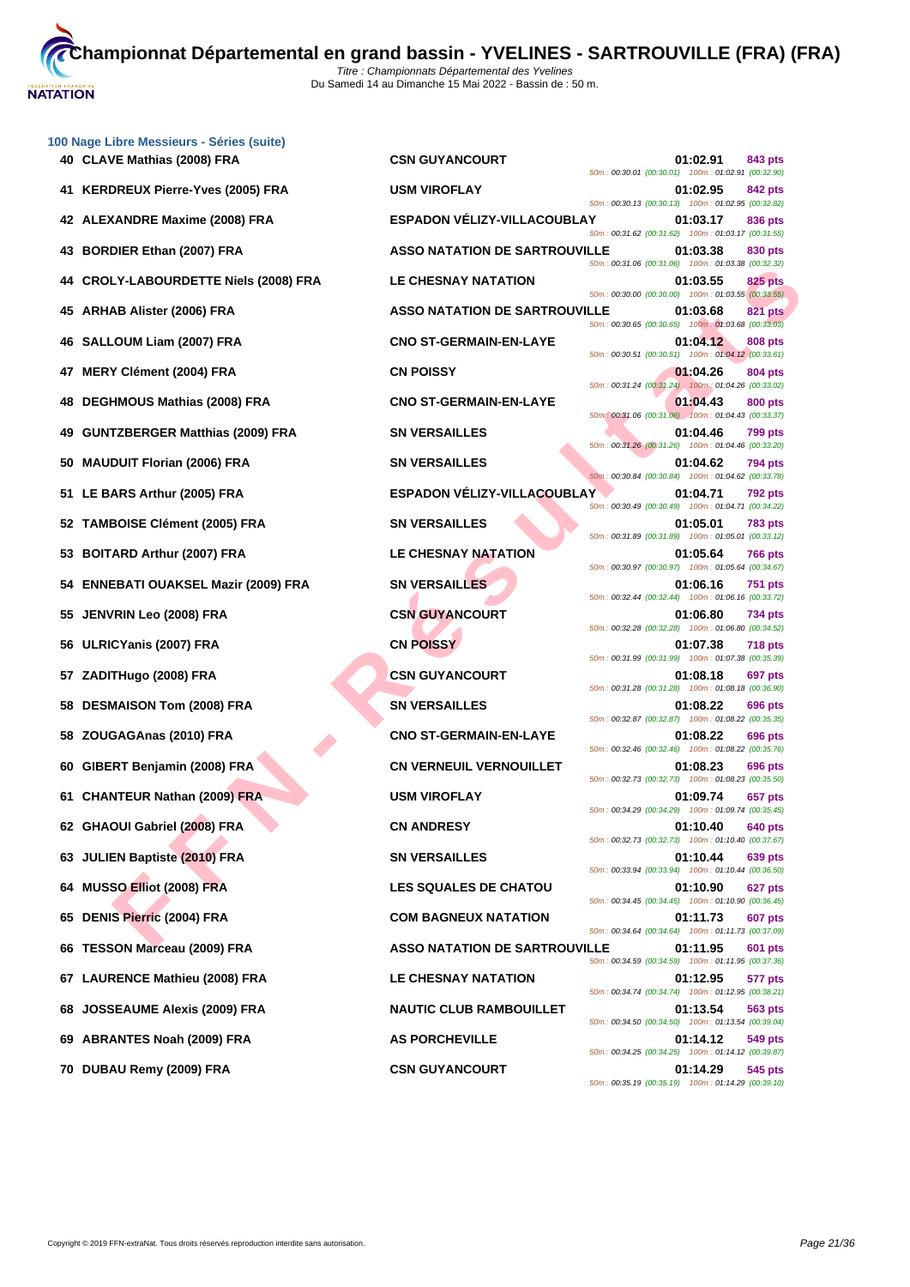

| 100 Nage Libre Messieurs - Séries (suite)<br>40 CLAVE Mathias (2008) FRA | <b>CSN GUYANCOURT</b>                | 01:02.91<br>843 pts<br>50m: 00:30.01 (00:30.01) 100m: 01:02.91 (00:32.90)        |
|--------------------------------------------------------------------------|--------------------------------------|----------------------------------------------------------------------------------|
| <b>KERDREUX Pierre-Yves (2005) FRA</b><br>41                             | <b>USM VIROFLAY</b>                  | 01:02.95<br>842 pts<br>50m: 00:30.13 (00:30.13) 100m: 01:02.95 (00:32.82)        |
| 42 ALEXANDRE Maxime (2008) FRA                                           | ESPADON VÉLIZY-VILLACOUBLAY          | 01:03.17<br>836 pts<br>50m: 00:31.62 (00:31.62) 100m: 01:03.17 (00:31.55)        |
| <b>BORDIER Ethan (2007) FRA</b><br>43                                    | <b>ASSO NATATION DE SARTROUVILLE</b> | 01:03.38<br>830 pts<br>50m: 00:31.06 (00:31.06) 100m: 01:03.38 (00:32.32)        |
| <b>CROLY-LABOURDETTE Niels (2008) FRA</b><br>44                          | <b>LE CHESNAY NATATION</b>           | 01:03.55<br>825 pts<br>50m: 00:30.00 (00:30.00) 100m: 01:03.55 (00:33.55)        |
| <b>ARHAB Alister (2006) FRA</b><br>45                                    | <b>ASSO NATATION DE SARTROUVILLE</b> | 01:03.68<br><b>821 pts</b><br>50m: 00:30.65 (00:30.65) 100m: 01:03.68 (00:33.03) |
| SALLOUM Liam (2007) FRA<br>46                                            | <b>CNO ST-GERMAIN-EN-LAYE</b>        | 01:04.12<br>808 pts<br>50m: 00:30.51 (00:30.51) 100m: 01:04.12 (00:33.61)        |
| MERY Clément (2004) FRA<br>47                                            | <b>CN POISSY</b>                     | 01:04.26<br>804 pts<br>50m: 00:31.24 (00:31.24) 100m: 01:04.26 (00:33.02)        |
| <b>DEGHMOUS Mathias (2008) FRA</b><br>48                                 | <b>CNO ST-GERMAIN-EN-LAYE</b>        | 01:04.43<br>800 pts<br>50m: 00:31.06 (00:31.06) 100m: 01:04.43 (00:33.37)        |
| <b>GUNTZBERGER Matthias (2009) FRA</b><br>49                             | <b>SN VERSAILLES</b>                 | 01:04.46<br><b>799 pts</b><br>50m: 00:31.26 (00:31.26) 100m: 01:04.46 (00:33.20) |
| <b>MAUDUIT Florian (2006) FRA</b><br>50                                  | <b>SN VERSAILLES</b>                 | 01:04.62<br>794 pts<br>50m: 00:30.84 (00:30.84) 100m: 01:04.62 (00:33.78)        |
| 51 LE BARS Arthur (2005) FRA                                             | ESPADON VÉLIZY-VILLACOUBLAY          | 01:04.71<br><b>792 pts</b><br>50m: 00:30.49 (00:30.49) 100m: 01:04.71 (00:34.22) |
| 52 TAMBOISE Clément (2005) FRA                                           | <b>SN VERSAILLES</b>                 | 01:05.01<br><b>783 pts</b><br>50m: 00:31.89 (00:31.89) 100m: 01:05.01 (00:33.12) |
| <b>BOITARD Arthur (2007) FRA</b><br>53                                   | LE CHESNAY NATATION                  | 01:05.64<br><b>766 pts</b><br>50m: 00:30.97 (00:30.97) 100m: 01:05.64 (00:34.67) |
| <b>ENNEBATI OUAKSEL Mazir (2009) FRA</b><br>54                           | <b>SN VERSAILLES</b>                 | 01:06.16<br>751 pts<br>50m: 00:32.44 (00:32.44) 100m: 01:06.16 (00:33.72)        |
| JENVRIN Leo (2008) FRA<br>55                                             | <b>CSN GUYANCOURT</b>                | 01:06.80<br><b>734 pts</b><br>50m: 00:32.28 (00:32.28) 100m: 01:06.80 (00:34.52) |
| ULRICYanis (2007) FRA<br>56                                              | <b>CN POISSY</b>                     | 01:07.38<br><b>718 pts</b><br>50m: 00:31.99 (00:31.99) 100m: 01:07.38 (00:35.39) |
| ZADITHugo (2008) FRA<br>57                                               | <b>CSN GUYANCOURT</b>                | 01:08.18<br>697 pts<br>50m: 00:31.28 (00:31.28) 100m: 01:08.18 (00:36.90)        |
| <b>DESMAISON Tom (2008) FRA</b><br>58                                    | <b>SN VERSAILLES</b>                 | 01:08.22<br>696 pts<br>50m: 00:32.87 (00:32.87) 100m: 01:08.22 (00:35.35)        |
| ZOUGAGAnas (2010) FRA<br>58                                              | <b>CNO ST-GERMAIN-EN-LAYE</b>        | 01:08.22<br><b>696 pts</b><br>50m: 00:32.46 (00:32.46) 100m: 01:08.22 (00:35.76) |
| GIBERT Benjamin (2008) FRA<br>60                                         | <b>CN VERNEUIL VERNOUILLET</b>       | 01:08.23<br>696 pts<br>50m: 00:32.73 (00:32.73) 100m: 01:08.23 (00:35.50)        |
| 61 CHANTEUR Nathan (2009) FRA                                            | <b>USM VIROFLAY</b>                  | 01:09.74<br>657 pts<br>50m: 00:34.29 (00:34.29) 100m: 01:09.74 (00:35.45)        |
| 62 GHAOUI Gabriel (2008) FRA                                             | <b>CN ANDRESY</b>                    | 01:10.40<br>640 pts<br>50m: 00:32.73 (00:32.73) 100m: 01:10.40 (00:37.67)        |
| <b>JULIEN Baptiste (2010) FRA</b><br>63                                  | <b>SN VERSAILLES</b>                 | 01:10.44<br>639 pts<br>50m: 00:33.94 (00:33.94) 100m: 01:10.44 (00:36.50)        |
| MUSSO Elliot (2008) FRA<br>64                                            | <b>LES SQUALES DE CHATOU</b>         | 01:10.90<br>627 pts<br>50m: 00:34.45 (00:34.45) 100m: 01:10.90 (00:36.45)        |
| <b>DENIS Pierric (2004) FRA</b><br>65                                    | <b>COM BAGNEUX NATATION</b>          | 01:11.73<br>607 pts<br>50m: 00:34.64 (00:34.64) 100m: 01:11.73 (00:37.09)        |
| <b>TESSON Marceau (2009) FRA</b><br>66                                   | <b>ASSO NATATION DE SARTROUVILLE</b> | 01:11.95<br>601 pts<br>50m: 00:34.59 (00:34.59) 100m: 01:11.95 (00:37.36)        |
| <b>LAURENCE Mathieu (2008) FRA</b><br>67                                 | <b>LE CHESNAY NATATION</b>           | 01:12.95<br>577 pts<br>50m: 00:34.74 (00:34.74) 100m: 01:12.95 (00:38.21)        |
| <b>JOSSEAUME Alexis (2009) FRA</b><br>68                                 | <b>NAUTIC CLUB RAMBOUILLET</b>       | 01:13.54<br>563 pts<br>50m: 00:34.50 (00:34.50) 100m: 01:13.54 (00:39.04)        |
| <b>ABRANTES Noah (2009) FRA</b><br>69                                    | <b>AS PORCHEVILLE</b>                | 01:14.12<br>549 pts<br>50m: 00:34.25 (00:34.25) 100m: 01:14.12 (00:39.87)        |
| 70 DUBAU Remy (2009) FRA                                                 | <b>CSN GUYANCOURT</b>                | 01:14.29<br>545 pts<br>50m: 00:35.19 (00:35.19) 100m: 01:14.29 (00:39.10)        |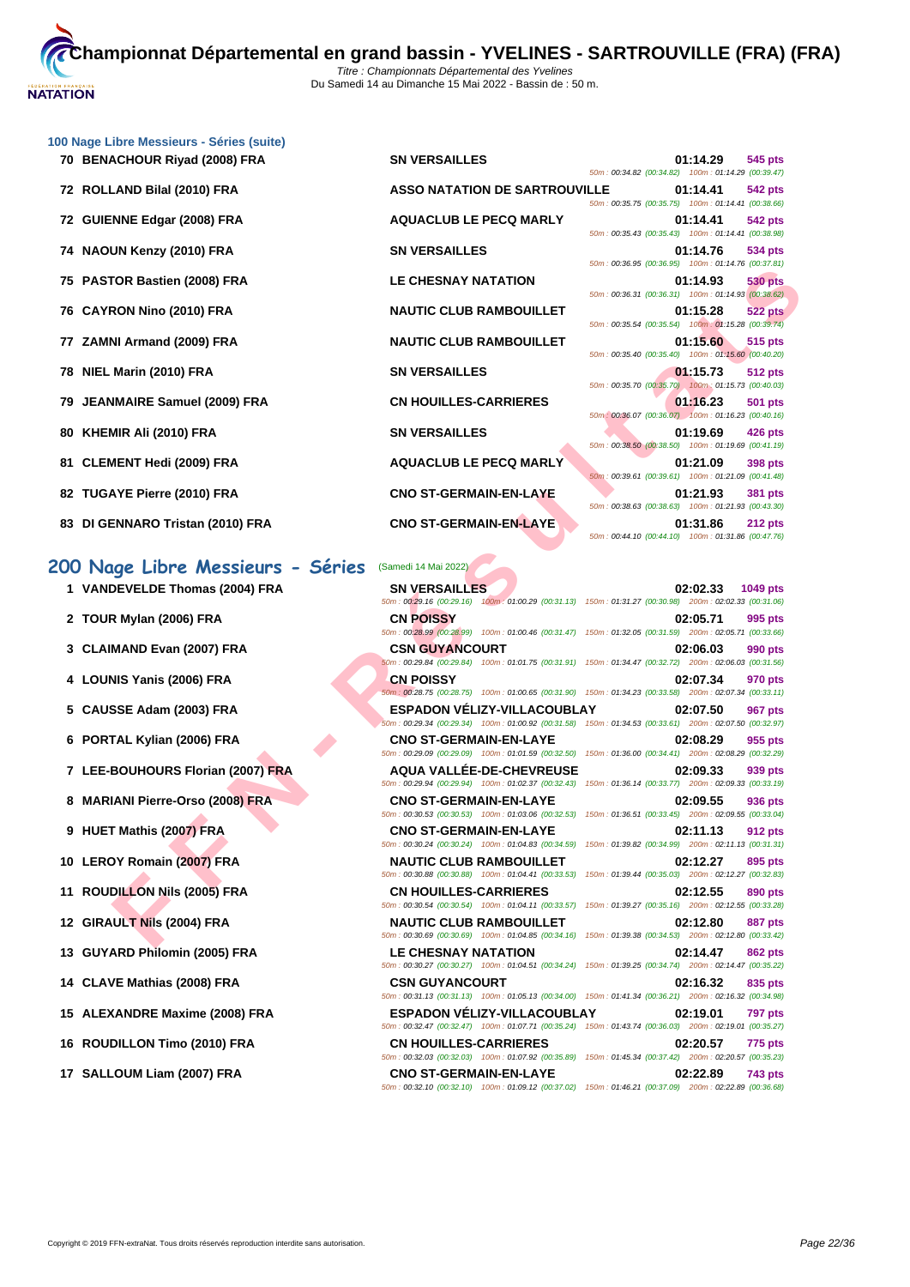

|     | 100 Nage Libre Messieurs - Séries (suite) |                                                                                                                                              |                                                                                                                                 |
|-----|-------------------------------------------|----------------------------------------------------------------------------------------------------------------------------------------------|---------------------------------------------------------------------------------------------------------------------------------|
|     | 70 BENACHOUR Riyad (2008) FRA             | <b>SN VERSAILLES</b>                                                                                                                         | 01:14.29<br>545 pts                                                                                                             |
|     | 72 ROLLAND Bilal (2010) FRA               | <b>ASSO NATATION DE SARTROUVILLE</b>                                                                                                         | 50m: 00:34.82 (00:34.82) 100m: 01:14.29 (00:39.47)<br>01:14.41<br>542 pts<br>50m: 00:35.75 (00:35.75) 100m: 01:14.41 (00:38.66) |
| 72  | <b>GUIENNE Edgar (2008) FRA</b>           | <b>AQUACLUB LE PECQ MARLY</b>                                                                                                                | 01:14.41<br>542 pts<br>50m: 00:35.43 (00:35.43) 100m: 01:14.41 (00:38.98)                                                       |
|     | 74 NAOUN Kenzy (2010) FRA                 | <b>SN VERSAILLES</b>                                                                                                                         | 01:14.76<br>534 pts<br>50m: 00:36.95 (00:36.95) 100m: 01:14.76 (00:37.81)                                                       |
| 75  | PASTOR Bastien (2008) FRA                 | <b>LE CHESNAY NATATION</b>                                                                                                                   | 01:14.93<br>530 pts<br>50m: 00:36.31 (00:36.31) 100m: 01:14.93 (00:38.62)                                                       |
|     | 76 CAYRON Nino (2010) FRA                 | <b>NAUTIC CLUB RAMBOUILLET</b>                                                                                                               | 01:15.28<br><b>522 pts</b><br>50m: 00:35.54 (00:35.54) 100m: 01:15.28 (00:39.74)                                                |
| 77  | ZAMNI Armand (2009) FRA                   | <b>NAUTIC CLUB RAMBOUILLET</b>                                                                                                               | 01:15.60<br>515 pts<br>50m: 00:35.40 (00:35.40) 100m: 01:15.60 (00:40.20)                                                       |
|     | 78 NIEL Marin (2010) FRA                  | <b>SN VERSAILLES</b>                                                                                                                         | 01:15.73<br>512 pts<br>50m: 00:35.70 (00:35.70) 100m: 01:15.73 (00:40.03)                                                       |
| 79  | JEANMAIRE Samuel (2009) FRA               | <b>CN HOUILLES-CARRIERES</b>                                                                                                                 | 01:16.23<br><b>501 pts</b><br>50m: 00:36.07 (00:36.07) 100m: 01:16.23 (00:40.16)                                                |
|     | 80 KHEMIR Ali (2010) FRA                  | <b>SN VERSAILLES</b>                                                                                                                         | 01:19.69<br>426 pts<br>50m: 00:38.50 (00:38.50) 100m: 01:19.69 (00:41.19)                                                       |
| 81. | <b>CLEMENT Hedi (2009) FRA</b>            | <b>AQUACLUB LE PECQ MARLY</b>                                                                                                                | 01:21.09<br>398 pts<br>50m: 00:39.61 (00:39.61) 100m: 01:21.09 (00:41.48)                                                       |
|     | 82 TUGAYE Pierre (2010) FRA               | <b>CNO ST-GERMAIN-EN-LAYE</b>                                                                                                                | 01:21.93<br>381 pts<br>50m: 00:38.63 (00:38.63) 100m: 01:21.93 (00:43.30)                                                       |
|     | 83 DI GENNARO Tristan (2010) FRA          | <b>CNO ST-GERMAIN-EN-LAYE</b>                                                                                                                | 01:31.86<br><b>212 pts</b><br>50m: 00:44.10 (00:44.10) 100m: 01:31.86 (00:47.76)                                                |
|     | 200 Nage Libre Messieurs - Séries         | (Samedi 14 Mai 2022)                                                                                                                         |                                                                                                                                 |
|     | 1 VANDEVELDE Thomas (2004) FRA            | <b>SN VERSAILLES</b><br>50m: 00:29.16 (00:29.16) 100m: 01:00.29 (00:31.13) 150m: 01:31.27 (00:30.98) 200m: 02:02.33 (00:31.06)               | 02:02.33<br>1049 pts                                                                                                            |
|     | 2 TOUR Mylan (2006) FRA                   | <b>CN POISSY</b><br>50m: 00:28.99 (00:28.99) 100m: 01:00.46 (00:31.47) 150m: 01:32.05 (00:31.59) 200m: 02:05.71 (00:33.66)                   | 02:05.71<br>995 pts                                                                                                             |
|     | 3 CLAIMAND Evan (2007) FRA                | <b>CSN GUYANCOURT</b><br>50m: 00:29.84 (00:29.84) 100m: 01:01.75 (00:31.91) 150m: 01:34.47 (00:32.72) 200m: 02:06.03 (00:31.56)              | 02:06.03<br>990 pts                                                                                                             |
|     | 4 LOUNIS Yanis (2006) FRA                 | <b>CN POISSY</b><br>50m: 00:28.75 (00:28.75) 100m: 01:00.65 (00:31.90) 150m: 01:34.23 (00:33.58) 200m: 02:07.34 (00:33.11)                   | 02:07.34<br>970 pts                                                                                                             |
|     | 5 CAUSSE Adam (2003) FRA                  | <b>ESPADON VELIZY-VILLACOUBLAY</b><br>50m: 00:29.34 (00:29.34) 100m: 01:00.92 (00:31.58) 150m: 01:34.53 (00:33.61) 200m: 02:07.50 (00:32.97) | 02:07.50<br>967 pts                                                                                                             |
|     | 6 PORTAL Kylian (2006) FRA                | <b>CNO ST-GERMAIN-EN-LAYE</b><br>50m : 00:29.09 (00:29.09) 100m : 01:01.59 (00:32.50) 150m : 01:36.00 (00:34.41) 200m : 02:08.29 (00:32.29)  | 02:08.29<br>955 pts                                                                                                             |
|     | 7 LEE-BOUHOURS Florian (2007) FRA         | <b>AQUA VALLÉE-DE-CHEVREUSE</b><br>50m: 00:29.94 (00:29.94) 100m: 01:02.37 (00:32.43) 150m: 01:36.14 (00:33.77) 200m: 02:09.33 (00:33.19)    | 02:09.33<br>939 pts                                                                                                             |
|     | 8 MARIANI Pierre-Orso (2008) FRA          | <b>CNO ST-GERMAIN-EN-LAYE</b><br>50m: 00:30.53 (00:30.53) 100m: 01:03.06 (00:32.53) 150m: 01:36.51 (00:33.45) 200m: 02:09.55 (00:33.04)      | 02:09.55<br>936 pts                                                                                                             |
|     | 9 HUET Mathis (2007) FRA                  | <b>CNO ST-GERMAIN-EN-LAYE</b><br>50m: 00:30.24 (00:30.24) 100m: 01:04.83 (00:34.59) 150m: 01:39.82 (00:34.99) 200m: 02:11.13 (00:31.31)      | 02:11.13<br>912 pts                                                                                                             |
|     | 10 LEROY Romain (2007) FRA                | NAUTIC CLUB RAMBOUILLET<br>50m: 00:30.88 (00:30.88) 100m: 01:04.41 (00:33.53) 150m: 01:39.44 (00:35.03) 200m: 02:12.27 (00:32.83)            | 02:12.27<br>895 pts                                                                                                             |
|     | 11 ROUDILLON Nils (2005) FRA              | <b>CN HOUILLES-CARRIERES</b><br>50m: 00:30.54 (00:30.54) 100m: 01:04.11 (00:33.57) 150m: 01:39.27 (00:35.16) 200m: 02:12.55 (00:33.28)       | 02:12.55<br>890 pts                                                                                                             |
|     | 12 GIRAULT Nils (2004) FRA                | <b>NAUTIC CLUB RAMBOUILLET</b><br>50m : 00:30.69 (00:30.69) 100m : 01:04.85 (00:34.16) 150m : 01:39.38 (00:34.53) 200m : 02:12.80 (00:33.42) | 02:12.80<br><b>887 pts</b>                                                                                                      |
|     |                                           |                                                                                                                                              |                                                                                                                                 |

# 200 Nage Libre Messieurs - Séries (Samedi 14 Mai 2022)

- 
- 
- 
- 
- 
- 
- 
- 
- 
- 
- 
- 
- **13 GUYARD Philomin (2005) FRA LE CHESNAY NATATION 02:14.47 862 pts**
- **14 CLAVE Mathias (2008) FRA C C C C 60m**
- **15 ALEXANDRE Maxime (2008) FRA E**
- **16 ROUDILLON Timo (2010) FRA C**<sub>50m</sub>
- 

| $\frac{1}{2}$                     |                               |                                                                                                            |          |                |
|-----------------------------------|-------------------------------|------------------------------------------------------------------------------------------------------------|----------|----------------|
| 1 VANDEVELDE Thomas (2004) FRA    | <b>SN VERSAILLES</b>          |                                                                                                            | 02:02.33 | 1049 pts       |
|                                   |                               | 50m: 00:29.16 (00:29.16) 100m: 01:00.29 (00:31.13) 150m: 01:31.27 (00:30.98) 200m: 02:02.33 (00:31.06)     |          |                |
| 2 TOUR Mylan (2006) FRA           | <b>CN POISSY</b>              |                                                                                                            | 02:05.71 | 995 pts        |
|                                   |                               | 50m: 00:28.99 (00:28.99) 100m: 01:00.46 (00:31.47) 150m: 01:32.05 (00:31.59) 200m: 02:05.71 (00:33.66)     |          |                |
| 3 CLAIMAND Evan (2007) FRA        | <b>CSN GUYANCOURT</b>         |                                                                                                            | 02:06.03 | <b>990 pts</b> |
|                                   |                               | 50m: 00:29.84 (00:29.84) 100m: 01:01.75 (00:31.91) 150m: 01:34.47 (00:32.72) 200m: 02:06.03 (00:31.56)     |          |                |
|                                   |                               |                                                                                                            |          |                |
| 4 LOUNIS Yanis (2006) FRA         | <b>CN POISSY</b>              |                                                                                                            | 02:07.34 | 970 pts        |
|                                   |                               | 50m: 00:28.75 (00:28.75) 100m: 01:00.65 (00:31.90) 150m: 01:34.23 (00:33.58) 200m: 02:07.34 (00:33.11)     |          |                |
| 5 CAUSSE Adam (2003) FRA          |                               | ESPADON VÉLIZY-VILLACOUBLAY                                                                                | 02:07.50 | <b>967 pts</b> |
|                                   |                               | 50m: 00:29.34 (00:29.34) 100m: 01:00.92 (00:31.58) 150m: 01:34.53 (00:33.61) 200m: 02:07.50 (00:32.97)     |          |                |
| 6 PORTAL Kylian (2006) FRA        | <b>CNO ST-GERMAIN-EN-LAYE</b> |                                                                                                            | 02:08.29 | 955 pts        |
|                                   |                               | 50m: 00:29.09 (00:29.09) 100m: 01:01.59 (00:32.50) 150m: 01:36.00 (00:34.41) 200m: 02:08.29 (00:32.29)     |          |                |
|                                   |                               |                                                                                                            |          |                |
| 7 LEE-BOUHOURS Florian (2007) FRA |                               | AQUA VALLÉE-DE-CHEVREUSE                                                                                   | 02:09.33 | 939 pts        |
|                                   |                               | 50m: 00:29.94 (00:29.94) 100m: 01:02.37 (00:32.43) 150m: 01:36.14 (00:33.77) 200m: 02:09.33 (00:33.19)     |          |                |
| 8 MARIANI Pierre-Orso (2008) FRA  | <b>CNO ST-GERMAIN-EN-LAYE</b> |                                                                                                            | 02:09.55 | 936 pts        |
|                                   |                               | 50m: 00:30.53 (00:30.53) 100m: 01:03.06 (00:32.53) 150m: 01:36.51 (00:33.45) 200m: 02:09.55 (00:33.04)     |          |                |
| 9 HUET Mathis (2007) FRA          | <b>CNO ST-GERMAIN-EN-LAYE</b> |                                                                                                            | 02:11.13 | <b>912 pts</b> |
|                                   |                               | 50m: 00:30.24 (00:30.24) 100m: 01:04.83 (00:34.59) 150m: 01:39.82 (00:34.99) 200m: 02:11.13 (00:31.31)     |          |                |
|                                   |                               |                                                                                                            |          |                |
| 10 LEROY Romain (2007) FRA        |                               | <b>NAUTIC CLUB RAMBOUILLET</b>                                                                             | 02:12.27 | 895 pts        |
|                                   |                               | 50m: 00:30.88 (00:30.88) 100m: 01:04.41 (00:33.53) 150m: 01:39.44 (00:35.03) 200m: 02:12.27 (00:32.83)     |          |                |
| 11 ROUDILLON Nils (2005) FRA      | <b>CN HOUILLES-CARRIERES</b>  |                                                                                                            | 02:12.55 | <b>890 pts</b> |
|                                   |                               | 50m: 00:30.54 (00:30.54) 100m: 01:04.11 (00:33.57) 150m: 01:39.27 (00:35.16) 200m: 02:12.55 (00:33.28)     |          |                |
| 12 GIRAULT Nils (2004) FRA        |                               | <b>NAUTIC CLUB RAMBOUILLET</b>                                                                             | 02:12.80 | <b>887 pts</b> |
|                                   |                               | 50m: 00:30.69 (00:30.69) 100m: 01:04.85 (00:34.16) 150m: 01:39.38 (00:34.53) 200m: 02:12.80 (00:33.42)     |          |                |
|                                   |                               |                                                                                                            | 02:14.47 |                |
| 13 GUYARD Philomin (2005) FRA     | LE CHESNAY NATATION           |                                                                                                            |          | <b>862 pts</b> |
|                                   |                               | 50m: 00:30.27 (00:30.27) 100m: 01:04.51 (00:34.24) 150m: 01:39.25 (00:34.74) 200m: 02:14.47 (00:35.22)     |          |                |
| 14 CLAVE Mathias (2008) FRA       | <b>CSN GUYANCOURT</b>         |                                                                                                            | 02:16.32 | 835 pts        |
|                                   |                               | 50m : 00:31.13 (00:31.13) 100m : 01:05.13 (00:34.00) 150m : 01:41.34 (00:36.21) 200m : 02:16.32 (00:34.98) |          |                |
| 15 ALEXANDRE Maxime (2008) FRA    |                               | ESPADON VÉLIZY-VILLACOUBLAY                                                                                | 02:19.01 | <b>797 pts</b> |
|                                   |                               | 50m: 00:32.47 (00:32.47) 100m: 01:07.71 (00:35.24) 150m: 01:43.74 (00:36.03) 200m: 02:19.01 (00:35.27)     |          |                |
| 16 ROUDILLON Timo (2010) FRA      | <b>CN HOUILLES-CARRIERES</b>  |                                                                                                            | 02:20.57 | 775 pts        |
|                                   |                               | 50m: 00:32.03 (00:32.03) 100m: 01:07.92 (00:35.89) 150m: 01:45.34 (00:37.42) 200m: 02:20.57 (00:35.23)     |          |                |
|                                   |                               |                                                                                                            |          |                |
| 17 SALLOUM Liam (2007) FRA        | <b>CNO ST-GERMAIN-EN-LAYE</b> |                                                                                                            | 02:22.89 | <b>743 pts</b> |

50m : 00:32.10 (00:32.10) 100m : 01:09.12 (00:37.02) 150m : 01:4

|  | 02:12.80 887 pts                          |  |
|--|-------------------------------------------|--|
|  | 39.38 (00:34.53) 200m: 02:12.80 (00:33.42 |  |
|  | 02:14.47 862 pts                          |  |
|  | 39.25 (00:34.74) 200m: 02:14.47 (00:35.22 |  |
|  | 02:16.32 835 pts                          |  |
|  | 41.34 (00:36.21) 200m: 02:16.32 (00:34.98 |  |
|  | 02:19.01 797 pts                          |  |
|  | 43.74 (00:36.03) 200m: 02:19.01 (00:35.27 |  |
|  | 02:20.57 775 pts                          |  |
|  | 45.34 (00:37.42) 200m: 02:20.57 (00:35.23 |  |
|  | 02:22.89 743 pts                          |  |
|  | 46.21 (00:37.09) 200m: 02:22.89 (00:36.68 |  |
|  |                                           |  |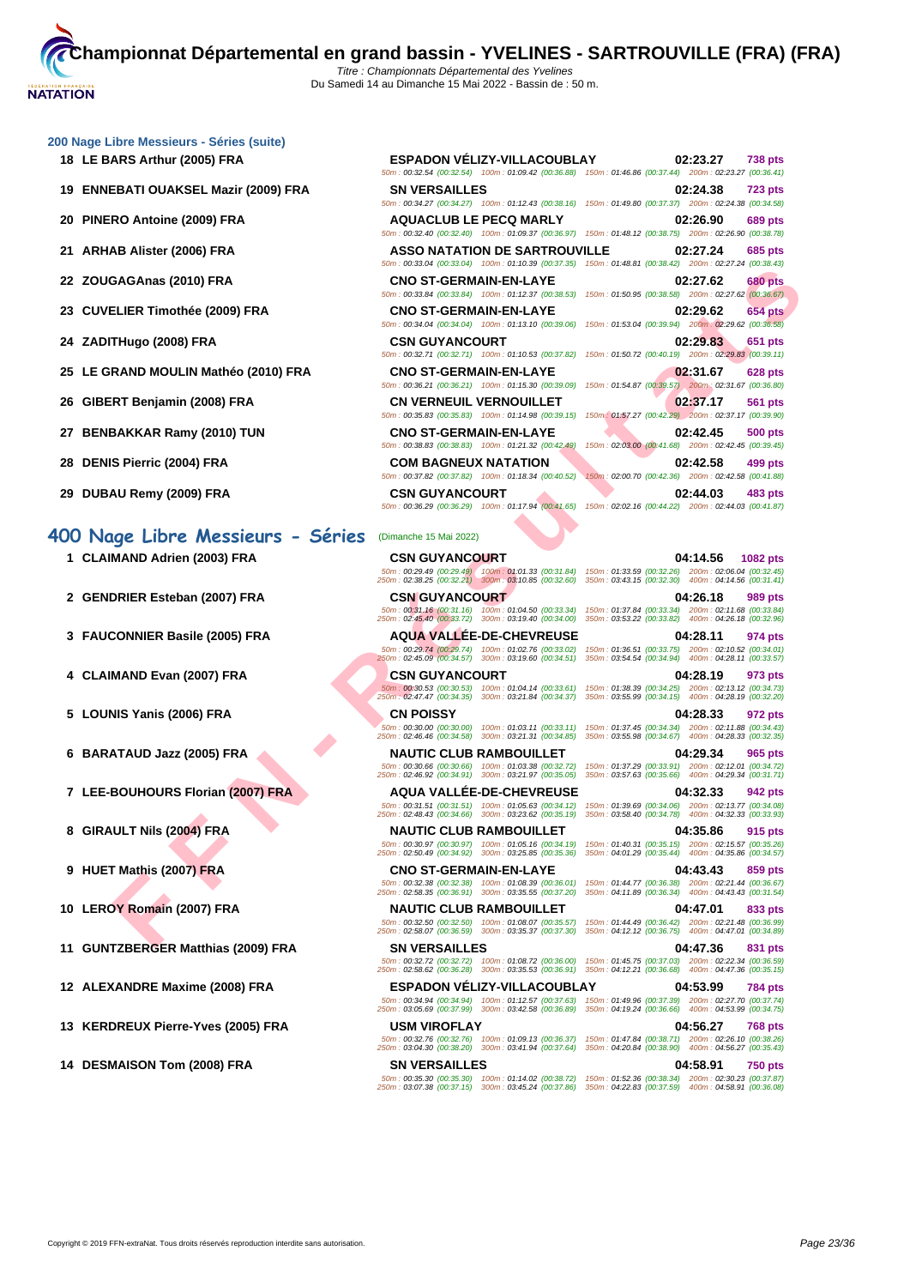|  | 200 Nage Libre Messieurs - Séries (suite) |  |  |
|--|-------------------------------------------|--|--|
|  |                                           |  |  |

- 
- 
- 
- 
- 
- 
- 
- 
- 
- 
- 
- 

# **400 Nage Libre Messieurs - Séries** (Dimanche 15 Mai 2022)

- 
- 
- **3 FAUCONNIER Basile (2005) FRA AQUA VALLÉE-DE-CHEVREUSE 04:28.11 974 pts**
- 
- 
- **6 BARATAUD Jazz (2005) FRA NAUTIC CLUB RAMBOUILLET 04:29.34 965 pts**
- **7 LEE-BOUHOURS Florian (2007) FRA AQUA VALLÉE-DE-CHEVREUSE 04:32.33 942 pts**
- 
- **9 HUET Mathis (2007) FRA CNO ST-GERMAIN-EN-LAYE 04:43.43 859 pts**
- 
- **11 GUNTZBERGER Matthias (2009) FRA SN VERSAILLES 04:47.36 831 pts**
- 
- **13 KERDREUX Pierre-Yves (2005) FRA USM VIROFLAY 04:56.27 768 pts**
- **14 DESMAISON Tom (2008) FRA SN VERSAILLES 04:58.91 750 pts**

| 18 LE BARS Arthur (2005) FRA         | <b>ESPADON VELIZY-VILLACOUBLAY</b><br>50m: 00:32.54 (00:32.54) 100m: 01:09.42 (00:36.88) 150m: 01:46.86 (00:37.44) 200m: 02:23.27 (00:36.41)                                                                        | 02:23.27                                                                                                               | <b>738 pts</b> |
|--------------------------------------|---------------------------------------------------------------------------------------------------------------------------------------------------------------------------------------------------------------------|------------------------------------------------------------------------------------------------------------------------|----------------|
| 19 ENNEBATI OUAKSEL Mazir (2009) FRA | <b>SN VERSAILLES</b><br>50m : 00:34.27 (00:34.27) 100m : 01:12.43 (00:38.16) 150m : 01:49.80 (00:37.37) 200m : 02:24.38 (00:34.58)                                                                                  | 02:24.38                                                                                                               | <b>723 pts</b> |
| 20 PINERO Antoine (2009) FRA         | <b>AQUACLUB LE PECQ MARLY</b><br>50m: 00:32.40 (00:32.40) 100m: 01:09.37 (00:36.97) 150m: 01:48.12 (00:38.75) 200m: 02:26.90 (00:38.78)                                                                             | 02:26.90                                                                                                               | <b>689 pts</b> |
| 21 ARHAB Alister (2006) FRA          | <b>ASSO NATATION DE SARTROUVILLE</b><br>50m: 00:33.04 (00:33.04) 100m: 01:10.39 (00:37.35) 150m: 01:48.81 (00:38.42) 200m: 02:27.24 (00:38.43)                                                                      | 02:27.24                                                                                                               | 685 pts        |
| 22 ZOUGAGAnas (2010) FRA             | <b>CNO ST-GERMAIN-EN-LAYE</b><br>50m: 00:33.84 (00:33.84) 100m: 01:12.37 (00:38.53) 150m: 01:50.95 (00:38.58) 200m: 02:27.62 (00:36.67)                                                                             | 02:27.62                                                                                                               | 680 pts        |
| 23 CUVELIER Timothée (2009) FRA      | <b>CNO ST-GERMAIN-EN-LAYE</b><br>50m: 00:34.04 (00:34.04) 100m: 01:13.10 (00:39.06)                                                                                                                                 | 02:29.62<br>150m: 01:53.04 (00:39.94) 200m: 02:29.62 (00:36.58)                                                        | <b>654 pts</b> |
| 24 ZADITHugo (2008) FRA              | <b>CSN GUYANCOURT</b><br>50m: 00:32.71 (00:32.71) 100m: 01:10.53 (00:37.82)                                                                                                                                         | 02:29.83<br>150m: 01:50.72 (00:40.19) 200m: 02:29.83 (00:39.11)                                                        | 651 pts        |
| 25 LE GRAND MOULIN Mathéo (2010) FRA | <b>CNO ST-GERMAIN-EN-LAYE</b><br>50m: 00:36.21 (00:36.21) 100m: 01:15.30 (00:39.09)                                                                                                                                 | 02:31.67<br>150m: 01:54.87 (00:39.57) 200m: 02:31.67 (00:36.80)                                                        | <b>628 pts</b> |
| 26 GIBERT Benjamin (2008) FRA        | <b>CN VERNEUIL VERNOUILLET</b><br>50m: 00:35.83 (00:35.83) 100m: 01:14.98 (00:39.15)                                                                                                                                | 02:37.17<br>150m: 01:57.27 (00:42.29) 200m: 02:37.17 (00:39.90)                                                        | <b>561 pts</b> |
| 27 BENBAKKAR Ramy (2010) TUN         | <b>CNO ST-GERMAIN-EN-LAYE</b><br>50m: 00:38.83 (00:38.83) 100m: 01:21.32 (00:42.49)                                                                                                                                 | 02:42.45<br>150m: 02:03.00 (00:41.68) 200m: 02:42.45 (00:39.45)                                                        | <b>500 pts</b> |
| 28 DENIS Pierric (2004) FRA          | <b>COM BAGNEUX NATATION</b><br>50m: 00:37.82 (00:37.82) 100m: 01:18.34 (00:40.52)                                                                                                                                   | 02:42.58<br>150m: 02:00.70 (00:42.36) 200m: 02:42.58 (00:41.88)                                                        | 499 pts        |
| 29 DUBAU Remy (2009) FRA             | <b>CSN GUYANCOURT</b><br>50m: 00:36.29 (00:36.29) 100m: 01:17.94 (00:41.65)                                                                                                                                         | 02:44.03<br>150m: 02:02.16 (00:44.22) 200m: 02:44.03 (00:41.87)                                                        | 483 pts        |
| 00 Nage Libre Messieurs - Séries     | (Dimanche 15 Mai 2022)                                                                                                                                                                                              |                                                                                                                        |                |
| 1 CLAIMAND Adrien (2003) FRA         | <b>CSN GUYANCOURT</b><br>50m : 00:29.49 (00:29.49) 100m : 01:01.33 (00:31.84) 150m : 01:33.59 (00:32.26) 200m : 02:06.04 (00:32.45) 50m : 02:06.04 (00:32.45) 500m : 03:10.60 (00:32.45) 500m : 04:14.56 (00:31.41) | 04:14.56                                                                                                               | 1082 pts       |
| 2 GENDRIER Esteban (2007) FRA        | <b>CSN GUYANCOURT</b><br>50m: 00:31.16 (00:31.16) 100m: 01:04.50 (00:33.34)                                                                                                                                         | 04:26.18<br>150m: 01:37.84 (00:33.34) 200m: 02:11.68 (00:33.84)                                                        | 989 pts        |
| 3 FAUCONNIER Basile (2005) FRA       | 250m: 02:45.40 (00:33.72) 300m: 03:19.40 (00:34.00)<br><b>AQUA VALLEE-DE-CHEVREUSE</b>                                                                                                                              | 350m: 03:53.22 (00:33.82) 400m: 04:26.18 (00:32.96)<br>04:28.11                                                        | 974 pts        |
|                                      | 50m: 00:29.74 (00:29.74) 100m: 01:02.76 (00:33.02)<br>250m: 02:45.09 (00:34.57) 300m: 03:19.60 (00:34.51)                                                                                                           | 150m: 01:36.51 (00:33.75) 200m: 02:10.52 (00:34.01)<br>350m: 03:54.54 (00:34.94) 400m: 04:28.11 (00:33.57)             |                |
| 4 CLAIMAND Evan (2007) FRA           | <b>CSN GUYANCOURT</b><br>50m: 00:30.53 (00:30.53) 100m: 01:04.14 (00:33.61)<br>250m: 02:47.47 (00:34.35) 300m: 03:21.84 (00:34.37) 350m: 03:55.99 (00:34.15) 400m: 04:28.19 (00:32.20)                              | 04:28.19<br>150m: 01:38.39 (00:34.25) 200m: 02:13.12 (00:34.73)                                                        | 973 pts        |
| 5 LOUNIS Yanis (2006) FRA            | <b>CN POISSY</b><br>50m: 00:30.00 (00:30.00) 100m: 01:03.11 (00:33.11) 150m: 01:37.45 (00:34.34) 200m: 02:11.88 (00:34.43)<br>250m: 02:46.46 (00:34.58) 300m: 03:21.31 (00:34.85)                                   | 04:28.33<br>350m: 03:55.98 (00:34.67) 400m: 04:28.33 (00:32.35)                                                        | 972 pts        |
| 6 BARATAUD Jazz (2005) FRA           | <b>NAUTIC CLUB RAMBOUILLET</b><br>50m: 00:30.66 (00:30.66) 100m: 01:03.38 (00:32.72)                                                                                                                                | 04:29.34<br>150m: 01:37.29 (00:33.91) 200m: 02:12.01 (00:34.72)                                                        | 965 pts        |
| 7 LEE-BOUHOURS Florian (2007) FRA    | 250m: 02:46.92 (00:34.91) 300m: 03:21.97 (00:35.05)<br><b>AQUA VALLEE-DE-CHEVREUSE</b>                                                                                                                              | 350m: 03:57.63 (00:35.66) 400m: 04:29.34 (00:31.71)<br>04:32.33                                                        | 942 pts        |
| 8 GIRAULT Nils (2004) FRA            | 50m: 00:31.51 (00:31.51) 100m: 01:05.63 (00:34.12)<br>250m: 02:48.43 (00:34.66) 300m: 03:23.62 (00:35.19)<br><b>NAUTIC CLUB RAMBOUILLET</b>                                                                         | 150m: 01:39.69 (00:34.06) 200m: 02:13.77 (00:34.08)<br>350m: 03:58.40 (00:34.78) 400m: 04:32.33 (00:33.93)<br>04:35.86 | 915 pts        |
|                                      | 50m: 00:30.97 (00:30.97) 100m: 01:05.16 (00:34.19)<br>250m: 02:50.49 (00:34.92) 300m: 03:25.85 (00:35.36)                                                                                                           | 150m: 01:40.31 (00:35.15) 200m: 02:15.57 (00:35.26)<br>350m: 04:01.29 (00:35.44) 400m: 04:35.86 (00:34.57)             |                |
| 9 HUET Mathis (2007) FRA             | <b>CNO ST-GERMAIN-EN-LAYE</b><br>50m: 00:32.38 (00:32.38) 100m: 01:08.39 (00:36.01)<br>250m: 02:58.35 (00:36.91) 300m: 03:35.55 (00:37.20)                                                                          | 04:43.43<br>150m: 01:44.77 (00:36.38) 200m: 02:21.44 (00:36.67)<br>350m: 04:11.89 (00:36.34) 400m: 04:43.43 (00:31.54) | 859 pts        |
| 10 LEROY Romain (2007) FRA           | <b>NAUTIC CLUB RAMBOUILLET</b><br>50m: 00:32.50 (00:32.50) 100m: 01:08.07 (00:35.57)                                                                                                                                | 04:47.01<br>150m: 01:44.49 (00:36.42) 200m: 02:21.48 (00:36.99)                                                        | 833 pts        |
| CUNTZDEDGED Metthics (0000) EDA      | 250m: 02:58.07 (00:36.59) 300m: 03:35.37 (00:37.30) 350m: 04:12.12 (00:36.75) 400m: 04:47.01 (00:34.89)                                                                                                             |                                                                                                                        |                |

# **1 CLAIMAND Adrien (2003) FRA CSN GUYANCOURT 04:14.56 1082 pts**

- 
- 50m : 00:32.50 (00:32.50) 100m : 01:08.07 (00:35.57) 150m : 01:44.49 (00:36.42) 200m : 02:21.48 (00:36.99) 250m : 02:58.07 (00:36.59) 300m : 03:35.37 (00:37.30) 350m : 04:12.12 (00:36.75) 400m : 04:47.01 (00:34.89)

# 50m : 00:32.72 (00:32.72) 100m : 01:08.72 (00:36.00) 150m : 01:45.75 (00:37.03) 200m : 02:22.34 (00:36.59) 250m : 02:58.62 (00:36.28) 300m : 03:35.53 (00:36.91) 350m : 04:12.21 (00:36.68) 400m : 04:47.36 (00:35.15)

**12 ALEXANDRE Maxime (2008) FRA ESPADON VÉLIZY-VILLACOUBLAY 04:53.99 784 pts**

50m : 00:32.76 (00:32.76) 100m : 01:09.13 (00:36.37) 150m : 01:47.84 (00:38.71) 200m : 02:26.10 (00:38.26) 250m : 03:04.30 (00:38.20) 300m : 03:41.94 (00:37.64) 350m : 04:20.84 (00:38.90) 400m : 04:56.27 (00:35.43)

50m : 00:35.30 (00:35.30) 100m : 01:14.02 (00:38.72) 150m : 01:52.36 (00:38.34) 200m : 02:30.23 (00:37.87) 250m : 03:07.38 (00:37.15) 300m : 03:45.24 (00:37.86) 350m : 04:22.83 (00:37.59) 400m : 04:58.91 (00:36.08)

50m : 00:34.94 (00:34.94) 100m : 01:12.57 (00:37.63) 150m : 01:49.96 (00:37.39) 200m : 02:27.70 (00:37.74) 250m : 03:05.69 (00:37.99) 300m : 03:42.58 (00:36.89) 350m : 04:19.24 (00:36.66) 400m : 04:53.99 (00:34.75)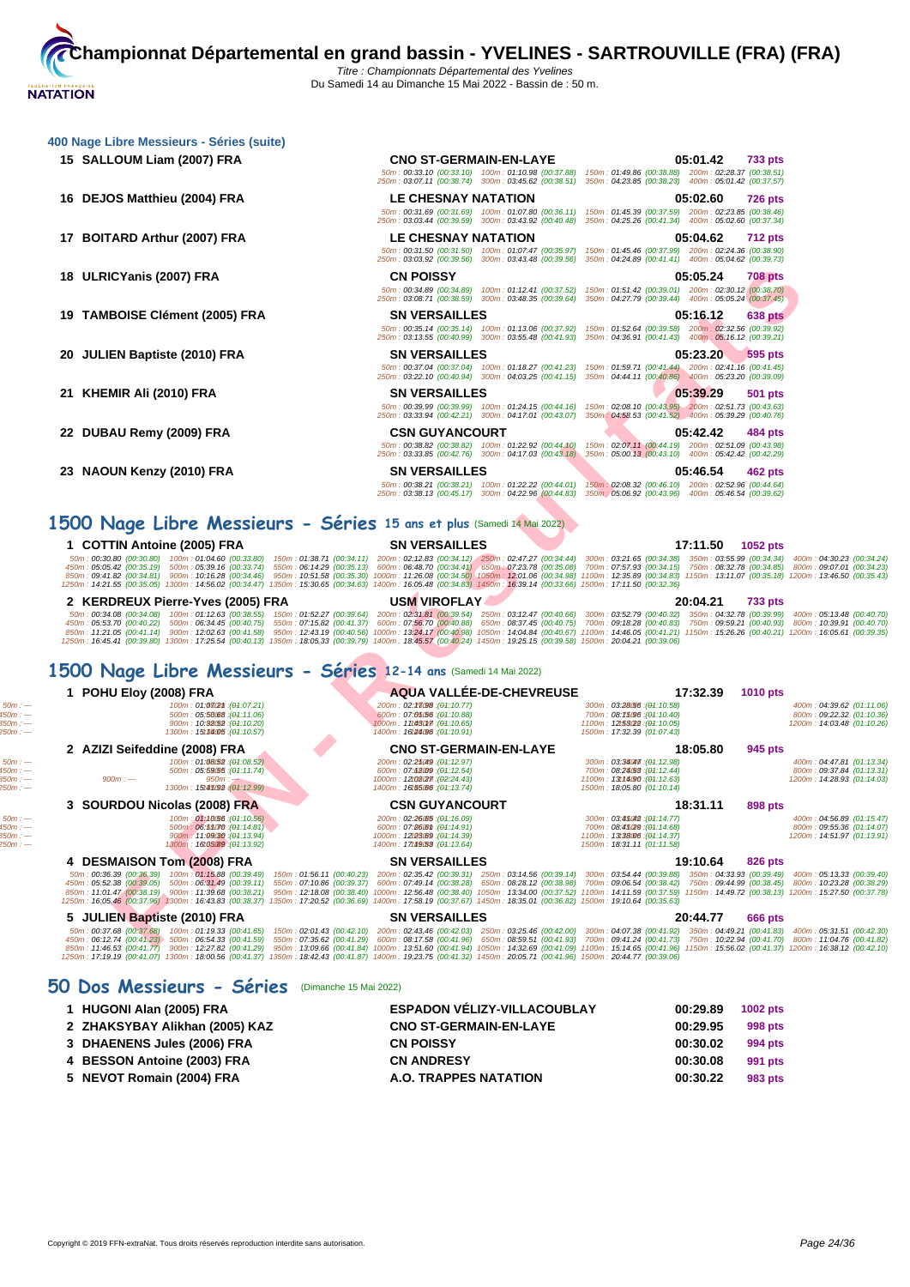|                               | 2 ZHAKSYBAY Alikhan (2005) KAZ                                                                                          |                                                                                                                                                                                                                                                                                                                                                                                                                                                                                                                                                                                                                                                                                                                                                                                                                                        | <b>CNO ST-GERMAIN-EN-LAYE</b>                                                                                                                                                                                         |                                                                                                                          | 00:29.95 | 998 pts         |                                                                                      |
|-------------------------------|-------------------------------------------------------------------------------------------------------------------------|----------------------------------------------------------------------------------------------------------------------------------------------------------------------------------------------------------------------------------------------------------------------------------------------------------------------------------------------------------------------------------------------------------------------------------------------------------------------------------------------------------------------------------------------------------------------------------------------------------------------------------------------------------------------------------------------------------------------------------------------------------------------------------------------------------------------------------------|-----------------------------------------------------------------------------------------------------------------------------------------------------------------------------------------------------------------------|--------------------------------------------------------------------------------------------------------------------------|----------|-----------------|--------------------------------------------------------------------------------------|
| 1 HUGONI Alan (2005) FRA      | 50 Dos Messieurs - Séries                                                                                               | (Dimanche 15 Mai 2022)                                                                                                                                                                                                                                                                                                                                                                                                                                                                                                                                                                                                                                                                                                                                                                                                                 | <b>ESPADON VELIZY-VILLACOUBLAY</b>                                                                                                                                                                                    |                                                                                                                          | 00:29.89 | 1002 pts        |                                                                                      |
|                               |                                                                                                                         | 50m: 00:37.68 (00:37.68) 100m: 01:19.33 (00:41.65) 150m: 02:01.43 (00:42.10) 200m: 02:43.46 (00:42.03) 250m: 03:25.46 (00:42.00) 300m: 04:07.38 (00:41.92) 350m: 04:49.21 (00:41.83) 400m: 05:31.51 (00:42.30)<br>450m : 06:12.74 (00:41.23) 500m : 06:54.33 (00:41.59) 550m : 07:35.62 (00:41.29) 600m : 08:17.58 (00:41.96) 650m : 08:59.51 (00:41.33) 700m : 09:41.24 (00:41.73) 750m : 10:22.94 (00:41.70) 800m : 11:04.76 (00:41.82)<br>850m: 11:46.53 (00:41.77) 900m: 12:27.82 (00:41.29) 950m: 13:09.66 (00:41.84) 1000m: 13:51.60 (00:41.94) 1050m: 14:32.69 (00:41.09) 1100m: 15:14.65 (00:41.95) 1150m: 15:56.02 (00:41.37) 1200m: 16:38.12 (00:42.10)<br>1250m: 17:19.19 (00:41.07) 1300m: 18:00.56 (00:41.37) 1350m: 18:42.43 (00:41.87) 1400m: 19:23.75 (00:41.32) 1450m: 20:05.71 (00:41.96) 1500m: 20:44.77 (00:39.06) |                                                                                                                                                                                                                       |                                                                                                                          |          |                 |                                                                                      |
| 5 JULIEN Baptiste (2010) FRA  |                                                                                                                         | 1250m: 16:05:46 (00:37.96) 1300m: 16:43.83 (00:38.37) 1350m: 17:20.52 (00:36.69) 1400m: 17:58.19 (00:37.67) 1450m: 18:35.01 (00:36.82) 1500m: 19:10.64 (00:35.63)<br><b>SN VERSAILLES</b>                                                                                                                                                                                                                                                                                                                                                                                                                                                                                                                                                                                                                                              |                                                                                                                                                                                                                       |                                                                                                                          | 20:44.77 | 666 pts         |                                                                                      |
| 4 DESMAISON Tom (2008) FRA    | 50m: 00:36.39 (00:36.39) 100m: 01:15.88 (00:39.49)<br>450m: 05:52.38 (00:39.05) 500m: 06:31.49 (00:39.11)               | <b>SN VERSAILLES</b><br>150m: 01:56.11 (00:40.23) 200m: 02:35.42 (00:39.31) 250m: 03:14.56 (00:39.14) 300m: 03:54.44 (00:39.88) 350m: 04:33.93 (00:39.49) 400m: 05:13.33 (00:39.40)<br>550m: 07:10.86 (00:39.37)<br>850m: 11:01.47 (00:38.19) 900m: 11:39.68 (00:38.21) 950m: 12:18.08 (00:38.40) 1000m: 12:56.48 (00:38.40) 1050m: 13:34.00 (00:37.52) 1100m: 14:11.59 (00:37.59) 1150m: 14:49.72 (00:38.13) 1200m: 15:27.50 (00:37.78)                                                                                                                                                                                                                                                                                                                                                                                               | 600m: 07:49.14 (00:38.28) 650m: 08:28.12 (00:38.98) 700m: 09:06.54 (00:38.42) 750m: 09:44.99 (00:38.45) 800m: 10:23.28 (00:38.29)                                                                                     |                                                                                                                          | 19:10.64 | 826 pts         |                                                                                      |
|                               | 100m: 01:10.56 : (01:10.56)<br>500m: 06.55070:(04:14.81)<br>900m: 11:09030 : (01:13.94)<br>1300m: 16t05.89 : (01:13.92) | 200m: 02:26.65 : (04:16.09)<br>600m: 07:860m : (04:14.91)<br>1000m: 12t23.69 : (04:14.39)<br>1400m: 17t49.53 : (04:13.64)                                                                                                                                                                                                                                                                                                                                                                                                                                                                                                                                                                                                                                                                                                              |                                                                                                                                                                                                                       | 300m: 03:45042 : (01:14.77)<br>700m: 08:45(29 : (04:14.68)<br>1100m: 13t38.06 : (01:14.37)<br>1500m: 18:31.11 (01:11.58) |          |                 | 400m: 04:56.89 (01:15.47)<br>800m: 09:55.36 (01:14.07)<br>1200m: 14:51.97 (01:13.91) |
|                               | 3 SOURDOU Nicolas (2008) FRA                                                                                            |                                                                                                                                                                                                                                                                                                                                                                                                                                                                                                                                                                                                                                                                                                                                                                                                                                        | <b>CSN GUYANCOURT</b>                                                                                                                                                                                                 |                                                                                                                          | 18:31.11 | 898 pts         |                                                                                      |
| $900m: -$                     | 100m: 01:08:52 : (01:08.52)<br>500m: 05:59:55:(04:11.74)<br>$950m:$ $-$<br>1300m: 15t45092 : (01:12.99)                 | 200m: 02:25049: (04:12.97)<br>600m: 07:68009 : (04:12.54)<br>1000m: 12t080?7 : (02:24.43)<br>1400m: 16t55.66 : (04:13.74)                                                                                                                                                                                                                                                                                                                                                                                                                                                                                                                                                                                                                                                                                                              |                                                                                                                                                                                                                       | 300m: 03:34047 : (04:12.98)<br>700m: 08:2453 : (01:12.44)<br>1100m: 13t14090: (01:12.63)<br>1500m: 18:05.80 (01:10.14)   |          |                 | 400m: 04:47.81 (01:13.34)<br>800m: 09:37.84 (01:13.31)<br>1200m: 14:28.93 (01:14.03) |
| 2 AZIZI Seifeddine (2008) FRA |                                                                                                                         |                                                                                                                                                                                                                                                                                                                                                                                                                                                                                                                                                                                                                                                                                                                                                                                                                                        | <b>CNO ST-GERMAIN-EN-LAYE</b>                                                                                                                                                                                         |                                                                                                                          | 18:05.80 | 945 pts         |                                                                                      |
|                               | 500m : 05.56688 : (04.11.06)<br>900m: 10:98(52): (01:10.20)<br>1300m: 15t38005 : (04:10.57)                             | 600m: 07.0556: (04.10.88)<br>1000m: 111430m : (04:10.65)<br>1400m: 16t24096 : (04:10.91)                                                                                                                                                                                                                                                                                                                                                                                                                                                                                                                                                                                                                                                                                                                                               |                                                                                                                                                                                                                       | 700m: 08:75096 : (01:10.40)<br>1100m: 12t53(22): (04:10.05)<br>1500m: 17:32.39 (01:07.43)                                |          |                 | 800m: 09:22.32 (01:10.36)<br>1200m: 14:03.48 (01:10.26)                              |
| 1 POHU Eloy (2008) FRA        | 100m: 01:082m: (01:07.21)                                                                                               | 200m: 02:28098 : (04:10.77)                                                                                                                                                                                                                                                                                                                                                                                                                                                                                                                                                                                                                                                                                                                                                                                                            | <b>AQUA VALLEE-DE-CHEVREUSE</b>                                                                                                                                                                                       | 300m: 03:28/56 : (01:10.58)                                                                                              | 17:32.39 | <b>1010 pts</b> | 400m: 04:39.62 (01:11.06)                                                            |
|                               |                                                                                                                         | 1500 Nage Libre Messieurs - Séries 12-14 ans (Samedi 14 Mai 2022)                                                                                                                                                                                                                                                                                                                                                                                                                                                                                                                                                                                                                                                                                                                                                                      |                                                                                                                                                                                                                       |                                                                                                                          |          |                 |                                                                                      |
|                               | 450m: 05:53.70 (00:40.22) 500m: 06:34.45 (00:40.75) 550m: 07:15.82 (00:41.37)                                           | 50m: 00:34.08 (00:34.08) 100m: 01:12.63 (00:38.55) 150m: 01:52.27 (00:39.64) 200m: 02:31.81 (00:39.54) 250m: 03:12.47 (00:40.66) 300m: 03:52.79 (00:40.32) 350m: 04:32.78 (00:39.99) 400m: 05:13.48 (00:40.70)<br>850m: 11:21.05 (00:41.14) 900m: 12:02.63 (00:41.58) 950m: 12:43.19 (00:40.56) 1000m: 13:24.17 (00:40.98) 1050m: 14:04.84 (00:40.67) 1100m: 14:46.05 (00:41.21) 1150m: 15:26.26 (00:40.21) 1200m: 16:05.61 (00:39.35)<br>1250m: 16:45.41 (00:39.80) 1300m: 17:25.54 (00:40.13) 1350m: 18:05.33 (00:39.79) 1400m: 18:45.57 (00:40.24) 1450m: 19:25.15 (00:39.58) 1500m: 20:04.21 (00:39.06)                                                                                                                                                                                                                            | 600m: 07:56.70 (00:40.88) 650m: 08:37.45 (00:40.75) 700m: 09:18.28 (00:40.83) 750m: 09:59.21 (00:40.93) 800m: 10:39.91 (00:40.70)                                                                                     |                                                                                                                          |          |                 |                                                                                      |
|                               | 2 KERDREUX Pierre-Yves (2005) FRA                                                                                       | <b>USM VIROFLAY</b>                                                                                                                                                                                                                                                                                                                                                                                                                                                                                                                                                                                                                                                                                                                                                                                                                    |                                                                                                                                                                                                                       |                                                                                                                          | 20:04.21 | 733 pts         |                                                                                      |
|                               |                                                                                                                         | 50m: 00:30.80 (00:30.80) 100m: 01:04.60 (00:33.80) 150m: 01:38.71 (00:34.11) 200m: 02:12.83 (00:34.12) 250m: 02:47.27 (00:34.44) 300m: 03:21.65 (00:34.38) 350m: 03:55.99 (00:34.34) 400m: 04:30.23 (00:34.24)<br>450m : 05:05.42 (00:35.19) 500m : 05:39.16 (00:33.74) 550m : 06:14.29 (00:35.13) 600m : 06:48.70 (00:34.41) 650m : 07:23.78 (00:35.09) 700m : 07:57.93 (00:34.15) 750m : 08:27.78 (00:34.85) 800m : 09:07.01 (00:34.23)<br>850m :<br>1250m: 14:21.55 (00:35.05) 1300m: 14:56.02 (00:34.47) 1350m: 15:30.65 (00:34.63) 1400m: 16:05.48 (00:34.83) 1450m: 16:39.14 (00:33.66) 1500m: 17:11.50 (00:32.36)                                                                                                                                                                                                               |                                                                                                                                                                                                                       |                                                                                                                          |          |                 |                                                                                      |
| 1 COTTIN Antoine (2005) FRA   |                                                                                                                         | <b>SN VERSAILLES</b>                                                                                                                                                                                                                                                                                                                                                                                                                                                                                                                                                                                                                                                                                                                                                                                                                   |                                                                                                                                                                                                                       |                                                                                                                          | 17:11.50 | 1052 pts        |                                                                                      |
|                               |                                                                                                                         | 1500 Nage Libre Messieurs - Séries 15 ans et plus (Samedi 14 Mai 2022)                                                                                                                                                                                                                                                                                                                                                                                                                                                                                                                                                                                                                                                                                                                                                                 |                                                                                                                                                                                                                       |                                                                                                                          |          |                 |                                                                                      |
|                               |                                                                                                                         |                                                                                                                                                                                                                                                                                                                                                                                                                                                                                                                                                                                                                                                                                                                                                                                                                                        | 50m: 00:38.21 (00:38.21) 100m: 01:22.22 (00:44.01) 150m: 02:08.32 (00:46.10) 200m: 02:52.96 (00:44.64)<br>250m: 03:38.13 (00:45.17) 300m: 04:22.96 (00:44.83) 350m: 05:06.92 (00:43.96) 400m: 05:46.54 (00:39.62)     |                                                                                                                          |          |                 |                                                                                      |
| 23 NAOUN Kenzy (2010) FRA     |                                                                                                                         | <b>SN VERSAILLES</b>                                                                                                                                                                                                                                                                                                                                                                                                                                                                                                                                                                                                                                                                                                                                                                                                                   | 250m: 03:33.85 (00:42.76) 300m: 04:17.03 (00:43.18) 350m: 05:00.13 (00:43.10) 400m: 05:42.42 (00:42.29)                                                                                                               |                                                                                                                          | 05:46.54 | 462 pts         |                                                                                      |
| 22 DUBAU Remy (2009) FRA      |                                                                                                                         |                                                                                                                                                                                                                                                                                                                                                                                                                                                                                                                                                                                                                                                                                                                                                                                                                                        | <b>CSN GUYANCOURT</b><br>50m : 00:38.82 (00:38.82) 100m : 01:22.92 (00:44.10) 150m : 02:07.11 (00:44.19) 200m : 02:51.09 (00:43.98)                                                                                   |                                                                                                                          | 05:42.42 | 484 pts         |                                                                                      |
|                               |                                                                                                                         |                                                                                                                                                                                                                                                                                                                                                                                                                                                                                                                                                                                                                                                                                                                                                                                                                                        | 50m : 00:39.99 (00:39.99) 100m : 01:24.15 (00:44.16) 150m : 02:08.10 (00:43.95) 200m : 02:51.73 (00:43.63)<br>250m: 03:33.94 (00:42.21) 300m: 04:17.01 (00:43.07) 350m: 04:58.53 (00:41.52) 400m: 05:39.29 (00:40.76) |                                                                                                                          |          |                 |                                                                                      |
| 21 KHEMIR Ali (2010) FRA      |                                                                                                                         | <b>SN VERSAILLES</b>                                                                                                                                                                                                                                                                                                                                                                                                                                                                                                                                                                                                                                                                                                                                                                                                                   |                                                                                                                                                                                                                       |                                                                                                                          | 05:39.29 | 501 pts         |                                                                                      |
| 20 JULIEN Baptiste (2010) FRA |                                                                                                                         |                                                                                                                                                                                                                                                                                                                                                                                                                                                                                                                                                                                                                                                                                                                                                                                                                                        | 50m: 00:37.04 (00:37.04) 100m: 01:18.27 (00:41.23) 150m: 01:59.71 (00:41.44) 200m: 02:41.16 (00:41.45)<br>250m: 03:22.10 (00:40.94) 300m: 04:03.25 (00:41.15) 350m: 04:44.11 (00:40.86) 400m: 05:23.20 (00:39.09)     |                                                                                                                          | 05:23.20 | 595 pts         |                                                                                      |
|                               |                                                                                                                         | <b>SN VERSAILLES</b>                                                                                                                                                                                                                                                                                                                                                                                                                                                                                                                                                                                                                                                                                                                                                                                                                   | 250m: 03:13.55 (00:40.99) 300m: 03:55.48 (00:41.93) 350m: 04:36.91 (00:41.43) 400m: 05:16.12 (00:39.21)                                                                                                               |                                                                                                                          |          |                 |                                                                                      |
|                               | 19 TAMBOISE Clément (2005) FRA                                                                                          | <b>SN VERSAILLES</b>                                                                                                                                                                                                                                                                                                                                                                                                                                                                                                                                                                                                                                                                                                                                                                                                                   | 50m: 00:35.14 (00:35.14) 100m: 01:13.06 (00:37.92) 150m: 01:52.64 (00:39.58) 200m: 02:32.56 (00:39.92)                                                                                                                |                                                                                                                          | 05:16.12 | 638 pts         |                                                                                      |
|                               |                                                                                                                         |                                                                                                                                                                                                                                                                                                                                                                                                                                                                                                                                                                                                                                                                                                                                                                                                                                        | 50m: 00:34.89 (00:34.89) 100m: 01:12.41 (00:37.52) 150m: 01:51.42 (00:39.01) 200m: 02:30.12 (00:38.70)<br>250m: 03:08.71 (00:38.59) 300m: 03:48.35 (00:39.64) 350m: 04:27.79 (00:39.44) 400m: 05:05.24 (00:37.45)     |                                                                                                                          |          |                 |                                                                                      |
| 18 ULRICYanis (2007) FRA      |                                                                                                                         | <b>CN POISSY</b>                                                                                                                                                                                                                                                                                                                                                                                                                                                                                                                                                                                                                                                                                                                                                                                                                       | 50m: 00:31.50 (00:31.50) 100m: 01:07.47 (00:35.97)<br>250m: 03:03.92 (00:39.56) 300m: 03:43.48 (00:39.56) 350m: 04:24.89 (00:41.41) 400m: 05:04.62 (00:39.73)                                                         | 150m: 01:45.46 (00:37.99) 200m: 02:24.36 (00:38.90)                                                                      | 05:05.24 | <b>708 pts</b>  |                                                                                      |
| 17 BOITARD Arthur (2007) FRA  |                                                                                                                         |                                                                                                                                                                                                                                                                                                                                                                                                                                                                                                                                                                                                                                                                                                                                                                                                                                        | LE CHESNAY NATATION                                                                                                                                                                                                   |                                                                                                                          | 05:04.62 | <b>712 pts</b>  |                                                                                      |
|                               |                                                                                                                         |                                                                                                                                                                                                                                                                                                                                                                                                                                                                                                                                                                                                                                                                                                                                                                                                                                        | 50m; 00:31.69 (00:31.69) 100m; 01:07.80 (00:36.11) 150m; 01:45.39 (00:37.59) 200m; 02:23.85 (00:38.46)<br>250m: 03:03.44 (00:39.59) 300m: 03:43.92 (00:40.48) 350m: 04:25.26 (00:41.34) 400m: 05:02.60 (00:37.34)     |                                                                                                                          |          |                 |                                                                                      |
|                               |                                                                                                                         |                                                                                                                                                                                                                                                                                                                                                                                                                                                                                                                                                                                                                                                                                                                                                                                                                                        | LE CHESNAY NATATION                                                                                                                                                                                                   |                                                                                                                          | 05:02.60 | <b>726 pts</b>  |                                                                                      |
| 16 DEJOS Matthieu (2004) FRA  |                                                                                                                         |                                                                                                                                                                                                                                                                                                                                                                                                                                                                                                                                                                                                                                                                                                                                                                                                                                        | 50m: 00:33.10 (00:33.10) 100m: 01:10.98 (00:37.88) 150m: 01:49.86 (00:38.88) 200m: 02:28.37 (00:38.51)<br>250m: 03:07.11 (00:38.74) 300m: 03:45.62 (00:38.51) 350m: 04:23.85 (00:38.23) 400m: 05:01.42 (00:37.57)     |                                                                                                                          |          |                 |                                                                                      |

**4 [BESSON Antoine \(2003\) FRA](http://www.ffnatation.fr/webffn/resultats.php?idact=nat&go=epr&idcpt=78175&idepr=61) CN ANDRESY 00:30.08 991 pts 5 NEVOT Romain (2004) FRA A.O. TRAPPES NATATION 00:30.22 983 pts**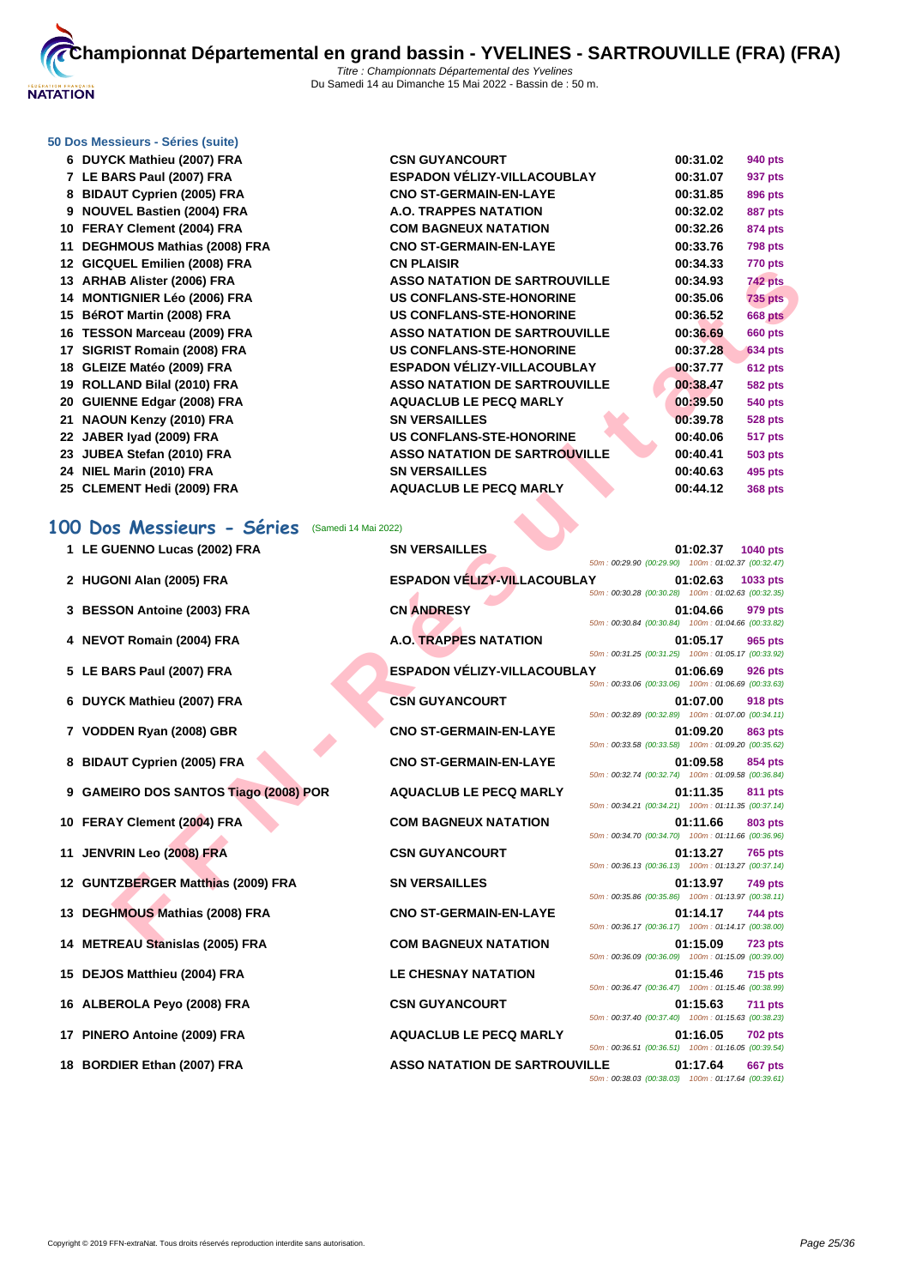

#### **[50 Dos M](http://www.ffnatation.fr/webffn/index.php)essieurs - Séries (suite)**

**6 DUYCK Mathieu (2007) FRA CSN GUYANCOURT 00:31.02 940 pts 7** LE BARS Paul (2007) FRA **8 BIDAUT Cyprien (2005) FRA 9 NOUVEL Bastien (2004) FRA 10 FERAY Clement (2004) FRA 11 DEGHMOUS Mathias (2008) FRA 12 GICQUEL Emilien (2008) FRA 13 ARHAB Alister (2006) FRA 14 MONTIGNIER Léo (2006) FRA 15 BéROT Martin (2008) FRA 16 TESSON Marceau (2009) FRA 17 SIGRIST Romain (2008) FRA 18 GLEIZE Matéo (2009) FRA 19 ROLLAND Bilal (2010) FRA 20 GUIENNE Edgar (2008) FRA 21 NAOUN Kenzy (2010) FRA 22 JABER Iyad (2009) FRA US CONFLANS-STE-HONORINE 00:40.06 517 pts 23 JUBEA Stefan (2010) FRA 24 NIEL Marin (2010) FRA 25 CLEMENT Hedi (2009) FRA AQUACLUB LE PECQ MARLY 00:44.12 368 pts**

| GƏN GUTANGOUR I                      | <b>UU.SI.UZ</b> | 940 pts        |
|--------------------------------------|-----------------|----------------|
| ESPADON VÉLIZY-VILLACOUBLAY          | 00:31.07        | 937 pts        |
| <b>CNO ST-GERMAIN-EN-LAYE</b>        | 00:31.85        | <b>896 pts</b> |
| A.O. TRAPPES NATATION                | 00:32.02        | 887 pts        |
| <b>COM BAGNEUX NATATION</b>          | 00:32.26        | 874 pts        |
| <b>CNO ST-GERMAIN-EN-LAYE</b>        | 00:33.76        | 798 pts        |
| <b>CN PLAISIR</b>                    | 00:34.33        | 770 pts        |
| <b>ASSO NATATION DE SARTROUVILLE</b> | 00:34.93        | 742 pts        |
| <b>US CONFLANS-STE-HONORINE</b>      | 00:35.06        | <b>735 pts</b> |
| <b>US CONFLANS-STE-HONORINE</b>      | 00:36.52        | <b>668 pts</b> |
| <b>ASSO NATATION DE SARTROUVILLE</b> | 00:36.69        | <b>660 pts</b> |
| <b>US CONFLANS-STE-HONORINE</b>      | 00:37.28        | 634 pts        |
| <b>ESPADON VÉLIZY-VILLACOUBLAY</b>   | 00:37.77        | 612 pts        |
| <b>ASSO NATATION DE SARTROUVILLE</b> | 00:38.47        | <b>582 pts</b> |
| <b>AQUACLUB LE PECQ MARLY</b>        | 00:39.50        | <b>540 pts</b> |
| <b>SN VERSAILLES</b>                 | 00:39.78        | <b>528 pts</b> |
| <b>US CONFLANS-STE-HONORINE</b>      | 00:40.06        | 517 pts        |
| <b>ASSO NATATION DE SARTROUVILLE</b> | 00:40.41        | <b>503 pts</b> |
| <b>SN VERSAILLES</b>                 | 00:40.63        | 495 pts        |
|                                      |                 |                |

# **100 Dos Messieurs - Séries** (Samedi 14 Mai 2022)

| <b>IZ GIOGOLL LITTLEH (ZUU) I INA</b>             |                                      |                                                    | 00.JT.JJ | <i>i</i> iv pis |
|---------------------------------------------------|--------------------------------------|----------------------------------------------------|----------|-----------------|
| 13 ARHAB Alister (2006) FRA                       | <b>ASSO NATATION DE SARTROUVILLE</b> |                                                    | 00:34.93 | 742 pts         |
| 14 MONTIGNIER Léo (2006) FRA                      | US CONFLANS-STE-HONORINE             |                                                    | 00:35.06 | <b>735 pts</b>  |
| 15 BéROT Martin (2008) FRA                        | <b>US CONFLANS-STE-HONORINE</b>      |                                                    | 00:36.52 | <b>668 pts</b>  |
| 16 TESSON Marceau (2009) FRA                      | <b>ASSO NATATION DE SARTROUVILLE</b> |                                                    | 00:36.69 | 660 pts         |
| 17 SIGRIST Romain (2008) FRA                      | <b>US CONFLANS-STE-HONORINE</b>      |                                                    | 00:37.28 | 634 pts         |
| 18 GLEIZE Matéo (2009) FRA                        | <b>ESPADON VELIZY-VILLACOUBLAY</b>   |                                                    | 00:37.77 | 612 pts         |
| 19 ROLLAND Bilal (2010) FRA                       | <b>ASSO NATATION DE SARTROUVILLE</b> |                                                    | 00:38.47 | 582 pts         |
| 20 GUIENNE Edgar (2008) FRA                       | <b>AQUACLUB LE PECQ MARLY</b>        |                                                    | 00:39.50 | 540 pts         |
| 21 NAOUN Kenzy (2010) FRA                         | <b>SN VERSAILLES</b>                 |                                                    | 00:39.78 | 528 pts         |
| 22 JABER Iyad (2009) FRA                          | <b>US CONFLANS-STE-HONORINE</b>      |                                                    | 00:40.06 | 517 pts         |
| 23 JUBEA Stefan (2010) FRA                        | <b>ASSO NATATION DE SARTROUVILLE</b> |                                                    | 00:40.41 | 503 pts         |
| 24 NIEL Marin (2010) FRA                          | <b>SN VERSAILLES</b>                 |                                                    | 00:40.63 | 495 pts         |
| 25 CLEMENT Hedi (2009) FRA                        | <b>AQUACLUB LE PECQ MARLY</b>        |                                                    | 00:44.12 | 368 pts         |
| 00 Dos Messieurs - Séries<br>(Samedi 14 Mai 2022) |                                      |                                                    |          |                 |
| 1 LE GUENNO Lucas (2002) FRA                      | <b>SN VERSAILLES</b>                 |                                                    | 01:02.37 | 1040 pts        |
|                                                   |                                      | 50m: 00:29.90 (00:29.90) 100m: 01:02.37 (00:32.47) |          |                 |
| 2 HUGONI Alan (2005) FRA                          | <b>ESPADON VÉLIZY-VILLACOUBLAY</b>   | 50m: 00:30.28 (00:30.28) 100m: 01:02.63 (00:32.35) | 01:02.63 | 1033 pts        |
|                                                   | <b>CN ANDRESY</b>                    |                                                    |          |                 |
| 3 BESSON Antoine (2003) FRA                       |                                      | 50m: 00:30.84 (00:30.84) 100m: 01:04.66 (00:33.82) | 01:04.66 | 979 pts         |
| 4 NEVOT Romain (2004) FRA                         | <b>A.O. TRAPPES NATATION</b>         |                                                    | 01:05.17 | 965 pts         |
|                                                   |                                      | 50m: 00:31.25 (00:31.25) 100m: 01:05.17 (00:33.92) |          |                 |
| 5 LE BARS Paul (2007) FRA                         | ESPADON VÉLIZY-VILLACOUBLAY          |                                                    | 01:06.69 | <b>926 pts</b>  |
|                                                   |                                      | 50m: 00:33.06 (00:33.06) 100m: 01:06.69 (00:33.63) |          |                 |
| 6 DUYCK Mathieu (2007) FRA                        | <b>CSN GUYANCOURT</b>                | 50m: 00:32.89 (00:32.89) 100m: 01:07.00 (00:34.11) | 01:07.00 | <b>918 pts</b>  |
| 7 VODDEN Ryan (2008) GBR                          | <b>CNO ST-GERMAIN-EN-LAYE</b>        |                                                    | 01:09.20 | 863 pts         |
|                                                   |                                      | 50m: 00:33.58 (00:33.58) 100m: 01:09.20 (00:35.62) |          |                 |
| 8 BIDAUT Cyprien (2005) FRA                       | <b>CNO ST-GERMAIN-EN-LAYE</b>        |                                                    | 01:09.58 | 854 pts         |
|                                                   |                                      | 50m: 00:32.74 (00:32.74) 100m: 01:09.58 (00:36.84) |          |                 |
| 9 GAMEIRO DOS SANTOS Tiago (2008) POR             | <b>AQUACLUB LE PECQ MARLY</b>        |                                                    | 01:11.35 | 811 pts         |
|                                                   | <b>COM BAGNEUX NATATION</b>          | 50m: 00:34.21 (00:34.21) 100m: 01:11.35 (00:37.14) |          |                 |
| 10 FERAY Clement (2004) FRA                       |                                      | 50m: 00:34.70 (00:34.70) 100m: 01:11.66 (00:36.96) | 01:11.66 | 803 pts         |
| 11 JENVRIN Leo (2008) FRA                         | <b>CSN GUYANCOURT</b>                |                                                    | 01:13.27 | 765 pts         |
|                                                   |                                      | 50m: 00:36.13 (00:36.13) 100m: 01:13.27 (00:37.14) |          |                 |
| 12 GUNTZBERGER Matthias (2009) FRA                | <b>SN VERSAILLES</b>                 |                                                    | 01:13.97 | 749 pts         |
|                                                   |                                      | 50m: 00:35.86 (00:35.86) 100m: 01:13.97 (00:38.11) |          |                 |
| 13 DEGHMOUS Mathias (2008) FRA                    | <b>CNO ST-GERMAIN-EN-LAYE</b>        | 50m: 00:36.17 (00:36.17) 100m: 01:14.17 (00:38.00) | 01:14.17 | 744 pts         |
| 14 METREAU Stanislas (2005) FRA                   | <b>COM BAGNEUX NATATION</b>          |                                                    | 01:15.09 | <b>723 pts</b>  |
|                                                   |                                      | 50m: 00:36.09 (00:36.09) 100m: 01:15.09 (00:39.00) |          |                 |
| 15 DEJOS Matthieu (2004) FRA                      | <b>LE CHESNAY NATATION</b>           |                                                    | 01:15.46 | 715 pts         |
|                                                   |                                      | 50m: 00:36.47 (00:36.47) 100m: 01:15.46 (00:38.99) |          |                 |
| 16 ALBEROLA Peyo (2008) FRA                       | <b>CSN GUYANCOURT</b>                |                                                    | 01:15.63 | <b>711 pts</b>  |
|                                                   |                                      | 50m: 00:37.40 (00:37.40) 100m: 01:15.63 (00:38.23) |          |                 |
| 17 PINERO Antoine (2009) FRA                      | <b>AQUACLUB LE PECQ MARLY</b>        | 50m: 00:36.51 (00:36.51) 100m: 01:16.05 (00:39.54) | 01:16.05 | <b>702 pts</b>  |
| 18 BORDIER Ethan (2007) FRA                       | <b>ASSO NATATION DE SARTROUVILLE</b> |                                                    | 01:17.64 | 667 pts         |
|                                                   |                                      | 50m: 00:38.03 (00:38.03) 100m: 01:17.64 (00:39.61) |          |                 |
|                                                   |                                      |                                                    |          |                 |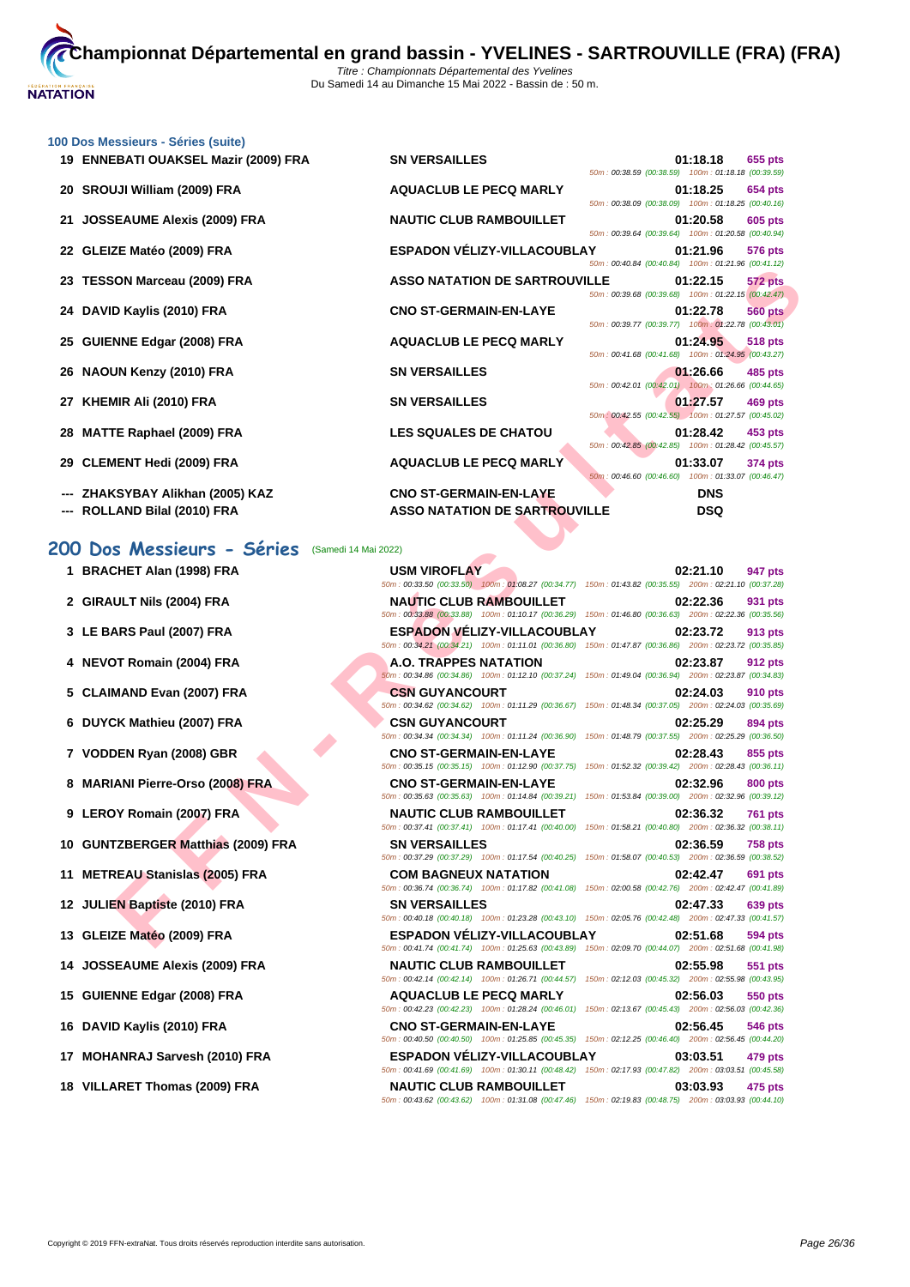

# **[100 Dos M](http://www.ffnatation.fr/webffn/index.php)essieurs - Séries (suite)**

| 19 ENNEBATI OUAKSEL Mazir (2009) FRA | <b>SN VERSAILLES</b>                 | 50m: 00:38.59 (00:38.59) 100m: 01:18.18 (00:39.59) | 01:18.18   | 655 pts        |
|--------------------------------------|--------------------------------------|----------------------------------------------------|------------|----------------|
| 20 SROUJI William (2009) FRA         | <b>AQUACLUB LE PECQ MARLY</b>        | 50m: 00:38.09 (00:38.09) 100m: 01:18.25 (00:40.16) | 01:18.25   | 654 pts        |
| 21 JOSSEAUME Alexis (2009) FRA       | <b>NAUTIC CLUB RAMBOUILLET</b>       | 50m: 00:39.64 (00:39.64) 100m: 01:20.58 (00:40.94) | 01:20.58   | <b>605 pts</b> |
| 22 GLEIZE Matéo (2009) FRA           | ESPADON VÉLIZY-VILLACOUBLAY          | 50m: 00:40.84 (00:40.84) 100m: 01:21.96 (00:41.12) | 01:21.96   | <b>576 pts</b> |
| 23 TESSON Marceau (2009) FRA         | <b>ASSO NATATION DE SARTROUVILLE</b> | 50m: 00:39.68 (00:39.68) 100m: 01:22.15 (00:42.47) | 01:22.15   | <b>572 pts</b> |
| 24 DAVID Kaylis (2010) FRA           | <b>CNO ST-GERMAIN-EN-LAYE</b>        | 50m: 00:39.77 (00:39.77) 100m: 01:22.78 (00:43.01) | 01:22.78   | <b>560 pts</b> |
| 25 GUIENNE Edgar (2008) FRA          | <b>AQUACLUB LE PECQ MARLY</b>        | 50m: 00:41.68 (00:41.68) 100m: 01:24.95 (00:43.27) | 01:24.95   | 518 pts        |
| 26 NAOUN Kenzy (2010) FRA            | <b>SN VERSAILLES</b>                 | 50m: 00:42.01 (00:42.01) 100m: 01:26.66 (00:44.65) | 01:26.66   | 485 pts        |
| 27 KHEMIR Ali (2010) FRA             | <b>SN VERSAILLES</b>                 | 50m: 00:42.55 (00:42.55) 100m: 01:27.57 (00:45.02) | 01:27.57   | 469 pts        |
| 28 MATTE Raphael (2009) FRA          | <b>LES SQUALES DE CHATOU</b>         | 50m: 00:42.85 (00:42.85) 100m: 01:28.42 (00:45.57) | 01:28.42   | 453 pts        |
| 29 CLEMENT Hedi (2009) FRA           | <b>AQUACLUB LE PECQ MARLY</b>        | 50m: 00:46.60 (00:46.60) 100m: 01:33.07 (00:46.47) | 01:33.07   | 374 pts        |
| --- ZHAKSYBAY Alikhan (2005) KAZ     | <b>CNO ST-GERMAIN-EN-LAYE</b>        |                                                    | <b>DNS</b> |                |
| --- ROLLAND Bilal (2010) FRA         | <b>ASSO NATATION DE SARTROUVILLE</b> |                                                    | <b>DSQ</b> |                |

# **200 Dos Messieurs - Séries** (Samedi 14 Mai 2022)

|                                       |                                                                                                                                              | $50011.00.40.04(00.40.04)$ 10011. 01.21.30 $(00.41.12)$                          |
|---------------------------------------|----------------------------------------------------------------------------------------------------------------------------------------------|----------------------------------------------------------------------------------|
| 23 TESSON Marceau (2009) FRA          | <b>ASSO NATATION DE SARTROUVILLE</b>                                                                                                         | 01:22.15<br>572 pts<br>50m: 00:39.68 (00:39.68) 100m: 01:22.15 (00:42.47)        |
| 24 DAVID Kaylis (2010) FRA            | <b>CNO ST-GERMAIN-EN-LAYE</b>                                                                                                                | 01:22.78<br>560 pts<br>50m: 00:39.77 (00:39.77) 100m: 01:22.78 (00:43.01)        |
| 25 GUIENNE Edgar (2008) FRA           | <b>AQUACLUB LE PECQ MARLY</b>                                                                                                                | 01:24.95<br><b>518 pts</b><br>50m: 00:41.68 (00:41.68) 100m: 01:24.95 (00:43.27) |
| 26 NAOUN Kenzy (2010) FRA             | <b>SN VERSAILLES</b>                                                                                                                         | 01:26.66<br>485 pts<br>50m: 00:42.01 (00:42.01) 100m: 01:26.66 (00:44.65)        |
| 27   KHEMIR Ali (2010) FRA            | <b>SN VERSAILLES</b>                                                                                                                         | 01:27.57<br>469 pts<br>50m: 00:42.55 (00:42.55) 100m: 01:27.57 (00:45.02)        |
| 28 MATTE Raphael (2009) FRA           | <b>LES SQUALES DE CHATOU</b>                                                                                                                 | 01:28.42<br>453 pts<br>50m: 00:42.85 (00:42.85) 100m: 01:28.42 (00:45.57)        |
| 29 CLEMENT Hedi (2009) FRA            | <b>AQUACLUB LE PECQ MARLY</b>                                                                                                                | 01:33.07<br><b>374 pts</b><br>50m: 00:46.60 (00:46.60) 100m: 01:33.07 (00:46.47) |
| ---   ZHAKSYBAY Alikhan (2005) KAZ    | <b>CNO ST-GERMAIN-EN-LAYE</b>                                                                                                                | <b>DNS</b>                                                                       |
| --- ROLLAND Bilal (2010) FRA          | <b>ASSO NATATION DE SARTROUVILLE</b>                                                                                                         | <b>DSQ</b>                                                                       |
|                                       |                                                                                                                                              |                                                                                  |
| 00 Dos Messieurs - Séries             | (Samedi 14 Mai 2022)                                                                                                                         |                                                                                  |
| 1 BRACHET Alan (1998) FRA             | <b>USM VIROFLAY</b>                                                                                                                          | 02:21.10<br>947 pts                                                              |
|                                       | 50m: 00:33.50 (00:33.50) 100m: 01:08.27 (00:34.77) 150m: 01:43.82 (00:35.55) 200m: 02:21.10 (00:37.28)                                       |                                                                                  |
| 2 GIRAULT Nils (2004) FRA             | <b>NAUTIC CLUB RAMBOUILLET</b><br>50m: 00:33.88 (00:33.88) 100m: 01:10.17 (00:36.29) 150m: 01:46.80 (00:36.63) 200m: 02:22.36 (00:35.56)     | 02:22.36<br>931 pts                                                              |
| 3 LE BARS Paul (2007) FRA             | <b>ESPADON VELIZY-VILLACOUBLAY</b><br>50m: 00:34.21 (00:34.21) 100m: 01:11.01 (00:36.80) 150m: 01:47.87 (00:36.86) 200m: 02:23.72 (00:35.85) | 02:23.72<br>913 pts                                                              |
| 4 NEVOT Romain (2004) FRA             | A.O. TRAPPES NATATION<br>50m : 00:34.86 (00:34.86) 100m : 01:12.10 (00:37.24) 150m : 01:49.04 (00:36.94) 200m : 02:23.87 (00:34.83)          | 02:23.87<br>912 pts                                                              |
| 5 CLAIMAND Evan (2007) FRA            | <b>CSN GUYANCOURT</b><br>50m: 00:34.62 (00:34.62) 100m: 01:11.29 (00:36.67) 150m: 01:48.34 (00:37.05) 200m: 02:24.03 (00:35.69)              | 02:24.03<br><b>910 pts</b>                                                       |
| 6 DUYCK Mathieu (2007) FRA            | <b>CSN GUYANCOURT</b><br>50m: 00:34.34 (00:34.34) 100m: 01:11.24 (00:36.90) 150m: 01:48.79 (00:37.55) 200m: 02:25.29 (00:36.50)              | 02:25.29<br>894 pts                                                              |
| 7 VODDEN Ryan (2008) GBR              | <b>CNO ST-GERMAIN-EN-LAYE</b><br>50m: 00:35.15 (00:35.15) 100m: 01:12.90 (00:37.75) 150m: 01:52.32 (00:39.42) 200m: 02:28.43 (00:36.11)      | 02:28.43<br>855 pts                                                              |
| 8 MARIANI Pierre-Orso (2008) FRA      | <b>CNO ST-GERMAIN-EN-LAYE</b><br>50m : 00:35.63 (00:35.63) 100m : 01:14.84 (00:39.21) 150m : 01:53.84 (00:39.00) 200m : 02:32.96 (00:39.12)  | 02:32.96<br>800 pts                                                              |
| 9 LEROY Romain (2007) FRA             | <b>NAUTIC CLUB RAMBOUILLET</b><br>50m: 00:37.41 (00:37.41) 100m: 01:17.41 (00:40.00) 150m: 01:58.21 (00:40.80) 200m: 02:36.32 (00:38.11)     | 02:36.32<br>761 pts                                                              |
| 10 GUNTZBERGER Matthias (2009) FRA    | <b>SN VERSAILLES</b><br>50m: 00:37.29 (00:37.29) 100m: 01:17.54 (00:40.25) 150m: 01:58.07 (00:40.53) 200m: 02:36.59 (00:38.52)               | 02:36.59<br><b>758 pts</b>                                                       |
| 11 METREAU Stanislas (2005) FRA       | <b>COM BAGNEUX NATATION</b><br>50m: 00:36.74 (00:36.74) 100m: 01:17.82 (00:41.08) 150m: 02:00.58 (00:42.76) 200m: 02:42.47 (00:41.89)        | 02:42.47<br>691 pts                                                              |
| 12 JULIEN Baptiste (2010) FRA         | <b>SN VERSAILLES</b><br>50m : 00:40.18 (00:40.18) 100m : 01:23.28 (00:43.10) 150m : 02:05.76 (00:42.48) 200m : 02:47.33 (00:41.57)           | 02:47.33<br>639 pts                                                              |
| 13 GLEIZE Matéo (2009) FRA            | <b>ESPADON VELIZY-VILLACOUBLAY</b><br>50m: 00:41.74 (00:41.74) 100m: 01:25.63 (00:43.89) 150m: 02:09.70 (00:44.07) 200m: 02:51.68 (00:41.98) | 02:51.68<br>594 pts                                                              |
| <b>14 JOSSEAUME Alexis (2009) FRA</b> | <b>NAUTIC CLUB RAMBOUILLET</b><br>50m : 00:42.14 (00:42.14) 100m : 01:26.71 (00:44.57) 150m : 02:12.03 (00:45.32) 200m : 02:55.98 (00:43.95) | 02:55.98<br>551 pts                                                              |
| 15 GUIENNE Edgar (2008) FRA           | <b>AQUACLUB LE PECQ MARLY</b><br>50m: 00:42.23 (00:42.23) 100m: 01:28.24 (00:46.01)                                                          | 02:56.03<br>550 pts<br>150m: 02:13.67 (00:45.43) 200m: 02:56.03 (00:42.36)       |
| 16 DAVID Kaylis (2010) FRA            | <b>CNO ST-GERMAIN-EN-LAYE</b><br>50m : 00:40.50 (00:40.50) 100m : 01:25.85 (00:45.35) 150m : 02:12.25 (00:46.40) 200m : 02:56.45 (00:44.20)  | 02:56.45<br>546 pts                                                              |
| 17 MOHANRAJ Sarvesh (2010) FRA        | <b>ESPADON VELIZY-VILLACOUBLAY</b><br>50m: 00:41.69 (00:41.69) 100m: 01:30.11 (00:48.42)                                                     | 03:03.51<br>479 pts<br>150m: 02:17.93 (00:47.82) 200m: 03:03.51 (00:45.58)       |
| 18 VILLARET Thomas (2009) FRA         | <b>NAUTIC CLUB RAMBOUILLET</b><br>50m : 00:43.62 (00:43.62) 100m : 01:31.08 (00:47.46) 150m : 02:19.83 (00:48.75) 200m : 03:03.93 (00:44.10) | 03:03.93<br>475 pts                                                              |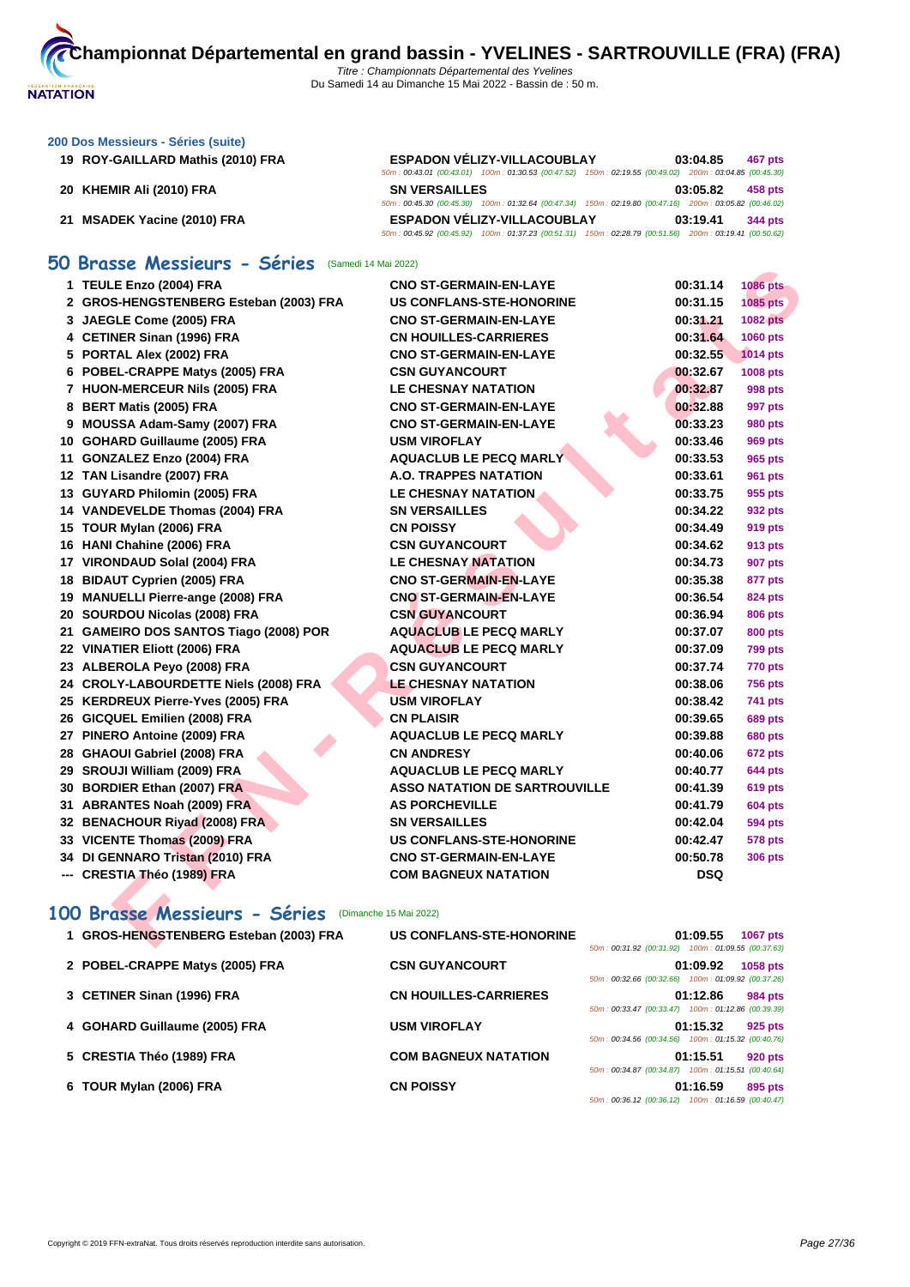

## **[200 Dos M](http://www.ffnatation.fr/webffn/index.php)essieurs - Séries (suite)**

- 
- 
- 

#### **ROY-GAILLARD Mathis (2010) FRA ESPADON VÉLIZY-VILLACOUBLAY 03:04.85 467 pts** 50m : 00:43.01 (00:43.01) 100m : 01:30.53 (00:47.52) 150m : 02:19.55 (00:49.02) 200m : 03:04.85 (00:45.30) **KHEMIR Ali (2010) FRA SN VERSAILLES 03:05.82 458 pts** 50m : 00:45.30 (00:45.30) 100m : 01:32.64 (00:47.34) 150m : 02:19.80 (00:47.16) 200m : 03:05.82 (00:46.02) **MSADEK Yacine (2010) FRA ESPADON VÉLIZY-VILLACOUBLAY 03:19.41 344 pts** 50m : 00:45.92 (00:45.92) 100m : 01:37.23 (00:51.31) 150m : 02:28.79 (00:51.56) 200m : 03:19.41 (00:50.62)

# **50 Brasse Messieurs - Séries** (Samedi 14 Mai 2022)

| v. | <b>DI'USSE MESSIEUI'S - JEI'IES</b> (Sanieul 14 Mai 2022) |                                      |            |                 |
|----|-----------------------------------------------------------|--------------------------------------|------------|-----------------|
|    | 1 TEULE Enzo (2004) FRA                                   | <b>CNO ST-GERMAIN-EN-LAYE</b>        | 00:31.14   | <b>1086 pts</b> |
|    | 2 GROS-HENGSTENBERG Esteban (2003) FRA                    | <b>US CONFLANS-STE-HONORINE</b>      | 00:31.15   | 1085 pts        |
|    | 3 JAEGLE Come (2005) FRA                                  | <b>CNO ST-GERMAIN-EN-LAYE</b>        | 00:31.21   | <b>1082 pts</b> |
|    | 4 CETINER Sinan (1996) FRA                                | <b>CN HOUILLES-CARRIERES</b>         | 00:31.64   | 1060 pts        |
|    | 5 PORTAL Alex (2002) FRA                                  | <b>CNO ST-GERMAIN-EN-LAYE</b>        | 00:32.55   | <b>1014 pts</b> |
|    | 6 POBEL-CRAPPE Matys (2005) FRA                           | <b>CSN GUYANCOURT</b>                | 00:32.67   | <b>1008 pts</b> |
|    | 7 HUON-MERCEUR Nils (2005) FRA                            | <b>LE CHESNAY NATATION</b>           | 00:32.87   | 998 pts         |
|    | 8 BERT Matis (2005) FRA                                   | <b>CNO ST-GERMAIN-EN-LAYE</b>        | 00:32.88   | 997 pts         |
|    | 9 MOUSSA Adam-Samy (2007) FRA                             | <b>CNO ST-GERMAIN-EN-LAYE</b>        | 00:33.23   | <b>980 pts</b>  |
|    | 10 GOHARD Guillaume (2005) FRA                            | <b>USM VIROFLAY</b>                  | 00:33.46   | <b>969 pts</b>  |
|    | 11 GONZALEZ Enzo (2004) FRA                               | <b>AQUACLUB LE PECQ MARLY</b>        | 00:33.53   | 965 pts         |
|    | 12 TAN Lisandre (2007) FRA                                | <b>A.O. TRAPPES NATATION</b>         | 00:33.61   | <b>961 pts</b>  |
|    | 13 GUYARD Philomin (2005) FRA                             | <b>LE CHESNAY NATATION</b>           | 00:33.75   | 955 pts         |
|    | 14 VANDEVELDE Thomas (2004) FRA                           | <b>SN VERSAILLES</b>                 | 00:34.22   | 932 pts         |
|    | 15 TOUR Mylan (2006) FRA                                  | <b>CN POISSY</b>                     | 00:34.49   | 919 pts         |
|    | 16 HANI Chahine (2006) FRA                                | <b>CSN GUYANCOURT</b>                | 00:34.62   | <b>913 pts</b>  |
|    | 17 VIRONDAUD Solal (2004) FRA                             | <b>LE CHESNAY NATATION</b>           | 00:34.73   | 907 pts         |
|    | 18 BIDAUT Cyprien (2005) FRA                              | <b>CNO ST-GERMAIN-EN-LAYE</b>        | 00:35.38   | 877 pts         |
|    | 19 MANUELLI Pierre-ange (2008) FRA                        | <b>CNO ST-GERMAIN-EN-LAYE</b>        | 00:36.54   | <b>824 pts</b>  |
|    | 20 SOURDOU Nicolas (2008) FRA                             | <b>CSN GUYANCOURT</b>                | 00:36.94   | <b>806 pts</b>  |
|    | 21 GAMEIRO DOS SANTOS Tiago (2008) POR                    | <b>AQUACLUB LE PECQ MARLY</b>        | 00:37.07   | <b>800 pts</b>  |
|    | 22 VINATIER Eliott (2006) FRA                             | <b>AQUACLUB LE PECQ MARLY</b>        | 00:37.09   | <b>799 pts</b>  |
|    | 23 ALBEROLA Peyo (2008) FRA                               | <b>CSN GUYANCOURT</b>                | 00:37.74   | 770 pts         |
|    | 24 CROLY-LABOURDETTE Niels (2008) FRA                     | <b>LE CHESNAY NATATION</b>           | 00:38.06   | <b>756 pts</b>  |
|    | 25 KERDREUX Pierre-Yves (2005) FRA                        | <b>USM VIROFLAY</b>                  | 00:38.42   | 741 pts         |
|    | 26 GICQUEL Emilien (2008) FRA                             | <b>CN PLAISIR</b>                    | 00:39.65   | <b>689 pts</b>  |
|    | 27 PINERO Antoine (2009) FRA                              | <b>AQUACLUB LE PECQ MARLY</b>        | 00:39.88   | <b>680 pts</b>  |
|    | 28 GHAOUI Gabriel (2008) FRA                              | <b>CN ANDRESY</b>                    | 00:40.06   | <b>672 pts</b>  |
|    | 29 SROUJI William (2009) FRA                              | <b>AQUACLUB LE PECQ MARLY</b>        | 00:40.77   | <b>644 pts</b>  |
|    | 30 BORDIER Ethan (2007) FRA                               | <b>ASSO NATATION DE SARTROUVILLE</b> | 00:41.39   | <b>619 pts</b>  |
|    | 31 ABRANTES Noah (2009) FRA                               | <b>AS PORCHEVILLE</b>                | 00:41.79   | <b>604 pts</b>  |
|    | 32 BENACHOUR Riyad (2008) FRA                             | <b>SN VERSAILLES</b>                 | 00:42.04   | <b>594 pts</b>  |
|    | 33 VICENTE Thomas (2009) FRA                              | <b>US CONFLANS-STE-HONORINE</b>      | 00:42.47   | <b>578 pts</b>  |
|    | 34 DI GENNARO Tristan (2010) FRA                          | <b>CNO ST-GERMAIN-EN-LAYE</b>        | 00:50.78   | <b>306 pts</b>  |
|    | --- CRESTIA Théo (1989) FRA                               | <b>COM BAGNEUX NATATION</b>          | <b>DSQ</b> |                 |
|    | 00 Brasse Messieurs - Séries (Dimanche 15 Mai 2022)       |                                      |            |                 |
|    | 1 GROS-HENGSTENBERG Esteban (2003) FRA                    | <b>US CONFLANS-STE-HONORINE</b>      | 01:09.55   | <b>1067 pts</b> |
|    |                                                           | $00.2400$ $(00.24)$                  |            |                 |

# **100 Brasse Messieurs - Séries** (Dimanche 15 Mai 2022)

| 1 GROS-HENGSTENBERG Esteban (2003) FRA | US CONFLANS-STE-HONORINE     | 01:09.55<br><b>1067 pts</b><br>50m: 00:31.92 (00:31.92) 100m: 01:09.55 (00:37.63) |
|----------------------------------------|------------------------------|-----------------------------------------------------------------------------------|
| 2 POBEL-CRAPPE Matys (2005) FRA        | <b>CSN GUYANCOURT</b>        | 01:09.92<br>1058 pts<br>50m: 00:32.66 (00:32.66) 100m: 01:09.92 (00:37.26)        |
| 3 CETINER Sinan (1996) FRA             | <b>CN HOUILLES-CARRIERES</b> | 01:12.86<br>984 pts<br>50m: 00:33.47 (00:33.47) 100m: 01:12.86 (00:39.39)         |
| 4 GOHARD Guillaume (2005) FRA          | <b>USM VIROFLAY</b>          | 01:15.32<br>925 pts<br>50m: 00:34.56 (00:34.56) 100m: 01:15.32 (00:40.76)         |
| 5 CRESTIA Théo (1989) FRA              | <b>COM BAGNEUX NATATION</b>  | 01:15.51<br>920 pts<br>50m: 00:34.87 (00:34.87) 100m: 01:15.51 (00:40.64)         |
| 6 TOUR Mylan (2006) FRA                | <b>CN POISSY</b>             | 01:16.59<br>895 pts<br>50m: 00:36.12 (00:36.12) 100m: 01:16.59 (00:40.47)         |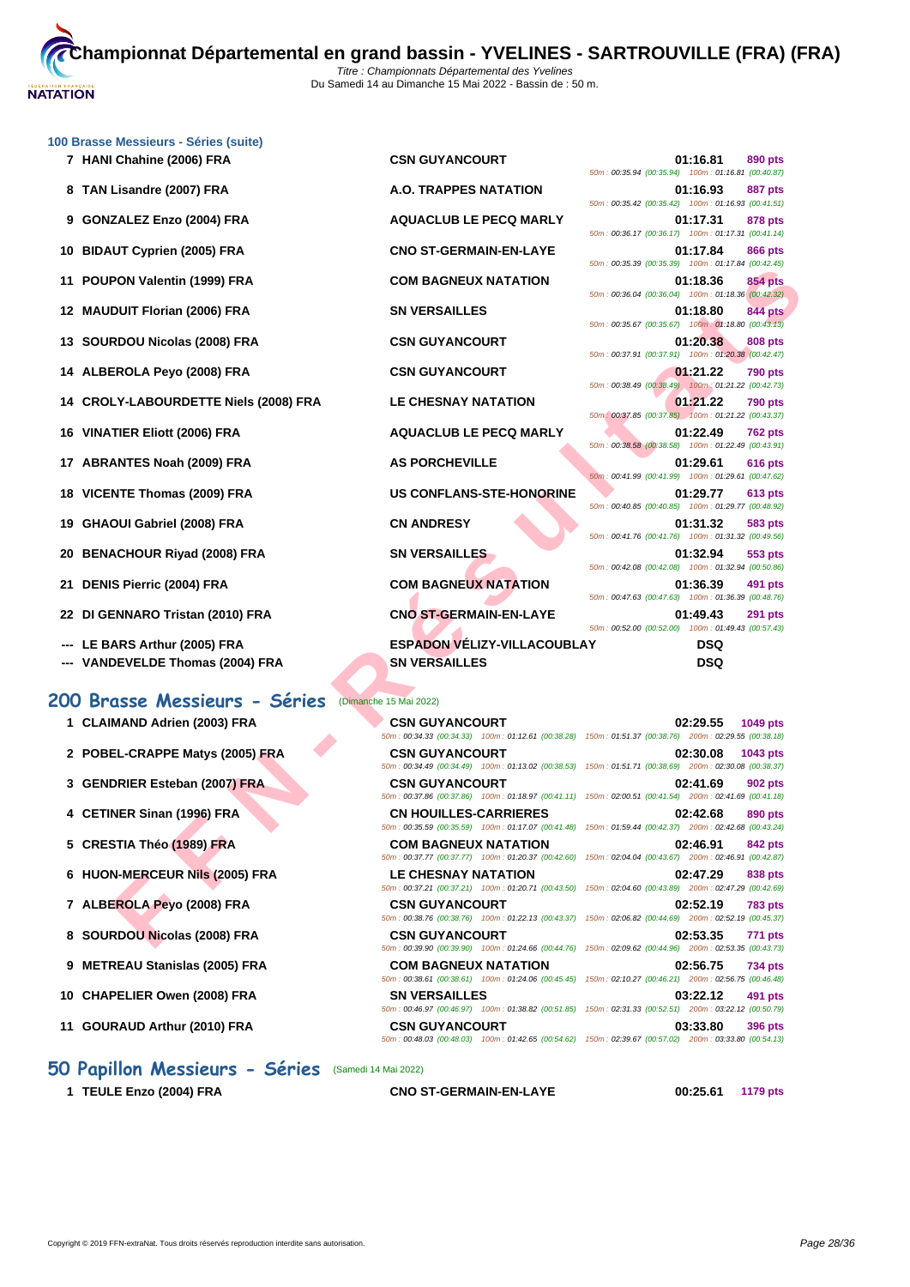

|     | 100 Brasse Messieurs - Séries (suite)<br>7 HANI Chahine (2006) FRA | <b>CSN GUYANCOURT</b>                                                             | 01:16.81<br>890 pts<br>50m: 00:35.94 (00:35.94) 100m: 01:16.81 (00:40.87)                                                          |
|-----|--------------------------------------------------------------------|-----------------------------------------------------------------------------------|------------------------------------------------------------------------------------------------------------------------------------|
|     | 8 TAN Lisandre (2007) FRA                                          | A.O. TRAPPES NATATION                                                             | 01:16.93<br>887 pts<br>50m: 00:35.42 (00:35.42) 100m: 01:16.93 (00:41.51)                                                          |
|     | 9 GONZALEZ Enzo (2004) FRA                                         | <b>AQUACLUB LE PECQ MARLY</b>                                                     | 01:17.31<br>878 pts<br>50m: 00:36.17 (00:36.17) 100m: 01:17.31 (00:41.14)                                                          |
| 10  | <b>BIDAUT Cyprien (2005) FRA</b>                                   | <b>CNO ST-GERMAIN-EN-LAYE</b>                                                     | 01:17.84<br>866 pts<br>50m: 00:35.39 (00:35.39) 100m: 01:17.84 (00:42.45)                                                          |
| 11  | POUPON Valentin (1999) FRA                                         | <b>COM BAGNEUX NATATION</b>                                                       | 01:18.36<br><b>854 pts</b><br>50m: 00:36.04 (00:36.04) 100m: 01:18.36 (00:42.32)                                                   |
|     | 12 MAUDUIT Florian (2006) FRA                                      | <b>SN VERSAILLES</b>                                                              | 01:18.80<br>844 pts<br>50m: 00:35.67 (00:35.67) 100m: 01:18.80 (00:43.13)                                                          |
| 13  | SOURDOU Nicolas (2008) FRA                                         | <b>CSN GUYANCOURT</b>                                                             | 01:20.38<br>808 pts                                                                                                                |
| 14. | ALBEROLA Peyo (2008) FRA                                           | <b>CSN GUYANCOURT</b>                                                             | 50m: 00:37.91 (00:37.91) 100m: 01:20.38 (00:42.47)<br>01:21.22<br><b>790 pts</b>                                                   |
|     | 14 CROLY-LABOURDETTE Niels (2008) FRA                              | <b>LE CHESNAY NATATION</b>                                                        | 50m: 00:38.49 (00:38.49) 100m: 01:21.22 (00:42.73)<br>01:21.22<br>790 pts                                                          |
| 16  | <b>VINATIER Eliott (2006) FRA</b>                                  | <b>AQUACLUB LE PECQ MARLY</b>                                                     | 50m: 00:37.85 (00:37.85) 100m: 01:21.22 (00:43.37)<br>01:22.49<br><b>762 pts</b>                                                   |
| 17  | <b>ABRANTES Noah (2009) FRA</b>                                    | <b>AS PORCHEVILLE</b>                                                             | 50m: 00:38.58 (00:38.58) 100m: 01:22.49 (00:43.91)<br>01:29.61<br>616 pts                                                          |
| 18  | <b>VICENTE Thomas (2009) FRA</b>                                   | <b>US CONFLANS-STE-HONORINE</b>                                                   | 50m: 00:41.99 (00:41.99) 100m: 01:29.61 (00:47.62)<br>01:29.77<br>613 pts                                                          |
|     | 19 GHAOUI Gabriel (2008) FRA                                       | <b>CN ANDRESY</b>                                                                 | 50m: 00:40.85 (00:40.85) 100m: 01:29.77 (00:48.92)<br>01:31.32<br>583 pts                                                          |
| 20  | <b>BENACHOUR Riyad (2008) FRA</b>                                  | <b>SN VERSAILLES</b>                                                              | 50m: 00:41.76 (00:41.76) 100m: 01:31.32 (00:49.56)<br>01:32.94<br>553 pts                                                          |
| 21  | <b>DENIS Pierric (2004) FRA</b>                                    | <b>COM BAGNEUX NATATION</b>                                                       | 50m: 00:42.08 (00:42.08) 100m: 01:32.94 (00:50.86)<br>01:36.39<br>491 pts                                                          |
|     | 22 DI GENNARO Tristan (2010) FRA                                   | <b>CNO ST-GERMAIN-EN-LAYE</b>                                                     | 50m: 00:47.63 (00:47.63) 100m: 01:36.39 (00:48.76)<br>01:49.43<br><b>291 pts</b>                                                   |
|     |                                                                    |                                                                                   | 50m: 00:52.00 (00:52.00) 100m: 01:49.43 (00:57.43)                                                                                 |
|     | LE BARS Arthur (2005) FRA<br><b>VANDEVELDE Thomas (2004) FRA</b>   | <b>ESPADON VELIZY-VILLACOUBLAY</b><br><b>SN VERSAILLES</b>                        | <b>DSQ</b><br><b>DSQ</b>                                                                                                           |
|     | 200 Brasse Messieurs - Séries                                      | (Dimanche 15 Mai 2022)                                                            |                                                                                                                                    |
|     | 1 CLAIMAND Adrien (2003) FRA                                       | <b>CSN GUYANCOURT</b>                                                             | 02:29.55<br>1049 pts                                                                                                               |
|     |                                                                    |                                                                                   | 50m: 00:34.33 (00:34.33) 100m: 01:12.61 (00:38.28) 150m: 01:51.37 (00:38.76) 200m: 02:29.55 (00:38.18)                             |
|     | 2 POBEL-CRAPPE Matys (2005) FRA                                    | <b>CSN GUYANCOURT</b>                                                             | 02:30.08<br>1043 pts<br>50m : 00:34.49 (00:34.49) 100m : 01:13.02 (00:38.53) 150m : 01:51.71 (00:38.69) 200m : 02:30.08 (00:38.37) |
|     | 3 GENDRIER Esteban (2007) FRA                                      | <b>CSN GUYANCOURT</b>                                                             | 02:41.69<br>902 pts<br>50m: 00:37.86 (00:37.86) 100m: 01:18.97 (00:41.11) 150m: 02:00.51 (00:41.54) 200m: 02:41.69 (00:41.18)      |
|     | 4 CETINER Sinan (1996) FRA                                         | <b>CN HOUILLES-CARRIERES</b>                                                      | 02:42.68<br>890 pts<br>50m : 00:35.59 (00:35.59) 100m : 01:17.07 (00:41.48) 150m : 01:59.44 (00:42.37) 200m : 02:42.68 (00:43.24)  |
|     | 5 CRESTIA Théo (1989) FRA                                          | <b>COM BAGNEUX NATATION</b><br>50m: 00:37.77 (00:37.77) 100m: 01:20.37 (00:42.60) | 02:46.91<br>842 pts<br>150m: 02:04.04 (00:43.67) 200m: 02:46.91 (00:42.87)                                                         |
|     | 6 HUON-MERCEUR Nils (2005) FRA                                     | <b>LE CHESNAY NATATION</b>                                                        | 02:47.29<br>838 pts                                                                                                                |
|     | 7 ALBEROLA Peyo (2008) FRA                                         | <b>CSN GUYANCOURT</b>                                                             | 50m: 00:37.21 (00:37.21) 100m: 01:20.71 (00:43.50) 150m: 02:04.60 (00:43.89) 200m: 02:47.29 (00:42.69)<br>02:52.19<br>783 pts      |
|     | 8 SOURDOU Nicolas (2008) FRA                                       | <b>CSN GUYANCOURT</b>                                                             | 50m: 00:38.76 (00:38.76) 100m: 01:22.13 (00:43.37) 150m: 02:06.82 (00:44.69) 200m: 02:52.19 (00:45.37)<br>02:53.35<br>771 pts      |
|     |                                                                    |                                                                                   |                                                                                                                                    |

- **22 DI GENNARO Tristan (2010) FRA CNO ST-GERMAIN-EN-LAYE 01:49.43 291 pts**
- **--- LE BARS Arthur (2005) FRA ESPADON VÉLIZY-VILLACOUBLAY DSQ**
- **--- VANDEVELDE Thomas (2004) FRA SN VERSAILLES DSQ**

#### **200 Brasse Messieurs - Séries** (Dimar

- 
- 
- 
- 
- 
- 
- 
- 
- 
- 
- 

# **50 Papillon Messieurs - Séries** (Samedi 14 Mai 2022)

| che 15 Mai 2022) |  |  |  |  |
|------------------|--|--|--|--|
|------------------|--|--|--|--|

| 1 CLAIMAND Adrien (2003) FRA    | <b>CSN GUYANCOURT</b>        | 50m: 00:34.33 (00:34.33) 100m: 01:12.61 (00:38.28) 150m: 01:51.37 (00:38.76) 200m: 02:29.55 (00:38.18)     | 02:29.55 | 1049 pts       |
|---------------------------------|------------------------------|------------------------------------------------------------------------------------------------------------|----------|----------------|
| 2 POBEL-CRAPPE Matys (2005) FRA | <b>CSN GUYANCOURT</b>        | 50m: 00:34.49 (00:34.49) 100m: 01:13.02 (00:38.53) 150m: 01:51.71 (00:38.69) 200m: 02:30.08 (00:38.37)     | 02:30.08 | 1043 pts       |
| 3 GENDRIER Esteban (2007) FRA   | <b>CSN GUYANCOURT</b>        | 50m: 00:37.86 (00:37.86) 100m: 01:18.97 (00:41.11) 150m: 02:00.51 (00:41.54) 200m: 02:41.69 (00:41.18)     | 02:41.69 | <b>902 pts</b> |
| 4 CETINER Sinan (1996) FRA      | <b>CN HOUILLES-CARRIERES</b> | 50m: 00:35.59 (00:35.59) 100m: 01:17.07 (00:41.48) 150m: 01:59.44 (00:42.37) 200m: 02:42.68 (00:43.24)     | 02:42.68 | 890 pts        |
| 5 CRESTIA Théo (1989) FRA       | <b>COM BAGNEUX NATATION</b>  | 50m: 00:37.77 (00:37.77) 100m: 01:20.37 (00:42.60) 150m: 02:04.04 (00:43.67) 200m: 02:46.91 (00:42.87)     | 02:46.91 | 842 pts        |
| 6 HUON-MERCEUR Nils (2005) FRA  | <b>LE CHESNAY NATATION</b>   | 50m: 00:37.21 (00:37.21) 100m: 01:20.71 (00:43.50) 150m: 02:04.60 (00:43.89) 200m: 02:47.29 (00:42.69)     | 02:47.29 | 838 pts        |
| 7 ALBEROLA Peyo (2008) FRA      | <b>CSN GUYANCOURT</b>        | 50m: 00:38.76 (00:38.76) 100m: 01:22.13 (00:43.37) 150m: 02:06.82 (00:44.69) 200m: 02:52.19 (00:45.37)     | 02:52.19 | <b>783 pts</b> |
| 8 SOURDOU Nicolas (2008) FRA    | <b>CSN GUYANCOURT</b>        | 50m : 00:39.90 (00:39.90) 100m : 01:24.66 (00:44.76) 150m : 02:09.62 (00:44.96) 200m : 02:53.35 (00:43.73) | 02:53.35 | 771 pts        |
| 9 METREAU Stanislas (2005) FRA  | <b>COM BAGNEUX NATATION</b>  | 50m: 00:38.61 (00:38.61) 100m: 01:24.06 (00:45.45) 150m: 02:10.27 (00:46.21) 200m: 02:56.75 (00:46.48)     | 02:56.75 | <b>734 pts</b> |
| 10 CHAPELIER Owen (2008) FRA    | <b>SN VERSAILLES</b>         | 50m: 00:46.97 (00:46.97) 100m: 01:38.82 (00:51.85) 150m: 02:31.33 (00:52.51) 200m: 03:22.12 (00:50.79)     | 03:22.12 | 491 pts        |
| 11 GOURAUD Arthur (2010) FRA    | <b>CSN GUYANCOURT</b>        |                                                                                                            | 03:33.80 | <b>396 pts</b> |

50m : 00:48.03 (00:48.03) 100m : 01:42.65 (00:54.62) 150m : 02:39.67 (00:57.02) 200m : 03:33.80 (00:54.13)

**1 TEULE Enzo (2004) FRA CNO ST-GERMAIN-EN-LAYE 00:25.61 1179 pts**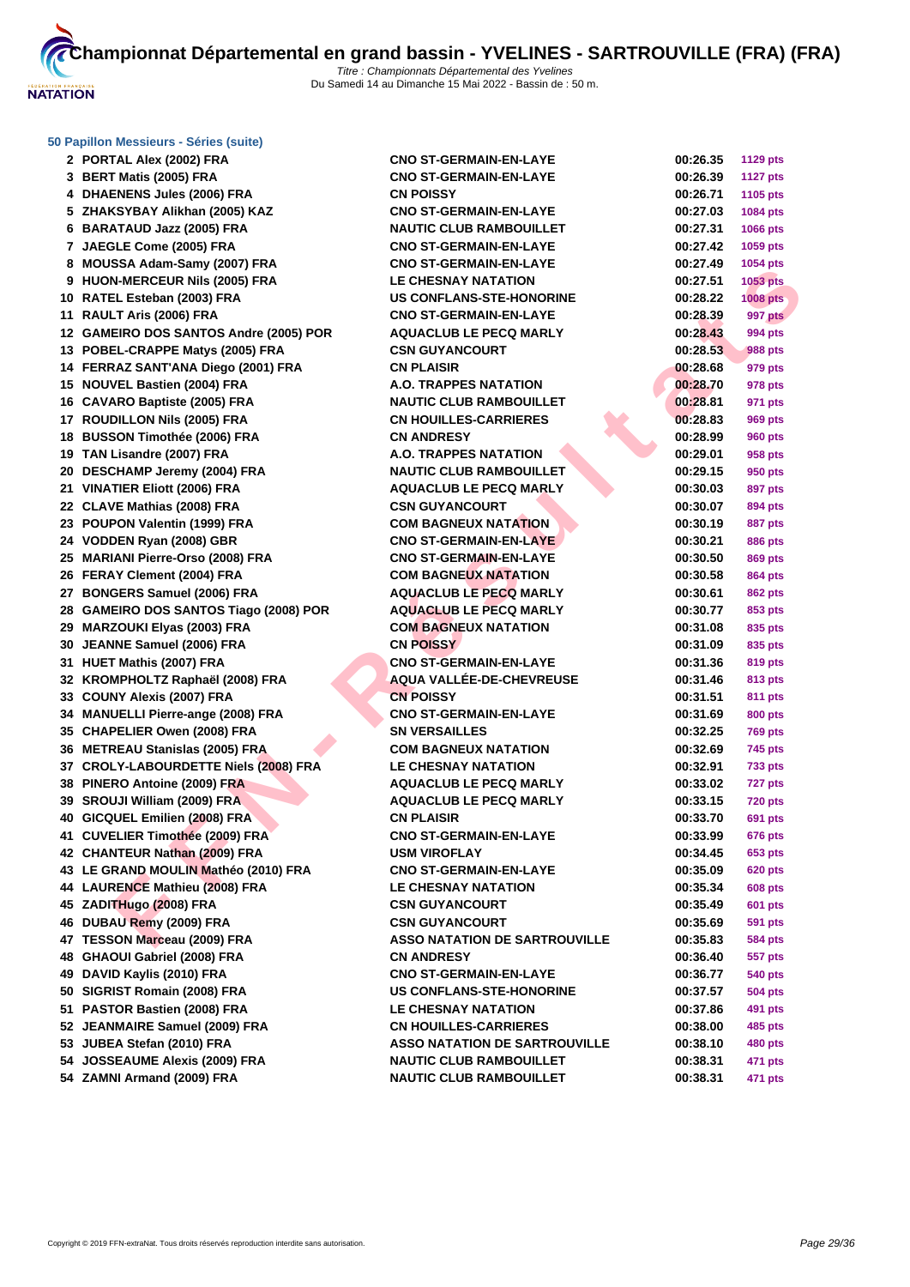

**[50 Papillo](http://www.ffnatation.fr/webffn/index.php)n Messieurs - Séries (suite)**

| 2 PORTAL Alex (2002) FRA               | <b>CNO ST-GERMAIN-EN-LAYE</b>        | 00:26.35 | <b>1129 pts</b> |
|----------------------------------------|--------------------------------------|----------|-----------------|
| 3 BERT Matis (2005) FRA                | <b>CNO ST-GERMAIN-EN-LAYE</b>        | 00:26.39 | <b>1127 pts</b> |
| 4 DHAENENS Jules (2006) FRA            | <b>CN POISSY</b>                     | 00:26.71 | 1105 pts        |
| 5 ZHAKSYBAY Alikhan (2005) KAZ         | <b>CNO ST-GERMAIN-EN-LAYE</b>        | 00:27.03 | <b>1084 pts</b> |
| 6 BARATAUD Jazz (2005) FRA             | NAUTIC CLUB RAMBOUILLET              | 00:27.31 | <b>1066 pts</b> |
| 7 JAEGLE Come (2005) FRA               | <b>CNO ST-GERMAIN-EN-LAYE</b>        | 00:27.42 | 1059 pts        |
| 8 MOUSSA Adam-Samy (2007) FRA          | <b>CNO ST-GERMAIN-EN-LAYE</b>        | 00:27.49 | 1054 pts        |
| 9 HUON-MERCEUR Nils (2005) FRA         | <b>LE CHESNAY NATATION</b>           | 00:27.51 | <b>1053 pts</b> |
| 10 RATEL Esteban (2003) FRA            | US CONFLANS-STE-HONORINE             | 00:28.22 | <b>1008 pts</b> |
| 11 RAULT Aris (2006) FRA               | <b>CNO ST-GERMAIN-EN-LAYE</b>        | 00:28.39 | 997 pts         |
| 12 GAMEIRO DOS SANTOS Andre (2005) POR | <b>AQUACLUB LE PECQ MARLY</b>        | 00:28.43 | 994 pts         |
| 13 POBEL-CRAPPE Matys (2005) FRA       | <b>CSN GUYANCOURT</b>                | 00:28.53 | <b>988 pts</b>  |
| 14 FERRAZ SANT'ANA Diego (2001) FRA    | <b>CN PLAISIR</b>                    | 00:28.68 | 979 pts         |
| 15 NOUVEL Bastien (2004) FRA           | <b>A.O. TRAPPES NATATION</b>         | 00:28.70 | 978 pts         |
| 16 CAVARO Baptiste (2005) FRA          | <b>NAUTIC CLUB RAMBOUILLET</b>       | 00:28.81 | 971 pts         |
| 17 ROUDILLON Nils (2005) FRA           | <b>CN HOUILLES-CARRIERES</b>         | 00:28.83 | <b>969 pts</b>  |
| 18 BUSSON Timothée (2006) FRA          | <b>CN ANDRESY</b>                    | 00:28.99 | <b>960 pts</b>  |
| 19 TAN Lisandre (2007) FRA             | <b>A.O. TRAPPES NATATION</b>         | 00:29.01 | 958 pts         |
| 20 DESCHAMP Jeremy (2004) FRA          | <b>NAUTIC CLUB RAMBOUILLET</b>       | 00:29.15 | 950 pts         |
| 21 VINATIER Eliott (2006) FRA          | <b>AQUACLUB LE PECQ MARLY</b>        | 00:30.03 | 897 pts         |
| 22 CLAVE Mathias (2008) FRA            | <b>CSN GUYANCOURT</b>                | 00:30.07 | 894 pts         |
| 23 POUPON Valentin (1999) FRA          | <b>COM BAGNEUX NATATION</b>          | 00:30.19 | <b>887 pts</b>  |
| 24 VODDEN Ryan (2008) GBR              | <b>CNO ST-GERMAIN-EN-LAYE</b>        | 00:30.21 | <b>886 pts</b>  |
| 25 MARIANI Pierre-Orso (2008) FRA      | <b>CNO ST-GERMAIN-EN-LAYE</b>        | 00:30.50 | <b>869 pts</b>  |
| 26 FERAY Clement (2004) FRA            | <b>COM BAGNEUX NATATION</b>          | 00:30.58 | <b>864 pts</b>  |
| 27 BONGERS Samuel (2006) FRA           | <b>AQUACLUB LE PECQ MARLY</b>        | 00:30.61 | <b>862 pts</b>  |
| 28 GAMEIRO DOS SANTOS Tiago (2008) POR | <b>AQUACLUB LE PECQ MARLY</b>        | 00:30.77 | 853 pts         |
| 29 MARZOUKI Elyas (2003) FRA           | <b>COM BAGNEUX NATATION</b>          | 00:31.08 | 835 pts         |
| 30 JEANNE Samuel (2006) FRA            | <b>CN POISSY</b>                     | 00:31.09 | 835 pts         |
| 31 HUET Mathis (2007) FRA              | <b>CNO ST-GERMAIN-EN-LAYE</b>        | 00:31.36 | 819 pts         |
| 32 KROMPHOLTZ Raphaël (2008) FRA       | AQUA VALLÉE-DE-CHEVREUSE             | 00:31.46 | 813 pts         |
| 33 COUNY Alexis (2007) FRA             | <b>CN POISSY</b>                     | 00:31.51 | 811 pts         |
| 34 MANUELLI Pierre-ange (2008) FRA     | <b>CNO ST-GERMAIN-EN-LAYE</b>        | 00:31.69 | <b>800 pts</b>  |
| 35 CHAPELIER Owen (2008) FRA           | <b>SN VERSAILLES</b>                 | 00:32.25 | <b>769 pts</b>  |
| 36 METREAU Stanislas (2005) FRA        | <b>COM BAGNEUX NATATION</b>          | 00:32.69 | 745 pts         |
| 37 CROLY-LABOURDETTE Niels (2008) FRA  | <b>LE CHESNAY NATATION</b>           | 00:32.91 | <b>733 pts</b>  |
| 38 PINERO Antoine (2009) FRA           | <b>AQUACLUB LE PECQ MARLY</b>        | 00:33.02 | 727 pts         |
| 39 SROUJI William (2009) FRA           | <b>AQUACLUB LE PECQ MARLY</b>        | 00:33.15 | <b>720 pts</b>  |
| 40 GICQUEL Emilien (2008) FRA          | <b>CN PLAISIR</b>                    | 00:33.70 | 691 pts         |
| 41 CUVELIER Timothée (2009) FRA        | <b>CNO ST-GERMAIN-EN-LAYE</b>        | 00:33.99 | <b>676 pts</b>  |
| 42 CHANTEUR Nathan (2009) FRA          | <b>USM VIROFLAY</b>                  | 00:34.45 | 653 pts         |
| 43 LE GRAND MOULIN Mathéo (2010) FRA   | <b>CNO ST-GERMAIN-EN-LAYE</b>        | 00:35.09 | <b>620 pts</b>  |
| 44 LAURENCE Mathieu (2008) FRA         | <b>LE CHESNAY NATATION</b>           | 00:35.34 | <b>608 pts</b>  |
| 45 ZADITHugo (2008) FRA                | <b>CSN GUYANCOURT</b>                | 00:35.49 | <b>601 pts</b>  |
| 46 DUBAU Remy (2009) FRA               | <b>CSN GUYANCOURT</b>                | 00:35.69 | 591 pts         |
| 47 TESSON Marceau (2009) FRA           | <b>ASSO NATATION DE SARTROUVILLE</b> | 00:35.83 | 584 pts         |
| 48 GHAOUI Gabriel (2008) FRA           | <b>CN ANDRESY</b>                    | 00:36.40 | 557 pts         |
| 49 DAVID Kaylis (2010) FRA             | <b>CNO ST-GERMAIN-EN-LAYE</b>        | 00:36.77 | 540 pts         |
| 50 SIGRIST Romain (2008) FRA           | US CONFLANS-STE-HONORINE             | 00:37.57 | <b>504 pts</b>  |
| 51 PASTOR Bastien (2008) FRA           | LE CHESNAY NATATION                  | 00:37.86 | 491 pts         |
| 52 JEANMAIRE Samuel (2009) FRA         | <b>CN HOUILLES-CARRIERES</b>         | 00:38.00 | <b>485 pts</b>  |
| 53 JUBEA Stefan (2010) FRA             | <b>ASSO NATATION DE SARTROUVILLE</b> | 00:38.10 | 480 pts         |
| 54 JOSSEAUME Alexis (2009) FRA         | <b>NAUTIC CLUB RAMBOUILLET</b>       | 00:38.31 | <b>471 pts</b>  |
| 54 ZAMNI Armand (2009) FRA             | <b>NAUTIC CLUB RAMBOUILLET</b>       | 00:38.31 | <b>471 pts</b>  |

| 2 PORTAL AIEX (2002) FRA                | CNO SI-GERMAIN-EN-LAYE               | 00:26.35 | <b>1129 pts</b> |
|-----------------------------------------|--------------------------------------|----------|-----------------|
| 3 BERT Matis (2005) FRA                 | <b>CNO ST-GERMAIN-EN-LAYE</b>        | 00:26.39 | <b>1127 pts</b> |
| 4 DHAENENS Jules (2006) FRA             | <b>CN POISSY</b>                     | 00:26.71 | 1105 pts        |
| 5 ZHAKSYBAY Alikhan (2005) KAZ          | <b>CNO ST-GERMAIN-EN-LAYE</b>        | 00:27.03 | 1084 pts        |
| 6 BARATAUD Jazz (2005) FRA              | <b>NAUTIC CLUB RAMBOUILLET</b>       | 00:27.31 | 1066 pts        |
| 7 JAEGLE Come (2005) FRA                | <b>CNO ST-GERMAIN-EN-LAYE</b>        | 00:27.42 | 1059 pts        |
| 8 MOUSSA Adam-Samy (2007) FRA           | <b>CNO ST-GERMAIN-EN-LAYE</b>        | 00:27.49 | 1054 pts        |
| 9 HUON-MERCEUR Nils (2005) FRA          | <b>LE CHESNAY NATATION</b>           | 00:27.51 | <b>1053 pts</b> |
| 10 RATEL Esteban (2003) FRA             | <b>US CONFLANS-STE-HONORINE</b>      | 00:28.22 | <b>1008 pts</b> |
| 11 RAULT Aris (2006) FRA                | <b>CNO ST-GERMAIN-EN-LAYE</b>        | 00:28.39 | <b>997 pts</b>  |
| 12 GAMEIRO DOS SANTOS Andre (2005) POR  | <b>AQUACLUB LE PECQ MARLY</b>        | 00:28.43 | <b>994 pts</b>  |
| 13 POBEL-CRAPPE Matys (2005) FRA        | <b>CSN GUYANCOURT</b>                | 00:28.53 | 988 pts         |
| 14 FERRAZ SANT'ANA Diego (2001) FRA     | <b>CN PLAISIR</b>                    | 00:28.68 | 979 pts         |
| 15 NOUVEL Bastien (2004) FRA            | <b>A.O. TRAPPES NATATION</b>         | 00:28.70 | 978 pts         |
| 16 CAVARO Baptiste (2005) FRA           | <b>NAUTIC CLUB RAMBOUILLET</b>       | 00:28.81 | 971 pts         |
| 17 ROUDILLON Nils (2005) FRA            | <b>CN HOUILLES-CARRIERES</b>         | 00:28.83 | 969 pts         |
| 18 BUSSON Timothée (2006) FRA           | <b>CN ANDRESY</b>                    | 00:28.99 | <b>960 pts</b>  |
| 19 TAN Lisandre (2007) FRA              | <b>A.O. TRAPPES NATATION</b>         | 00:29.01 | 958 pts         |
| 20 DESCHAMP Jeremy (2004) FRA           | <b>NAUTIC CLUB RAMBOUILLET</b>       | 00:29.15 | 950 pts         |
| 21 VINATIER Eliott (2006) FRA           | <b>AQUACLUB LE PECQ MARLY</b>        | 00:30.03 | 897 pts         |
| 22 CLAVE Mathias (2008) FRA             | <b>CSN GUYANCOURT</b>                | 00:30.07 | 894 pts         |
| 23 POUPON Valentin (1999) FRA           | <b>COM BAGNEUX NATATION</b>          | 00:30.19 | 887 pts         |
| 24 VODDEN Ryan (2008) GBR               | <b>CNO ST-GERMAIN-EN-LAYE</b>        | 00:30.21 | 886 pts         |
| 25 MARIANI Pierre-Orso (2008) FRA       | <b>CNO ST-GERMAIN-EN-LAYE</b>        | 00:30.50 | 869 pts         |
| 26 FERAY Clement (2004) FRA             | <b>COM BAGNEUX NATATION</b>          | 00:30.58 | <b>864 pts</b>  |
| 27 BONGERS Samuel (2006) FRA            | <b>AQUACLUB LE PECQ MARLY</b>        | 00:30.61 | <b>862 pts</b>  |
| 28 GAMEIRO DOS SANTOS Tiago (2008) POR  | <b>AQUACLUB LE PECQ MARLY</b>        | 00:30.77 | 853 pts         |
| 29 MARZOUKI Elyas (2003) FRA            | <b>COM BAGNEUX NATATION</b>          | 00:31.08 | 835 pts         |
| 30 JEANNE Samuel (2006) FRA             | <b>CN POISSY</b>                     | 00:31.09 | 835 pts         |
| 31 HUET Mathis (2007) FRA               | <b>CNO ST-GERMAIN-EN-LAYE</b>        | 00:31.36 | 819 pts         |
| 32 KROMPHOLTZ Raphaël (2008) FRA        | AQUA VALLÉE-DE-CHEVREUSE             | 00:31.46 | 813 pts         |
| 33 COUNY Alexis (2007) FRA              | <b>CN POISSY</b>                     | 00:31.51 | 811 pts         |
| 34 MANUELLI Pierre-ange (2008) FRA      | <b>CNO ST-GERMAIN-EN-LAYE</b>        | 00:31.69 | <b>800 pts</b>  |
| 35 CHAPELIER Owen (2008) FRA            | <b>SN VERSAILLES</b>                 | 00:32.25 | <b>769 pts</b>  |
| 36 METREAU Stanislas (2005) FRA         | <b>COM BAGNEUX NATATION</b>          | 00:32.69 | 745 pts         |
| 37   CROLY-LABOURDETTE Niels (2008) FRA | <b>LE CHESNAY NATATION</b>           | 00:32.91 | <b>733 pts</b>  |
| 38 PINERO Antoine (2009) FRA            | <b>AQUACLUB LE PECQ MARLY</b>        | 00:33.02 | 727 pts         |
| 39 SROUJI William (2009) FRA            | <b>AQUACLUB LE PECQ MARLY</b>        | 00:33.15 | <b>720 pts</b>  |
| 40 GICQUEL Emilien (2008) FRA           | <b>CN PLAISIR</b>                    | 00:33.70 | 691 pts         |
| 41 CUVELIER Timothée (2009) FRA         | <b>CNO ST-GERMAIN-EN-LAYE</b>        | 00:33.99 | <b>676 pts</b>  |
| 42 CHANTEUR Nathan (2009) FRA           | <b>USM VIROFLAY</b>                  | 00:34.45 | 653 pts         |
| 43 LE GRAND MOULIN Mathéo (2010) FRA    | <b>CNO ST-GERMAIN-EN-LAYE</b>        | 00:35.09 | <b>620 pts</b>  |
| 44 LAURENCE Mathieu (2008) FRA          | <b>LE CHESNAY NATATION</b>           | 00:35.34 | <b>608 pts</b>  |
| 45 ZADITHugo (2008) FRA                 | <b>CSN GUYANCOURT</b>                | 00:35.49 | 601 pts         |
| 46 DUBAU Remy (2009) FRA                | <b>CSN GUYANCOURT</b>                | 00:35.69 | <b>591 pts</b>  |
| 47 TESSON Marceau (2009) FRA            | <b>ASSO NATATION DE SARTROUVILLE</b> | 00:35.83 | 584 pts         |
| 48 GHAOUI Gabriel (2008) FRA            | <b>CN ANDRESY</b>                    | 00:36.40 | 557 pts         |
| 49 DAVID Kaylis (2010) FRA              | <b>CNO ST-GERMAIN-EN-LAYE</b>        | 00:36.77 | 540 pts         |
| 50 SIGRIST Romain (2008) FRA            | US CONFLANS-STE-HONORINE             | 00:37.57 | <b>504 pts</b>  |
| 51 PASTOR Bastien (2008) FRA            | LE CHESNAY NATATION                  | 00:37.86 | 491 pts         |
| 52 JEANMAIRE Samuel (2009) FRA          | <b>CN HOUILLES-CARRIERES</b>         | 00:38.00 | 485 pts         |
| 53 JUBEA Stefan (2010) FRA              | <b>ASSO NATATION DE SARTROUVILLE</b> | 00:38.10 | <b>480 pts</b>  |
| 54 JOSSEAUME Alexis (2009) FRA          | <b>NAUTIC CLUB RAMBOUILLET</b>       | 00:38.31 | 471 pts         |
| 54 ZAMNI Armand (2009) FRA              | <b>NAUTIC CLUB RAMBOUILLET</b>       | 00:38.31 | 471 pts         |
|                                         |                                      |          |                 |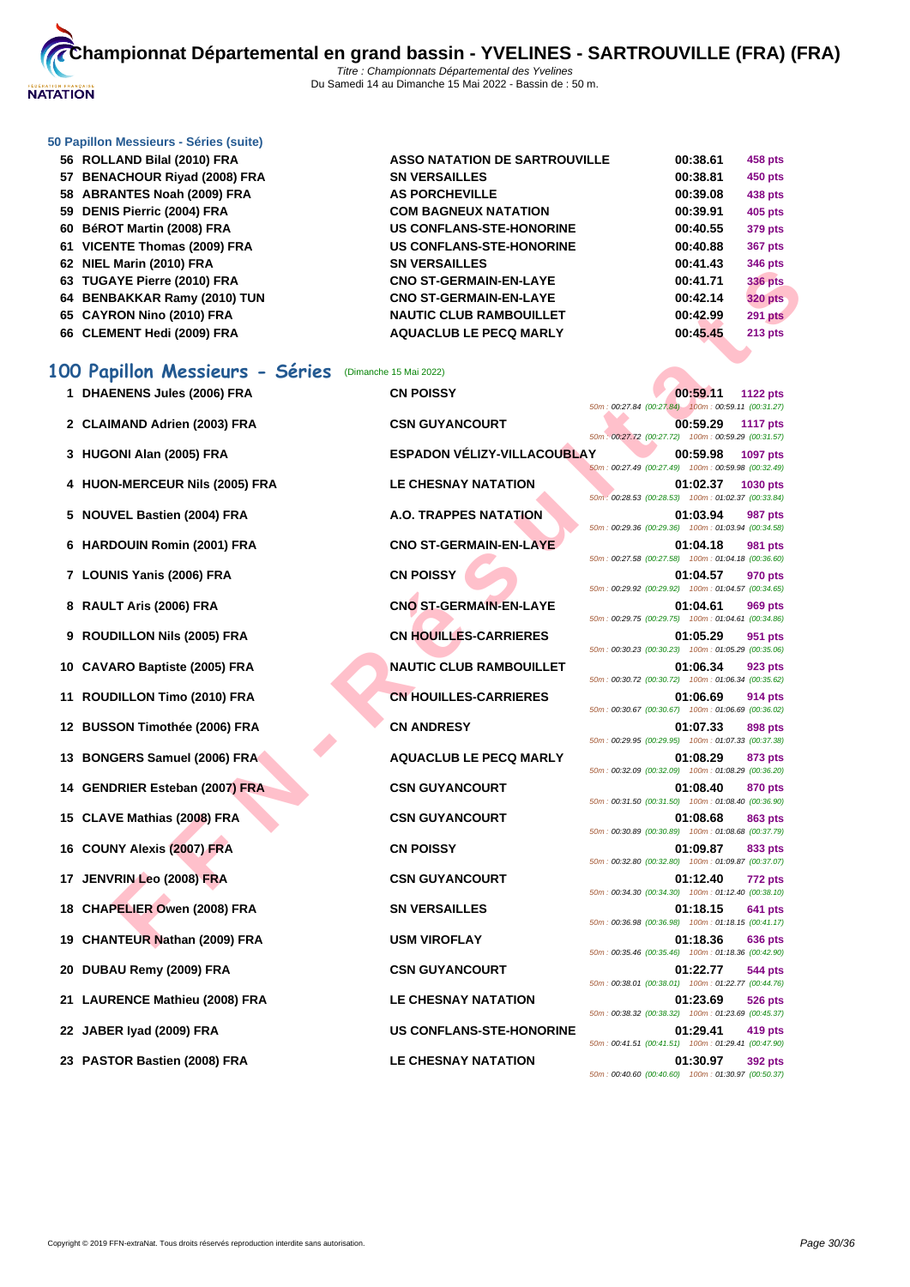

#### **[50 Papillo](http://www.ffnatation.fr/webffn/index.php)n Messieurs - Séries (suite)**

| 56 ROLLAND Bilal (2010) FRA   | <b>ASSO NATATION DE SARTROUVILLE</b> | 00:38.61 | 458 pts        |
|-------------------------------|--------------------------------------|----------|----------------|
| 57 BENACHOUR Riyad (2008) FRA | <b>SN VERSAILLES</b>                 | 00:38.81 | 450 pts        |
| 58 ABRANTES Noah (2009) FRA   | <b>AS PORCHEVILLE</b>                | 00:39.08 | 438 pts        |
| 59 DENIS Pierric (2004) FRA   | <b>COM BAGNEUX NATATION</b>          | 00:39.91 | 405 pts        |
| 60 BéROT Martin (2008) FRA    | <b>US CONFLANS-STE-HONORINE</b>      | 00:40.55 | 379 pts        |
| 61 VICENTE Thomas (2009) FRA  | <b>US CONFLANS-STE-HONORINE</b>      | 00:40.88 | <b>367 pts</b> |
| 62 NIEL Marin (2010) FRA      | <b>SN VERSAILLES</b>                 | 00:41.43 | <b>346 pts</b> |
| 63 TUGAYE Pierre (2010) FRA   | <b>CNO ST-GERMAIN-EN-LAYE</b>        | 00:41.71 | <b>336 pts</b> |
| 64 BENBAKKAR Ramy (2010) TUN  | <b>CNO ST-GERMAIN-EN-LAYE</b>        | 00:42.14 | <b>320 pts</b> |
| 65 CAYRON Nino (2010) FRA     | <b>NAUTIC CLUB RAMBOUILLET</b>       | 00:42.99 | <b>291 pts</b> |
| 66 CLEMENT Hedi (2009) FRA    | <b>AQUACLUB LE PECQ MARLY</b>        | 00:45.45 | $213$ pts      |
|                               |                                      |          |                |

# **100 Papillon Messieurs - Séries** (Dimanche 15 Mai 2022)

|    | אוווק עו שבוווח שונו בשנים בש     | UN YLIVUMILLLU                     | 00. THU<br>ວ+ບ µເວ                                                                |
|----|-----------------------------------|------------------------------------|-----------------------------------------------------------------------------------|
|    | 63 TUGAYE Pierre (2010) FRA       | <b>CNO ST-GERMAIN-EN-LAYE</b>      | 00:41.71<br><b>336 pts</b>                                                        |
|    | 64 BENBAKKAR Ramy (2010) TUN      | <b>CNO ST-GERMAIN-EN-LAYE</b>      | 00:42.14<br><b>320 pts</b>                                                        |
|    | 65 CAYRON Nino (2010) FRA         | <b>NAUTIC CLUB RAMBOUILLET</b>     | 00:42.99<br>291 pts                                                               |
|    | 66 CLEMENT Hedi (2009) FRA        | <b>AQUACLUB LE PECQ MARLY</b>      | 00:45.45<br><b>213 pts</b>                                                        |
|    |                                   |                                    |                                                                                   |
|    | 100 Papillon Messieurs - Séries   | (Dimanche 15 Mai 2022)             |                                                                                   |
|    |                                   |                                    |                                                                                   |
|    | 1 DHAENENS Jules (2006) FRA       | <b>CN POISSY</b>                   | 00:59.11<br><b>1122 pts</b><br>50m; 00:27.84 (00:27.84) 100m: 00:59.11 (00:31.27) |
|    | 2 CLAIMAND Adrien (2003) FRA      | <b>CSN GUYANCOURT</b>              | 00:59.29<br><b>1117 pts</b>                                                       |
|    |                                   |                                    | 50m : 00:27.72 (00:27.72) 100m : 00:59.29 (00:31.57)                              |
|    | 3 HUGONI Alan (2005) FRA          | <b>ESPADON VÉLIZY-VILLACOUBLAY</b> | 00:59.98<br>1097 pts                                                              |
|    |                                   |                                    | 50m: 00:27.49 (00:27.49) 100m: 00:59.98 (00:32.49)                                |
|    | 4 HUON-MERCEUR Nils (2005) FRA    | <b>LE CHESNAY NATATION</b>         | 01:02.37<br><b>1030 pts</b><br>50m: 00:28.53 (00:28.53) 100m: 01:02.37 (00:33.84) |
|    | 5 NOUVEL Bastien (2004) FRA       | A.O. TRAPPES NATATION              | 01:03.94<br><b>987 pts</b>                                                        |
|    |                                   |                                    | 50m: 00:29.36 (00:29.36) 100m: 01:03.94 (00:34.58)                                |
| 6  | <b>HARDOUIN Romin (2001) FRA</b>  | <b>CNO ST-GERMAIN-EN-LAYE</b>      | 01:04.18<br>981 pts                                                               |
|    |                                   |                                    | 50m: 00:27.58 (00:27.58) 100m: 01:04.18 (00:36.60)                                |
|    | <b>LOUNIS Yanis (2006) FRA</b>    | <b>CN POISSY</b>                   | 01:04.57<br>970 pts<br>50m : 00:29.92 (00:29.92) 100m : 01:04.57 (00:34.65)       |
|    | 8 RAULT Aris (2006) FRA           | <b>CNO ST-GERMAIN-EN-LAYE</b>      | 01:04.61<br>969 pts                                                               |
|    |                                   |                                    | 50m: 00:29.75 (00:29.75) 100m: 01:04.61 (00:34.86)                                |
| 9  | <b>ROUDILLON Nils (2005) FRA</b>  | <b>CN HOUILLES-CARRIERES</b>       | 01:05.29<br>951 pts                                                               |
|    |                                   |                                    | 50m: 00:30.23 (00:30.23) 100m: 01:05.29 (00:35.06)                                |
| 10 | <b>CAVARO Baptiste (2005) FRA</b> | <b>NAUTIC CLUB RAMBOUILLET</b>     | 01:06.34<br>923 pts                                                               |
|    | ROUDILLON Timo (2010) FRA         | <b>CN HOUILLES-CARRIERES</b>       | 50m: 00:30.72 (00:30.72) 100m: 01:06.34 (00:35.62)<br>01:06.69                    |
| 11 |                                   |                                    | 914 pts<br>50m: 00:30.67 (00:30.67) 100m: 01:06.69 (00:36.02)                     |
|    | 12 BUSSON Timothée (2006) FRA     | <b>CN ANDRESY</b>                  | 01:07.33<br>898 pts                                                               |
|    |                                   |                                    | 50m: 00:29.95 (00:29.95) 100m: 01:07.33 (00:37.38)                                |
|    | 13 BONGERS Samuel (2006) FRA      | <b>AQUACLUB LE PECQ MARLY</b>      | 01:08.29<br>873 pts                                                               |
|    |                                   |                                    | 50m: 00:32.09 (00:32.09) 100m: 01:08.29 (00:36.20)                                |
|    | 14 GENDRIER Esteban (2007) FRA    | <b>CSN GUYANCOURT</b>              | 01:08.40<br>870 pts<br>50m: 00:31.50 (00:31.50) 100m: 01:08.40 (00:36.90)         |
|    | 15 CLAVE Mathias (2008) FRA       | <b>CSN GUYANCOURT</b>              | 01:08.68<br>863 pts                                                               |
|    |                                   |                                    | 50m: 00:30.89 (00:30.89) 100m: 01:08.68 (00:37.79)                                |
|    | 16 COUNY Alexis (2007) FRA        | <b>CN POISSY</b>                   | 01:09.87<br>833 pts                                                               |
|    |                                   |                                    | 50m: 00:32.80 (00:32.80) 100m: 01:09.87 (00:37.07)                                |
|    | 17 JENVRIN Leo (2008) FRA         | <b>CSN GUYANCOURT</b>              | 01:12.40<br><b>772 pts</b><br>50m: 00:34.30 (00:34.30) 100m: 01:12.40 (00:38.10)  |
|    | 18 CHAPELIER Owen (2008) FRA      | <b>SN VERSAILLES</b>               | 01:18.15<br>641 pts                                                               |
|    |                                   |                                    | 50m: 00:36.98 (00:36.98) 100m: 01:18.15 (00:41.17)                                |
|    | 19 CHANTEUR Nathan (2009) FRA     | <b>USM VIROFLAY</b>                | 01:18.36<br>636 pts                                                               |
|    |                                   |                                    | 50m: 00:35.46 (00:35.46) 100m: 01:18.36 (00:42.90)                                |
|    | 20 DUBAU Remy (2009) FRA          | <b>CSN GUYANCOURT</b>              | 01:22.77<br>544 pts<br>50m: 00:38.01 (00:38.01) 100m: 01:22.77 (00:44.76)         |
|    | 21 LAURENCE Mathieu (2008) FRA    | LE CHESNAY NATATION                | 01:23.69<br>526 pts                                                               |
|    |                                   |                                    | 50m: 00:38.32 (00:38.32) 100m: 01:23.69 (00:45.37)                                |
|    | 22 JABER Iyad (2009) FRA          | <b>US CONFLANS-STE-HONORINE</b>    | 01:29.41<br>419 pts                                                               |
|    |                                   |                                    | 50m: 00:41.51 (00:41.51) 100m: 01:29.41 (00:47.90)                                |
|    | 23 PASTOR Bastien (2008) FRA      | <b>LE CHESNAY NATATION</b>         | 01:30.97<br>392 pts                                                               |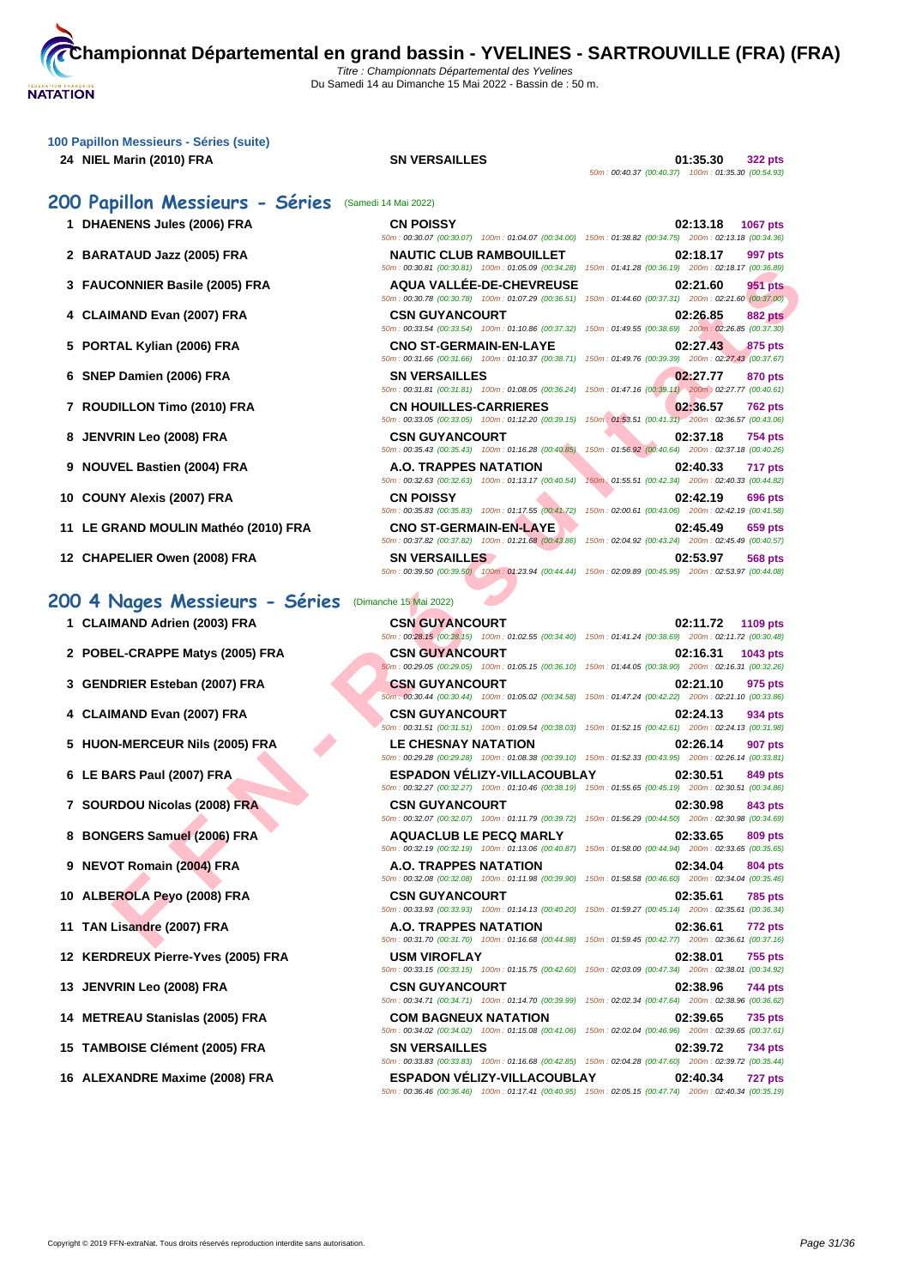

|   | 100 Papillon Messieurs - Séries (suite) |                                                                                    |                                                                                                                                       |
|---|-----------------------------------------|------------------------------------------------------------------------------------|---------------------------------------------------------------------------------------------------------------------------------------|
|   | 24 NIEL Marin (2010) FRA                | <b>SN VERSAILLES</b>                                                               | 01:35.30<br><b>322 pts</b><br>50m: 00:40.37 (00:40.37) 100m: 01:35.30 (00:54.93)                                                      |
|   | 200 Papillon Messieurs - Séries         | (Samedi 14 Mai 2022)                                                               |                                                                                                                                       |
|   | 1 DHAENENS Jules (2006) FRA             | <b>CN POISSY</b>                                                                   | 02:13.18<br><b>1067 pts</b><br>50m: 00:30.07 (00:30.07) 100m: 01:04.07 (00:34.00) 150m: 01:38.82 (00:34.75) 200m: 02:13.18 (00:34.36) |
|   | 2 BARATAUD Jazz (2005) FRA              | <b>NAUTIC CLUB RAMBOUILLET</b>                                                     | 02:18.17<br>997 pts<br>50m : 00:30.81 (00:30.81) 100m : 01:05.09 (00:34.28) 150m : 01:41.28 (00:36.19) 200m : 02:18.17 (00:36.89)     |
|   | 3 FAUCONNIER Basile (2005) FRA          | <b>AQUA VALLEE-DE-CHEVREUSE</b>                                                    | 02:21.60<br>951 pts<br>50m : 00:30.78 (00:30.78) 100m : 01:07.29 (00:36.51) 150m : 01:44.60 (00:37.31) 200m : 02:21.60 (00:37.00)     |
|   | 4 CLAIMAND Evan (2007) FRA              | <b>CSN GUYANCOURT</b>                                                              | 02:26.85<br><b>882 pts</b>                                                                                                            |
|   | 5 PORTAL Kylian (2006) FRA              | <b>CNO ST-GERMAIN-EN-LAYE</b>                                                      | 50m: 00:33.54 (00:33.54) 100m: 01:10.86 (00:37.32) 150m: 01:49.55 (00:38.69) 200m: 02:26.85 (00:37.30)<br>02:27.43<br>875 pts         |
|   | 6 SNEP Damien (2006) FRA                | <b>SN VERSAILLES</b>                                                               | 50m: 00:31.66 (00:31.66) 100m: 01:10.37 (00:38.71) 150m: 01:49.76 (00:39.39) 200m: 02:27.43 (00:37.67)<br>02:27.77<br>870 pts         |
|   | 7 ROUDILLON Timo (2010) FRA             | 50m: 00:31.81 (00:31.81) 100m: 01:08.05 (00:36.24)<br><b>CN HOUILLES-CARRIERES</b> | 150m: 01:47.16 (00:39.11) 200m: 02:27.77 (00:40.61)<br>02:36.57<br><b>762 pts</b>                                                     |
| 8 | <b>JENVRIN Leo (2008) FRA</b>           | 50m: 00:33.05 (00:33.05) 100m: 01:12.20 (00:39.15)<br><b>CSN GUYANCOURT</b>        | 150m: 01:53.51 (00:41.31) 200m: 02:36.57 (00:43.06)<br>02:37.18<br><b>754 pts</b>                                                     |
|   | 9 NOUVEL Bastien (2004) FRA             | 50m: 00:35.43 (00:35.43) 100m: 01:16.28 (00:40.85)<br><b>A.O. TRAPPES NATATION</b> | 150m: 01:56.92 (00:40.64) 200m: 02:37.18 (00:40.26)<br>02:40.33<br>717 pts                                                            |
|   | 10 COUNY Alexis (2007) FRA              | 50m: 00:32.63 (00:32.63) 100m: 01:13.17 (00:40.54)<br><b>CN POISSY</b>             | 150m: 01:55.51 (00:42.34) 200m: 02:40.33 (00:44.82)<br>02:42.19<br>696 pts                                                            |
|   | 11 LE GRAND MOULIN Mathéo (2010) FRA    | <b>CNO ST-GERMAIN-EN-LAYE</b>                                                      | 50m : 00:35.83 (00:35.83) 100m : 01:17.55 (00:41.72) 150m : 02:00.61 (00:43.06) 200m : 02:42.19 (00:41.58)<br>02:45.49<br>659 pts     |
|   | 12 CHAPELIER Owen (2008) FRA            | <b>SN VERSAILLES</b>                                                               | 50m : 00:37.82 (00:37.82) 100m : 01:21.68 (00:43.86) 150m : 02:04.92 (00:43.24) 200m : 02:45.49 (00:40.57)<br>02:53.97<br>568 pts     |
|   |                                         |                                                                                    | 50m : 00:39.50 (00:39.50) 100m : 01:23.94 (00:44.44) 150m : 02:09.89 (00:45.95) 200m : 02:53.97 (00:44.08)                            |
|   | 200 4 Nages Messieurs - Séries          | (Dimanche 15 Mai 2022)                                                             |                                                                                                                                       |
|   | 1 CLAIMAND Adrien (2003) FRA            | <b>CSN GUYANCOURT</b>                                                              | 02:11.72<br>1109 pts<br>50m: 00:28.15 (00:28.15) 100m: 01:02.55 (00:34.40) 150m: 01:41.24 (00:38.69) 200m: 02:11.72 (00:30.48)        |
|   | 2 POBEL-CRAPPE Matys (2005) FRA         | <b>CSN GUYANCOURT</b>                                                              | 02:16.31<br>1043 pts<br>60m : 00:29.05 (00:29.05) 100m : 01:05.15 (00:36.10) 150m : 01:44.05 (00:38.90) 200m : 02:16.31 (00:32.26)    |
|   | 3 GENDRIER Esteban (2007) FRA           | <b>CSN GUYANCOURT</b>                                                              | 02:21.10<br>975 pts                                                                                                                   |
|   | 4 CLAIMAND Evan (2007) FRA              | <b>CSN GUYANCOURT</b>                                                              | 50m : 00:30.44 (00:30.44) 100m : 01:05.02 (00:34.58) 150m : 01:47.24 (00:42.22) 200m : 02:21.10 (00:33.86)<br>02:24.13<br>934 pts     |
|   | 5 HUON-MERCEUR Nils (2005) FRA          | <b>LE CHESNAY NATATION</b>                                                         | 50m: 00:31.51 (00:31.51) 100m: 01:09.54 (00:38.03) 150m: 01:52.15 (00:42.61) 200m: 02:24.13 (00:31.98)<br>02:26.14<br>907 pts         |
|   | 6 LE BARS Paul (2007) FRA               | <b>ESPADON VELIZY-VILLACOUBLAY</b>                                                 | 50m: 00:29.28 (00:29.28) 100m: 01:08.38 (00:39.10) 150m: 01:52.33 (00:43.95) 200m: 02:26.14 (00:33.81)<br>02:30.51<br>849 pts         |
|   | 7 SOURDOU Nicolas (2008) FRA            | <b>CSN GUYANCOURT</b>                                                              | 50m: 00:32.27 (00:32.27) 100m: 01:10.46 (00:38.19) 150m: 01:55.65 (00:45.19) 200m: 02:30.51 (00:34.86)<br>02:30.98<br>843 pts         |
|   | 8 BONGERS Samuel (2006) FRA             | <b>AQUACLUB LE PECQ MARLY</b>                                                      | 50m: 00:32.07 (00:32.07) 100m: 01:11.79 (00:39.72) 150m: 01:56.29 (00:44.50) 200m: 02:30.98 (00:34.69)<br>02:33.65<br>809 pts         |
|   | 9 NEVOT Romain (2004) FRA               | 50m: 00:32.19 (00:32.19) 100m: 01:13.06 (00:40.87)<br>A.O. TRAPPES NATATION        | 150m: 01:58.00 (00:44.94) 200m: 02:33.65 (00:35.65)<br>02:34.04<br>804 pts                                                            |
|   | 10 ALBEROLA Peyo (2008) FRA             | 50m: 00:32.08 (00:32.08) 100m: 01:11.98 (00:39.90)<br><b>CSN GUYANCOURT</b>        | 150m: 01:58.58 (00:46.60) 200m: 02:34.04 (00:35.46)<br>02:35.61<br>785 pts                                                            |
|   | 11 TAN Lisandre (2007) FRA              | A.O. TRAPPES NATATION                                                              | 50m: 00:33.93 (00:33.93) 100m: 01:14.13 (00:40.20) 150m: 01:59.27 (00:45.14) 200m: 02:35.61 (00:36.34)<br>02:36.61<br>772 pts         |
|   | 12 KERDREUX Pierre-Yves (2005) FRA      | 50m: 00:31.70 (00:31.70) 100m: 01:16.68 (00:44.98)<br><b>USM VIROFLAY</b>          | 150m: 01:59.45 (00:42.77) 200m: 02:36.61 (00:37.16)<br>02:38.01<br>755 pts                                                            |
|   | 13 JENVRIN Leo (2008) FRA               | 50m: 00:33.15 (00:33.15) 100m: 01:15.75 (00:42.60)<br><b>CSN GUYANCOURT</b>        | 150m: 02:03.09 (00:47.34) 200m: 02:38.01 (00:34.92)<br>02:38.96<br>744 pts                                                            |
|   | 14 METREAU Stanislas (2005) FRA         | <b>COM BAGNEUX NATATION</b>                                                        | 50m : 00:34.71 (00:34.71) 100m : 01:14.70 (00:39.99) 150m : 02:02.34 (00:47.64) 200m : 02:38.96 (00:36.62)<br>02:39.65<br>735 pts     |
|   |                                         |                                                                                    | 50m : 00:34.02 (00:34.02) 100m : 01:15.08 (00:41.06) 150m : 02:02.04 (00:46.96) 200m : 02:39.65 (00:37.61)                            |
|   | 15 TAMBOISE Clément (2005) FRA          | <b>SN VERSAILLES</b>                                                               | 02:39.72<br>734 pts<br>50m: 00:33.83 (00:33.83) 100m: 01:16.68 (00:42.85) 150m: 02:04.28 (00:47.60) 200m: 02:39.72 (00:35.44)         |
|   | 16 ALEXANDRE Maxime (2008) FRA          | <b>ESPADON VELIZY-VILLACOUBLAY</b>                                                 | 02:40.34<br>727 pts<br>50m : 00:36.46 (00:36.46) 100m : 01:17.41 (00:40.95) 150m : 02:05.15 (00:47.74) 200m : 02:40.34 (00:35.19)     |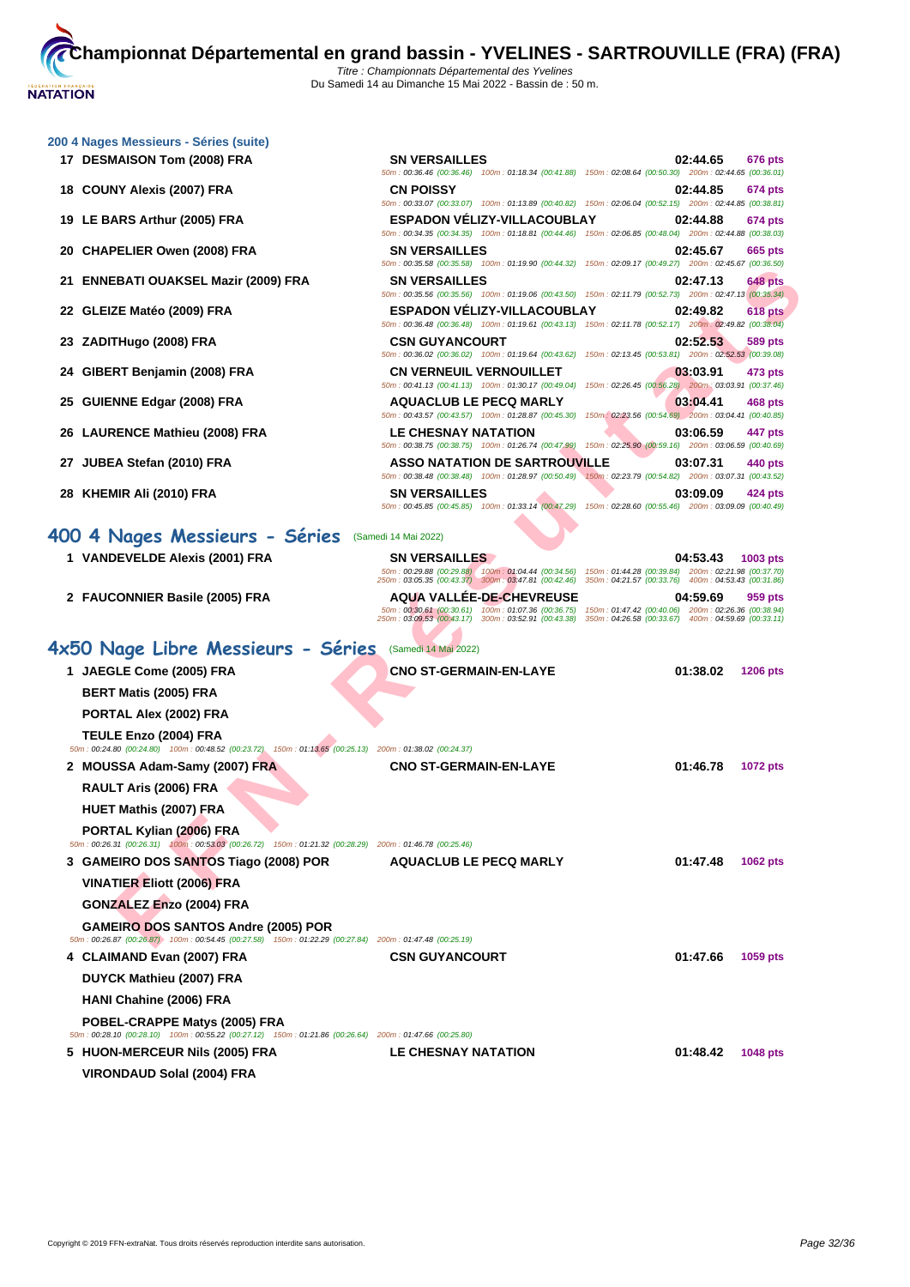| 200 4 Nages Messieurs - Séries (suite)                                                                                                            |                                                                                                                                                                                                  |                                                                             |
|---------------------------------------------------------------------------------------------------------------------------------------------------|--------------------------------------------------------------------------------------------------------------------------------------------------------------------------------------------------|-----------------------------------------------------------------------------|
| 17 DESMAISON Tom (2008) FRA                                                                                                                       | <b>SN VERSAILLES</b><br>50m: 00:36.46 (00:36.46) 100m: 01:18.34 (00:41.88) 150m: 02:08.64 (00:50.30) 200m: 02:44.65 (00:36.01)                                                                   | 02:44.65<br>676 pts                                                         |
| 18 COUNY Alexis (2007) FRA                                                                                                                        | <b>CN POISSY</b><br>50m : 00:33.07 (00:33.07) 100m : 01:13.89 (00:40.82) 150m : 02:06.04 (00:52.15) 200m : 02:44.85 (00:38.81)                                                                   | 02:44.85<br>674 pts                                                         |
| 19 LE BARS Arthur (2005) FRA                                                                                                                      | <b>ESPADON VELIZY-VILLACOUBLAY</b><br>50m: 00:34.35 (00:34.35) 100m: 01:18.81 (00:44.46) 150m: 02:06.85 (00:48.04) 200m: 02:44.88 (00:38.03)                                                     | 02:44.88<br>674 pts                                                         |
| 20 CHAPELIER Owen (2008) FRA                                                                                                                      | <b>SN VERSAILLES</b><br>50m: 00:35.58 (00:35.58) 100m: 01:19.90 (00:44.32) 150m: 02:09.17 (00:49.27) 200m: 02:45.67 (00:36.50)                                                                   | 02:45.67<br>665 pts                                                         |
| 21 ENNEBATI OUAKSEL Mazir (2009) FRA                                                                                                              | <b>SN VERSAILLES</b><br>50m : 00:35.56 (00:35.56) 100m : 01:19.06 (00:43.50) 150m : 02:11.79 (00:52.73) 200m : 02:47.13 (00:35.34)                                                               | 02:47.13<br><b>648 pts</b>                                                  |
| 22 GLEIZE Matéo (2009) FRA                                                                                                                        | <b>ESPADON VELIZY-VILLACOUBLAY</b><br>50m : 00:36.48 (00:36.48) 100m : 01:19.61 (00:43.13) 150m : 02:11.78 (00:52.17) 200m : 02:49.82 (00:38.04)                                                 | 02:49.82<br><b>618 pts</b>                                                  |
| 23 ZADITHugo (2008) FRA                                                                                                                           | <b>CSN GUYANCOURT</b><br>50m: 00:36.02 (00:36.02) 100m: 01:19.64 (00:43.62) 150m: 02:13.45 (00:53.81) 200m: 02:52.53 (00:39.08)                                                                  | 02:52.53<br>589 pts                                                         |
| 24 GIBERT Benjamin (2008) FRA                                                                                                                     | <b>CN VERNEUIL VERNOUILLET</b><br>50m : 00:41.13 (00:41.13) 100m : 01:30.17 (00:49.04) 150m : 02:26.45 (00:56.28) 200m : 03:03.91 (00:37.46)                                                     | 03:03.91<br>473 pts                                                         |
| 25 GUIENNE Edgar (2008) FRA                                                                                                                       | <b>AQUACLUB LE PECQ MARLY</b><br>50m: 00:43.57 (00:43.57) 100m: 01:28.87 (00:45.30) 150m: 02:23.56 (00:54.69) 200m: 03:04.41 (00:40.85)                                                          | 03:04.41<br>468 pts                                                         |
| 26 LAURENCE Mathieu (2008) FRA                                                                                                                    | <b>LE CHESNAY NATATION</b><br>50m : 00:38.75 (00:38.75) 100m : 01:26.74 (00:47.99) 150m : 02:25.90 (00:59.16) 200m : 03:06.59 (00:40.69)                                                         | 03:06.59<br>447 pts                                                         |
| 27 JUBEA Stefan (2010) FRA                                                                                                                        | <b>ASSO NATATION DE SARTROUVILLE</b><br>50m : 00:38.48 (00:38.48) 100m : 01:28.97 (00:50.49) 150m : 02:23.79 (00:54.82) 200m : 03:07.31 (00:43.52)                                               | 03:07.31<br>440 pts                                                         |
| 28 KHEMIR Ali (2010) FRA                                                                                                                          | <b>SN VERSAILLES</b><br>50m : 00:45.85 (00:45.85) 100m : 01:33.14 (00:47.29) 150m : 02:28.60 (00:55.46) 200m : 03:09.09 (00:40.49)                                                               | 03:09.09<br>424 pts                                                         |
| 400 4 Nages Messieurs - Séries                                                                                                                    | (Samedi 14 Mai 2022)                                                                                                                                                                             |                                                                             |
| 1 VANDEVELDE Alexis (2001) FRA                                                                                                                    | <b>SN VERSAILLES</b><br>50m: 00:29.88 (00:29.88) 100m: 01:04.44 (00:34.56) 150m: 01:44.28 (00:39.84) 200m: 02:21.98 (00:37.70)<br>250m: 03:05.35 (00:43.37) 300m: 03:47.81 (00:42.46)            | 04:53.43<br>1003 pts<br>350m: 04:21.57 (00:33.76) 400m: 04:53.43 (00:31.86) |
| 2 FAUCONNIER Basile (2005) FRA                                                                                                                    | <b>AQUA VALLEE-DE-CHEVREUSE</b><br>50m: 00:30.61 (00:30.61) 100m: 01:07.36 (00:36.75)<br>250m: 03:09.53 (00:43.17) 300m: 03:52.91 (00:43.38) 350m: 04:26.58 (00:33.67) 400m: 04:59.69 (00:33.11) | 04:59.69<br>959 pts<br>150m: 01:47.42 (00:40.06) 200m: 02:26.36 (00:38.94)  |
| 4x50 Nage Libre Messieurs - Séries                                                                                                                | (Samedi 14 Mai 2022)                                                                                                                                                                             |                                                                             |
| 1 JAEGLE Come (2005) FRA                                                                                                                          | <b>CNO ST-GERMAIN-EN-LAYE</b>                                                                                                                                                                    | 01:38.02<br><b>1206 pts</b>                                                 |
| <b>BERT Matis (2005) FRA</b>                                                                                                                      |                                                                                                                                                                                                  |                                                                             |
| PORTAL Alex (2002) FRA                                                                                                                            |                                                                                                                                                                                                  |                                                                             |
| <b>TEULE Enzo (2004) FRA</b><br>50m : 00:24.80 (00:24.80) 100m : 00:48.52 (00:23.72) 150m : 01:13.65 (00:25.13) 200m : 01:38.02 (00:24.37)        |                                                                                                                                                                                                  |                                                                             |
| 2 MOUSSA Adam-Samy (2007) FRA                                                                                                                     | <b>CNO ST-GERMAIN-EN-LAYE</b>                                                                                                                                                                    | 01:46.78<br>1072 pts                                                        |
| RAULT Aris (2006) FRA                                                                                                                             |                                                                                                                                                                                                  |                                                                             |
| <b>HUET Mathis (2007) FRA</b>                                                                                                                     |                                                                                                                                                                                                  |                                                                             |
| PORTAL Kylian (2006) FRA<br>50m : 00:26.31 (00:26.31) (100m : 00:53.03 (00:26.72) 150m : 01:21.32 (00:28.29) 200m : 01:46.78 (00:25.46)           |                                                                                                                                                                                                  |                                                                             |
| 3 GAMEIRO DOS SANTOS Tiago (2008) POR                                                                                                             | <b>AQUACLUB LE PECQ MARLY</b>                                                                                                                                                                    | 01:47.48<br>1062 pts                                                        |
| <b>VINATIER Eliott (2006) FRA</b>                                                                                                                 |                                                                                                                                                                                                  |                                                                             |
| <b>GONZALEZ Enzo (2004) FRA</b>                                                                                                                   |                                                                                                                                                                                                  |                                                                             |
| GAMEIRO DOS SANTOS Andre (2005) POR<br>50m : 00:26.87 (00:26.87) 100m : 00:54.45 (00:27.58) 150m : 01:22.29 (00:27.84) 200m : 01:47.48 (00:25.19) |                                                                                                                                                                                                  |                                                                             |
| 4   CLAIMAND Evan (2007) FRA                                                                                                                      | <b>CSN GUYANCOURT</b>                                                                                                                                                                            | 01:47.66<br>1059 pts                                                        |
| DUYCK Mathieu (2007) FRA                                                                                                                          |                                                                                                                                                                                                  |                                                                             |
| HANI Chahine (2006) FRA                                                                                                                           |                                                                                                                                                                                                  |                                                                             |
| POBEL-CRAPPE Matys (2005) FRA<br>50m : 00:28.10 (00:28.10) 100m : 00:55.22 (00:27.12) 150m : 01:21.86 (00:26.64) 200m : 01:47.66 (00:25.80)       |                                                                                                                                                                                                  |                                                                             |
| 5 HUON-MERCEUR Nils (2005) FRA                                                                                                                    | <b>LE CHESNAY NATATION</b>                                                                                                                                                                       | 01:48.42<br>1048 pts                                                        |
| VIRONDAUD Solal (2004) FRA                                                                                                                        |                                                                                                                                                                                                  |                                                                             |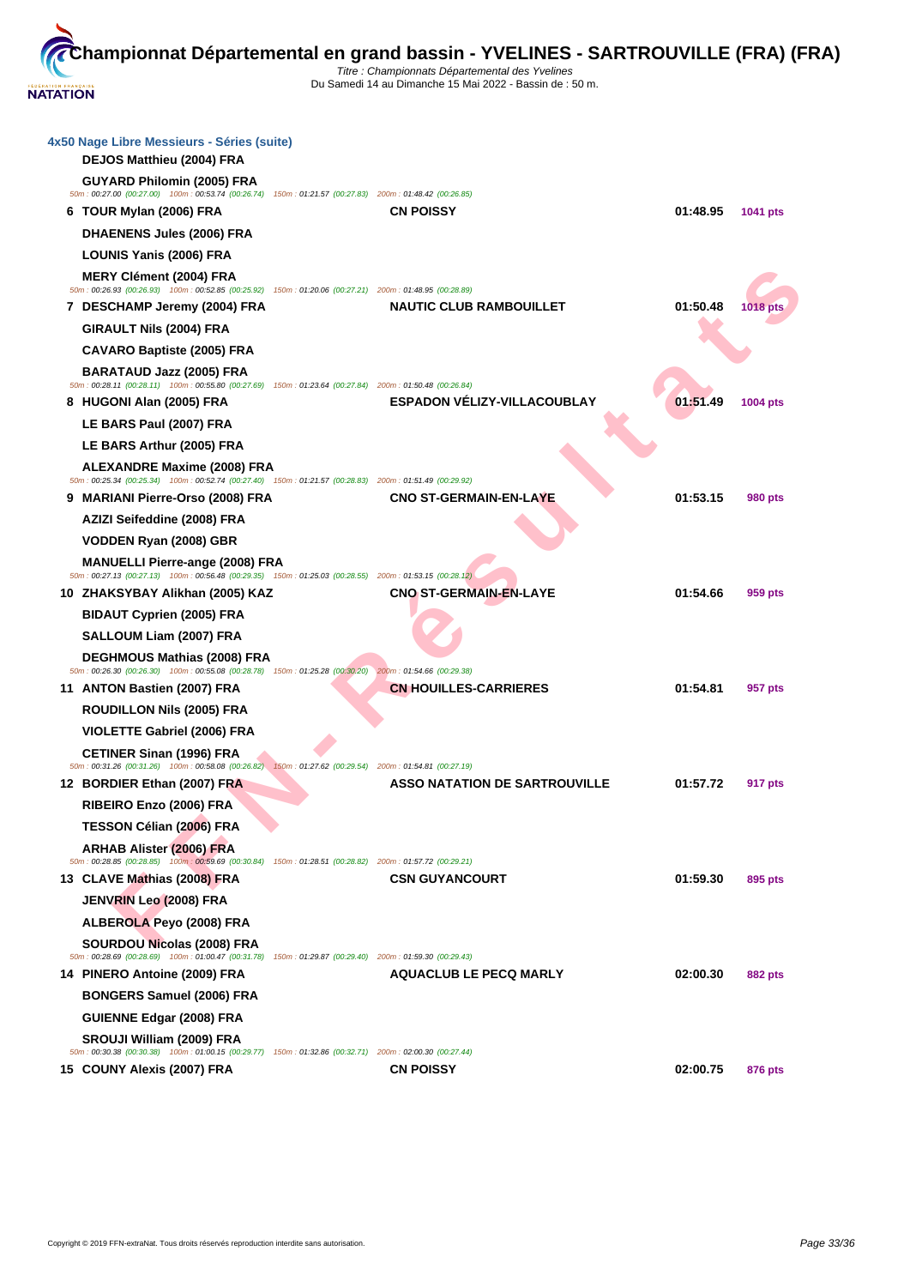| 4x50 Nage Libre Messieurs - Séries (suite)<br>DEJOS Matthieu (2004) FRA                                                                                           |                                      |          |                 |
|-------------------------------------------------------------------------------------------------------------------------------------------------------------------|--------------------------------------|----------|-----------------|
| GUYARD Philomin (2005) FRA<br>50m: 00:27.00 (00:27.00) 100m: 00:53.74 (00:26.74) 150m: 01:21.57 (00:27.83) 200m: 01:48.42 (00:26.85)                              |                                      |          |                 |
| 6 TOUR Mylan (2006) FRA                                                                                                                                           | <b>CN POISSY</b>                     | 01:48.95 | <b>1041 pts</b> |
| <b>DHAENENS Jules (2006) FRA</b>                                                                                                                                  |                                      |          |                 |
| <b>LOUNIS Yanis (2006) FRA</b>                                                                                                                                    |                                      |          |                 |
| <b>MERY Clément (2004) FRA</b>                                                                                                                                    |                                      |          |                 |
| 50m : 00:26.93 (00:26.93) 100m : 00:52.85 (00:25.92) 150m : 01:20.06 (00:27.21) 200m : 01:48.95 (00:28.89)<br>7 DESCHAMP Jeremy (2004) FRA                        | <b>NAUTIC CLUB RAMBOUILLET</b>       | 01:50.48 | 1018 pts        |
| GIRAULT Nils (2004) FRA                                                                                                                                           |                                      |          |                 |
| <b>CAVARO Baptiste (2005) FRA</b>                                                                                                                                 |                                      |          |                 |
| BARATAUD Jazz (2005) FRA                                                                                                                                          |                                      |          |                 |
| 50m: 00:28.11 (00:28.11) 100m: 00:55.80 (00:27.69) 150m: 01:23.64 (00:27.84) 200m: 01:50.48 (00:26.84)                                                            |                                      |          |                 |
| 8 HUGONI Alan (2005) FRA                                                                                                                                          | <b>ESPADON VÉLIZY-VILLACOUBLAY</b>   | 01:51.49 | 1004 pts        |
| LE BARS Paul (2007) FRA                                                                                                                                           |                                      |          |                 |
| LE BARS Arthur (2005) FRA                                                                                                                                         |                                      |          |                 |
| <b>ALEXANDRE Maxime (2008) FRA</b><br>50m : 00:25.34 (00:25.34) 100m : 00:52.74 (00:27.40) 150m : 01:21.57 (00:28.83) 200m : 01:51.49 (00:29.92)                  |                                      |          |                 |
| 9 MARIANI Pierre-Orso (2008) FRA                                                                                                                                  | <b>CNO ST-GERMAIN-EN-LAYE</b>        | 01:53.15 | 980 pts         |
| AZIZI Seifeddine (2008) FRA                                                                                                                                       |                                      |          |                 |
| VODDEN Ryan (2008) GBR                                                                                                                                            |                                      |          |                 |
| <b>MANUELLI Pierre-ange (2008) FRA</b><br>50m: 00:27.13 (00:27.13) 100m: 00:56.48 (00:29.35) 150m: 01:25.03 (00:28.55) 200m: 01:53.15 (00:28.12)                  |                                      |          |                 |
| 10 ZHAKSYBAY Alikhan (2005) KAZ                                                                                                                                   | <b>CNO ST-GERMAIN-EN-LAYE</b>        | 01:54.66 | 959 pts         |
| <b>BIDAUT Cyprien (2005) FRA</b>                                                                                                                                  |                                      |          |                 |
| SALLOUM Liam (2007) FRA                                                                                                                                           |                                      |          |                 |
| <b>DEGHMOUS Mathias (2008) FRA</b><br>50m : 00:26.30 (00:26.30) 100m : 00:55.08 (00:28.78) 150m : 01:25.28 (00:30.20) 200m : 01:54.66 (00:29.38)                  |                                      |          |                 |
| 11 ANTON Bastien (2007) FRA                                                                                                                                       | <b>CN HOUILLES-CARRIERES</b>         | 01:54.81 | 957 pts         |
| <b>ROUDILLON Nils (2005) FRA</b>                                                                                                                                  |                                      |          |                 |
| VIOLETTE Gabriel (2006) FRA                                                                                                                                       |                                      |          |                 |
| <b>CETINER Sinan (1996) FRA</b>                                                                                                                                   |                                      |          |                 |
| 50m : 00:31.26 (00:31.26) 100m : 00:58.08 (00:26.82) 150m : 01:27.62 (00:29.54) 200m : 01:54.81 (00:27.19)<br>12 BORDIER Ethan (2007) FRA                         | <b>ASSO NATATION DE SARTROUVILLE</b> | 01:57.72 | <b>917 pts</b>  |
| RIBEIRO Enzo (2006) FRA                                                                                                                                           |                                      |          |                 |
| TESSON Célian (2006) FRA                                                                                                                                          |                                      |          |                 |
| <b>ARHAB Alister (2006) FRA</b><br>50m : 00:28.85 (00:28.85) 100m : 00:59.69 (00:30.84) 150m : 01:28.51 (00:28.82) 200m : 01:57.72 (00:29.21)                     |                                      |          |                 |
| 13 CLAVE Mathias (2008) FRA                                                                                                                                       | <b>CSN GUYANCOURT</b>                | 01:59.30 | 895 pts         |
| JENVRIN Leo (2008) FRA                                                                                                                                            |                                      |          |                 |
| ALBEROLA Peyo (2008) FRA                                                                                                                                          |                                      |          |                 |
| SOURDOU Nicolas (2008) FRA<br>50m: 00:28.69 (00:28.69) 100m: 01:00.47 (00:31.78) 150m: 01:29.87 (00:29.40) 200m: 01:59.30 (00:29.43)                              |                                      |          |                 |
| 14 PINERO Antoine (2009) FRA                                                                                                                                      | <b>AQUACLUB LE PECQ MARLY</b>        | 02:00.30 | 882 pts         |
| <b>BONGERS Samuel (2006) FRA</b>                                                                                                                                  |                                      |          |                 |
| <b>GUIENNE Edgar (2008) FRA</b>                                                                                                                                   |                                      |          |                 |
| SROUJI William (2009) FRA<br>50m: 00:30.38 (00:30.38) 100m: 01:00.15 (00:29.77) 150m: 01:32.86 (00:32.71) 200m: 02:00.30 (00:27.44)<br>15 COUNY Alexis (2007) FRA | <b>CN POISSY</b>                     | 02:00.75 | 876 pts         |
|                                                                                                                                                                   |                                      |          |                 |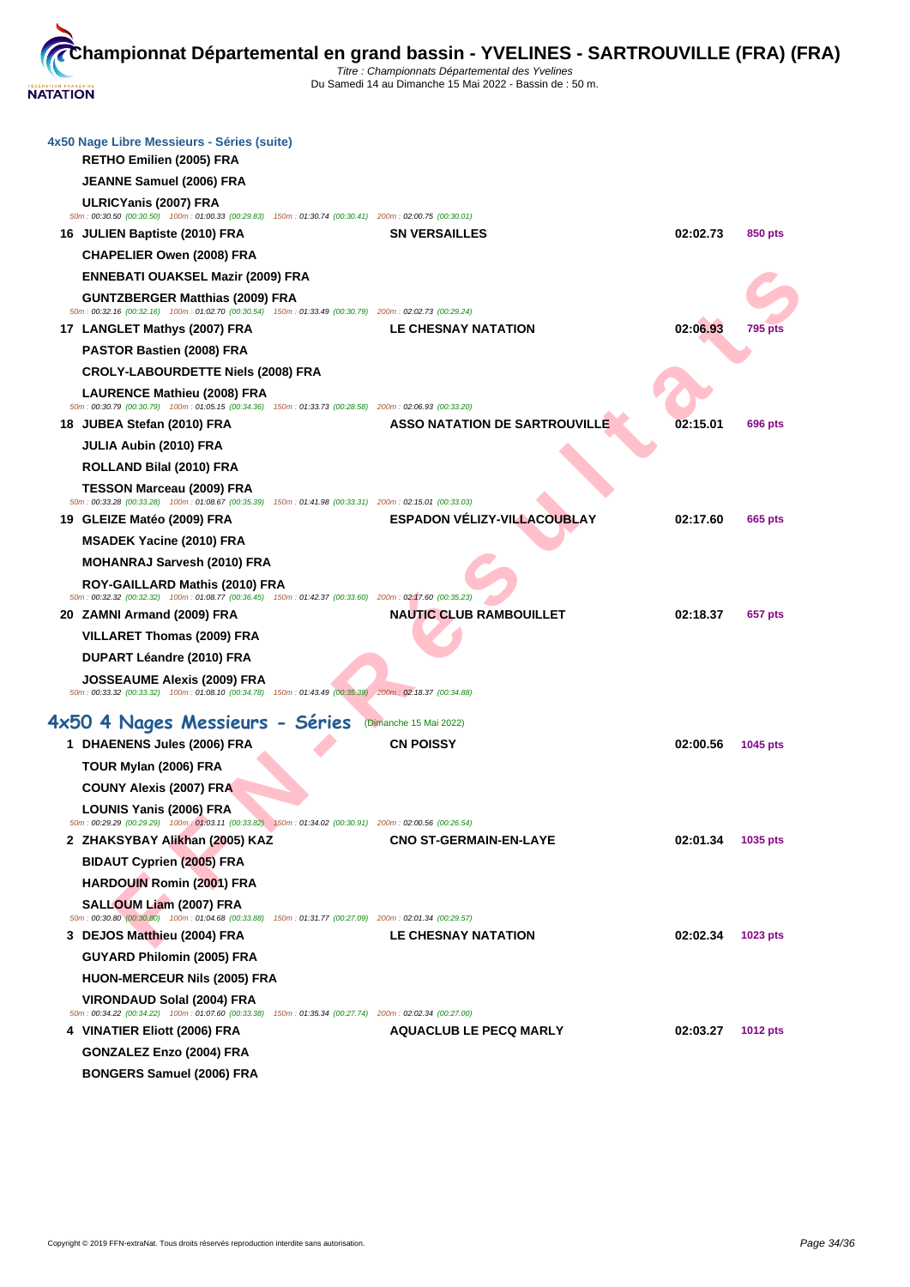| 4x50 Nage Libre Messieurs - Séries (suite)<br>RETHO Emilien (2005) FRA                                                                               |                                                  |                 |
|------------------------------------------------------------------------------------------------------------------------------------------------------|--------------------------------------------------|-----------------|
| JEANNE Samuel (2006) FRA                                                                                                                             |                                                  |                 |
| ULRICYanis (2007) FRA<br>50m : 00:30.50 (00:30.50) 100m : 01:00.33 (00:29.83) 150m : 01:30.74 (00:30.41) 200m : 02:00.75 (00:30.01)                  |                                                  |                 |
| 16 JULIEN Baptiste (2010) FRA                                                                                                                        | 02:02.73<br><b>SN VERSAILLES</b>                 | 850 pts         |
| <b>CHAPELIER Owen (2008) FRA</b>                                                                                                                     |                                                  |                 |
| <b>ENNEBATI OUAKSEL Mazir (2009) FRA</b>                                                                                                             |                                                  |                 |
| <b>GUNTZBERGER Matthias (2009) FRA</b><br>50m : 00:32.16 (00:32.16) 100m : 01:02.70 (00:30.54) 150m : 01:33.49 (00:30.79) 200m : 02:02.73 (00:29.24) |                                                  |                 |
| 17 LANGLET Mathys (2007) FRA                                                                                                                         | 02:06.93<br><b>LE CHESNAY NATATION</b>           | <b>795 pts</b>  |
| PASTOR Bastien (2008) FRA                                                                                                                            |                                                  |                 |
| <b>CROLY-LABOURDETTE Niels (2008) FRA</b>                                                                                                            |                                                  |                 |
| LAURENCE Mathieu (2008) FRA<br>50m : 00:30.79 (00:30.79) 100m : 01:05.15 (00:34.36) 150m : 01:33.73 (00:28.58) 200m : 02:06.93 (00:33.20)            |                                                  |                 |
| 18 JUBEA Stefan (2010) FRA                                                                                                                           | <b>ASSO NATATION DE SARTROUVILLE</b><br>02:15.01 | <b>696 pts</b>  |
| JULIA Aubin (2010) FRA                                                                                                                               |                                                  |                 |
| ROLLAND Bilal (2010) FRA                                                                                                                             |                                                  |                 |
| <b>TESSON Marceau (2009) FRA</b><br>50m : 00:33.28 (00:33.28) 100m : 01:08.67 (00:35.39) 150m : 01:41.98 (00:33.31) 200m : 02:15.01 (00:33.03)       |                                                  |                 |
| 19 GLEIZE Matéo (2009) FRA                                                                                                                           | <b>ESPADON VÉLIZY-VILLACOUBLAY</b><br>02:17.60   | 665 pts         |
| <b>MSADEK Yacine (2010) FRA</b>                                                                                                                      |                                                  |                 |
| <b>MOHANRAJ Sarvesh (2010) FRA</b>                                                                                                                   |                                                  |                 |
| ROY-GAILLARD Mathis (2010) FRA<br>50m : 00:32.32 (00:32.32) 100m : 01:08.77 (00:36.45) 150m : 01:42.37 (00:33.60) 200m : 02:17.60 (00:35.23)         |                                                  |                 |
| 20 ZAMNI Armand (2009) FRA                                                                                                                           | <b>NAUTIC CLUB RAMBOUILLET</b><br>02:18.37       | 657 pts         |
| <b>VILLARET Thomas (2009) FRA</b>                                                                                                                    |                                                  |                 |
| DUPART Léandre (2010) FRA                                                                                                                            |                                                  |                 |
| <b>JOSSEAUME Alexis (2009) FRA</b><br>50m: 00:33.32 (00:33.32) 100m: 01:08.10 (00:34.78) 150m: 01:43.49 (00:35.39) 200m: 02:18.37 (00:34.88)         |                                                  |                 |
| 4x50 4 Nages Messieurs - Séries                                                                                                                      | (Dimanche 15 Mai 2022)                           |                 |
| 1 DHAENENS Jules (2006) FRA                                                                                                                          | <b>CN POISSY</b><br>02:00.56                     | 1045 pts        |
| TOUR Mylan (2006) FRA                                                                                                                                |                                                  |                 |
| <b>COUNY Alexis (2007) FRA</b>                                                                                                                       |                                                  |                 |
| LOUNIS Yanis (2006) FRA<br>50m : 00:29.29 (00:29.29) 100m : 01:03.11 (00:33.82) 150m : 01:34.02 (00:30.91) 200m : 02:00.56 (00:26.54)                |                                                  |                 |
| 2 ZHAKSYBAY Alikhan (2005) KAZ                                                                                                                       | <b>CNO ST-GERMAIN-EN-LAYE</b><br>02:01.34        | 1035 pts        |
| <b>BIDAUT Cyprien (2005) FRA</b>                                                                                                                     |                                                  |                 |
| <b>HARDOUIN Romin (2001) FRA</b>                                                                                                                     |                                                  |                 |
| SALLOUM Liam (2007) FRA                                                                                                                              |                                                  |                 |
| 50m : 00:30.80 (00:30.80) 100m : 01:04.68 (00:33.88) 150m : 01:31.77 (00:27.09) 200m : 02:01.34 (00:29.57)<br>3 DEJOS Matthieu (2004) FRA            | <b>LE CHESNAY NATATION</b><br>02:02.34           | 1023 pts        |
| GUYARD Philomin (2005) FRA                                                                                                                           |                                                  |                 |
| <b>HUON-MERCEUR Nils (2005) FRA</b>                                                                                                                  |                                                  |                 |
| VIRONDAUD Solal (2004) FRA                                                                                                                           |                                                  |                 |
| 50m: 00:34.22 (00:34.22) 100m: 01:07.60 (00:33.38) 150m: 01:35.34 (00:27.74) 200m: 02:02.34 (00:27.00)                                               |                                                  |                 |
| 4 VINATIER Eliott (2006) FRA                                                                                                                         | <b>AQUACLUB LE PECQ MARLY</b><br>02:03.27        | <b>1012 pts</b> |
| GONZALEZ Enzo (2004) FRA                                                                                                                             |                                                  |                 |
| <b>BONGERS Samuel (2006) FRA</b>                                                                                                                     |                                                  |                 |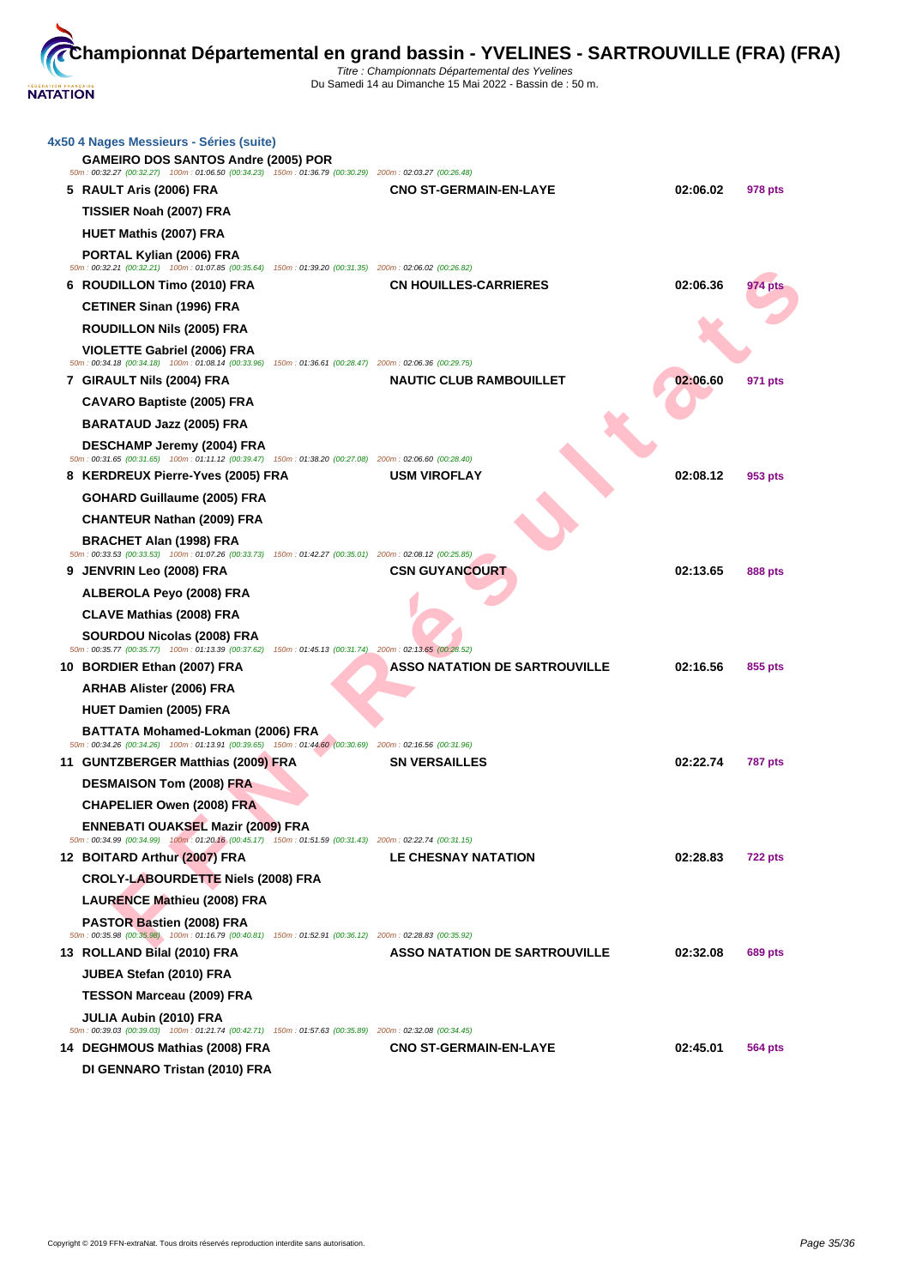| 4x50 4 Nages Messieurs - Séries (suite)                                                                                                                |                                      |          |                |
|--------------------------------------------------------------------------------------------------------------------------------------------------------|--------------------------------------|----------|----------------|
| <b>GAMEIRO DOS SANTOS Andre (2005) POR</b><br>50m: 00:32.27 (00:32.27) 100m: 01:06.50 (00:34.23) 150m: 01:36.79 (00:30.29) 200m: 02:03.27 (00:26.48)   |                                      |          |                |
| 5 RAULT Aris (2006) FRA                                                                                                                                | <b>CNO ST-GERMAIN-EN-LAYE</b>        | 02:06.02 | 978 pts        |
| TISSIER Noah (2007) FRA                                                                                                                                |                                      |          |                |
| HUET Mathis (2007) FRA                                                                                                                                 |                                      |          |                |
| PORTAL Kylian (2006) FRA                                                                                                                               |                                      |          |                |
| 50m : 00:32.21 (00:32.21) 100m : 01:07.85 (00:35.64) 150m : 01:39.20 (00:31.35) 200m : 02:06.02 (00:26.82)<br>6 ROUDILLON Timo (2010) FRA              | <b>CN HOUILLES-CARRIERES</b>         | 02:06.36 | 974 pts        |
| <b>CETINER Sinan (1996) FRA</b>                                                                                                                        |                                      |          |                |
| <b>ROUDILLON Nils (2005) FRA</b>                                                                                                                       |                                      |          |                |
| VIOLETTE Gabriel (2006) FRA                                                                                                                            |                                      |          |                |
| 50m: 00:34.18 (00:34.18) 100m: 01:08.14 (00:33.96) 150m: 01:36.61 (00:28.47) 200m: 02:06.36 (00:29.75)                                                 |                                      |          |                |
| 7 GIRAULT Nils (2004) FRA                                                                                                                              | <b>NAUTIC CLUB RAMBOUILLET</b>       | 02:06.60 | 971 pts        |
| <b>CAVARO Baptiste (2005) FRA</b>                                                                                                                      |                                      |          |                |
| BARATAUD Jazz (2005) FRA                                                                                                                               |                                      |          |                |
| DESCHAMP Jeremy (2004) FRA<br>50m: 00:31.65 (00:31.65) 100m: 01:11.12 (00:39.47) 150m: 01:38.20 (00:27.08) 200m: 02:06.60 (00:28.40)                   |                                      |          |                |
| 8 KERDREUX Pierre-Yves (2005) FRA                                                                                                                      | <b>USM VIROFLAY</b>                  | 02:08.12 | 953 pts        |
| GOHARD Guillaume (2005) FRA                                                                                                                            |                                      |          |                |
| <b>CHANTEUR Nathan (2009) FRA</b>                                                                                                                      |                                      |          |                |
| <b>BRACHET Alan (1998) FRA</b><br>50m: 00:33.53 (00:33.53) 100m: 01:07.26 (00:33.73) 150m: 01:42.27 (00:35.01) 200m: 02:08.12 (00:25.85)               |                                      |          |                |
| 9 JENVRIN Leo (2008) FRA                                                                                                                               | <b>CSN GUYANCOURT</b>                | 02:13.65 | 888 pts        |
| ALBEROLA Peyo (2008) FRA                                                                                                                               |                                      |          |                |
| <b>CLAVE Mathias (2008) FRA</b>                                                                                                                        |                                      |          |                |
| SOURDOU Nicolas (2008) FRA<br>50m : 00:35.77 (00:35.77) 100m : 01:13.39 (00:37.62) 150m : 01:45.13 (00:31.74) 200m : 02:13.65 (00:28.52)               |                                      |          |                |
| 10 BORDIER Ethan (2007) FRA                                                                                                                            | <b>ASSO NATATION DE SARTROUVILLE</b> | 02:16.56 | 855 pts        |
| <b>ARHAB Alister (2006) FRA</b>                                                                                                                        |                                      |          |                |
| HUET Damien (2005) FRA                                                                                                                                 |                                      |          |                |
| BATTATA Mohamed-Lokman (2006) FRA                                                                                                                      |                                      |          |                |
| 50m: 00:34.26 (00:34.26) 100m: 01:13.91 (00:39.65) 150m: 01:44.60 (00:30.69) 200m: 02:16.56 (00:31.96)                                                 |                                      |          |                |
| 11 GUNTZBERGER Matthias (2009) FRA                                                                                                                     | <b>SN VERSAILLES</b>                 | 02:22.74 | <b>787 pts</b> |
| <b>DESMAISON Tom (2008) FRA</b>                                                                                                                        |                                      |          |                |
| <b>CHAPELIER Owen (2008) FRA</b>                                                                                                                       |                                      |          |                |
| <b>ENNEBATI OUAKSEL Mazir (2009) FRA</b><br>50m : 00:34.99 (00:34.99) 100m : 01:20.16 (00:45.17) 150m : 01:51.59 (00:31.43) 200m : 02:22.74 (00:31.15) |                                      |          |                |
| 12 BOITARD Arthur (2007) FRA                                                                                                                           | <b>LE CHESNAY NATATION</b>           | 02:28.83 | 722 pts        |
| <b>CROLY-LABOURDETTE Niels (2008) FRA</b>                                                                                                              |                                      |          |                |
| <b>LAURENCE Mathieu (2008) FRA</b>                                                                                                                     |                                      |          |                |
| <b>PASTOR Bastien (2008) FRA</b><br>50m : 00:35.98 (00:35.98) 100m : 01:16.79 (00:40.81) 150m : 01:52.91 (00:36.12) 200m : 02:28.83 (00:35.92)         |                                      |          |                |
| 13 ROLLAND Bilal (2010) FRA                                                                                                                            | <b>ASSO NATATION DE SARTROUVILLE</b> | 02:32.08 | <b>689 pts</b> |
| JUBEA Stefan (2010) FRA                                                                                                                                |                                      |          |                |
| <b>TESSON Marceau (2009) FRA</b>                                                                                                                       |                                      |          |                |
| JULIA Aubin (2010) FRA<br>50m : 00:39.03 (00:39.03) 100m : 01:21.74 (00:42.71) 150m : 01:57.63 (00:35.89) 200m : 02:32.08 (00:34.45)                   |                                      |          |                |
| 14 DEGHMOUS Mathias (2008) FRA                                                                                                                         | <b>CNO ST-GERMAIN-EN-LAYE</b>        | 02:45.01 | 564 pts        |
| DI GENNARO Tristan (2010) FRA                                                                                                                          |                                      |          |                |